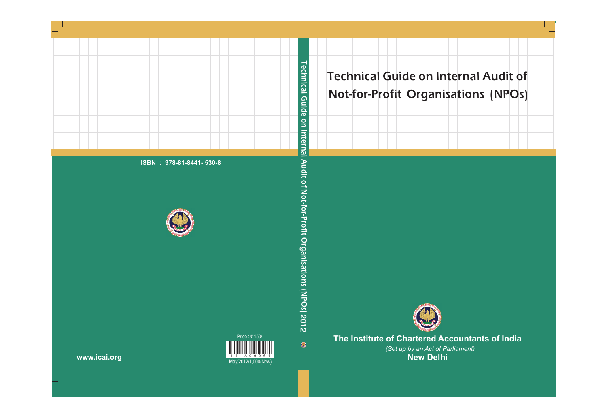

# **The Institute of Chartered Accountants of India**

*(Set up by an Act of Parliament)* **New Delhi**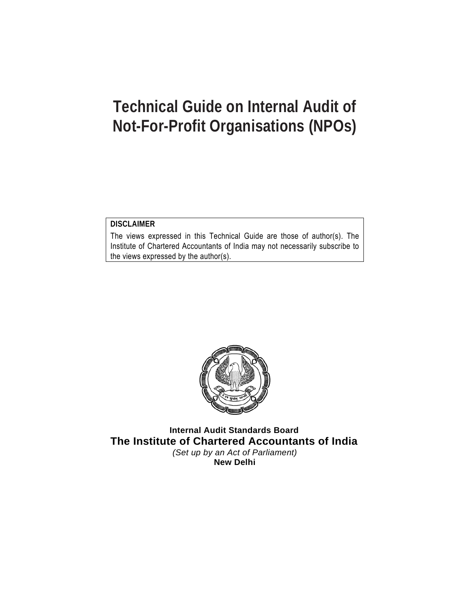### **DISCLAIMER**

The views expressed in this Technical Guide are those of author(s). The Institute of Chartered Accountants of India may not necessarily subscribe to the views expressed by the author(s).



**Internal Audit Standards Board The Institute of Chartered Accountants of India**  *(Set up by an Act of Parliament)*  **New Delhi**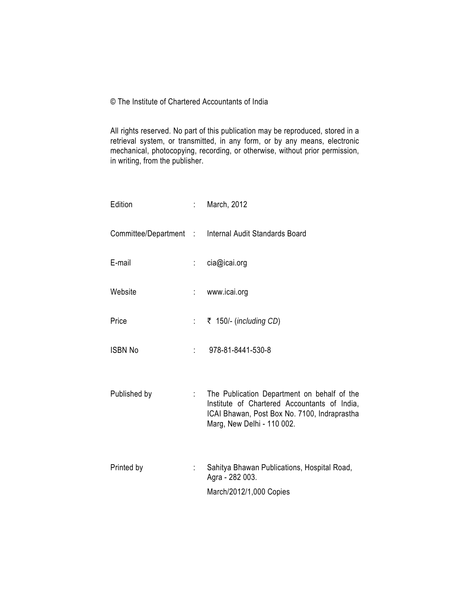© The Institute of Chartered Accountants of India

All rights reserved. No part of this publication may be reproduced, stored in a retrieval system, or transmitted, in any form, or by any means, electronic mechanical, photocopying, recording, or otherwise, without prior permission, in writing, from the publisher.

| Edition        |                            | : March, 2012                                                                                                                                                             |
|----------------|----------------------------|---------------------------------------------------------------------------------------------------------------------------------------------------------------------------|
|                |                            | Committee/Department : Internal Audit Standards Board                                                                                                                     |
| E-mail         | $\mathcal{L}^{\text{max}}$ | cia@icai.org                                                                                                                                                              |
| Website        |                            | : www.icai.org                                                                                                                                                            |
| Price          | $\mathbb{R}^{\mathbb{Z}}$  | ₹ 150/- ( <i>including CD</i> )                                                                                                                                           |
| <b>ISBN No</b> | 1000                       | 978-81-8441-530-8                                                                                                                                                         |
| Published by   | $\mathbb{Z}^{\mathbb{Z}}$  | The Publication Department on behalf of the<br>Institute of Chartered Accountants of India,<br>ICAI Bhawan, Post Box No. 7100, Indraprastha<br>Marg, New Delhi - 110 002. |
| Printed by     | ÷                          | Sahitya Bhawan Publications, Hospital Road,<br>Agra - 282 003.                                                                                                            |
|                |                            | March/2012/1,000 Copies                                                                                                                                                   |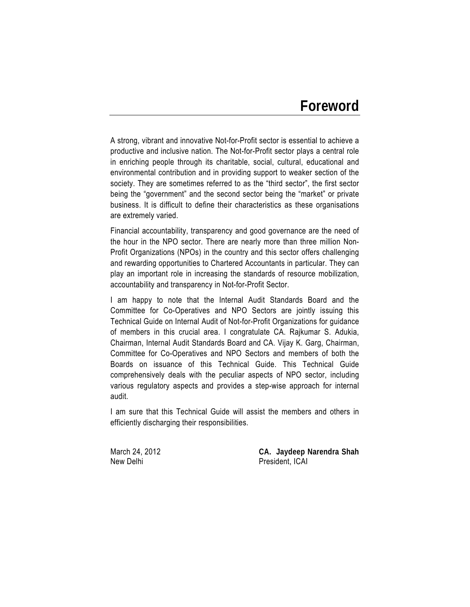# **Foreword**

A strong, vibrant and innovative Not-for-Profit sector is essential to achieve a productive and inclusive nation. The Not-for-Profit sector plays a central role in enriching people through its charitable, social, cultural, educational and environmental contribution and in providing support to weaker section of the society. They are sometimes referred to as the "third sector", the first sector being the "government" and the second sector being the "market" or private business. It is difficult to define their characteristics as these organisations are extremely varied.

Financial accountability, transparency and good governance are the need of the hour in the NPO sector. There are nearly more than three million Non-Profit Organizations (NPOs) in the country and this sector offers challenging and rewarding opportunities to Chartered Accountants in particular. They can play an important role in increasing the standards of resource mobilization, accountability and transparency in Not-for-Profit Sector.

I am happy to note that the Internal Audit Standards Board and the Committee for Co-Operatives and NPO Sectors are jointly issuing this Technical Guide on Internal Audit of Not-for-Profit Organizations for guidance of members in this crucial area. I congratulate CA. Rajkumar S. Adukia, Chairman, Internal Audit Standards Board and CA. Vijay K. Garg, Chairman, Committee for Co-Operatives and NPO Sectors and members of both the Boards on issuance of this Technical Guide. This Technical Guide comprehensively deals with the peculiar aspects of NPO sector, including various regulatory aspects and provides a step-wise approach for internal audit.

I am sure that this Technical Guide will assist the members and others in efficiently discharging their responsibilities.

March 24, 2012 **CA. Jaydeep Narendra Shah**  New Delhi **New Delhi** President, ICAI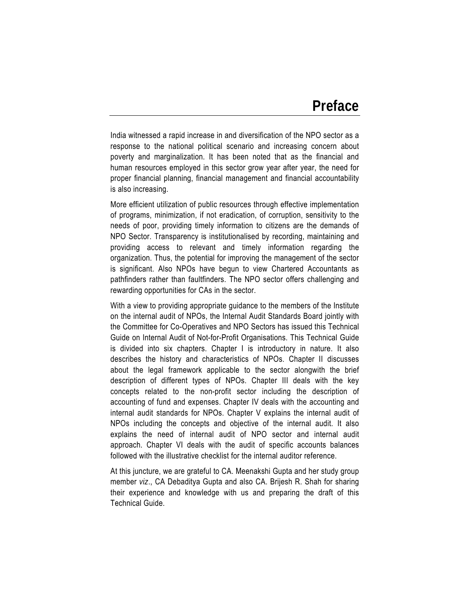India witnessed a rapid increase in and diversification of the NPO sector as a response to the national political scenario and increasing concern about poverty and marginalization. It has been noted that as the financial and human resources employed in this sector grow year after year, the need for proper financial planning, financial management and financial accountability is also increasing.

More efficient utilization of public resources through effective implementation of programs, minimization, if not eradication, of corruption, sensitivity to the needs of poor, providing timely information to citizens are the demands of NPO Sector. Transparency is institutionalised by recording, maintaining and providing access to relevant and timely information regarding the organization. Thus, the potential for improving the management of the sector is significant. Also NPOs have begun to view Chartered Accountants as pathfinders rather than faultfinders. The NPO sector offers challenging and rewarding opportunities for CAs in the sector.

With a view to providing appropriate guidance to the members of the Institute on the internal audit of NPOs, the Internal Audit Standards Board jointly with the Committee for Co-Operatives and NPO Sectors has issued this Technical Guide on Internal Audit of Not-for-Profit Organisations. This Technical Guide is divided into six chapters. Chapter I is introductory in nature. It also describes the history and characteristics of NPOs. Chapter II discusses about the legal framework applicable to the sector alongwith the brief description of different types of NPOs. Chapter III deals with the key concepts related to the non-profit sector including the description of accounting of fund and expenses. Chapter IV deals with the accounting and internal audit standards for NPOs. Chapter V explains the internal audit of NPOs including the concepts and objective of the internal audit. It also explains the need of internal audit of NPO sector and internal audit approach. Chapter VI deals with the audit of specific accounts balances followed with the illustrative checklist for the internal auditor reference.

At this juncture, we are grateful to CA. Meenakshi Gupta and her study group member *viz*., CA Debaditya Gupta and also CA. Brijesh R. Shah for sharing their experience and knowledge with us and preparing the draft of this Technical Guide.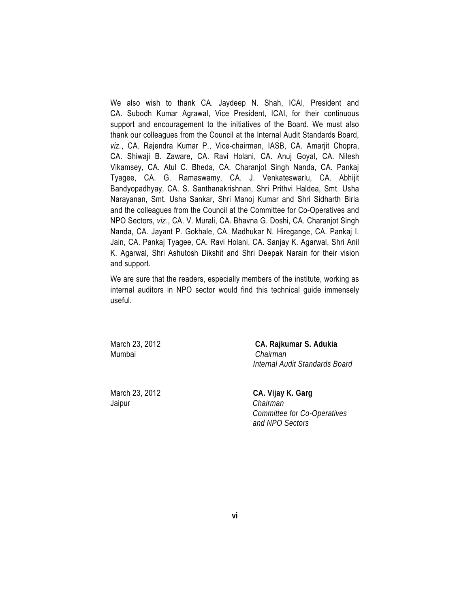We also wish to thank CA. Jaydeep N. Shah, ICAI, President and CA. Subodh Kumar Agrawal, Vice President, ICAI, for their continuous support and encouragement to the initiatives of the Board. We must also thank our colleagues from the Council at the Internal Audit Standards Board, *viz.*, CA. Rajendra Kumar P., Vice-chairman, IASB, CA. Amarjit Chopra, CA. Shiwaji B. Zaware, CA. Ravi Holani, CA. Anuj Goyal, CA. Nilesh Vikamsey, CA. Atul C. Bheda, CA. Charanjot Singh Nanda, CA. Pankaj Tyagee, CA. G. Ramaswamy, CA. J. Venkateswarlu, CA. Abhijit Bandyopadhyay, CA. S. Santhanakrishnan, Shri Prithvi Haldea, Smt. Usha Narayanan, Smt. Usha Sankar, Shri Manoj Kumar and Shri Sidharth Birla and the colleagues from the Council at the Committee for Co-Operatives and NPO Sectors, *viz*., CA. V. Murali, CA. Bhavna G. Doshi, CA. Charanjot Singh Nanda, CA. Jayant P. Gokhale, CA. Madhukar N. Hiregange, CA. Pankaj I. Jain, CA. Pankaj Tyagee, CA. Ravi Holani, CA. Sanjay K. Agarwal, Shri Anil K. Agarwal, Shri Ashutosh Dikshit and Shri Deepak Narain for their vision and support.

We are sure that the readers, especially members of the institute, working as internal auditors in NPO sector would find this technical guide immensely useful.

Mumbai*Chairman* 

March 23, 2012 **CA. Rajkumar S. Adukia**   *Internal Audit Standards Board* 

Jaipur*Chairman* 

March 23, 2012 **CA. Vijay K. Garg**   *Committee for Co-Operatives and NPO Sectors*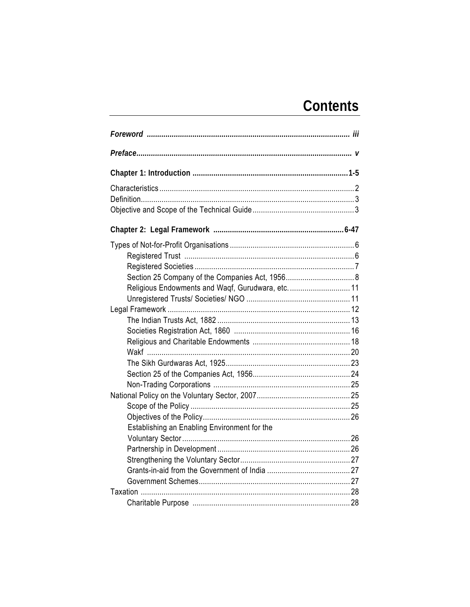# Contents

| Religious Endowments and Waqf, Gurudwara, etc.  11 |  |
|----------------------------------------------------|--|
|                                                    |  |
|                                                    |  |
|                                                    |  |
|                                                    |  |
|                                                    |  |
|                                                    |  |
|                                                    |  |
|                                                    |  |
|                                                    |  |
|                                                    |  |
|                                                    |  |
|                                                    |  |
| Establishing an Enabling Environment for the       |  |
|                                                    |  |
|                                                    |  |
|                                                    |  |
|                                                    |  |
|                                                    |  |
|                                                    |  |
|                                                    |  |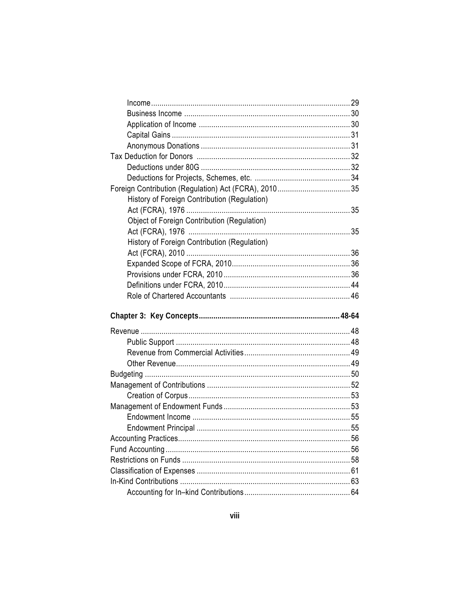| History of Foreign Contribution (Regulation) |  |
|----------------------------------------------|--|
|                                              |  |
| Object of Foreign Contribution (Regulation)  |  |
|                                              |  |
| History of Foreign Contribution (Regulation) |  |
|                                              |  |
|                                              |  |
|                                              |  |
|                                              |  |
|                                              |  |
|                                              |  |
|                                              |  |
|                                              |  |
|                                              |  |
|                                              |  |
|                                              |  |
|                                              |  |
|                                              |  |
|                                              |  |
|                                              |  |
|                                              |  |
|                                              |  |
|                                              |  |
|                                              |  |
|                                              |  |
|                                              |  |
|                                              |  |
|                                              |  |
|                                              |  |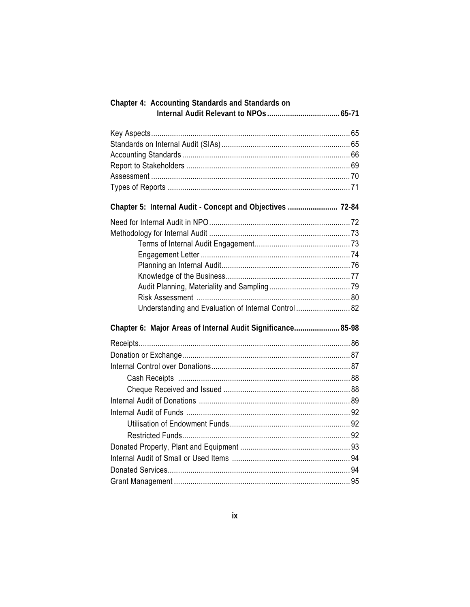| Chapter 4: Accounting Standards and Standards on            |  |
|-------------------------------------------------------------|--|
|                                                             |  |
|                                                             |  |
|                                                             |  |
|                                                             |  |
|                                                             |  |
|                                                             |  |
|                                                             |  |
| Chapter 5: Internal Audit - Concept and Objectives  72-84   |  |
|                                                             |  |
|                                                             |  |
|                                                             |  |
|                                                             |  |
|                                                             |  |
|                                                             |  |
|                                                             |  |
|                                                             |  |
| Understanding and Evaluation of Internal Control  82        |  |
| Chapter 6: Major Areas of Internal Audit Significance 85-98 |  |
|                                                             |  |
|                                                             |  |
|                                                             |  |
|                                                             |  |
|                                                             |  |
|                                                             |  |
|                                                             |  |
|                                                             |  |
|                                                             |  |
|                                                             |  |
|                                                             |  |
|                                                             |  |
|                                                             |  |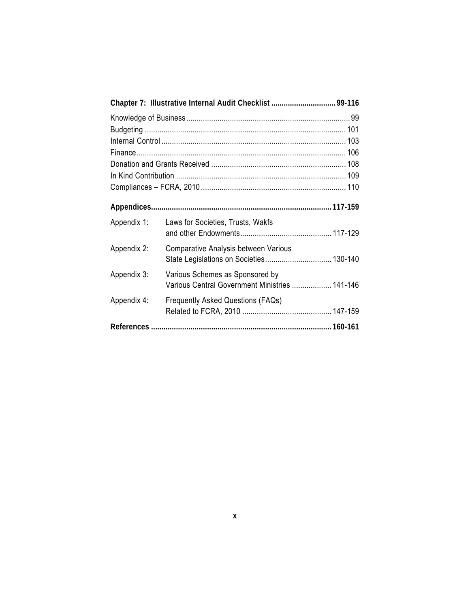| Appendix 1: | Laws for Societies, Trusts, Wakfs                                                 |  |
|-------------|-----------------------------------------------------------------------------------|--|
| Appendix 2: | Comparative Analysis between Various                                              |  |
| Appendix 3: | Various Schemes as Sponsored by<br>Various Central Government Ministries  141-146 |  |
| Appendix 4: | <b>Frequently Asked Questions (FAQs)</b>                                          |  |
|             |                                                                                   |  |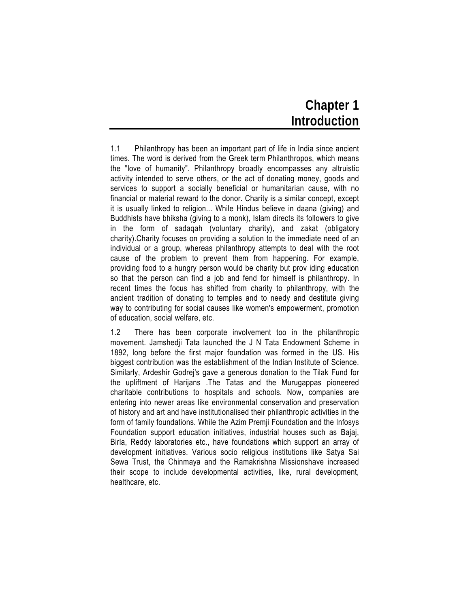# **Chapter 1 Introduction**

1.1 Philanthropy has been an important part of life in India since ancient times. The word is derived from the Greek term Philanthropos, which means the "love of humanity". Philanthropy broadly encompasses any altruistic activity intended to serve others, or the act of donating money, goods and services to support a socially beneficial or humanitarian cause, with no financial or material reward to the donor. Charity is a similar concept, except it is usually linked to religion... While Hindus believe in daana (giving) and Buddhists have bhiksha (giving to a monk), Islam directs its followers to give in the form of sadaqah (voluntary charity), and zakat (obligatory charity).Charity focuses on providing a solution to the immediate need of an individual or a group, whereas philanthropy attempts to deal with the root cause of the problem to prevent them from happening. For example, providing food to a hungry person would be charity but prov iding education so that the person can find a job and fend for himself is philanthropy. In recent times the focus has shifted from charity to philanthropy, with the ancient tradition of donating to temples and to needy and destitute giving way to contributing for social causes like women's empowerment, promotion of education, social welfare, etc.

1.2 There has been corporate involvement too in the philanthropic movement. Jamshedji Tata launched the J N Tata Endowment Scheme in 1892, long before the first major foundation was formed in the US. His biggest contribution was the establishment of the Indian Institute of Science. Similarly, Ardeshir Godrej's gave a generous donation to the Tilak Fund for the upliftment of Harijans .The Tatas and the Murugappas pioneered charitable contributions to hospitals and schools. Now, companies are entering into newer areas like environmental conservation and preservation of history and art and have institutionalised their philanthropic activities in the form of family foundations. While the Azim Premji Foundation and the Infosys Foundation support education initiatives, industrial houses such as Bajaj, Birla, Reddy laboratories etc., have foundations which support an array of development initiatives. Various socio religious institutions like Satya Sai Sewa Trust, the Chinmaya and the Ramakrishna Missionshave increased their scope to include developmental activities, like, rural development, healthcare, etc.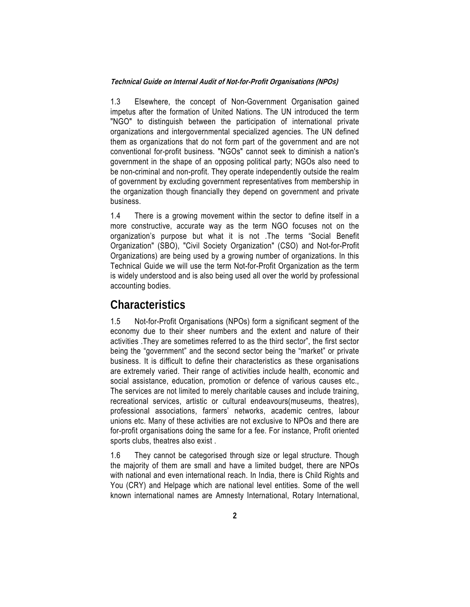1.3 Elsewhere, the concept of Non-Government Organisation gained impetus after the formation of United Nations. The UN introduced the term "NGO" to distinguish between the participation of international private organizations and intergovernmental specialized agencies. The UN defined them as organizations that do not form part of the government and are not conventional for-profit business. "NGOs" cannot seek to diminish a nation's government in the shape of an opposing political party; NGOs also need to be non-criminal and non-profit. They operate independently outside the realm of government by excluding government representatives from membership in the organization though financially they depend on government and private business.

1.4 There is a growing movement within the sector to define itself in a more constructive, accurate way as the term NGO focuses not on the organization's purpose but what it is not .The terms "Social Benefit Organization" (SBO), "Civil Society Organization" (CSO) and Not-for-Profit Organizations) are being used by a growing number of organizations. In this Technical Guide we will use the term Not-for-Profit Organization as the term is widely understood and is also being used all over the world by professional accounting bodies.

# **Characteristics**

1.5 Not-for-Profit Organisations (NPOs) form a significant segment of the economy due to their sheer numbers and the extent and nature of their activities .They are sometimes referred to as the third sector", the first sector being the "government" and the second sector being the "market" or private business. It is difficult to define their characteristics as these organisations are extremely varied. Their range of activities include health, economic and social assistance, education, promotion or defence of various causes etc., The services are not limited to merely charitable causes and include training, recreational services, artistic or cultural endeavours(museums, theatres), professional associations, farmers' networks, academic centres, labour unions etc. Many of these activities are not exclusive to NPOs and there are for-profit organisations doing the same for a fee. For instance, Profit oriented sports clubs, theatres also exist .

1.6 They cannot be categorised through size or legal structure. Though the majority of them are small and have a limited budget, there are NPOs with national and even international reach. In India, there is Child Rights and You (CRY) and Helpage which are national level entities. Some of the well known international names are Amnesty International, Rotary International,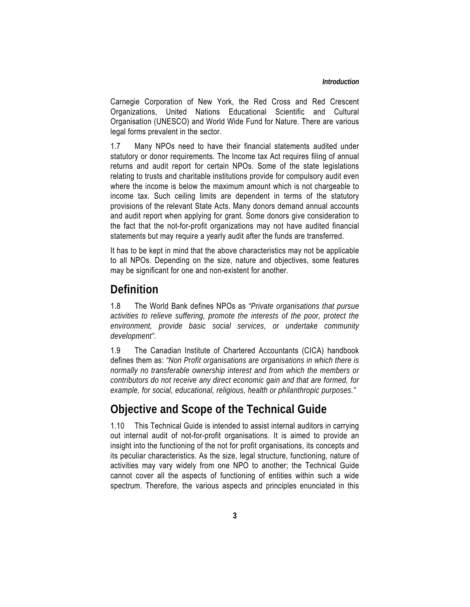Carnegie Corporation of New York, the Red Cross and Red Crescent Organizations, United Nations Educational Scientific and Cultural Organisation (UNESCO) and World Wide Fund for Nature. There are various legal forms prevalent in the sector.

1.7 Many NPOs need to have their financial statements audited under statutory or donor requirements. The Income tax Act requires filing of annual returns and audit report for certain NPOs. Some of the state legislations relating to trusts and charitable institutions provide for compulsory audit even where the income is below the maximum amount which is not chargeable to income tax. Such ceiling limits are dependent in terms of the statutory provisions of the relevant State Acts. Many donors demand annual accounts and audit report when applying for grant. Some donors give consideration to the fact that the not-for-profit organizations may not have audited financial statements but may require a yearly audit after the funds are transferred.

It has to be kept in mind that the above characteristics may not be applicable to all NPOs. Depending on the size, nature and objectives, some features may be significant for one and non-existent for another.

# **Definition**

1.8 The World Bank defines NPOs as *"Private organisations that pursue activities to relieve suffering, promote the interests of the poor, protect the environment, provide basic social services, or undertake community development".*

1.9 The Canadian Institute of Chartered Accountants (CICA) handbook defines them as: *"Non Profit organisations are organisations in which there is normally no transferable ownership interest and from which the members or contributors do not receive any direct economic gain and that are formed, for example, for social, educational, religious, health or philanthropic purposes."* 

# **Objective and Scope of the Technical Guide**

1.10 This Technical Guide is intended to assist internal auditors in carrying out internal audit of not-for-profit organisations. It is aimed to provide an insight into the functioning of the not for profit organisations, its concepts and its peculiar characteristics. As the size, legal structure, functioning, nature of activities may vary widely from one NPO to another; the Technical Guide cannot cover all the aspects of functioning of entities within such a wide spectrum. Therefore, the various aspects and principles enunciated in this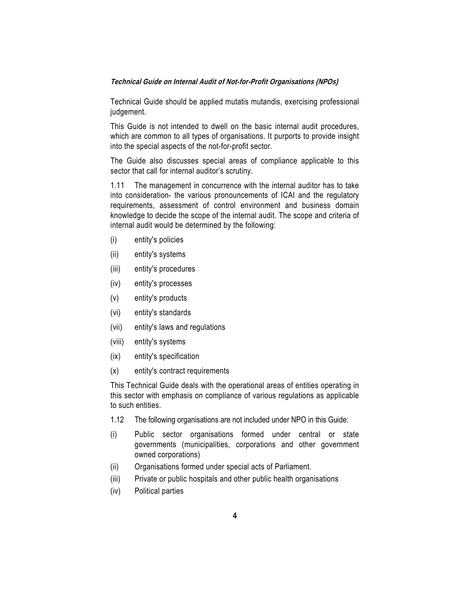Technical Guide should be applied mutatis mutandis, exercising professional judgement.

This Guide is not intended to dwell on the basic internal audit procedures, which are common to all types of organisations. It purports to provide insight into the special aspects of the not-for-profit sector.

The Guide also discusses special areas of compliance applicable to this sector that call for internal auditor's scrutiny.

1.11 The management in concurrence with the internal auditor has to take into consideration- the various pronouncements of ICAI and the regulatory requirements, assessment of control environment and business domain knowledge to decide the scope of the internal audit. The scope and criteria of internal audit would be determined by the following:

- (i) entity's policies
- (ii) entity's systems
- (iii) entity's procedures
- (iv) entity's processes
- (v) entity's products
- (vi) entity's standards
- (vii) entity's laws and regulations
- (viii) entity's systems
- (ix) entity's specification
- (x) entity's contract requirements

This Technical Guide deals with the operational areas of entities operating in this sector with emphasis on compliance of various regulations as applicable to such entities.

- 1.12 The following organisations are not included under NPO in this Guide:
- (i) Public sector organisations formed under central or state governments (municipalities, corporations and other government owned corporations)
- (ii) Organisations formed under special acts of Parliament.
- (iii) Private or public hospitals and other public health organisations
- (iv) Political parties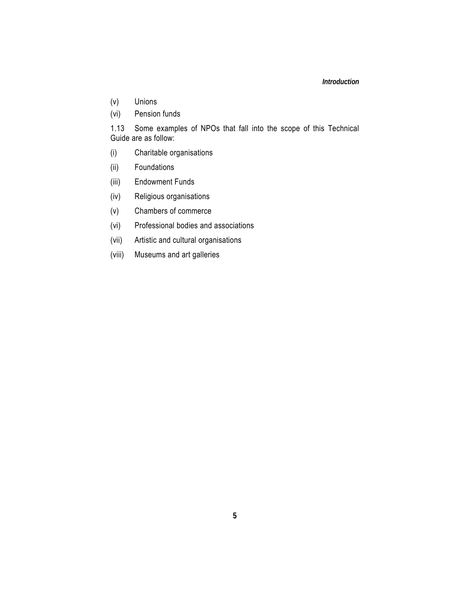#### *Introduction*

- (v) Unions
- (vi) Pension funds

1.13 Some examples of NPOs that fall into the scope of this Technical Guide are as follow:

- (i) Charitable organisations
- (ii) Foundations
- (iii) Endowment Funds
- (iv) Religious organisations
- (v) Chambers of commerce
- (vi) Professional bodies and associations
- (vii) Artistic and cultural organisations
- (viii) Museums and art galleries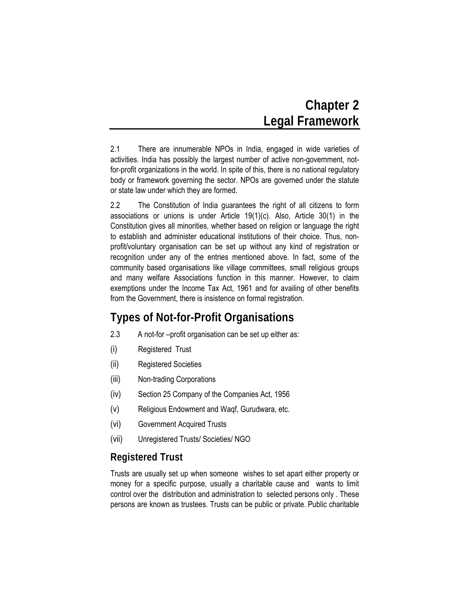# **Chapter 2 Legal Framework**

2.1 There are innumerable NPOs in India, engaged in wide varieties of activities. India has possibly the largest number of active non-government, notfor-profit organizations in the world. In spite of this, there is no national regulatory body or framework governing the sector. NPOs are governed under the statute or state law under which they are formed.

2.2 The Constitution of India guarantees the right of all citizens to form associations or unions is under Article 19(1)(c). Also, Article 30(1) in the Constitution gives all minorities, whether based on religion or language the right to establish and administer educational institutions of their choice. Thus, nonprofit/voluntary organisation can be set up without any kind of registration or recognition under any of the entries mentioned above. In fact, some of the community based organisations like village committees, small religious groups and many welfare Associations function in this manner. However, to claim exemptions under the Income Tax Act, 1961 and for availing of other benefits from the Government, there is insistence on formal registration.

# **Types of Not-for-Profit Organisations**

- 2.3 A not-for –profit organisation can be set up either as:
- (i) Registered Trust
- (ii) Registered Societies
- (iii) Non-trading Corporations
- (iv) Section 25 Company of the Companies Act, 1956
- (v) Religious Endowment and Waqf, Gurudwara, etc.
- (vi) Government Acquired Trusts
- (vii) Unregistered Trusts/ Societies/ NGO

# **Registered Trust**

Trusts are usually set up when someone wishes to set apart either property or money for a specific purpose, usually a charitable cause and wants to limit control over the distribution and administration to selected persons only . These persons are known as trustees. Trusts can be public or private. Public charitable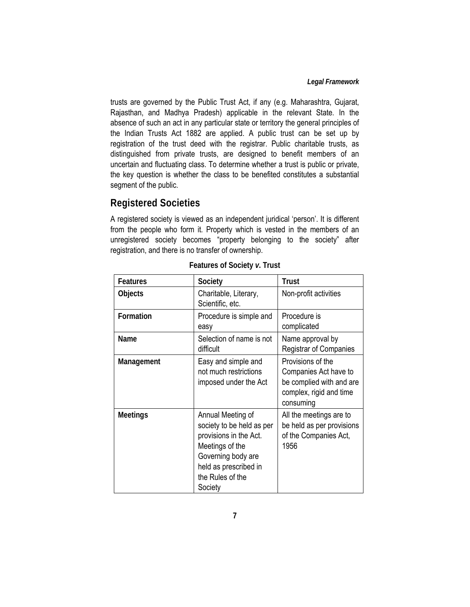trusts are governed by the Public Trust Act, if any (e.g. Maharashtra, Gujarat, Rajasthan, and Madhya Pradesh) applicable in the relevant State. In the absence of such an act in any particular state or territory the general principles of the Indian Trusts Act 1882 are applied. A public trust can be set up by registration of the trust deed with the registrar. Public charitable trusts, as distinguished from private trusts, are designed to benefit members of an uncertain and fluctuating class. To determine whether a trust is public or private, the key question is whether the class to be benefited constitutes a substantial segment of the public.

# **Registered Societies**

A registered society is viewed as an independent juridical 'person'. It is different from the people who form it. Property which is vested in the members of an unregistered society becomes "property belonging to the society" after registration, and there is no transfer of ownership.

| <b>Features</b> | Society                                                                                                                                                                   | <b>Trust</b>                                                                                                   |
|-----------------|---------------------------------------------------------------------------------------------------------------------------------------------------------------------------|----------------------------------------------------------------------------------------------------------------|
| Objects         | Charitable, Literary,<br>Scientific, etc.                                                                                                                                 | Non-profit activities                                                                                          |
| Formation       | Procedure is simple and<br>easy                                                                                                                                           | Procedure is<br>complicated                                                                                    |
| Name            | Selection of name is not<br>difficult                                                                                                                                     | Name approval by<br><b>Registrar of Companies</b>                                                              |
| Management      | Easy and simple and<br>not much restrictions<br>imposed under the Act                                                                                                     | Provisions of the<br>Companies Act have to<br>be complied with and are<br>complex, rigid and time<br>consuming |
| <b>Meetings</b> | Annual Meeting of<br>society to be held as per<br>provisions in the Act.<br>Meetings of the<br>Governing body are<br>held as prescribed in<br>the Rules of the<br>Society | All the meetings are to<br>be held as per provisions<br>of the Companies Act,<br>1956                          |

**Features of Society** *v***. Trust**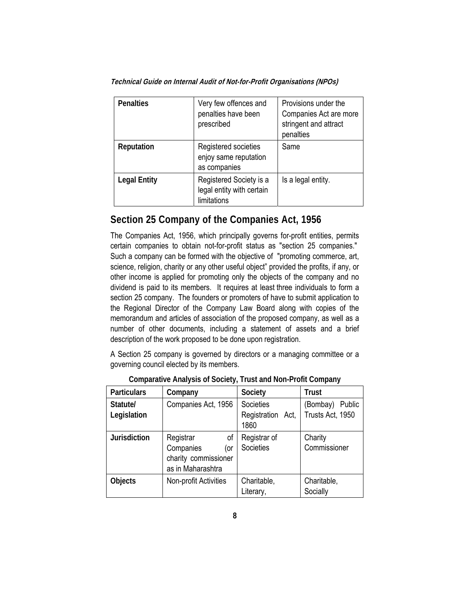| <b>Penalties</b>    | Very few offences and<br>penalties have been<br>prescribed          | Provisions under the<br>Companies Act are more<br>stringent and attract<br>penalties |
|---------------------|---------------------------------------------------------------------|--------------------------------------------------------------------------------------|
| Reputation          | Registered societies<br>enjoy same reputation<br>as companies       | Same                                                                                 |
| <b>Legal Entity</b> | Registered Society is a<br>legal entity with certain<br>limitations | Is a legal entity.                                                                   |

# **Section 25 Company of the Companies Act, 1956**

The Companies Act, 1956, which principally governs for-profit entities, permits certain companies to obtain not-for-profit status as "section 25 companies." Such a company can be formed with the objective of "promoting commerce, art, science, religion, charity or any other useful object" provided the profits, if any, or other income is applied for promoting only the objects of the company and no dividend is paid to its members. It requires at least three individuals to form a section 25 company. The founders or promoters of have to submit application to the Regional Director of the Company Law Board along with copies of the memorandum and articles of association of the proposed company, as well as a number of other documents, including a statement of assets and a brief description of the work proposed to be done upon registration.

A Section 25 company is governed by directors or a managing committee or a governing council elected by its members.

| <b>Particulars</b>      | Company                                                                          | Society                                   | <b>Trust</b>                           |
|-------------------------|----------------------------------------------------------------------------------|-------------------------------------------|----------------------------------------|
| Statute/<br>Legislation | Companies Act, 1956                                                              | Societies<br>Registration<br>Act,<br>1860 | (Bombay)<br>Public<br>Trusts Act, 1950 |
| <b>Jurisdiction</b>     | Registrar<br>οf<br>Companies<br>(or<br>charity commissioner<br>as in Maharashtra | Registrar of<br>Societies                 | Charity<br>Commissioner                |
| <b>Objects</b>          | Non-profit Activities                                                            | Charitable,<br>Literary,                  | Charitable,<br>Socially                |

**Comparative Analysis of Society, Trust and Non-Profit Company**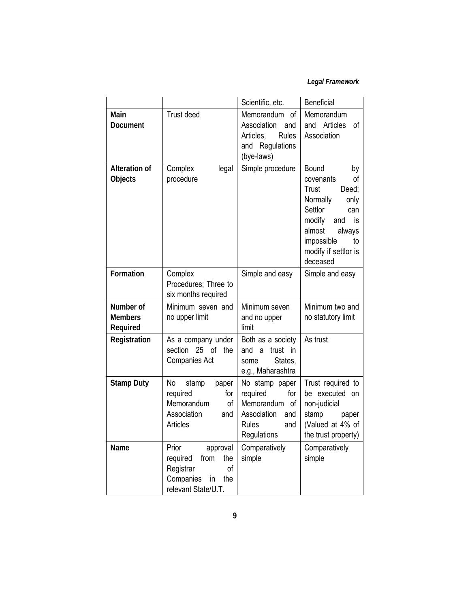## *Legal Framework*

|                                         |                                                                                                                  | Scientific, etc.                                                                                               | Beneficial                                                                                                                                                                                       |
|-----------------------------------------|------------------------------------------------------------------------------------------------------------------|----------------------------------------------------------------------------------------------------------------|--------------------------------------------------------------------------------------------------------------------------------------------------------------------------------------------------|
| Main<br><b>Document</b>                 | Trust deed                                                                                                       | Memorandum<br>οf<br>Association<br>and<br>Articles,<br>Rules<br>and Regulations<br>(bye-laws)                  | Memorandum<br>and Articles<br>οf<br>Association                                                                                                                                                  |
| <b>Alteration of</b><br>Objects         | legal<br>Complex<br>procedure                                                                                    | Simple procedure                                                                                               | <b>Bound</b><br>by<br>of<br>covenants<br>Trust<br>Deed;<br>Normally<br>only<br>Settlor<br>can<br>modify<br>is<br>and<br>almost<br>always<br>impossible<br>to<br>modify if settlor is<br>deceased |
| Formation                               | Complex<br>Procedures; Three to<br>six months required                                                           | Simple and easy                                                                                                | Simple and easy                                                                                                                                                                                  |
| Number of<br><b>Members</b><br>Required | Minimum seven and<br>no upper limit                                                                              | Minimum seven<br>and no upper<br>limit                                                                         | Minimum two and<br>no statutory limit                                                                                                                                                            |
| Registration                            | As a company under<br>25<br>$\circ$ f<br>section<br>the<br>Companies Act                                         | Both as a society<br>trust in<br>and a<br>States,<br>some<br>e.g., Maharashtra                                 | As trust                                                                                                                                                                                         |
| <b>Stamp Duty</b>                       | No<br>stamp<br>paper<br>required<br>for<br>Memorandum<br>of<br>Association<br>and<br>Articles                    | No stamp paper<br>required<br>for<br>Memorandum of<br>Association<br>and<br><b>Rules</b><br>and<br>Regulations | Trust required to<br>be executed on<br>non-judicial<br>stamp<br>paper<br>(Valued at 4% of<br>the trust property)                                                                                 |
| Name                                    | Prior<br>approval<br>required<br>from<br>the<br>Registrar<br>of<br>Companies<br>in<br>the<br>relevant State/U.T. | Comparatively<br>simple                                                                                        | Comparatively<br>simple                                                                                                                                                                          |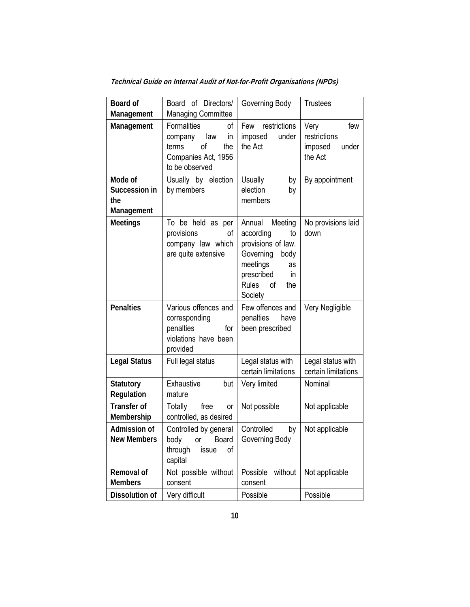| Board of<br>Management                        | Board of Directors/<br><b>Managing Committee</b>                                                                | Governing Body                                                                                                                                                                      | <b>Trustees</b>                                            |
|-----------------------------------------------|-----------------------------------------------------------------------------------------------------------------|-------------------------------------------------------------------------------------------------------------------------------------------------------------------------------------|------------------------------------------------------------|
| Management                                    | <b>Formalities</b><br>οf<br>law<br>company<br>in<br>of<br>terms<br>the<br>Companies Act, 1956<br>to be observed | Few restrictions<br>under<br>imposed<br>the Act                                                                                                                                     | Very<br>few<br>restrictions<br>imposed<br>under<br>the Act |
| Mode of<br>Succession in<br>the<br>Management | Usually by election<br>by members                                                                               | Usually<br>by<br>election<br>by<br>members                                                                                                                                          | By appointment                                             |
| <b>Meetings</b>                               | To be held as per<br>provisions<br>οf<br>company law which<br>are quite extensive                               | Annual<br>Meeting<br>according<br>to<br>provisions of law.<br>Governing<br>body<br>meetings<br>as<br>prescribed<br>$\overline{\mathsf{in}}$<br><b>Rules</b><br>of<br>the<br>Society | No provisions laid<br>down                                 |
| <b>Penalties</b>                              | Various offences and<br>corresponding<br>penalties<br>for<br>violations have been<br>provided                   | Few offences and<br>penalties<br>have<br>been prescribed                                                                                                                            | Very Negligible                                            |
| <b>Legal Status</b>                           | Full legal status                                                                                               | Legal status with<br>certain limitations                                                                                                                                            | Legal status with<br>certain limitations                   |
| <b>Statutory</b><br>Regulation                | Exhaustive<br>but<br>mature                                                                                     | Very limited                                                                                                                                                                        | Nominal                                                    |
| <b>Transfer of</b><br>Membership              | Totally<br>free<br>0r<br>controlled, as desired                                                                 | Not possible                                                                                                                                                                        | Not applicable                                             |
| Admission of<br><b>New Members</b>            | Controlled by general<br>body or Board<br>through<br>issue<br>οf<br>capital                                     | Controlled<br>by<br>Governing Body                                                                                                                                                  | Not applicable                                             |
| Removal of<br><b>Members</b>                  | Not possible without<br>consent                                                                                 | Possible<br>without<br>consent                                                                                                                                                      | Not applicable                                             |
| Dissolution of                                | Very difficult                                                                                                  | Possible                                                                                                                                                                            | Possible                                                   |

**Technical Guide on Internal Audit of Not-for-Profit Organisations (NPOs)**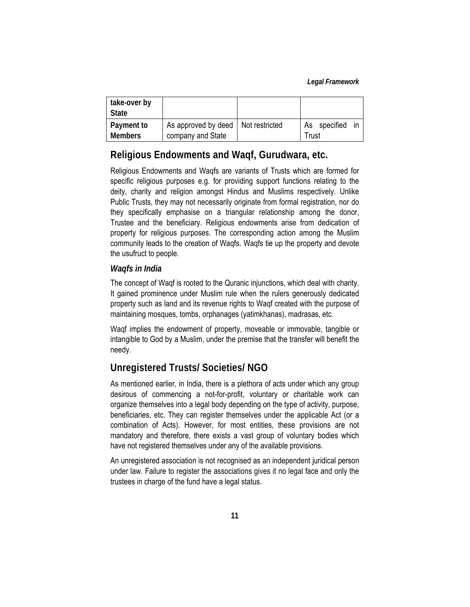| take-over by<br><b>State</b> |                                                           |                                |
|------------------------------|-----------------------------------------------------------|--------------------------------|
| Payment to<br><b>Members</b> | As approved by deed   Not restricted<br>company and State | As specified<br>in in<br>Trust |

# **Religious Endowments and Waqf, Gurudwara, etc.**

Religious Endowments and Waqfs are variants of Trusts which are formed for specific religious purposes e.g. for providing support functions relating to the deity, charity and religion amongst Hindus and Muslims respectively. Unlike Public Trusts, they may not necessarily originate from formal registration, nor do they specifically emphasise on a triangular relationship among the donor, Trustee and the beneficiary. Religious endowments arise from dedication of property for religious purposes. The corresponding action among the Muslim community leads to the creation of Waqfs. Waqfs tie up the property and devote the usufruct to people.

#### *Waqfs in India*

The concept of Waqf is rooted to the Quranic injunctions, which deal with charity. It gained prominence under Muslim rule when the rulers generously dedicated property such as land and its revenue rights to Waqf created with the purpose of maintaining mosques, tombs, orphanages (yatimkhanas), madrasas, etc.

Waqf implies the endowment of property, moveable or immovable, tangible or intangible to God by a Muslim, under the premise that the transfer will benefit the needy.

## **Unregistered Trusts/ Societies/ NGO**

As mentioned earlier, in India, there is a plethora of acts under which any group desirous of commencing a not-for-profit, voluntary or charitable work can organize themselves into a legal body depending on the type of activity, purpose, beneficiaries, etc. They can register themselves under the applicable Act (or a combination of Acts). However, for most entities, these provisions are not mandatory and therefore, there exists a vast group of voluntary bodies which have not registered themselves under any of the available provisions.

An unregistered association is not recognised as an independent juridical person under law. Failure to register the associations gives it no legal face and only the trustees in charge of the fund have a legal status.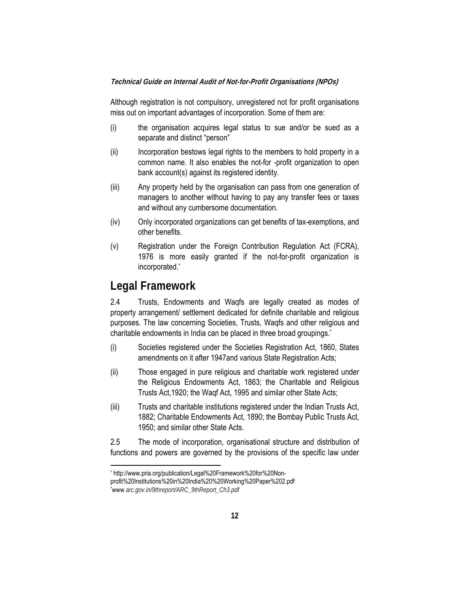Although registration is not compulsory, unregistered not for profit organisations miss out on important advantages of incorporation. Some of them are:

- (i) the organisation acquires legal status to sue and/or be sued as a separate and distinct "person"
- (ii) Incorporation bestows legal rights to the members to hold property in a common name. It also enables the not-for -profit organization to open bank account(s) against its registered identity.
- (iii) Any property held by the organisation can pass from one generation of managers to another without having to pay any transfer fees or taxes and without any cumbersome documentation.
- (iv) Only incorporated organizations can get benefits of tax-exemptions, and other benefits.
- (v) Registration under the Foreign Contribution Regulation Act (FCRA), 1976 is more easily granted if the not-for-profit organization is incorporated.\*

# **Legal Framework**

**.** 

2.4 Trusts, Endowments and Waqfs are legally created as modes of property arrangement/ settlement dedicated for definite charitable and religious purposes. The law concerning Societies, Trusts, Waqfs and other religious and charitable endowments in India can be placed in three broad groupings.\*

- (i) Societies registered under the Societies Registration Act, 1860, States amendments on it after 1947and various State Registration Acts;
- (ii) Those engaged in pure religious and charitable work registered under the Religious Endowments Act, 1863; the Charitable and Religious Trusts Act,1920; the Waqf Act, 1995 and similar other State Acts;
- (iii) Trusts and charitable institutions registered under the Indian Trusts Act, 1882; Charitable Endowments Act, 1890; the Bombay Public Trusts Act, 1950; and similar other State Acts.

2.5 The mode of incorporation, organisational structure and distribution of functions and powers are governed by the provisions of the specific law under

<sup>\*</sup> http://www.pria.org/publication/Legal%20Framework%20for%20Nonprofit%20Institutions%20in%20India%20%20Working%20Paper%202.pdf \* www *arc.gov.in/9threport/ARC\_9thReport\_Ch3.pdf*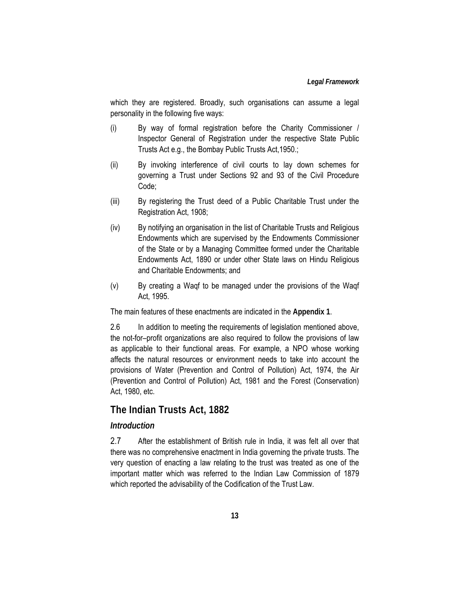which they are registered. Broadly, such organisations can assume a legal personality in the following five ways:

- (i) By way of formal registration before the Charity Commissioner / Inspector General of Registration under the respective State Public Trusts Act e.g., the Bombay Public Trusts Act,1950.;
- (ii) By invoking interference of civil courts to lay down schemes for governing a Trust under Sections 92 and 93 of the Civil Procedure Code;
- (iii) By registering the Trust deed of a Public Charitable Trust under the Registration Act, 1908;
- (iv) By notifying an organisation in the list of Charitable Trusts and Religious Endowments which are supervised by the Endowments Commissioner of the State or by a Managing Committee formed under the Charitable Endowments Act, 1890 or under other State laws on Hindu Religious and Charitable Endowments; and
- (v) By creating a Waqf to be managed under the provisions of the Waqf Act, 1995.

The main features of these enactments are indicated in the **Appendix 1**.

2.6 In addition to meeting the requirements of legislation mentioned above, the not-for–profit organizations are also required to follow the provisions of law as applicable to their functional areas. For example, a NPO whose working affects the natural resources or environment needs to take into account the provisions of Water (Prevention and Control of Pollution) Act, 1974, the Air (Prevention and Control of Pollution) Act, 1981 and the Forest (Conservation) Act, 1980, etc.

### **The Indian Trusts Act, 1882**

#### *Introduction*

2.7 After the establishment of British rule in India, it was felt all over that there was no comprehensive enactment in India governing the private trusts. The very question of enacting a law relating to the trust was treated as one of the important matter which was referred to the Indian Law Commission of 1879 which reported the advisability of the Codification of the Trust Law.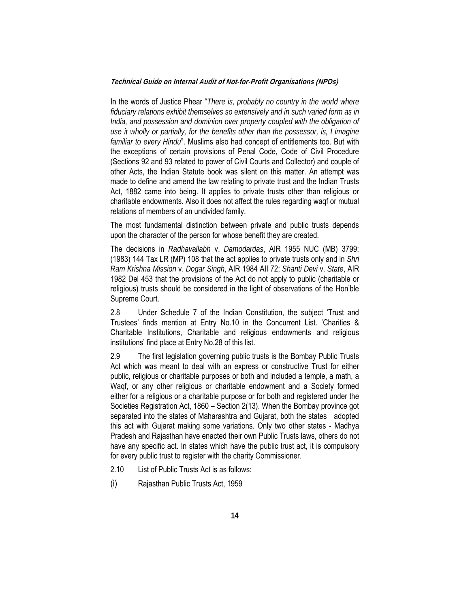In the words of Justice Phear "*There is, probably no country in the world where fiduciary relations exhibit themselves so extensively and in such varied form as in India, and possession and dominion over property coupled with the obligation of use it wholly or partially, for the benefits other than the possessor, is, I imagine familiar to every Hindu*". Muslims also had concept of entitlements too. But with the exceptions of certain provisions of Penal Code, Code of Civil Procedure (Sections 92 and 93 related to power of Civil Courts and Collector) and couple of other Acts, the Indian Statute book was silent on this matter. An attempt was made to define and amend the law relating to private trust and the Indian Trusts Act, 1882 came into being. It applies to private trusts other than religious or charitable endowments. Also it does not affect the rules regarding waqf or mutual relations of members of an undivided family.

The most fundamental distinction between private and public trusts depends upon the character of the person for whose benefit they are created.

The decisions in *Radhavallabh* v. *Damodardas*, AIR 1955 NUC (MB) 3799; (1983) 144 Tax LR (MP) 108 that the act applies to private trusts only and in *Shri Ram Krishna Mission* v. *Dogar Singh*, AIR 1984 AII 72; *Shanti Devi* v. *State*, AIR 1982 Del 453 that the provisions of the Act do not apply to public (charitable or religious) trusts should be considered in the light of observations of the Hon'ble Supreme Court.

2.8 Under Schedule 7 of the Indian Constitution, the subject 'Trust and Trustees' finds mention at Entry No.10 in the Concurrent List. 'Charities & Charitable Institutions, Charitable and religious endowments and religious institutions' find place at Entry No.28 of this list.

2.9 The first legislation governing public trusts is the Bombay Public Trusts Act which was meant to deal with an express or constructive Trust for either public, religious or charitable purposes or both and included a temple, a math, a Waqf, or any other religious or charitable endowment and a Society formed either for a religious or a charitable purpose or for both and registered under the Societies Registration Act, 1860 – Section 2(13). When the Bombay province got separated into the states of Maharashtra and Gujarat, both the states adopted this act with Gujarat making some variations. Only two other states - Madhya Pradesh and Rajasthan have enacted their own Public Trusts laws, others do not have any specific act. In states which have the public trust act, it is compulsory for every public trust to register with the charity Commissioner.

- 2.10 List of Public Trusts Act is as follows:
- (i) Rajasthan Public Trusts Act, 1959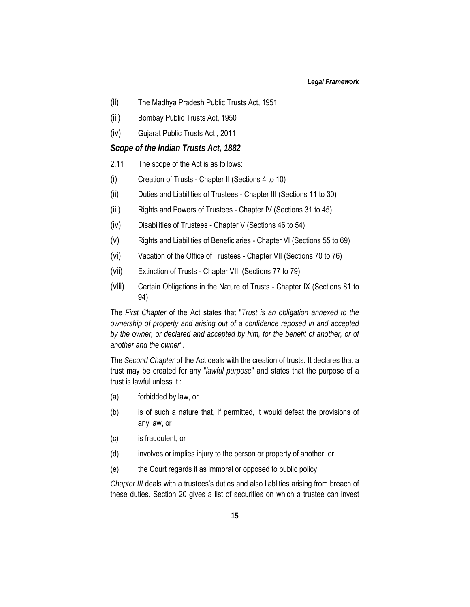- (ii) The Madhya Pradesh Public Trusts Act, 1951
- (iii) Bombay Public Trusts Act, 1950
- (iv) Gujarat Public Trusts Act , 2011

#### *Scope of the Indian Trusts Act, 1882*

- 2.11 The scope of the Act is as follows:
- (i) Creation of Trusts Chapter II (Sections 4 to 10)
- (ii) Duties and Liabilities of Trustees Chapter III (Sections 11 to 30)
- (iii) Rights and Powers of Trustees Chapter IV (Sections 31 to 45)
- (iv) Disabilities of Trustees Chapter V (Sections 46 to 54)
- (v) Rights and Liabilities of Beneficiaries Chapter VI (Sections 55 to 69)
- (vi) Vacation of the Office of Trustees Chapter VII (Sections 70 to 76)
- (vii) Extinction of Trusts Chapter VIII (Sections 77 to 79)
- (viii) Certain Obligations in the Nature of Trusts Chapter IX (Sections 81 to 94)

The *First Chapter* of the Act states that "*Trust is an obligation annexed to the ownership of property and arising out of a confidence reposed in and accepted by the owner, or declared and accepted by him, for the benefit of another, or of another and the owner"*.

The *Second Chapter* of the Act deals with the creation of trusts. It declares that a trust may be created for any "*lawful purpose*" and states that the purpose of a trust is lawful unless it :

- (a) forbidded by law, or
- (b) is of such a nature that, if permitted, it would defeat the provisions of any law, or
- (c) is fraudulent, or
- (d) involves or implies injury to the person or property of another, or
- (e) the Court regards it as immoral or opposed to public policy.

*Chapter III* deals with a trustees's duties and also liablities arising from breach of these duties. Section 20 gives a list of securities on which a trustee can invest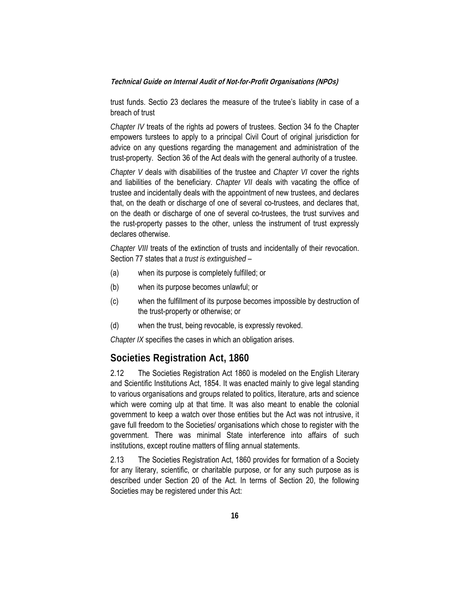trust funds. Sectio 23 declares the measure of the trutee's liablity in case of a breach of trust

*Chapter IV* treats of the rights ad powers of trustees. Section 34 fo the Chapter empowers turstees to apply to a principal Civil Court of original jurisdiction for advice on any questions regarding the management and administration of the trust-property. Section 36 of the Act deals with the general authority of a trustee.

*Chapter V* deals with disabilities of the trustee and *Chapter VI* cover the rights and liabilities of the beneficiary. *Chapter VII* deals with vacating the office of trustee and incidentally deals with the appointment of new trustees, and declares that, on the death or discharge of one of several co-trustees, and declares that, on the death or discharge of one of several co-trustees, the trust survives and the rust-property passes to the other, unless the instrument of trust expressly declares otherwise.

*Chapter VIII* treats of the extinction of trusts and incidentally of their revocation. Section 77 states that *a trust is extinguished* –

- (a) when its purpose is completely fulfilled; or
- (b) when its purpose becomes unlawful; or
- (c) when the fulfillment of its purpose becomes impossible by destruction of the trust-property or otherwise; or
- (d) when the trust, being revocable, is expressly revoked.

*Chapter IX* specifies the cases in which an obligation arises.

### **Societies Registration Act, 1860**

2.12 The Societies Registration Act 1860 is modeled on the English Literary and Scientific Institutions Act, 1854. It was enacted mainly to give legal standing to various organisations and groups related to politics, literature, arts and science which were coming ulp at that time. It was also meant to enable the colonial government to keep a watch over those entities but the Act was not intrusive, it gave full freedom to the Societies/ organisations which chose to register with the government. There was minimal State interference into affairs of such institutions, except routine matters of filing annual statements.

2.13 The Societies Registration Act, 1860 provides for formation of a Society for any literary, scientific, or charitable purpose, or for any such purpose as is described under Section 20 of the Act. In terms of Section 20, the following Societies may be registered under this Act: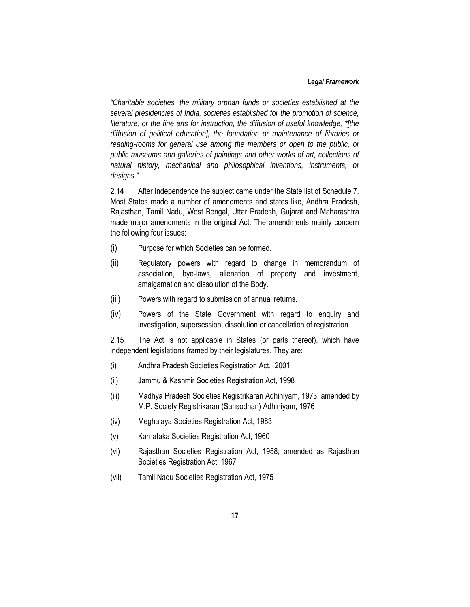#### *Legal Framework*

*"Charitable societies, the military orphan funds or societies established at the several presidencies of India, societies established for the promotion of science, literature, or the fine arts for instruction, the diffusion of useful knowledge, \*[the diffusion of political education], the foundation or maintenance of libraries or reading-rooms for general use among the members or open to the public, or public museums and galleries of paintings and other works of art, collections of natural history, mechanical and philosophical inventions, instruments, or designs."* 

2.14 After Independence the subject came under the State list of Schedule 7. Most States made a number of amendments and states like, Andhra Pradesh, Rajasthan, Tamil Nadu, West Bengal, Uttar Pradesh, Gujarat and Maharashtra made major amendments in the original Act. The amendments mainly concern the following four issues:

- (i) Purpose for which Societies can be formed.
- (ii) Regulatory powers with regard to change in memorandum of association, bye-laws, alienation of property and investment, amalgamation and dissolution of the Body.
- (iii) Powers with regard to submission of annual returns.
- (iv) Powers of the State Government with regard to enquiry and investigation, supersession, dissolution or cancellation of registration.

2.15 The Act is not applicable in States (or parts thereof), which have independent legislations framed by their legislatures. They are:

- (i) Andhra Pradesh Societies Registration Act, 2001
- (ii) Jammu & Kashmir Societies Registration Act, 1998
- (iii) Madhya Pradesh Societies Registrikaran Adhiniyam, 1973; amended by M.P. Society Registrikaran (Sansodhan) Adhiniyam, 1976
- (iv) Meghalaya Societies Registration Act, 1983
- (v) Karnataka Societies Registration Act, 1960
- (vi) Rajasthan Societies Registration Act, 1958; amended as Rajasthan Societies Registration Act, 1967
- (vii) Tamil Nadu Societies Registration Act, 1975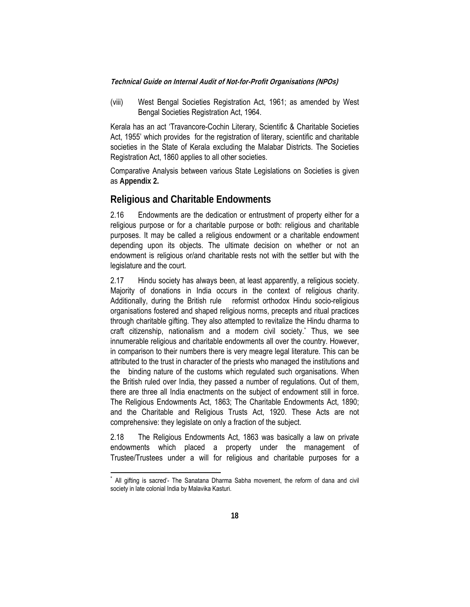(viii) West Bengal Societies Registration Act, 1961; as amended by West Bengal Societies Registration Act, 1964.

Kerala has an act 'Travancore-Cochin Literary, Scientific & Charitable Societies Act, 1955' which provides for the registration of literary, scientific and charitable societies in the State of Kerala excluding the Malabar Districts. The Societies Registration Act, 1860 applies to all other societies.

Comparative Analysis between various State Legislations on Societies is given as **Appendix 2.**

### **Religious and Charitable Endowments**

2.16 Endowments are the dedication or entrustment of property either for a religious purpose or for a charitable purpose or both: religious and charitable purposes. It may be called a religious endowment or a charitable endowment depending upon its objects. The ultimate decision on whether or not an endowment is religious or/and charitable rests not with the settler but with the legislature and the court.

2.17 Hindu society has always been, at least apparently, a religious society. Majority of donations in India occurs in the context of religious charity. Additionally, during the British rule reformist orthodox Hindu socio-religious organisations fostered and shaped religious norms, precepts and ritual practices through charitable gifting. They also attempted to revitalize the Hindu dharma to craft citizenship, nationalism and a modern civil society.\* Thus, we see innumerable religious and charitable endowments all over the country. However, in comparison to their numbers there is very meagre legal literature. This can be attributed to the trust in character of the priests who managed the institutions and the binding nature of the customs which regulated such organisations. When the British ruled over India, they passed a number of regulations. Out of them, there are three all India enactments on the subject of endowment still in force. The Religious Endowments Act, 1863; The Charitable Endowments Act, 1890; and the Charitable and Religious Trusts Act, 1920. These Acts are not comprehensive: they legislate on only a fraction of the subject.

2.18 The Religious Endowments Act, 1863 was basically a law on private endowments which placed a property under the management of Trustee/Trustees under a will for religious and charitable purposes for a

 $\overline{1}$ All gifting is sacred'- The Sanatana Dharma Sabha movement, the reform of dana and civil society in late colonial India by Malavika Kasturi.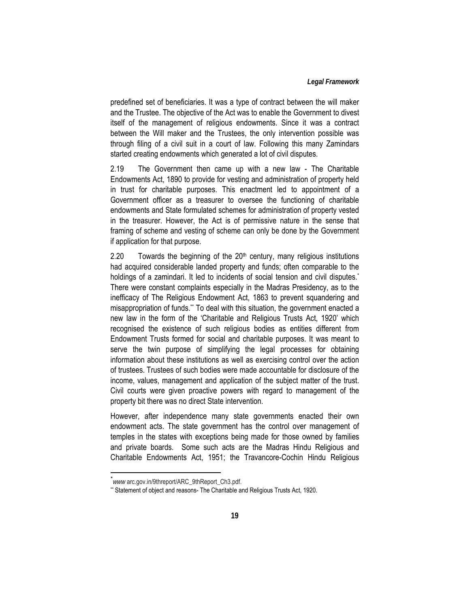predefined set of beneficiaries. It was a type of contract between the will maker and the Trustee. The objective of the Act was to enable the Government to divest itself of the management of religious endowments. Since it was a contract between the Will maker and the Trustees, the only intervention possible was through filing of a civil suit in a court of law. Following this many Zamindars started creating endowments which generated a lot of civil disputes.

2.19 The Government then came up with a new law - The Charitable Endowments Act, 1890 to provide for vesting and administration of property held in trust for charitable purposes. This enactment led to appointment of a Government officer as a treasurer to oversee the functioning of charitable endowments and State formulated schemes for administration of property vested in the treasurer. However, the Act is of permissive nature in the sense that framing of scheme and vesting of scheme can only be done by the Government if application for that purpose.

2.20 Towards the beginning of the  $20<sup>th</sup>$  century, many religious institutions had acquired considerable landed property and funds; often comparable to the holdings of a zamindari. It led to incidents of social tension and civil disputes.<sup>\*</sup> There were constant complaints especially in the Madras Presidency, as to the inefficacy of The Religious Endowment Act, 1863 to prevent squandering and misappropriation of funds.\*\* To deal with this situation, the government enacted a new law in the form of the 'Charitable and Religious Trusts Act, 1920' which recognised the existence of such religious bodies as entities different from Endowment Trusts formed for social and charitable purposes. It was meant to serve the twin purpose of simplifying the legal processes for obtaining information about these institutions as well as exercising control over the action of trustees. Trustees of such bodies were made accountable for disclosure of the income, values, management and application of the subject matter of the trust. Civil courts were given proactive powers with regard to management of the property bit there was no direct State intervention.

However, after independence many state governments enacted their own endowment acts. The state government has the control over management of temples in the states with exceptions being made for those owned by families and private boards. Some such acts are the Madras Hindu Religious and Charitable Endowments Act, 1951; the Travancore-Cochin Hindu Religious

 $\overline{\phantom{a}}$ 

<sup>\*</sup> *www* arc.gov.in/9threport/ARC\_9thReport\_Ch3.pdf.

*<sup>\*\*</sup>* Statement of object and reasons- The Charitable and Religious Trusts Act, 1920.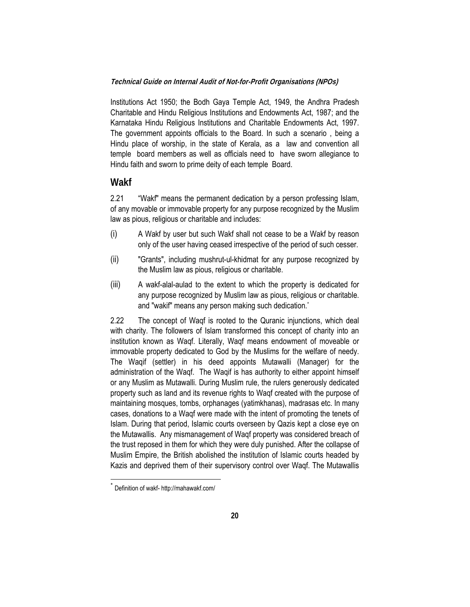Institutions Act 1950; the Bodh Gaya Temple Act, 1949, the Andhra Pradesh Charitable and Hindu Religious Institutions and Endowments Act, 1987; and the Karnataka Hindu Religious Institutions and Charitable Endowments Act, 1997. The government appoints officials to the Board. In such a scenario , being a Hindu place of worship, in the state of Kerala, as a law and convention all temple board members as well as officials need to have sworn allegiance to Hindu faith and sworn to prime deity of each temple Board.

### **Wakf**

2.21 "Wakf" means the permanent dedication by a person professing Islam, of any movable or immovable property for any purpose recognized by the Muslim law as pious, religious or charitable and includes:

- (i) A Wakf by user but such Wakf shall not cease to be a Wakf by reason only of the user having ceased irrespective of the period of such cesser.
- (ii) "Grants", including mushrut-ul-khidmat for any purpose recognized by the Muslim law as pious, religious or charitable.
- (iii) A wakf-alal-aulad to the extent to which the property is dedicated for any purpose recognized by Muslim law as pious, religious or charitable. and "wakif" means any person making such dedication.\*

2.22 The concept of Waqf is rooted to the Quranic injunctions, which deal with charity. The followers of Islam transformed this concept of charity into an institution known as Waqf. Literally, Waqf means endowment of moveable or immovable property dedicated to God by the Muslims for the welfare of needy. The Waqif (settler) in his deed appoints Mutawalli (Manager) for the administration of the Waqf. The Waqif is has authority to either appoint himself or any Muslim as Mutawalli. During Muslim rule, the rulers generously dedicated property such as land and its revenue rights to Waqf created with the purpose of maintaining mosques, tombs, orphanages (yatimkhanas), madrasas etc. In many cases, donations to a Waqf were made with the intent of promoting the tenets of Islam. During that period, Islamic courts overseen by Qazis kept a close eye on the Mutawallis. Any mismanagement of Waqf property was considered breach of the trust reposed in them for which they were duly punished. After the collapse of Muslim Empire, the British abolished the institution of Islamic courts headed by Kazis and deprived them of their supervisory control over Waqf. The Mutawallis

 $\overline{a}$ 

Definition of wakf- http://mahawakf.com/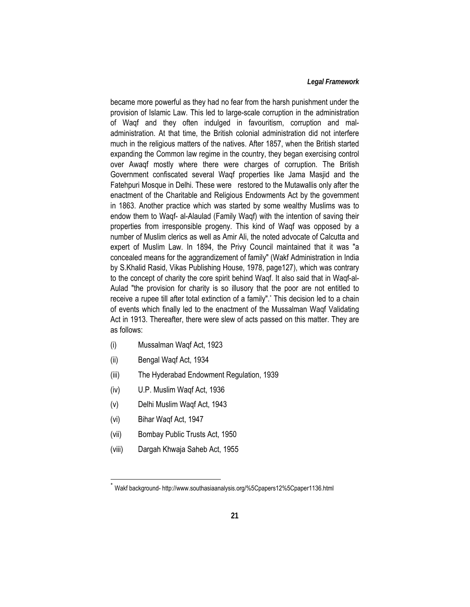#### *Legal Framework*

became more powerful as they had no fear from the harsh punishment under the provision of Islamic Law. This led to large-scale corruption in the administration of Waqf and they often indulged in favouritism, corruption and maladministration. At that time, the British colonial administration did not interfere much in the religious matters of the natives. After 1857, when the British started expanding the Common law regime in the country, they began exercising control over Awaqf mostly where there were charges of corruption. The British Government confiscated several Waqf properties like Jama Masjid and the Fatehpuri Mosque in Delhi. These were restored to the Mutawallis only after the enactment of the Charitable and Religious Endowments Act by the government in 1863. Another practice which was started by some wealthy Muslims was to endow them to Waqf- al-Alaulad (Family Waqf) with the intention of saving their properties from irresponsible progeny. This kind of Waqf was opposed by a number of Muslim clerics as well as Amir Ali, the noted advocate of Calcutta and expert of Muslim Law. In 1894, the Privy Council maintained that it was "a concealed means for the aggrandizement of family" (Wakf Administration in India by S.Khalid Rasid, Vikas Publishing House, 1978, page127), which was contrary to the concept of charity the core spirit behind Waqf. It also said that in Waqf-al-Aulad "the provision for charity is so illusory that the poor are not entitled to receive a rupee till after total extinction of a family".' This decision led to a chain of events which finally led to the enactment of the Mussalman Waqf Validating Act in 1913. Thereafter, there were slew of acts passed on this matter. They are as follows:

- (i) Mussalman Waqf Act, 1923
- (ii) Bengal Waqf Act, 1934
- (iii) The Hyderabad Endowment Regulation, 1939
- (iv) U.P. Muslim Waqf Act, 1936
- (v) Delhi Muslim Waqf Act, 1943
- (vi) Bihar Waqf Act, 1947

 $\overline{a}$ 

- (vii) Bombay Public Trusts Act, 1950
- (viii) Dargah Khwaja Saheb Act, 1955

Wakf background- http://www.southasiaanalysis.org/%5Cpapers12%5Cpaper1136.html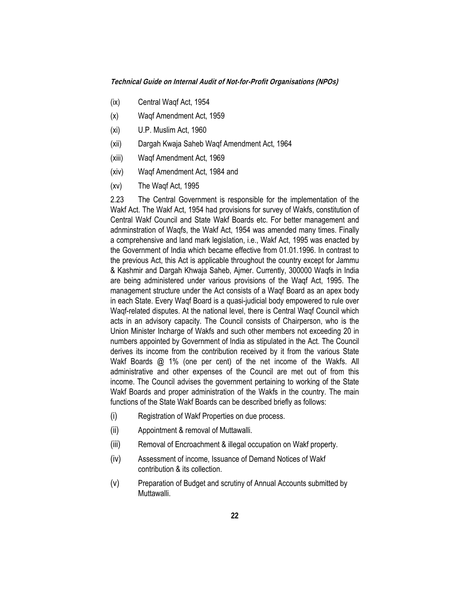- (ix) Central Waqf Act, 1954
- (x) Waqf Amendment Act, 1959
- (xi) U.P. Muslim Act, 1960
- (xii) Dargah Kwaja Saheb Waqf Amendment Act, 1964
- (xiii) Waqf Amendment Act, 1969
- (xiv) Waqf Amendment Act, 1984 and
- (xv) The Waqf Act, 1995

2.23 The Central Government is responsible for the implementation of the Wakf Act. The Wakf Act, 1954 had provisions for survey of Wakfs, constitution of Central Wakf Council and State Wakf Boards etc. For better management and adnminstration of Waqfs, the Wakf Act, 1954 was amended many times. Finally a comprehensive and land mark legislation, i.e., Wakf Act, 1995 was enacted by the Government of India which became effective from 01.01.1996. In contrast to the previous Act, this Act is applicable throughout the country except for Jammu & Kashmir and Dargah Khwaja Saheb, Ajmer. Currently, 300000 Waqfs in India are being administered under various provisions of the Waqf Act, 1995. The management structure under the Act consists of a Waqf Board as an apex body in each State. Every Waqf Board is a quasi-judicial body empowered to rule over Waqf-related disputes. At the national level, there is Central Waqf Council which acts in an advisory capacity. The Council consists of Chairperson, who is the Union Minister Incharge of Wakfs and such other members not exceeding 20 in numbers appointed by Government of India as stipulated in the Act. The Council derives its income from the contribution received by it from the various State Wakf Boards @ 1% (one per cent) of the net income of the Wakfs. All administrative and other expenses of the Council are met out of from this income. The Council advises the government pertaining to working of the State Wakf Boards and proper administration of the Wakfs in the country. The main functions of the State Wakf Boards can be described briefly as follows:

- (i) Registration of Wakf Properties on due process.
- (ii) Appointment & removal of Muttawalli.
- (iii) Removal of Encroachment & illegal occupation on Wakf property.
- (iv) Assessment of income, Issuance of Demand Notices of Wakf contribution & its collection.
- (v) Preparation of Budget and scrutiny of Annual Accounts submitted by Muttawalli.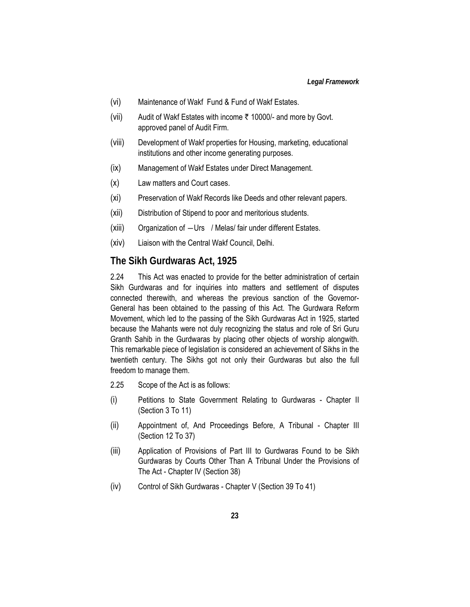- (vi) Maintenance of Wakf Fund & Fund of Wakf Estates.
- (vii) Audit of Wakf Estates with income  $\bar{\tau}$  10000/- and more by Govt. approved panel of Audit Firm.
- (viii) Development of Wakf properties for Housing, marketing, educational institutions and other income generating purposes.
- (ix) Management of Wakf Estates under Direct Management.
- (x) Law matters and Court cases.
- (xi) Preservation of Wakf Records like Deeds and other relevant papers.
- (xii) Distribution of Stipend to poor and meritorious students.
- (xiii) Organization of ―Urs / Melas/ fair under different Estates.
- (xiv) Liaison with the Central Wakf Council, Delhi.

#### **The Sikh Gurdwaras Act, 1925**

2.24 This Act was enacted to provide for the better administration of certain Sikh Gurdwaras and for inquiries into matters and settlement of disputes connected therewith, and whereas the previous sanction of the Governor-General has been obtained to the passing of this Act. The Gurdwara Reform Movement, which led to the passing of the Sikh Gurdwaras Act in 1925, started because the Mahants were not duly recognizing the status and role of Sri Guru Granth Sahib in the Gurdwaras by placing other objects of worship alongwith. This remarkable piece of legislation is considered an achievement of Sikhs in the twentieth century. The Sikhs got not only their Gurdwaras but also the full freedom to manage them.

- 2.25 Scope of the Act is as follows:
- (i) Petitions to State Government Relating to Gurdwaras Chapter II (Section 3 To 11)
- (ii) Appointment of, And Proceedings Before, A Tribunal Chapter III (Section 12 To 37)
- (iii) Application of Provisions of Part III to Gurdwaras Found to be Sikh Gurdwaras by Courts Other Than A Tribunal Under the Provisions of The Act - Chapter IV (Section 38)
- (iv) Control of Sikh Gurdwaras Chapter V (Section 39 To 41)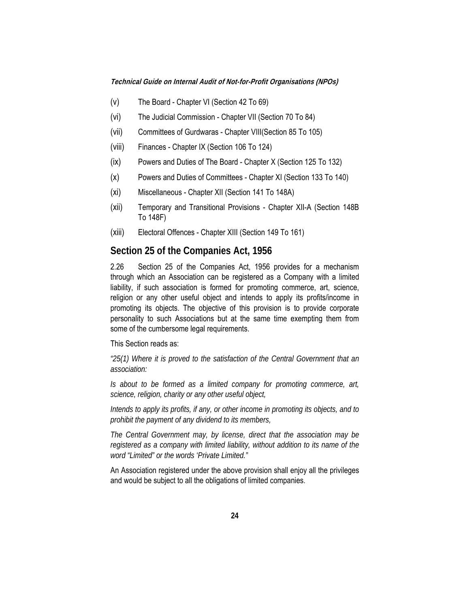- (v) The Board Chapter VI (Section 42 To 69)
- (vi) The Judicial Commission Chapter VII (Section 70 To 84)
- (vii) Committees of Gurdwaras Chapter VIII(Section 85 To 105)
- (viii) Finances Chapter IX (Section 106 To 124)
- (ix) Powers and Duties of The Board Chapter X (Section 125 To 132)
- (x) Powers and Duties of Committees Chapter XI (Section 133 To 140)
- (xi) Miscellaneous Chapter XII (Section 141 To 148A)
- (xii) Temporary and Transitional Provisions Chapter XII-A (Section 148B To 148F)
- (xiii) Electoral Offences Chapter XIII (Section 149 To 161)

#### **Section 25 of the Companies Act, 1956**

2.26 Section 25 of the Companies Act, 1956 provides for a mechanism through which an Association can be registered as a Company with a limited liability, if such association is formed for promoting commerce, art, science, religion or any other useful object and intends to apply its profits/income in promoting its objects. The objective of this provision is to provide corporate personality to such Associations but at the same time exempting them from some of the cumbersome legal requirements.

This Section reads as:

*"25(1) Where it is proved to the satisfaction of the Central Government that an association:* 

*Is about to be formed as a limited company for promoting commerce, art, science, religion, charity or any other useful object,* 

*Intends to apply its profits, if any, or other income in promoting its objects, and to prohibit the payment of any dividend to its members,* 

*The Central Government may, by license, direct that the association may be registered as a company with limited liability, without addition to its name of the word "Limited" or the words 'Private Limited."* 

An Association registered under the above provision shall enjoy all the privileges and would be subject to all the obligations of limited companies.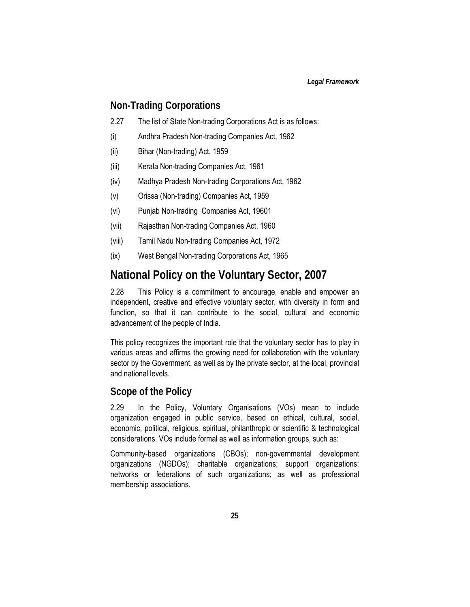## **Non-Trading Corporations**

- 2.27 The list of State Non-trading Corporations Act is as follows:
- (i) Andhra Pradesh Non-trading Companies Act, 1962
- (ii) Bihar (Non-trading) Act, 1959
- (iii) Kerala Non-trading Companies Act, 1961
- (iv) Madhya Pradesh Non-trading Corporations Act, 1962
- (v) Orissa (Non-trading) Companies Act, 1959
- (vi) Punjab Non-trading Companies Act, 19601
- (vii) Rajasthan Non-trading Companies Act, 1960
- (viii) Tamil Nadu Non-trading Companies Act, 1972
- (ix) West Bengal Non-trading Corporations Act, 1965

# **National Policy on the Voluntary Sector, 2007**

2.28 This Policy is a commitment to encourage, enable and empower an independent, creative and effective voluntary sector, with diversity in form and function, so that it can contribute to the social, cultural and economic advancement of the people of India.

This policy recognizes the important role that the voluntary sector has to play in various areas and affirms the growing need for collaboration with the voluntary sector by the Government, as well as by the private sector, at the local, provincial and national levels.

### **Scope of the Policy**

2.29 In the Policy, Voluntary Organisations (VOs) mean to include organization engaged in public service, based on ethical, cultural, social, economic, political, religious, spiritual, philanthropic or scientific & technological considerations. VOs include formal as well as information groups, such as:

Community-based organizations (CBOs); non-governmental development organizations (NGDOs); charitable organizations; support organizations; networks or federations of such organizations; as well as professional membership associations.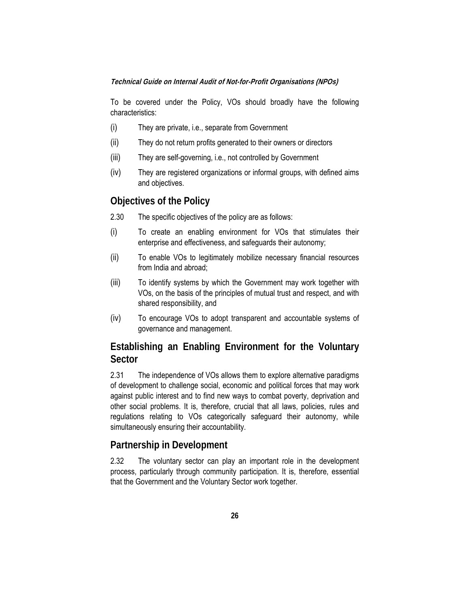To be covered under the Policy, VOs should broadly have the following characteristics:

- (i) They are private, i.e., separate from Government
- (ii) They do not return profits generated to their owners or directors
- (iii) They are self-governing, i.e., not controlled by Government
- (iv) They are registered organizations or informal groups, with defined aims and objectives.

### **Objectives of the Policy**

- 2.30 The specific objectives of the policy are as follows:
- (i) To create an enabling environment for VOs that stimulates their enterprise and effectiveness, and safeguards their autonomy;
- (ii) To enable VOs to legitimately mobilize necessary financial resources from India and abroad;
- (iii) To identify systems by which the Government may work together with VOs, on the basis of the principles of mutual trust and respect, and with shared responsibility, and
- (iv) To encourage VOs to adopt transparent and accountable systems of governance and management.

## **Establishing an Enabling Environment for the Voluntary Sector**

2.31 The independence of VOs allows them to explore alternative paradigms of development to challenge social, economic and political forces that may work against public interest and to find new ways to combat poverty, deprivation and other social problems. It is, therefore, crucial that all laws, policies, rules and regulations relating to VOs categorically safeguard their autonomy, while simultaneously ensuring their accountability.

### **Partnership in Development**

2.32 The voluntary sector can play an important role in the development process, particularly through community participation. It is, therefore, essential that the Government and the Voluntary Sector work together.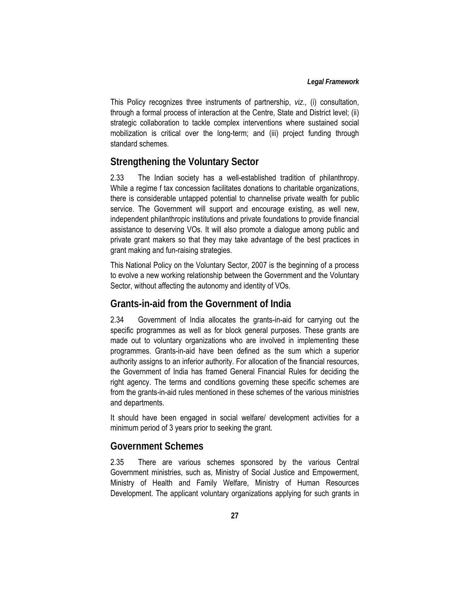This Policy recognizes three instruments of partnership, *viz.,* (i) consultation, through a formal process of interaction at the Centre, State and District level; (ii) strategic collaboration to tackle complex interventions where sustained social mobilization is critical over the long-term; and (iii) project funding through standard schemes.

## **Strengthening the Voluntary Sector**

2.33 The Indian society has a well-established tradition of philanthropy. While a regime f tax concession facilitates donations to charitable organizations, there is considerable untapped potential to channelise private wealth for public service. The Government will support and encourage existing, as well new, independent philanthropic institutions and private foundations to provide financial assistance to deserving VOs. It will also promote a dialogue among public and private grant makers so that they may take advantage of the best practices in grant making and fun-raising strategies.

This National Policy on the Voluntary Sector, 2007 is the beginning of a process to evolve a new working relationship between the Government and the Voluntary Sector, without affecting the autonomy and identity of VOs.

### **Grants-in-aid from the Government of India**

2.34 Government of India allocates the grants-in-aid for carrying out the specific programmes as well as for block general purposes. These grants are made out to voluntary organizations who are involved in implementing these programmes. Grants-in-aid have been defined as the sum which a superior authority assigns to an inferior authority. For allocation of the financial resources, the Government of India has framed General Financial Rules for deciding the right agency. The terms and conditions governing these specific schemes are from the grants-in-aid rules mentioned in these schemes of the various ministries and departments.

It should have been engaged in social welfare/ development activities for a minimum period of 3 years prior to seeking the grant.

## **Government Schemes**

2.35 There are various schemes sponsored by the various Central Government ministries, such as, Ministry of Social Justice and Empowerment, Ministry of Health and Family Welfare, Ministry of Human Resources Development. The applicant voluntary organizations applying for such grants in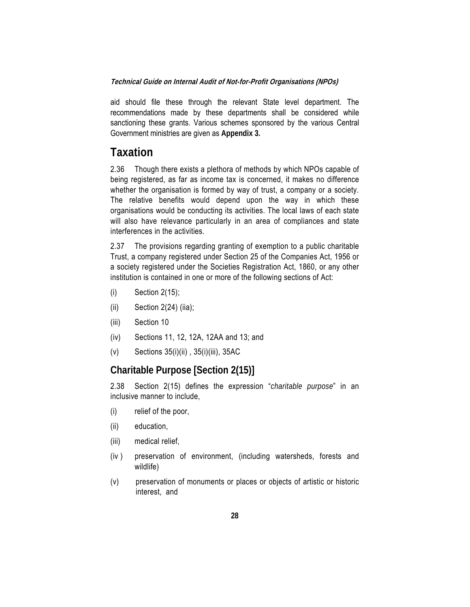aid should file these through the relevant State level department. The recommendations made by these departments shall be considered while sanctioning these grants. Various schemes sponsored by the various Central Government ministries are given as **Appendix 3.**

## **Taxation**

2.36 Though there exists a plethora of methods by which NPOs capable of being registered, as far as income tax is concerned, it makes no difference whether the organisation is formed by way of trust, a company or a society. The relative benefits would depend upon the way in which these organisations would be conducting its activities. The local laws of each state will also have relevance particularly in an area of compliances and state interferences in the activities.

2.37 The provisions regarding granting of exemption to a public charitable Trust, a company registered under Section 25 of the Companies Act, 1956 or a society registered under the Societies Registration Act, 1860, or any other institution is contained in one or more of the following sections of Act:

- (i) Section 2(15);
- $(ii)$  Section 2(24) (iia);
- (iii) Section 10
- (iv) Sections 11, 12, 12A, 12AA and 13; and
- (v) Sections 35(i)(ii) , 35(i)(iii), 35AC

## **Charitable Purpose [Section 2(15)]**

2.38 Section 2(15) defines the expression "*charitable purpose*" in an inclusive manner to include,

- (i) relief of the poor,
- (ii) education,
- (iii) medical relief,
- (iv ) preservation of environment, (including watersheds, forests and wildlife)
- (v) preservation of monuments or places or objects of artistic or historic interest, and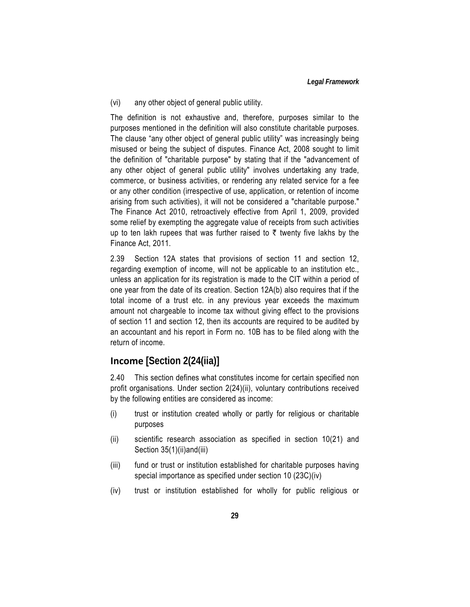(vi) any other object of general public utility.

The definition is not exhaustive and, therefore, purposes similar to the purposes mentioned in the definition will also constitute charitable purposes. The clause "any other object of general public utility" was increasingly being misused or being the subject of disputes. Finance Act, 2008 sought to limit the definition of "charitable purpose" by stating that if the "advancement of any other object of general public utility" involves undertaking any trade, commerce, or business activities, or rendering any related service for a fee or any other condition (irrespective of use, application, or retention of income arising from such activities), it will not be considered a "charitable purpose." The Finance Act 2010, retroactively effective from April 1, 2009, provided some relief by exempting the aggregate value of receipts from such activities up to ten lakh rupees that was further raised to  $\bar{\tau}$  twenty five lakhs by the Finance Act, 2011.

2.39 Section 12A states that provisions of section 11 and section 12, regarding exemption of income, will not be applicable to an institution etc., unless an application for its registration is made to the CIT within a period of one year from the date of its creation. Section 12A(b) also requires that if the total income of a trust etc. in any previous year exceeds the maximum amount not chargeable to income tax without giving effect to the provisions of section 11 and section 12, then its accounts are required to be audited by an accountant and his report in Form no. 10B has to be filed along with the return of income.

## **Income [Section 2(24(iia)]**

2.40 This section defines what constitutes income for certain specified non profit organisations. Under section 2(24)(ii), voluntary contributions received by the following entities are considered as income:

- (i) trust or institution created wholly or partly for religious or charitable purposes
- (ii) scientific research association as specified in section 10(21) and Section 35(1)(ii)and(iii)
- (iii) fund or trust or institution established for charitable purposes having special importance as specified under section 10 (23C)(iv)
- (iv) trust or institution established for wholly for public religious or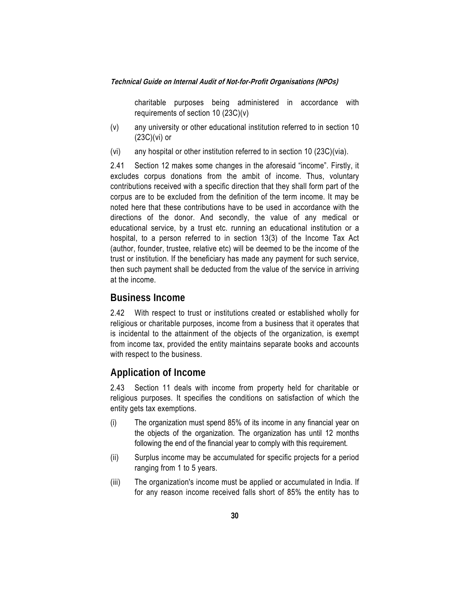charitable purposes being administered in accordance with requirements of section 10 (23C)(v)

- (v) any university or other educational institution referred to in section 10 (23C)(vi) or
- (vi) any hospital or other institution referred to in section 10 (23C)(via).

2.41 Section 12 makes some changes in the aforesaid "income". Firstly, it excludes corpus donations from the ambit of income. Thus, voluntary contributions received with a specific direction that they shall form part of the corpus are to be excluded from the definition of the term income. It may be noted here that these contributions have to be used in accordance with the directions of the donor. And secondly, the value of any medical or educational service, by a trust etc. running an educational institution or a hospital, to a person referred to in section 13(3) of the Income Tax Act (author, founder, trustee, relative etc) will be deemed to be the income of the trust or institution. If the beneficiary has made any payment for such service, then such payment shall be deducted from the value of the service in arriving at the income.

### **Business Income**

2.42 With respect to trust or institutions created or established wholly for religious or charitable purposes, income from a business that it operates that is incidental to the attainment of the objects of the organization, is exempt from income tax, provided the entity maintains separate books and accounts with respect to the business.

### **Application of Income**

2.43 Section 11 deals with income from property held for charitable or religious purposes. It specifies the conditions on satisfaction of which the entity gets tax exemptions.

- (i) The organization must spend 85% of its income in any financial year on the objects of the organization. The organization has until 12 months following the end of the financial year to comply with this requirement.
- (ii) Surplus income may be accumulated for specific projects for a period ranging from 1 to 5 years.
- (iii) The organization's income must be applied or accumulated in India. If for any reason income received falls short of 85% the entity has to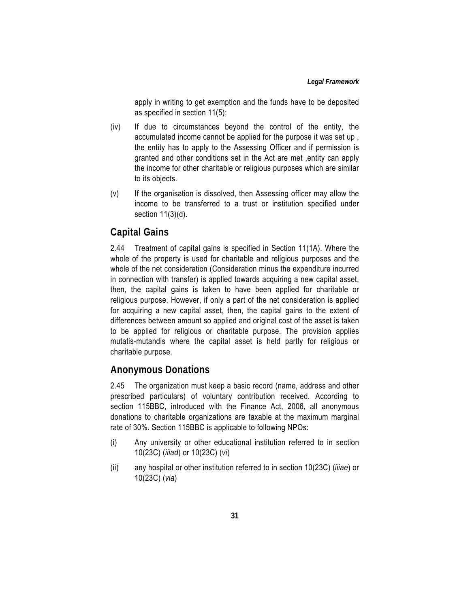apply in writing to get exemption and the funds have to be deposited as specified in section 11(5);

- (iv) If due to circumstances beyond the control of the entity, the accumulated income cannot be applied for the purpose it was set up , the entity has to apply to the Assessing Officer and if permission is granted and other conditions set in the Act are met ,entity can apply the income for other charitable or religious purposes which are similar to its objects.
- (v) If the organisation is dissolved, then Assessing officer may allow the income to be transferred to a trust or institution specified under section 11(3)(d).

## **Capital Gains**

2.44 Treatment of capital gains is specified in Section 11(1A). Where the whole of the property is used for charitable and religious purposes and the whole of the net consideration (Consideration minus the expenditure incurred in connection with transfer) is applied towards acquiring a new capital asset, then, the capital gains is taken to have been applied for charitable or religious purpose. However, if only a part of the net consideration is applied for acquiring a new capital asset, then, the capital gains to the extent of differences between amount so applied and original cost of the asset is taken to be applied for religious or charitable purpose. The provision applies mutatis-mutandis where the capital asset is held partly for religious or charitable purpose.

## **Anonymous Donations**

2.45 The organization must keep a basic record (name, address and other prescribed particulars) of voluntary contribution received. According to section 115BBC, introduced with the Finance Act, 2006, all anonymous donations to charitable organizations are taxable at the maximum marginal rate of 30%. Section 115BBC is applicable to following NPOs:

- (i) Any university or other educational institution referred to in section 10(23C) (*iiiad*) or 10(23C) (*vi*)
- (ii) any hospital or other institution referred to in section 10(23C) (*iiiae*) or 10(23C) (*via*)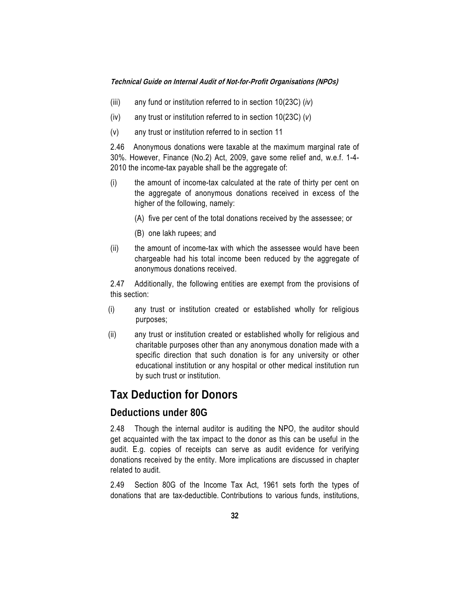- (iii) any fund or institution referred to in section 10(23C) (*iv*)
- (iv) any trust or institution referred to in section 10(23C) (*v*)
- (v) any trust or institution referred to in section 11

2.46 Anonymous donations were taxable at the maximum marginal rate of 30%. However, Finance (No.2) Act, 2009, gave some relief and, w.e.f. 1-4- 2010 the income-tax payable shall be the aggregate of:

- (i) the amount of income-tax calculated at the rate of thirty per cent on the aggregate of anonymous donations received in excess of the higher of the following, namely:
	- (A) five per cent of the total donations received by the assessee; or
	- (B) one lakh rupees; and
- (ii) the amount of income-tax with which the assessee would have been chargeable had his total income been reduced by the aggregate of anonymous donations received.

2.47 Additionally, the following entities are exempt from the provisions of this section:

- (i) any trust or institution created or established wholly for religious purposes;
- (ii) any trust or institution created or established wholly for religious and charitable purposes other than any anonymous donation made with a specific direction that such donation is for any university or other educational institution or any hospital or other medical institution run by such trust or institution.

## **Tax Deduction for Donors**

## **Deductions under 80G**

2.48 Though the internal auditor is auditing the NPO, the auditor should get acquainted with the tax impact to the donor as this can be useful in the audit. E.g. copies of receipts can serve as audit evidence for verifying donations received by the entity. More implications are discussed in chapter related to audit.

2.49 Section 80G of the Income Tax Act, 1961 sets forth the types of donations that are tax-deductible. Contributions to various funds, institutions,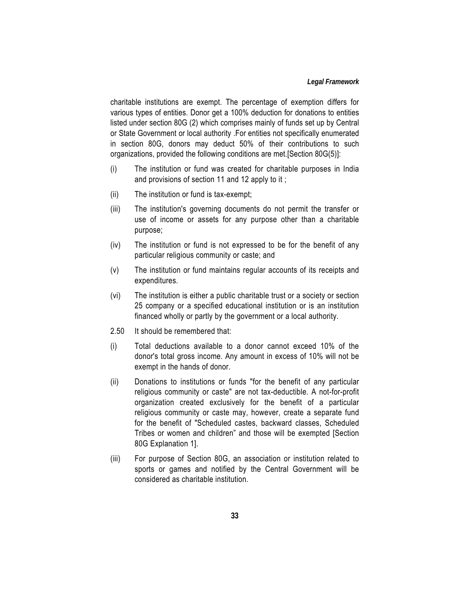charitable institutions are exempt. The percentage of exemption differs for various types of entities. Donor get a 100% deduction for donations to entities listed under section 80G (2) which comprises mainly of funds set up by Central or State Government or local authority .For entities not specifically enumerated in section 80G, donors may deduct 50% of their contributions to such organizations, provided the following conditions are met.[Section 80G(5)]:

- (i) The institution or fund was created for charitable purposes in India and provisions of section 11 and 12 apply to it ;
- (ii) The institution or fund is tax-exempt;
- (iii) The institution's governing documents do not permit the transfer or use of income or assets for any purpose other than a charitable purpose;
- (iv) The institution or fund is not expressed to be for the benefit of any particular religious community or caste; and
- (v) The institution or fund maintains regular accounts of its receipts and expenditures.
- (vi) The institution is either a public charitable trust or a society or section 25 company or a specified educational institution or is an institution financed wholly or partly by the government or a local authority.
- 2.50 It should be remembered that:
- (i) Total deductions available to a donor cannot exceed 10% of the donor's total gross income. Any amount in excess of 10% will not be exempt in the hands of donor.
- (ii) Donations to institutions or funds "for the benefit of any particular religious community or caste" are not tax-deductible. A not-for-profit organization created exclusively for the benefit of a particular religious community or caste may, however, create a separate fund for the benefit of "Scheduled castes, backward classes, Scheduled Tribes or women and children" and those will be exempted [Section 80G Explanation 1].
- (iii) For purpose of Section 80G, an association or institution related to sports or games and notified by the Central Government will be considered as charitable institution.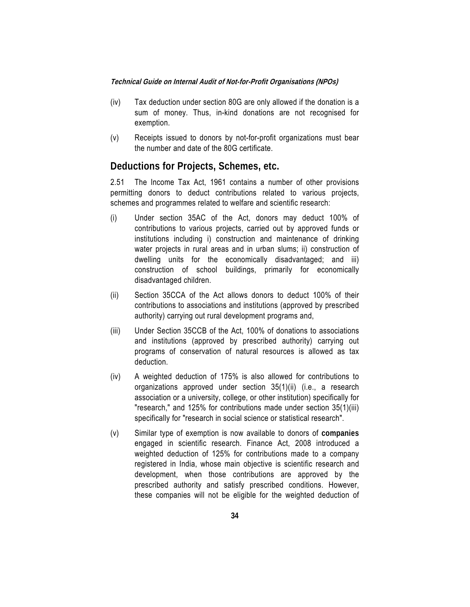- (iv) Tax deduction under section 80G are only allowed if the donation is a sum of money. Thus, in-kind donations are not recognised for exemption.
- (v) Receipts issued to donors by not-for-profit organizations must bear the number and date of the 80G certificate.

### **Deductions for Projects, Schemes, etc.**

2.51 The Income Tax Act, 1961 contains a number of other provisions permitting donors to deduct contributions related to various projects, schemes and programmes related to welfare and scientific research:

- (i) Under section 35AC of the Act, donors may deduct 100% of contributions to various projects, carried out by approved funds or institutions including i) construction and maintenance of drinking water projects in rural areas and in urban slums; ii) construction of dwelling units for the economically disadvantaged; and iii) construction of school buildings, primarily for economically disadvantaged children.
- (ii) Section 35CCA of the Act allows donors to deduct 100% of their contributions to associations and institutions (approved by prescribed authority) carrying out rural development programs and,
- (iii) Under Section 35CCB of the Act, 100% of donations to associations and institutions (approved by prescribed authority) carrying out programs of conservation of natural resources is allowed as tax deduction.
- (iv) A weighted deduction of 175% is also allowed for contributions to organizations approved under section 35(1)(ii) (i.e., a research association or a university, college, or other institution) specifically for "research," and 125% for contributions made under section 35(1)(iii) specifically for "research in social science or statistical research".
- (v) Similar type of exemption is now available to donors of **companies** engaged in scientific research. Finance Act, 2008 introduced a weighted deduction of 125% for contributions made to a company registered in India, whose main objective is scientific research and development, when those contributions are approved by the prescribed authority and satisfy prescribed conditions. However, these companies will not be eligible for the weighted deduction of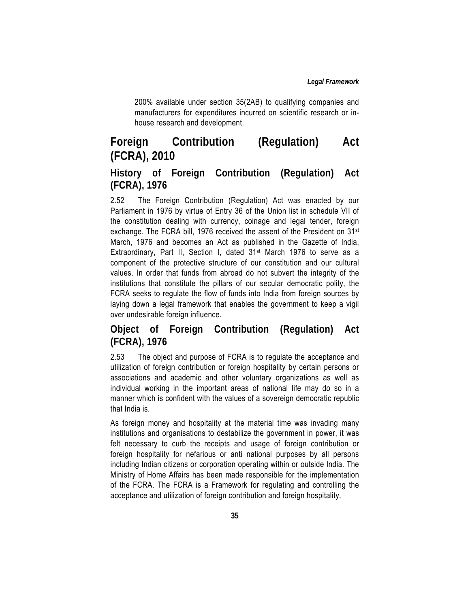200% available under section 35(2AB) to qualifying companies and manufacturers for expenditures incurred on scientific research or inhouse research and development.

# **Foreign Contribution (Regulation) Act (FCRA), 2010**

## **History of Foreign Contribution (Regulation) Act (FCRA), 1976**

2.52 The Foreign Contribution (Regulation) Act was enacted by our Parliament in 1976 by virtue of Entry 36 of the Union list in schedule VII of the constitution dealing with currency, coinage and legal tender, foreign exchange. The FCRA bill, 1976 received the assent of the President on 31st March, 1976 and becomes an Act as published in the Gazette of India, Extraordinary, Part II, Section I, dated 31st March 1976 to serve as a component of the protective structure of our constitution and our cultural values. In order that funds from abroad do not subvert the integrity of the institutions that constitute the pillars of our secular democratic polity, the FCRA seeks to regulate the flow of funds into India from foreign sources by laying down a legal framework that enables the government to keep a vigil over undesirable foreign influence.

## **Object of Foreign Contribution (Regulation) Act (FCRA), 1976**

2.53 The object and purpose of FCRA is to regulate the acceptance and utilization of foreign contribution or foreign hospitality by certain persons or associations and academic and other voluntary organizations as well as individual working in the important areas of national life may do so in a manner which is confident with the values of a sovereign democratic republic that India is.

As foreign money and hospitality at the material time was invading many institutions and organisations to destabilize the government in power, it was felt necessary to curb the receipts and usage of foreign contribution or foreign hospitality for nefarious or anti national purposes by all persons including Indian citizens or corporation operating within or outside India. The Ministry of Home Affairs has been made responsible for the implementation of the FCRA. The FCRA is a Framework for regulating and controlling the acceptance and utilization of foreign contribution and foreign hospitality.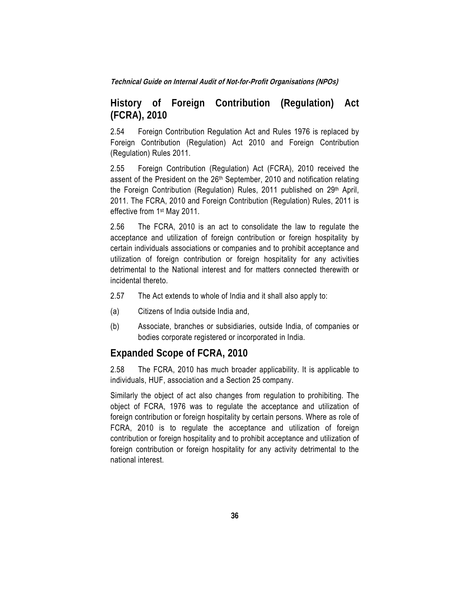## **History of Foreign Contribution (Regulation) Act (FCRA), 2010**

2.54 Foreign Contribution Regulation Act and Rules 1976 is replaced by Foreign Contribution (Regulation) Act 2010 and Foreign Contribution (Regulation) Rules 2011.

2.55 Foreign Contribution (Regulation) Act (FCRA), 2010 received the assent of the President on the 26<sup>th</sup> September, 2010 and notification relating the Foreign Contribution (Regulation) Rules, 2011 published on 29<sup>th</sup> April, 2011. The FCRA, 2010 and Foreign Contribution (Regulation) Rules, 2011 is effective from 1st May 2011.

2.56 The FCRA, 2010 is an act to consolidate the law to regulate the acceptance and utilization of foreign contribution or foreign hospitality by certain individuals associations or companies and to prohibit acceptance and utilization of foreign contribution or foreign hospitality for any activities detrimental to the National interest and for matters connected therewith or incidental thereto.

- 2.57 The Act extends to whole of India and it shall also apply to:
- (a) Citizens of India outside India and,
- (b) Associate, branches or subsidiaries, outside India, of companies or bodies corporate registered or incorporated in India.

## **Expanded Scope of FCRA, 2010**

2.58 The FCRA, 2010 has much broader applicability. It is applicable to individuals, HUF, association and a Section 25 company.

Similarly the object of act also changes from regulation to prohibiting. The object of FCRA, 1976 was to regulate the acceptance and utilization of foreign contribution or foreign hospitality by certain persons. Where as role of FCRA, 2010 is to regulate the acceptance and utilization of foreign contribution or foreign hospitality and to prohibit acceptance and utilization of foreign contribution or foreign hospitality for any activity detrimental to the national interest.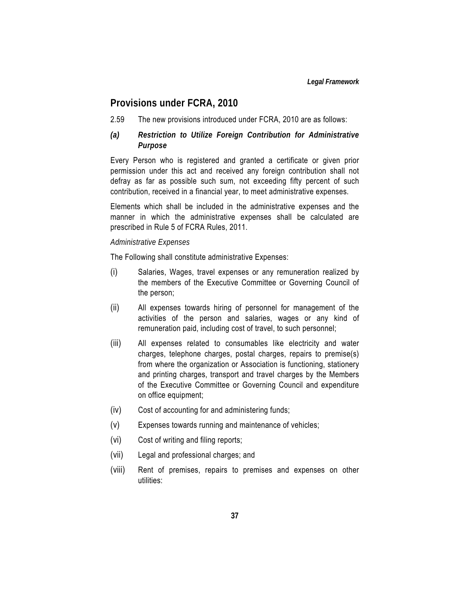### **Provisions under FCRA, 2010**

2.59 The new provisions introduced under FCRA, 2010 are as follows:

### *(a) Restriction to Utilize Foreign Contribution for Administrative Purpose*

Every Person who is registered and granted a certificate or given prior permission under this act and received any foreign contribution shall not defray as far as possible such sum, not exceeding fifty percent of such contribution, received in a financial year, to meet administrative expenses.

Elements which shall be included in the administrative expenses and the manner in which the administrative expenses shall be calculated are prescribed in Rule 5 of FCRA Rules, 2011.

#### *Administrative Expenses*

The Following shall constitute administrative Expenses:

- (i) Salaries, Wages, travel expenses or any remuneration realized by the members of the Executive Committee or Governing Council of the person;
- (ii) All expenses towards hiring of personnel for management of the activities of the person and salaries, wages or any kind of remuneration paid, including cost of travel, to such personnel;
- (iii) All expenses related to consumables like electricity and water charges, telephone charges, postal charges, repairs to premise(s) from where the organization or Association is functioning, stationery and printing charges, transport and travel charges by the Members of the Executive Committee or Governing Council and expenditure on office equipment;
- (iv) Cost of accounting for and administering funds;
- (v) Expenses towards running and maintenance of vehicles;
- (vi) Cost of writing and filing reports;
- (vii) Legal and professional charges; and
- (viii) Rent of premises, repairs to premises and expenses on other utilities: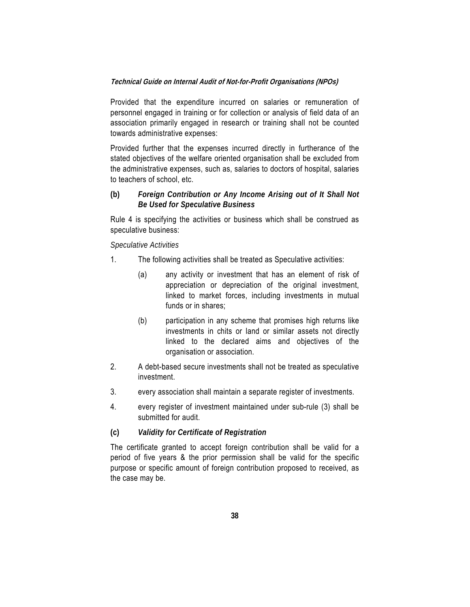Provided that the expenditure incurred on salaries or remuneration of personnel engaged in training or for collection or analysis of field data of an association primarily engaged in research or training shall not be counted towards administrative expenses:

Provided further that the expenses incurred directly in furtherance of the stated objectives of the welfare oriented organisation shall be excluded from the administrative expenses, such as, salaries to doctors of hospital, salaries to teachers of school, etc.

### **(b)** *Foreign Contribution or Any Income Arising out of It Shall Not Be Used for Speculative Business*

Rule 4 is specifying the activities or business which shall be construed as speculative business:

#### *Speculative Activities*

- 1. The following activities shall be treated as Speculative activities:
	- (a) any activity or investment that has an element of risk of appreciation or depreciation of the original investment, linked to market forces, including investments in mutual funds or in shares;
	- (b) participation in any scheme that promises high returns like investments in chits or land or similar assets not directly linked to the declared aims and objectives of the organisation or association.
- 2. A debt-based secure investments shall not be treated as speculative investment.
- 3. every association shall maintain a separate register of investments.
- 4. every register of investment maintained under sub-rule (3) shall be submitted for audit.

#### **(c)** *Validity for Certificate of Registration*

The certificate granted to accept foreign contribution shall be valid for a period of five years & the prior permission shall be valid for the specific purpose or specific amount of foreign contribution proposed to received, as the case may be.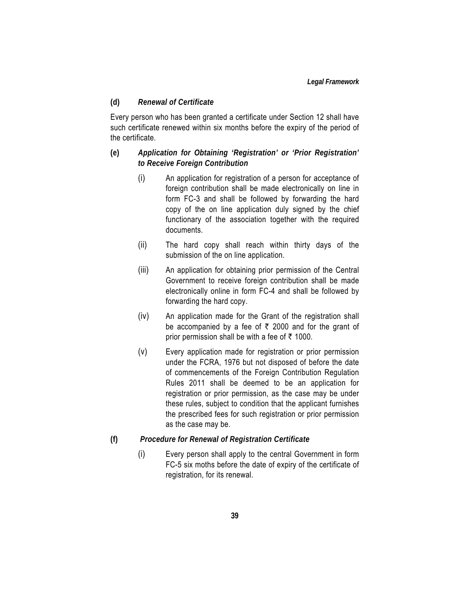#### **(d)** *Renewal of Certificate*

Every person who has been granted a certificate under Section 12 shall have such certificate renewed within six months before the expiry of the period of the certificate.

### **(e)** *Application for Obtaining 'Registration' or 'Prior Registration' to Receive Foreign Contribution*

- (i) An application for registration of a person for acceptance of foreign contribution shall be made electronically on line in form FC-3 and shall be followed by forwarding the hard copy of the on line application duly signed by the chief functionary of the association together with the required documents.
- (ii) The hard copy shall reach within thirty days of the submission of the on line application.
- (iii) An application for obtaining prior permission of the Central Government to receive foreign contribution shall be made electronically online in form FC-4 and shall be followed by forwarding the hard copy.
- (iv) An application made for the Grant of the registration shall be accompanied by a fee of  $\bar{\tau}$  2000 and for the grant of prior permission shall be with a fee of  $\bar{\tau}$  1000.
- (v) Every application made for registration or prior permission under the FCRA, 1976 but not disposed of before the date of commencements of the Foreign Contribution Regulation Rules 2011 shall be deemed to be an application for registration or prior permission, as the case may be under these rules, subject to condition that the applicant furnishes the prescribed fees for such registration or prior permission as the case may be.
- **(f)** *Procedure for Renewal of Registration Certificate*
	- (i) Every person shall apply to the central Government in form FC-5 six moths before the date of expiry of the certificate of registration, for its renewal.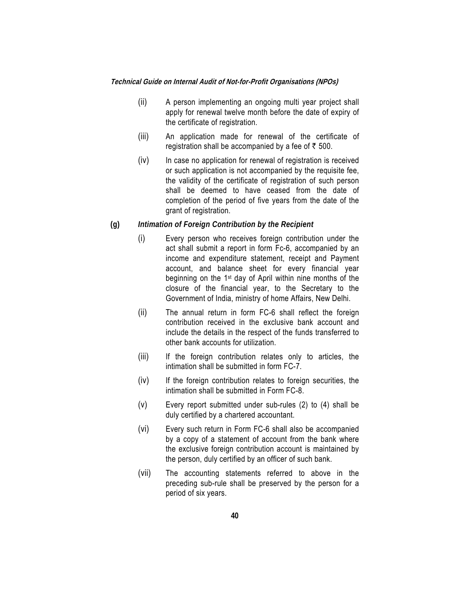- (ii) A person implementing an ongoing multi year project shall apply for renewal twelve month before the date of expiry of the certificate of registration.
- (iii) An application made for renewal of the certificate of registration shall be accompanied by a fee of  $\bar{z}$  500.
- (iv) In case no application for renewal of registration is received or such application is not accompanied by the requisite fee, the validity of the certificate of registration of such person shall be deemed to have ceased from the date of completion of the period of five years from the date of the grant of registration.

#### **(g)** *Intimation of Foreign Contribution by the Recipient*

- (i) Every person who receives foreign contribution under the act shall submit a report in form Fc-6, accompanied by an income and expenditure statement, receipt and Payment account, and balance sheet for every financial year beginning on the 1st day of April within nine months of the closure of the financial year, to the Secretary to the Government of India, ministry of home Affairs, New Delhi.
- (ii) The annual return in form FC-6 shall reflect the foreign contribution received in the exclusive bank account and include the details in the respect of the funds transferred to other bank accounts for utilization.
- (iii) If the foreign contribution relates only to articles, the intimation shall be submitted in form FC-7.
- (iv) If the foreign contribution relates to foreign securities, the intimation shall be submitted in Form FC-8.
- (v) Every report submitted under sub-rules (2) to (4) shall be duly certified by a chartered accountant.
- (vi) Every such return in Form FC-6 shall also be accompanied by a copy of a statement of account from the bank where the exclusive foreign contribution account is maintained by the person, duly certified by an officer of such bank.
- (vii) The accounting statements referred to above in the preceding sub-rule shall be preserved by the person for a period of six years.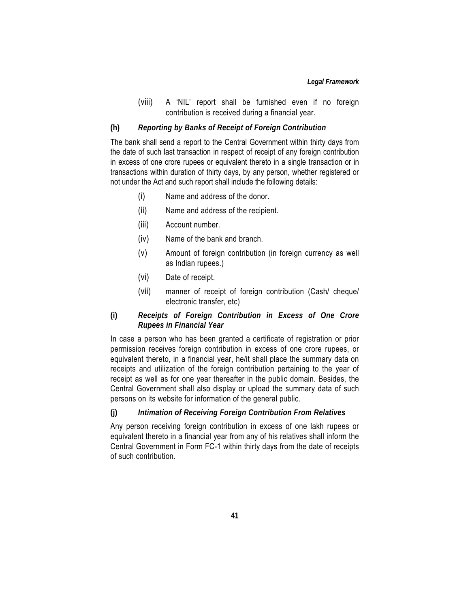#### *Legal Framework*

(viii) A 'NIL' report shall be furnished even if no foreign contribution is received during a financial year.

#### **(h)** *Reporting by Banks of Receipt of Foreign Contribution*

The bank shall send a report to the Central Government within thirty days from the date of such last transaction in respect of receipt of any foreign contribution in excess of one crore rupees or equivalent thereto in a single transaction or in transactions within duration of thirty days, by any person, whether registered or not under the Act and such report shall include the following details:

- (i) Name and address of the donor.
- (ii) Name and address of the recipient.
- (iii) Account number.
- (iv) Name of the bank and branch.
- (v) Amount of foreign contribution (in foreign currency as well as Indian rupees.)
- (vi) Date of receipt.
- (vii) manner of receipt of foreign contribution (Cash/ cheque/ electronic transfer, etc)

### **(i)** *Receipts of Foreign Contribution in Excess of One Crore Rupees in Financial Year*

In case a person who has been granted a certificate of registration or prior permission receives foreign contribution in excess of one crore rupees, or equivalent thereto, in a financial year, he/it shall place the summary data on receipts and utilization of the foreign contribution pertaining to the year of receipt as well as for one year thereafter in the public domain. Besides, the Central Government shall also display or upload the summary data of such persons on its website for information of the general public.

### **(j)** *Intimation of Receiving Foreign Contribution From Relatives*

Any person receiving foreign contribution in excess of one lakh rupees or equivalent thereto in a financial year from any of his relatives shall inform the Central Government in Form FC-1 within thirty days from the date of receipts of such contribution.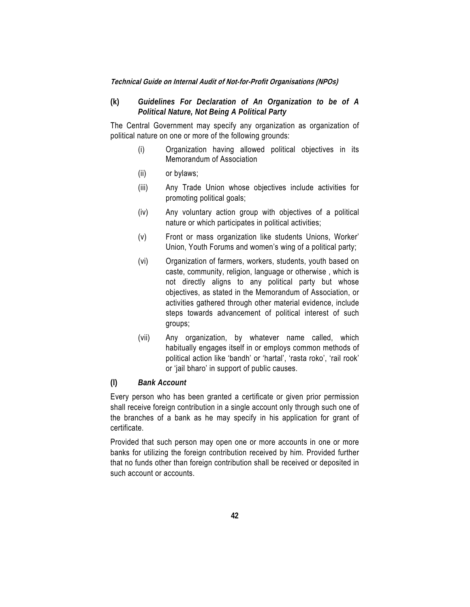### **(k)** *Guidelines For Declaration of An Organization to be of A Political Nature, Not Being A Political Party*

The Central Government may specify any organization as organization of political nature on one or more of the following grounds:

- (i) Organization having allowed political objectives in its Memorandum of Association
- (ii) or bylaws;
- (iii) Any Trade Union whose objectives include activities for promoting political goals;
- (iv) Any voluntary action group with objectives of a political nature or which participates in political activities;
- (v) Front or mass organization like students Unions, Worker' Union, Youth Forums and women's wing of a political party;
- (vi) Organization of farmers, workers, students, youth based on caste, community, religion, language or otherwise , which is not directly aligns to any political party but whose objectives, as stated in the Memorandum of Association, or activities gathered through other material evidence, include steps towards advancement of political interest of such groups;
- (vii) Any organization, by whatever name called, which habitually engages itself in or employs common methods of political action like 'bandh' or 'hartal', 'rasta roko', 'rail rook' or 'jail bharo' in support of public causes.

#### **(l)** *Bank Account*

Every person who has been granted a certificate or given prior permission shall receive foreign contribution in a single account only through such one of the branches of a bank as he may specify in his application for grant of certificate.

Provided that such person may open one or more accounts in one or more banks for utilizing the foreign contribution received by him. Provided further that no funds other than foreign contribution shall be received or deposited in such account or accounts.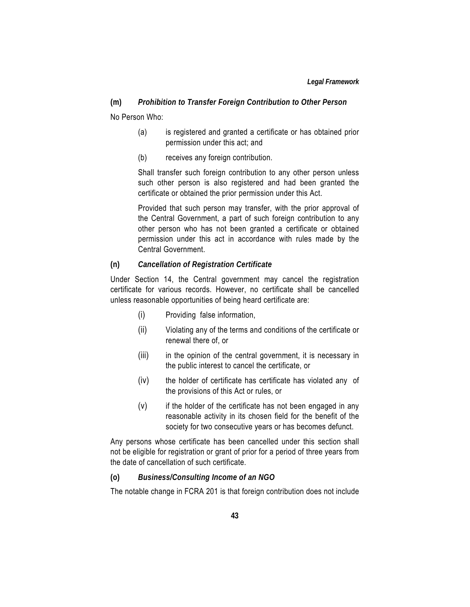### **(m)** *Prohibition to Transfer Foreign Contribution to Other Person*

No Person Who:

- (a) is registered and granted a certificate or has obtained prior permission under this act; and
- (b) receives any foreign contribution.

Shall transfer such foreign contribution to any other person unless such other person is also registered and had been granted the certificate or obtained the prior permission under this Act.

Provided that such person may transfer, with the prior approval of the Central Government, a part of such foreign contribution to any other person who has not been granted a certificate or obtained permission under this act in accordance with rules made by the Central Government.

#### **(n)** *Cancellation of Registration Certificate*

Under Section 14, the Central government may cancel the registration certificate for various records. However, no certificate shall be cancelled unless reasonable opportunities of being heard certificate are:

- (i) Providing false information,
- (ii) Violating any of the terms and conditions of the certificate or renewal there of, or
- (iii) in the opinion of the central government, it is necessary in the public interest to cancel the certificate, or
- (iv) the holder of certificate has certificate has violated any of the provisions of this Act or rules, or
- $(v)$  if the holder of the certificate has not been engaged in any reasonable activity in its chosen field for the benefit of the society for two consecutive years or has becomes defunct.

Any persons whose certificate has been cancelled under this section shall not be eligible for registration or grant of prior for a period of three years from the date of cancellation of such certificate.

#### **(o)** *Business/Consulting Income of an NGO*

The notable change in FCRA 201 is that foreign contribution does not include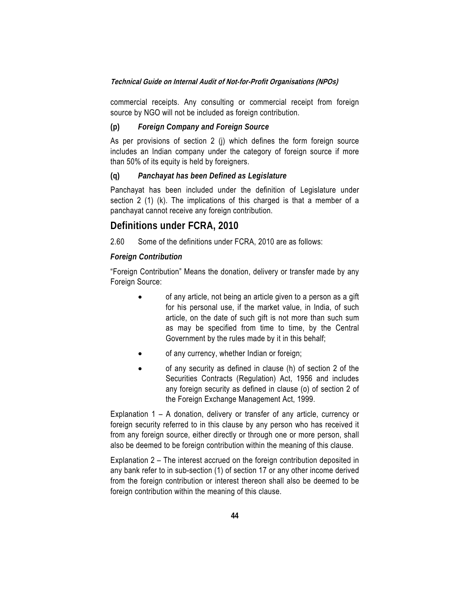commercial receipts. Any consulting or commercial receipt from foreign source by NGO will not be included as foreign contribution.

#### **(p)** *Foreign Company and Foreign Source*

As per provisions of section 2 (j) which defines the form foreign source includes an Indian company under the category of foreign source if more than 50% of its equity is held by foreigners.

#### **(q)** *Panchayat has been Defined as Legislature*

Panchayat has been included under the definition of Legislature under section 2 (1) (k). The implications of this charged is that a member of a panchayat cannot receive any foreign contribution.

### **Definitions under FCRA, 2010**

2.60 Some of the definitions under FCRA, 2010 are as follows:

#### *Foreign Contribution*

"Foreign Contribution" Means the donation, delivery or transfer made by any Foreign Source:

- of any article, not being an article given to a person as a gift for his personal use, if the market value, in India, of such article, on the date of such gift is not more than such sum as may be specified from time to time, by the Central Government by the rules made by it in this behalf;
- of any currency, whether Indian or foreign;
- of any security as defined in clause (h) of section 2 of the Securities Contracts (Regulation) Act, 1956 and includes any foreign security as defined in clause (o) of section 2 of the Foreign Exchange Management Act, 1999.

Explanation 1 – A donation, delivery or transfer of any article, currency or foreign security referred to in this clause by any person who has received it from any foreign source, either directly or through one or more person, shall also be deemed to be foreign contribution within the meaning of this clause.

Explanation 2 – The interest accrued on the foreign contribution deposited in any bank refer to in sub-section (1) of section 17 or any other income derived from the foreign contribution or interest thereon shall also be deemed to be foreign contribution within the meaning of this clause.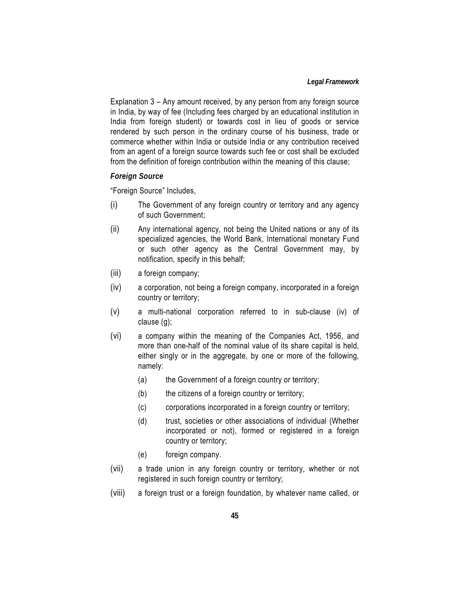Explanation 3 – Any amount received, by any person from any foreign source in India, by way of fee (Including fees charged by an educational institution in India from foreign student) or towards cost in lieu of goods or service rendered by such person in the ordinary course of his business, trade or commerce whether within India or outside India or any contribution received from an agent of a foreign source towards such fee or cost shall be excluded from the definition of foreign contribution within the meaning of this clause;

#### *Foreign Source*

"Foreign Source" Includes,

- (i) The Government of any foreign country or territory and any agency of such Government;
- (ii) Any international agency, not being the United nations or any of its specialized agencies, the World Bank, International monetary Fund or such other agency as the Central Government may, by notification, specify in this behalf;
- (iii) a foreign company;
- (iv) a corporation, not being a foreign company, incorporated in a foreign country or territory;
- (v) a multi-national corporation referred to in sub-clause (iv) of clause (g);
- (vi) a company within the meaning of the Companies Act, 1956, and more than one-half of the nominal value of its share capital is held, either singly or in the aggregate, by one or more of the following, namely:
	- (a) the Government of a foreign country or territory;
	- (b) the citizens of a foreign country or territory;
	- (c) corporations incorporated in a foreign country or territory;
	- (d) trust, societies or other associations of individual (Whether incorporated or not), formed or registered in a foreign country or territory;
	- (e) foreign company.
- (vii) a trade union in any foreign country or territory, whether or not registered in such foreign country or territory;
- (viii) a foreign trust or a foreign foundation, by whatever name called, or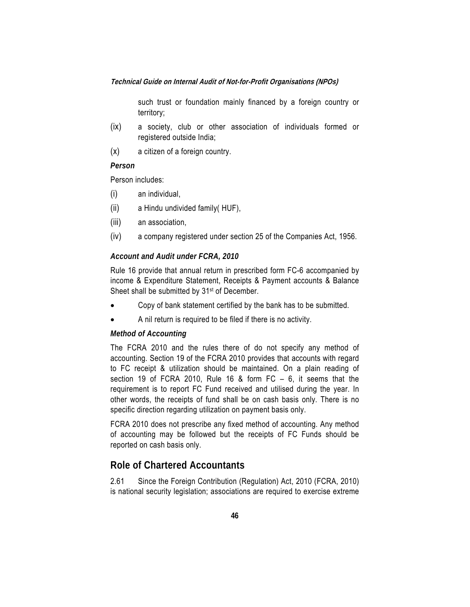such trust or foundation mainly financed by a foreign country or territory;

- (ix) a society, club or other association of individuals formed or registered outside India;
- (x) a citizen of a foreign country.

### *Person*

Person includes:

- (i) an individual,
- (ii) a Hindu undivided family( HUF),
- (iii) an association,
- (iv) a company registered under section 25 of the Companies Act, 1956.

#### *Account and Audit under FCRA, 2010*

Rule 16 provide that annual return in prescribed form FC-6 accompanied by income & Expenditure Statement, Receipts & Payment accounts & Balance Sheet shall be submitted by 31st of December.

- Copy of bank statement certified by the bank has to be submitted.
- A nil return is required to be filed if there is no activity.

#### *Method of Accounting*

The FCRA 2010 and the rules there of do not specify any method of accounting. Section 19 of the FCRA 2010 provides that accounts with regard to FC receipt & utilization should be maintained. On a plain reading of section 19 of FCRA 2010, Rule 16 & form FC – 6, it seems that the requirement is to report FC Fund received and utilised during the year. In other words, the receipts of fund shall be on cash basis only. There is no specific direction regarding utilization on payment basis only.

FCRA 2010 does not prescribe any fixed method of accounting. Any method of accounting may be followed but the receipts of FC Funds should be reported on cash basis only.

## **Role of Chartered Accountants**

2.61 Since the Foreign Contribution (Regulation) Act, 2010 (FCRA, 2010) is national security legislation; associations are required to exercise extreme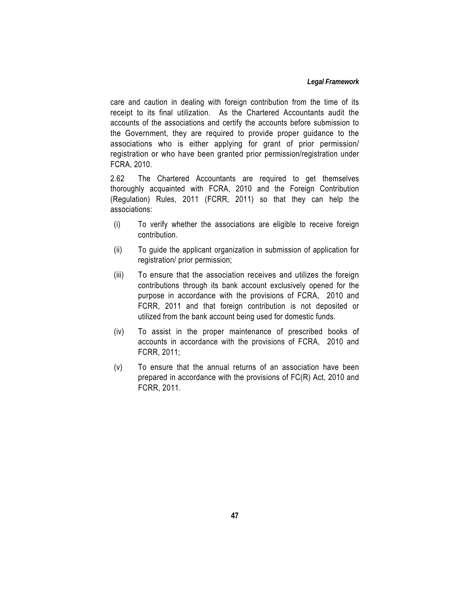care and caution in dealing with foreign contribution from the time of its receipt to its final utilization. As the Chartered Accountants audit the accounts of the associations and certify the accounts before submission to the Government, they are required to provide proper guidance to the associations who is either applying for grant of prior permission/ registration or who have been granted prior permission/registration under FCRA, 2010.

2.62 The Chartered Accountants are required to get themselves thoroughly acquainted with FCRA, 2010 and the Foreign Contribution (Regulation) Rules, 2011 (FCRR, 2011) so that they can help the associations:

- (i) To verify whether the associations are eligible to receive foreign contribution.
- (ii) To guide the applicant organization in submission of application for registration/ prior permission;
- (iii) To ensure that the association receives and utilizes the foreign contributions through its bank account exclusively opened for the purpose in accordance with the provisions of FCRA, 2010 and FCRR, 2011 and that foreign contribution is not deposited or utilized from the bank account being used for domestic funds.
- (iv) To assist in the proper maintenance of prescribed books of accounts in accordance with the provisions of FCRA, 2010 and FCRR, 2011;
- (v) To ensure that the annual returns of an association have been prepared in accordance with the provisions of FC(R) Act, 2010 and FCRR, 2011.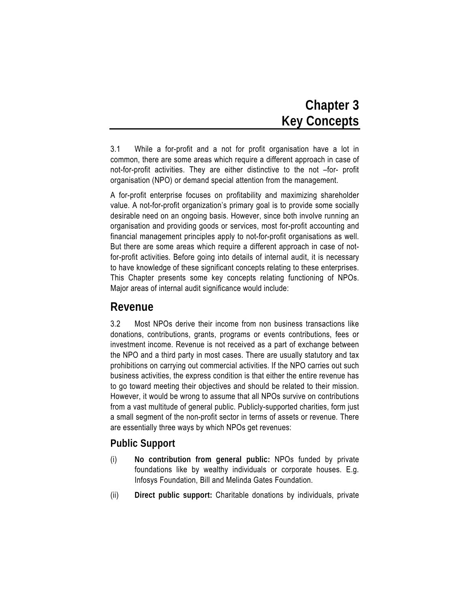# **Chapter 3 Key Concepts**

3.1 While a for-profit and a not for profit organisation have a lot in common, there are some areas which require a different approach in case of not-for-profit activities. They are either distinctive to the not –for- profit organisation (NPO) or demand special attention from the management.

A for-profit enterprise focuses on profitability and maximizing shareholder value. A not-for-profit organization's primary goal is to provide some socially desirable need on an ongoing basis. However, since both involve running an organisation and providing goods or services, most for-profit accounting and financial management principles apply to not-for-profit organisations as well. But there are some areas which require a different approach in case of notfor-profit activities. Before going into details of internal audit, it is necessary to have knowledge of these significant concepts relating to these enterprises. This Chapter presents some key concepts relating functioning of NPOs. Major areas of internal audit significance would include:

## **Revenue**

3.2 Most NPOs derive their income from non business transactions like donations, contributions, grants, programs or events contributions, fees or investment income. Revenue is not received as a part of exchange between the NPO and a third party in most cases. There are usually statutory and tax prohibitions on carrying out commercial activities. If the NPO carries out such business activities, the express condition is that either the entire revenue has to go toward meeting their objectives and should be related to their mission. However, it would be wrong to assume that all NPOs survive on contributions from a vast multitude of general public. Publicly-supported charities, form just a small segment of the non-profit sector in terms of assets or revenue. There are essentially three ways by which NPOs get revenues:

## **Public Support**

- (i) **No contribution from general public:** NPOs funded by private foundations like by wealthy individuals or corporate houses. E.g. Infosys Foundation, Bill and Melinda Gates Foundation.
- (ii) **Direct public support:** Charitable donations by individuals, private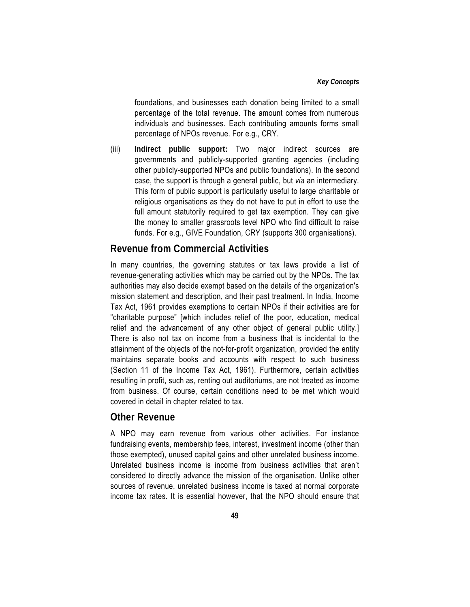foundations, and businesses each donation being limited to a small percentage of the total revenue. The amount comes from numerous individuals and businesses. Each contributing amounts forms small percentage of NPOs revenue. For e.g., CRY.

(iii) **Indirect public support:** Two major indirect sources are governments and publicly-supported granting agencies (including other publicly-supported NPOs and public foundations). In the second case, the support is through a general public, but *via* an intermediary. This form of public support is particularly useful to large charitable or religious organisations as they do not have to put in effort to use the full amount statutorily required to get tax exemption. They can give the money to smaller grassroots level NPO who find difficult to raise funds. For e.g., GIVE Foundation, CRY (supports 300 organisations).

### **Revenue from Commercial Activities**

In many countries, the governing statutes or tax laws provide a list of revenue-generating activities which may be carried out by the NPOs. The tax authorities may also decide exempt based on the details of the organization's mission statement and description, and their past treatment. In India, Income Tax Act, 1961 provides exemptions to certain NPOs if their activities are for "charitable purpose" [which includes relief of the poor, education, medical relief and the advancement of any other object of general public utility.] There is also not tax on income from a business that is incidental to the attainment of the objects of the not-for-profit organization, provided the entity maintains separate books and accounts with respect to such business (Section 11 of the Income Tax Act, 1961). Furthermore, certain activities resulting in profit, such as, renting out auditoriums, are not treated as income from business. Of course, certain conditions need to be met which would covered in detail in chapter related to tax.

### **Other Revenue**

A NPO may earn revenue from various other activities. For instance fundraising events, membership fees, interest, investment income (other than those exempted), unused capital gains and other unrelated business income. Unrelated business income is income from business activities that aren't considered to directly advance the mission of the organisation. Unlike other sources of revenue, unrelated business income is taxed at normal corporate income tax rates. It is essential however, that the NPO should ensure that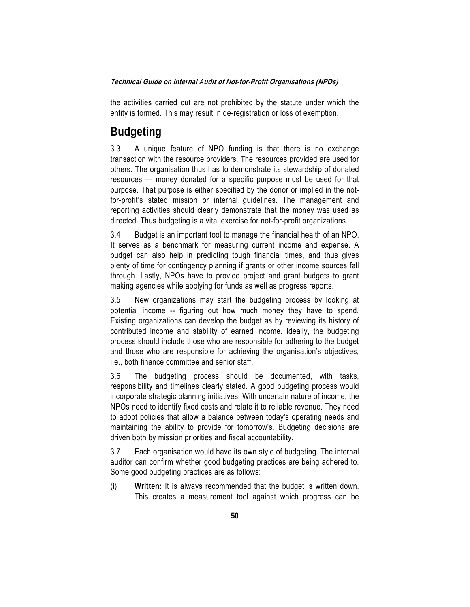the activities carried out are not prohibited by the statute under which the entity is formed. This may result in de-registration or loss of exemption.

## **Budgeting**

3.3 A unique feature of NPO funding is that there is no exchange transaction with the resource providers. The resources provided are used for others. The organisation thus has to demonstrate its stewardship of donated resources — money donated for a specific purpose must be used for that purpose. That purpose is either specified by the donor or implied in the notfor-profit's stated mission or internal guidelines. The management and reporting activities should clearly demonstrate that the money was used as directed. Thus budgeting is a vital exercise for not-for-profit organizations.

3.4 Budget is an important tool to manage the financial health of an NPO. It serves as a benchmark for measuring current income and expense. A budget can also help in predicting tough financial times, and thus gives plenty of time for contingency planning if grants or other income sources fall through. Lastly, NPOs have to provide project and grant budgets to grant making agencies while applying for funds as well as progress reports.

3.5 New organizations may start the budgeting process by looking at potential income -- figuring out how much money they have to spend. Existing organizations can develop the budget as by reviewing its history of contributed income and stability of earned income. Ideally, the budgeting process should include those who are responsible for adhering to the budget and those who are responsible for achieving the organisation's objectives, i.e., both finance committee and senior staff.

3.6 The budgeting process should be documented, with tasks, responsibility and timelines clearly stated. A good budgeting process would incorporate strategic planning initiatives. With uncertain nature of income, the NPOs need to identify fixed costs and relate it to reliable revenue. They need to adopt policies that allow a balance between today's operating needs and maintaining the ability to provide for tomorrow's. Budgeting decisions are driven both by mission priorities and fiscal accountability.

3.7 Each organisation would have its own style of budgeting. The internal auditor can confirm whether good budgeting practices are being adhered to. Some good budgeting practices are as follows:

(i) **Written:** It is always recommended that the budget is written down. This creates a measurement tool against which progress can be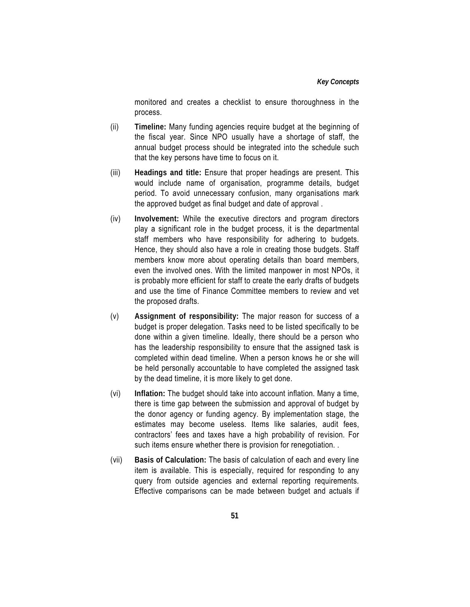#### *Key Concepts*

monitored and creates a checklist to ensure thoroughness in the process.

- (ii) **Timeline:** Many funding agencies require budget at the beginning of the fiscal year. Since NPO usually have a shortage of staff, the annual budget process should be integrated into the schedule such that the key persons have time to focus on it.
- (iii) **Headings and title:** Ensure that proper headings are present. This would include name of organisation, programme details, budget period. To avoid unnecessary confusion, many organisations mark the approved budget as final budget and date of approval .
- (iv) **Involvement:** While the executive directors and program directors play a significant role in the budget process, it is the departmental staff members who have responsibility for adhering to budgets. Hence, they should also have a role in creating those budgets. Staff members know more about operating details than board members, even the involved ones. With the limited manpower in most NPOs, it is probably more efficient for staff to create the early drafts of budgets and use the time of Finance Committee members to review and vet the proposed drafts.
- (v) **Assignment of responsibility:** The major reason for success of a budget is proper delegation. Tasks need to be listed specifically to be done within a given timeline. Ideally, there should be a person who has the leadership responsibility to ensure that the assigned task is completed within dead timeline. When a person knows he or she will be held personally accountable to have completed the assigned task by the dead timeline, it is more likely to get done.
- (vi) **Inflation:** The budget should take into account inflation. Many a time, there is time gap between the submission and approval of budget by the donor agency or funding agency. By implementation stage, the estimates may become useless. Items like salaries, audit fees, contractors' fees and taxes have a high probability of revision. For such items ensure whether there is provision for renegotiation. .
- (vii) **Basis of Calculation:** The basis of calculation of each and every line item is available. This is especially, required for responding to any query from outside agencies and external reporting requirements. Effective comparisons can be made between budget and actuals if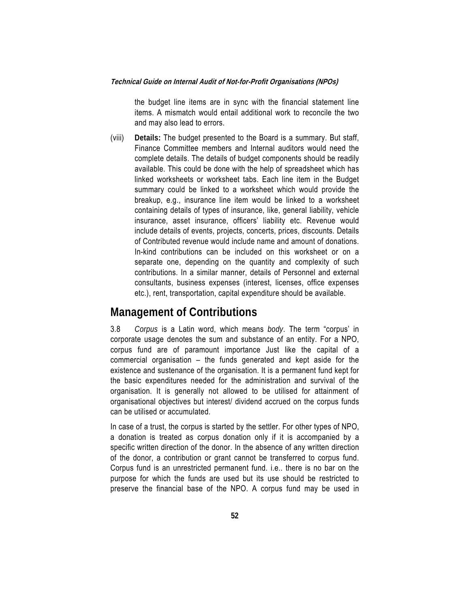the budget line items are in sync with the financial statement line items. A mismatch would entail additional work to reconcile the two and may also lead to errors.

(viii) **Details:** The budget presented to the Board is a summary. But staff, Finance Committee members and Internal auditors would need the complete details. The details of budget components should be readily available. This could be done with the help of spreadsheet which has linked worksheets or worksheet tabs. Each line item in the Budget summary could be linked to a worksheet which would provide the breakup, e.g., insurance line item would be linked to a worksheet containing details of types of insurance, like, general liability, vehicle insurance, asset insurance, officers' liability etc. Revenue would include details of events, projects, concerts, prices, discounts. Details of Contributed revenue would include name and amount of donations. In-kind contributions can be included on this worksheet or on a separate one, depending on the quantity and complexity of such contributions. In a similar manner, details of Personnel and external consultants, business expenses (interest, licenses, office expenses etc.), rent, transportation, capital expenditure should be available.

## **Management of Contributions**

3.8 *Corpus* is a Latin word, which means *body*. The term "corpus' in corporate usage denotes the sum and substance of an entity. For a NPO, corpus fund are of paramount importance Just like the capital of a commercial organisation – the funds generated and kept aside for the existence and sustenance of the organisation. It is a permanent fund kept for the basic expenditures needed for the administration and survival of the organisation. It is generally not allowed to be utilised for attainment of organisational objectives but interest/ dividend accrued on the corpus funds can be utilised or accumulated.

In case of a trust, the corpus is started by the settler. For other types of NPO, a donation is treated as corpus donation only if it is accompanied by a specific written direction of the donor. In the absence of any written direction of the donor, a contribution or grant cannot be transferred to corpus fund. Corpus fund is an unrestricted permanent fund. i.e.. there is no bar on the purpose for which the funds are used but its use should be restricted to preserve the financial base of the NPO. A corpus fund may be used in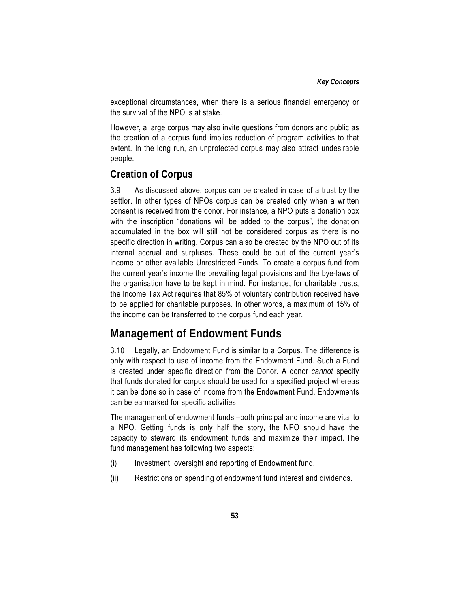exceptional circumstances, when there is a serious financial emergency or the survival of the NPO is at stake.

However, a large corpus may also invite questions from donors and public as the creation of a corpus fund implies reduction of program activities to that extent. In the long run, an unprotected corpus may also attract undesirable people.

## **Creation of Corpus**

3.9 As discussed above, corpus can be created in case of a trust by the settlor. In other types of NPOs corpus can be created only when a written consent is received from the donor. For instance, a NPO puts a donation box with the inscription "donations will be added to the corpus", the donation accumulated in the box will still not be considered corpus as there is no specific direction in writing. Corpus can also be created by the NPO out of its internal accrual and surpluses. These could be out of the current year's income or other available Unrestricted Funds. To create a corpus fund from the current year's income the prevailing legal provisions and the bye-laws of the organisation have to be kept in mind. For instance, for charitable trusts, the Income Tax Act requires that 85% of voluntary contribution received have to be applied for charitable purposes. In other words, a maximum of 15% of the income can be transferred to the corpus fund each year.

## **Management of Endowment Funds**

3.10 Legally, an Endowment Fund is similar to a Corpus. The difference is only with respect to use of income from the Endowment Fund. Such a Fund is created under specific direction from the Donor. A donor *cannot* specify that funds donated for corpus should be used for a specified project whereas it can be done so in case of income from the Endowment Fund. Endowments can be earmarked for specific activities

The management of endowment funds –both principal and income are vital to a NPO. Getting funds is only half the story, the NPO should have the capacity to steward its endowment funds and maximize their impact. The fund management has following two aspects:

- (i) Investment, oversight and reporting of Endowment fund.
- (ii) Restrictions on spending of endowment fund interest and dividends.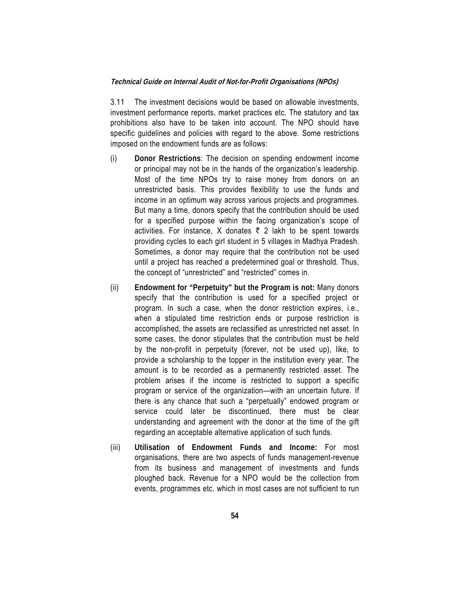3.11 The investment decisions would be based on allowable investments, investment performance reports, market practices etc. The statutory and tax prohibitions also have to be taken into account. The NPO should have specific guidelines and policies with regard to the above. Some restrictions imposed on the endowment funds are as follows:

- (i) **Donor Restrictions**: The decision on spending endowment income or principal may not be in the hands of the organization's leadership. Most of the time NPOs try to raise money from donors on an unrestricted basis. This provides flexibility to use the funds and income in an optimum way across various projects and programmes. But many a time, donors specify that the contribution should be used for a specified purpose within the facing organization's scope of activities. For instance, X donates  $\bar{\tau}$  2 lakh to be spent towards providing cycles to each girl student in 5 villages in Madhya Pradesh. Sometimes, a donor may require that the contribution not be used until a project has reached a predetermined goal or threshold. Thus, the concept of "unrestricted" and "restricted" comes in.
- (ii) **Endowment for "Perpetuity" but the Program is not:** Many donors specify that the contribution is used for a specified project or program. In such a case, when the donor restriction expires, i.e., when a stipulated time restriction ends or purpose restriction is accomplished, the assets are reclassified as unrestricted net asset. In some cases, the donor stipulates that the contribution must be held by the non-profit in perpetuity (forever, not be used up), like, to provide a scholarship to the topper in the institution every year. The amount is to be recorded as a permanently restricted asset. The problem arises if the income is restricted to support a specific program or service of the organization—with an uncertain future. If there is any chance that such a "perpetually" endowed program or service could later be discontinued, there must be clear understanding and agreement with the donor at the time of the gift regarding an acceptable alternative application of such funds.
- (iii) **Utilisation of Endowment Funds and Income:** For most organisations, there are two aspects of funds management-revenue from its business and management of investments and funds ploughed back. Revenue for a NPO would be the collection from events, programmes etc. which in most cases are not sufficient to run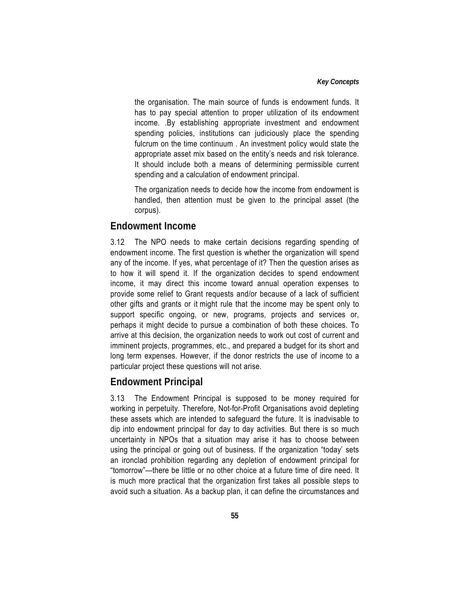the organisation. The main source of funds is endowment funds. It has to pay special attention to proper utilization of its endowment income. .By establishing appropriate investment and endowment spending policies, institutions can judiciously place the spending fulcrum on the time continuum . An investment policy would state the appropriate asset mix based on the entity's needs and risk tolerance. It should include both a means of determining permissible current spending and a calculation of endowment principal.

 The organization needs to decide how the income from endowment is handled, then attention must be given to the principal asset (the corpus).

### **Endowment Income**

3.12 The NPO needs to make certain decisions regarding spending of endowment income. The first question is whether the organization will spend any of the income. If yes, what percentage of it? Then the question arises as to how it will spend it. If the organization decides to spend endowment income, it may direct this income toward annual operation expenses to provide some relief to Grant requests and/or because of a lack of sufficient other gifts and grants or it might rule that the income may be spent only to support specific ongoing, or new, programs, projects and services or, perhaps it might decide to pursue a combination of both these choices. To arrive at this decision, the organization needs to work out cost of current and imminent projects, programmes, etc., and prepared a budget for its short and long term expenses. However, if the donor restricts the use of income to a particular project these questions will not arise.

## **Endowment Principal**

3.13 The Endowment Principal is supposed to be money required for working in perpetuity. Therefore, Not-for-Profit Organisations avoid depleting these assets which are intended to safeguard the future. It is inadvisable to dip into endowment principal for day to day activities. But there is so much uncertainty in NPOs that a situation may arise it has to choose between using the principal or going out of business. If the organization "today' sets an ironclad prohibition regarding any depletion of endowment principal for "tomorrow"—there be little or no other choice at a future time of dire need. It is much more practical that the organization first takes all possible steps to avoid such a situation. As a backup plan, it can define the circumstances and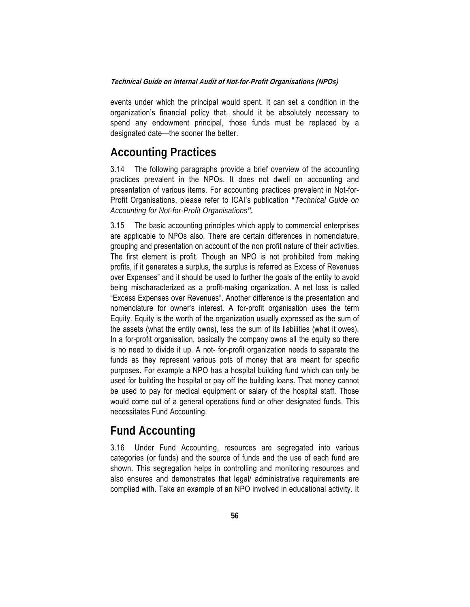events under which the principal would spent. It can set a condition in the organization's financial policy that, should it be absolutely necessary to spend any endowment principal, those funds must be replaced by a designated date—the sooner the better.

## **Accounting Practices**

3.14 The following paragraphs provide a brief overview of the accounting practices prevalent in the NPOs. It does not dwell on accounting and presentation of various items. For accounting practices prevalent in Not-for-Profit Organisations, please refer to ICAI's publication **"***Technical Guide on Accounting for Not-for-Profit Organisations".* 

3.15 The basic accounting principles which apply to commercial enterprises are applicable to NPOs also. There are certain differences in nomenclature, grouping and presentation on account of the non profit nature of their activities. The first element is profit. Though an NPO is not prohibited from making profits, if it generates a surplus, the surplus is referred as Excess of Revenues over Expenses" and it should be used to further the goals of the entity to avoid being mischaracterized as a profit-making organization. A net loss is called "Excess Expenses over Revenues". Another difference is the presentation and nomenclature for owner's interest. A for-profit organisation uses the term Equity. Equity is the worth of the organization usually expressed as the sum of the assets (what the entity owns), less the sum of its liabilities (what it owes). In a for-profit organisation, basically the company owns all the equity so there is no need to divide it up. A not- for-profit organization needs to separate the funds as they represent various pots of money that are meant for specific purposes. For example a NPO has a hospital building fund which can only be used for building the hospital or pay off the building loans. That money cannot be used to pay for medical equipment or salary of the hospital staff. Those would come out of a general operations fund or other designated funds. This necessitates Fund Accounting.

## **Fund Accounting**

3.16 Under Fund Accounting, resources are segregated into various categories (or funds) and the source of funds and the use of each fund are shown. This segregation helps in controlling and monitoring resources and also ensures and demonstrates that legal/ administrative requirements are complied with. Take an example of an NPO involved in educational activity. It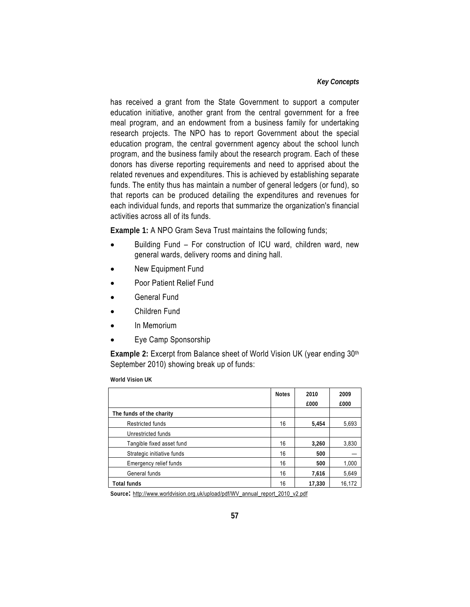#### *Key Concepts*

has received a grant from the State Government to support a computer education initiative, another grant from the central government for a free meal program, and an endowment from a business family for undertaking research projects. The NPO has to report Government about the special education program, the central government agency about the school lunch program, and the business family about the research program. Each of these donors has diverse reporting requirements and need to apprised about the related revenues and expenditures. This is achieved by establishing separate funds. The entity thus has maintain a number of general ledgers (or fund), so that reports can be produced detailing the expenditures and revenues for each individual funds, and reports that summarize the organization's financial activities across all of its funds.

**Example 1:** A NPO Gram Seva Trust maintains the following funds;

- Building Fund For construction of ICU ward, children ward, new general wards, delivery rooms and dining hall.
- New Equipment Fund
- Poor Patient Relief Fund
- General Fund
- Children Fund
- In Memorium
- Eye Camp Sponsorship

**Example 2: Excerpt from Balance sheet of World Vision UK (year ending 30th)** September 2010) showing break up of funds:

**World Vision UK** 

|                            | <b>Notes</b> | 2010   | 2009   |
|----------------------------|--------------|--------|--------|
|                            |              | £000   | £000   |
| The funds of the charity   |              |        |        |
| <b>Restricted funds</b>    | 16           | 5,454  | 5,693  |
| Unrestricted funds         |              |        |        |
| Tangible fixed asset fund  | 16           | 3,260  | 3,830  |
| Strategic initiative funds | 16           | 500    |        |
| Emergency relief funds     | 16           | 500    | 1,000  |
| General funds              | 16           | 7,616  | 5,649  |
| <b>Total funds</b>         | 16           | 17,330 | 16,172 |

**Source:** http://www.worldvision.org.uk/upload/pdf/WV\_annual\_report\_2010\_v2.pdf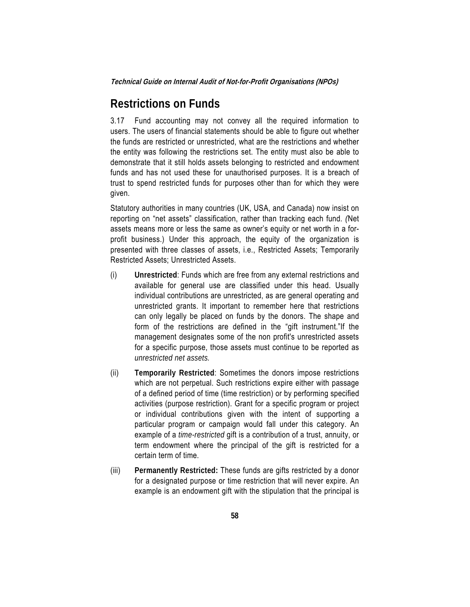## **Restrictions on Funds**

3.17 Fund accounting may not convey all the required information to users. The users of financial statements should be able to figure out whether the funds are restricted or unrestricted, what are the restrictions and whether the entity was following the restrictions set. The entity must also be able to demonstrate that it still holds assets belonging to restricted and endowment funds and has not used these for unauthorised purposes. It is a breach of trust to spend restricted funds for purposes other than for which they were given.

Statutory authorities in many countries (UK, USA, and Canada) now insist on reporting on "net assets" classification, rather than tracking each fund. *(*Net assets means more or less the same as owner's equity or net worth in a forprofit business.) Under this approach, the equity of the organization is presented with three classes of assets, i.e., Restricted Assets; Temporarily Restricted Assets; Unrestricted Assets.

- (i) **Unrestricted**: Funds which are free from any external restrictions and available for general use are classified under this head. Usually individual contributions are unrestricted, as are general operating and unrestricted grants. It important to remember here that restrictions can only legally be placed on funds by the donors. The shape and form of the restrictions are defined in the "gift instrument."If the management designates some of the non profit's unrestricted assets for a specific purpose, those assets must continue to be reported as *unrestricted net assets.*
- (ii) **Temporarily Restricted**: Sometimes the donors impose restrictions which are not perpetual. Such restrictions expire either with passage of a defined period of time (time restriction) or by performing specified activities (purpose restriction). Grant for a specific program or project or individual contributions given with the intent of supporting a particular program or campaign would fall under this category. An example of a *time-restricted* gift is a contribution of a trust, annuity, or term endowment where the principal of the gift is restricted for a certain term of time.
- (iii) **Permanently Restricted:** These funds are gifts restricted by a donor for a designated purpose or time restriction that will never expire. An example is an endowment gift with the stipulation that the principal is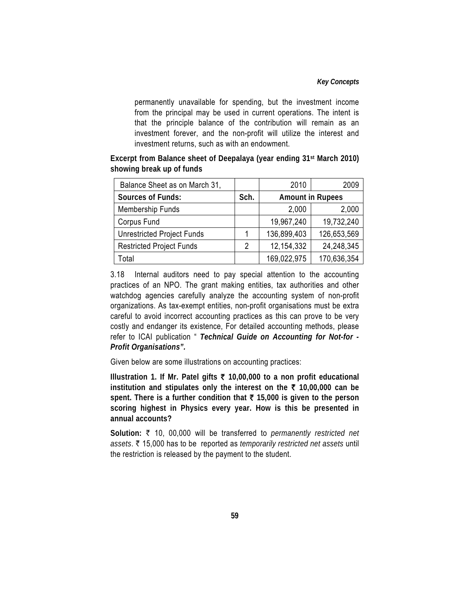#### *Key Concepts*

permanently unavailable for spending, but the investment income from the principal may be used in current operations. The intent is that the principle balance of the contribution will remain as an investment forever, and the non-profit will utilize the interest and investment returns, such as with an endowment.

**Excerpt from Balance sheet of Deepalaya (year ending 31st March 2010) showing break up of funds** 

| Balance Sheet as on March 31,     |      | 2010                    | 2009        |  |
|-----------------------------------|------|-------------------------|-------------|--|
| <b>Sources of Funds:</b>          | Sch. | <b>Amount in Rupees</b> |             |  |
| Membership Funds                  |      | 2,000                   | 2,000       |  |
| Corpus Fund                       |      | 19,967,240              | 19,732,240  |  |
| <b>Unrestricted Project Funds</b> |      | 136,899,403             | 126,653,569 |  |
| <b>Restricted Project Funds</b>   | 2    | 12, 154, 332            | 24,248,345  |  |
| Total                             |      | 169,022,975             | 170,636,354 |  |

3.18 Internal auditors need to pay special attention to the accounting practices of an NPO. The grant making entities, tax authorities and other watchdog agencies carefully analyze the accounting system of non-profit organizations. As tax-exempt entities, non-profit organisations must be extra careful to avoid incorrect accounting practices as this can prove to be very costly and endanger its existence, For detailed accounting methods, please refer to ICAI publication " *Technical Guide on Accounting for Not-for - Profit Organisations".* 

Given below are some illustrations on accounting practices:

**Illustration 1. If Mr. Patel gifts** ` **10,00,000 to a non profit educational institution and stipulates only the interest on the** ` **10,00,000 can be spent. There is a further condition that** ` **15,000 is given to the person scoring highest in Physics every year. How is this be presented in annual accounts?** 

**Solution:** ` 10, 00,000 will be transferred to *permanently restricted net assets*. ` 15,000 has to be reported as *temporarily restricted net assets* until the restriction is released by the payment to the student.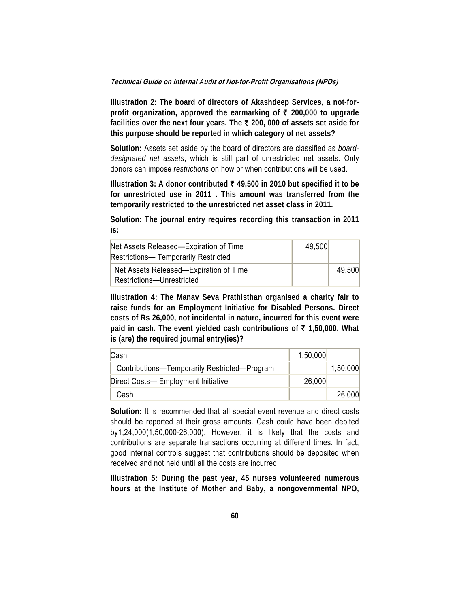**Illustration 2: The board of directors of Akashdeep Services, a not-forprofit organization, approved the earmarking of** ` **200,000 to upgrade facilities over the next four years. The** ` **200, 000 of assets set aside for this purpose should be reported in which category of net assets?** 

**Solution:** Assets set aside by the board of directors are classified as *boarddesignated net assets*, which is still part of unrestricted net assets. Only donors can impose *restrictions* on how or when contributions will be used.

**Illustration 3: A donor contributed** ` **49,500 in 2010 but specified it to be for unrestricted use in 2011 . This amount was transferred from the temporarily restricted to the unrestricted net asset class in 2011.** 

**Solution: The journal entry requires recording this transaction in 2011 is:** 

| Net Assets Released—Expiration of Time<br><b>Restrictions— Temporarily Restricted</b> | 49,500 |        |
|---------------------------------------------------------------------------------------|--------|--------|
| Net Assets Released—Expiration of Time<br>Restrictions-Unrestricted                   |        | 49.500 |

**Illustration 4: The Manav Seva Prathisthan organised a charity fair to raise funds for an Employment Initiative for Disabled Persons. Direct costs of Rs 26,000, not incidental in nature, incurred for this event were paid in cash. The event yielded cash contributions of** ` **1,50,000. What is (are) the required journal entry(ies)?** 

| Cash                                         | 1,50,000 |          |
|----------------------------------------------|----------|----------|
| Contributions-Temporarily Restricted-Program |          | 1,50,000 |
| Direct Costs- Employment Initiative          | 26,000   |          |
| Cash                                         |          | 26,000   |

**Solution:** It is recommended that all special event revenue and direct costs should be reported at their gross amounts. Cash could have been debited by1,24,000(1,50,000-26,000). However, it is likely that the costs and contributions are separate transactions occurring at different times. In fact, good internal controls suggest that contributions should be deposited when received and not held until all the costs are incurred.

**Illustration 5: During the past year, 45 nurses volunteered numerous hours at the Institute of Mother and Baby, a nongovernmental NPO,**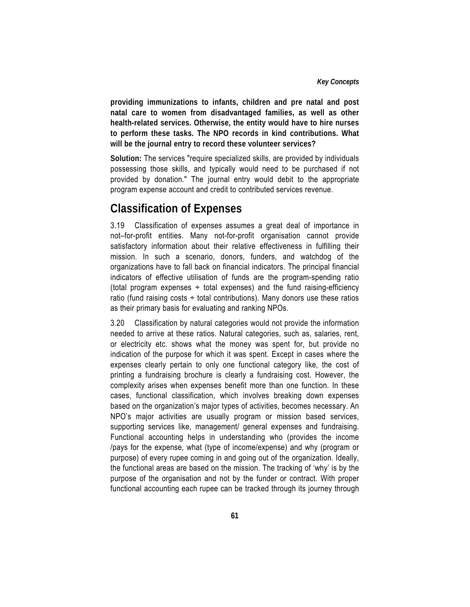**providing immunizations to infants, children and pre natal and post natal care to women from disadvantaged families, as well as other health-related services. Otherwise, the entity would have to hire nurses to perform these tasks. The NPO records in kind contributions. What will be the journal entry to record these volunteer services?** 

**Solution:** The services "require specialized skills, are provided by individuals possessing those skills, and typically would need to be purchased if not provided by donation." The journal entry would debit to the appropriate program expense account and credit to contributed services revenue.

## **Classification of Expenses**

3.19 Classification of expenses assumes a great deal of importance in not–for-profit entities. Many not-for-profit organisation cannot provide satisfactory information about their relative effectiveness in fulfilling their mission. In such a scenario, donors, funders, and watchdog of the organizations have to fall back on financial indicators. The principal financial indicators of effective utilisation of funds are the program-spending ratio (total program expenses  $\div$  total expenses) and the fund raising-efficiency ratio (fund raising costs  $\div$  total contributions). Many donors use these ratios as their primary basis for evaluating and ranking NPOs.

3.20 Classification by natural categories would not provide the information needed to arrive at these ratios. Natural categories, such as, salaries, rent, or electricity etc. shows what the money was spent for, but provide no indication of the purpose for which it was spent. Except in cases where the expenses clearly pertain to only one functional category like, the cost of printing a fundraising brochure is clearly a fundraising cost. However, the complexity arises when expenses benefit more than one function. In these cases, functional classification, which involves breaking down expenses based on the organization's major types of activities, becomes necessary. An NPO's major activities are usually program or mission based services, supporting services like, management/ general expenses and fundraising. Functional accounting helps in understanding who (provides the income /pays for the expense, what (type of income/expense) and why (program or purpose) of every rupee coming in and going out of the organization. Ideally, the functional areas are based on the mission. The tracking of 'why' is by the purpose of the organisation and not by the funder or contract. With proper functional accounting each rupee can be tracked through its journey through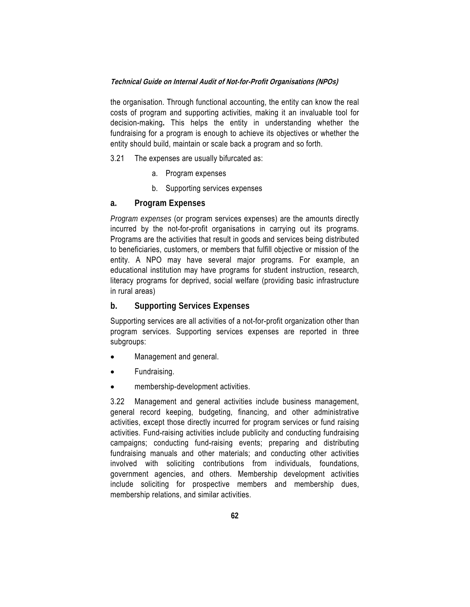the organisation. Through functional accounting, the entity can know the real costs of program and supporting activities, making it an invaluable tool for decision-making**.** This helps the entity in understanding whether the fundraising for a program is enough to achieve its objectives or whether the entity should build, maintain or scale back a program and so forth.

- 3.21 The expenses are usually bifurcated as:
	- a. Program expenses
	- b. Supporting services expenses

#### **a. Program Expenses**

*Program expenses* (or program services expenses) are the amounts directly incurred by the not-for-profit organisations in carrying out its programs. Programs are the activities that result in goods and services being distributed to beneficiaries, customers, or members that fulfill objective or mission of the entity. A NPO may have several major programs. For example, an educational institution may have programs for student instruction, research, literacy programs for deprived, social welfare (providing basic infrastructure in rural areas)

#### **b. Supporting Services Expenses**

Supporting services are all activities of a not-for-profit organization other than program services. Supporting services expenses are reported in three subgroups:

- Management and general.
- Fundraising.
- membership-development activities.

3.22 Management and general activities include business management, general record keeping, budgeting, financing, and other administrative activities, except those directly incurred for program services or fund raising activities. Fund-raising activities include publicity and conducting fundraising campaigns; conducting fund-raising events; preparing and distributing fundraising manuals and other materials; and conducting other activities involved with soliciting contributions from individuals, foundations, government agencies, and others. Membership development activities include soliciting for prospective members and membership dues, membership relations, and similar activities.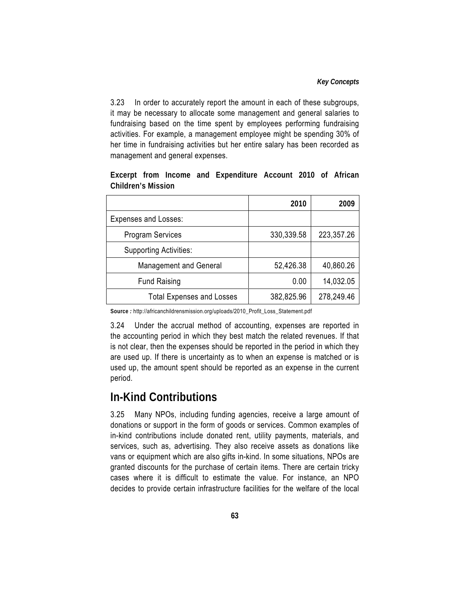#### *Key Concepts*

3.23 In order to accurately report the amount in each of these subgroups, it may be necessary to allocate some management and general salaries to fundraising based on the time spent by employees performing fundraising activities. For example, a management employee might be spending 30% of her time in fundraising activities but her entire salary has been recorded as management and general expenses.

|                                  | 2010       | 2009       |
|----------------------------------|------------|------------|
| <b>Expenses and Losses:</b>      |            |            |
| <b>Program Services</b>          | 330,339.58 | 223,357.26 |
| <b>Supporting Activities:</b>    |            |            |
| <b>Management and General</b>    | 52,426.38  | 40,860.26  |
| <b>Fund Raising</b>              | 0.00       | 14,032.05  |
| <b>Total Expenses and Losses</b> | 382,825.96 | 278,249.46 |

**Excerpt from Income and Expenditure Account 2010 of African Children's Mission** 

**Source** *:* http://africanchildrensmission.org/uploads/2010\_Profit\_Loss\_Statement.pdf

3.24 Under the accrual method of accounting, expenses are reported in the accounting period in which they best match the related revenues. If that is not clear, then the expenses should be reported in the period in which they are used up. If there is uncertainty as to when an expense is matched or is used up, the amount spent should be reported as an expense in the current period.

## **In-Kind Contributions**

3.25 Many NPOs, including funding agencies, receive a large amount of donations or support in the form of goods or services. Common examples of in-kind contributions include donated rent, utility payments, materials, and services, such as, advertising. They also receive assets as donations like vans or equipment which are also gifts in-kind. In some situations, NPOs are granted discounts for the purchase of certain items. There are certain tricky cases where it is difficult to estimate the value. For instance, an NPO decides to provide certain infrastructure facilities for the welfare of the local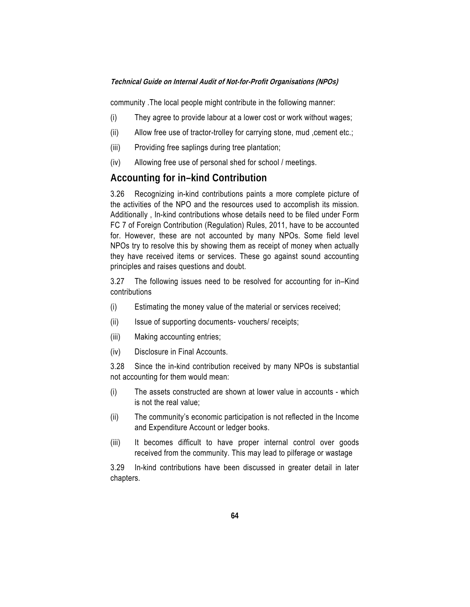community .The local people might contribute in the following manner:

- (i) They agree to provide labour at a lower cost or work without wages;
- (ii) Allow free use of tractor-trolley for carrying stone, mud, cement etc.;
- (iii) Providing free saplings during tree plantation;
- (iv) Allowing free use of personal shed for school / meetings.

#### **Accounting for in–kind Contribution**

3.26 Recognizing in-kind contributions paints a more complete picture of the activities of the NPO and the resources used to accomplish its mission. Additionally , In-kind contributions whose details need to be filed under Form FC 7 of Foreign Contribution (Regulation) Rules, 2011, have to be accounted for. However, these are not accounted by many NPOs. Some field level NPOs try to resolve this by showing them as receipt of money when actually they have received items or services. These go against sound accounting principles and raises questions and doubt.

3.27 The following issues need to be resolved for accounting for in–Kind contributions

- (i) Estimating the money value of the material or services received;
- (ii) Issue of supporting documents- vouchers/ receipts;
- (iii) Making accounting entries;
- (iv) Disclosure in Final Accounts.

3.28 Since the in-kind contribution received by many NPOs is substantial not accounting for them would mean:

- (i) The assets constructed are shown at lower value in accounts which is not the real value;
- (ii) The community's economic participation is not reflected in the Income and Expenditure Account or ledger books.
- (iii) It becomes difficult to have proper internal control over goods received from the community. This may lead to pilferage or wastage

3.29 In-kind contributions have been discussed in greater detail in later chapters.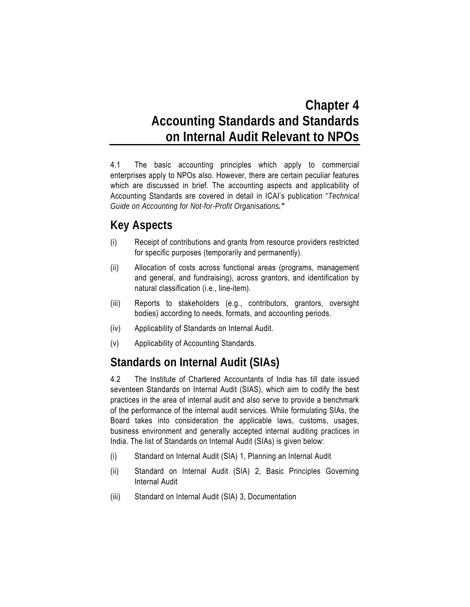# **Chapter 4 Accounting Standards and Standards on Internal Audit Relevant to NPOs**

4.1 The basic accounting principles which apply to commercial enterprises apply to NPOs also. However, there are certain peculiar features which are discussed in brief. The accounting aspects and applicability of Accounting Standards are covered in detail in ICAI's publication "*Technical Guide on Accounting for Not-for-Profit Organisations."*

# **Key Aspects**

- (i) Receipt of contributions and grants from resource providers restricted for specific purposes (temporarily and permanently).
- (ii) Allocation of costs across functional areas (programs, management and general, and fundraising), across grantors, and identification by natural classification (i.e., line-item).
- (iii) Reports to stakeholders (e.g., contributors, grantors, oversight bodies) according to needs, formats, and accounting periods.
- (iv) Applicability of Standards on Internal Audit.
- (v) Applicability of Accounting Standards.

# **Standards on Internal Audit (SIAs)**

4.2 The Institute of Chartered Accountants of India has till date issued seventeen Standards on Internal Audit (SIAS), which aim to codify the best practices in the area of internal audit and also serve to provide a benchmark of the performance of the internal audit services. While formulating SIAs, the Board takes into consideration the applicable laws, customs, usages, business environment and generally accepted internal auditing practices in India. The list of Standards on Internal Audit (SIAs) is given below:

- (i) Standard on Internal Audit (SIA) 1, Planning an Internal Audit
- (ii) Standard on Internal Audit (SIA) 2, Basic Principles Governing Internal Audit
- (iii) Standard on Internal Audit (SIA) 3, Documentation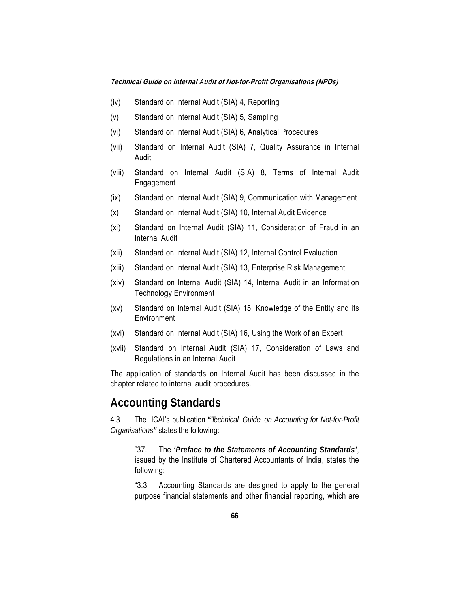- (iv) Standard on Internal Audit (SIA) 4, Reporting
- (v) Standard on Internal Audit (SIA) 5, Sampling
- (vi) Standard on Internal Audit (SIA) 6, Analytical Procedures
- (vii) Standard on Internal Audit (SIA) 7, Quality Assurance in Internal Audit
- (viii) Standard on Internal Audit (SIA) 8, Terms of Internal Audit Engagement
- (ix) Standard on Internal Audit (SIA) 9, Communication with Management
- (x) Standard on Internal Audit (SIA) 10, Internal Audit Evidence
- (xi) Standard on Internal Audit (SIA) 11, Consideration of Fraud in an Internal Audit
- (xii) Standard on Internal Audit (SIA) 12, Internal Control Evaluation
- (xiii) Standard on Internal Audit (SIA) 13, Enterprise Risk Management
- (xiv) Standard on Internal Audit (SIA) 14, Internal Audit in an Information Technology Environment
- (xv) Standard on Internal Audit (SIA) 15, Knowledge of the Entity and its Environment
- (xvi) Standard on Internal Audit (SIA) 16, Using the Work of an Expert
- (xvii) Standard on Internal Audit (SIA) 17, Consideration of Laws and Regulations in an Internal Audit

The application of standards on Internal Audit has been discussed in the chapter related to internal audit procedures.

### **Accounting Standards**

4.3 The ICAI's publication **"***Technical Guide on Accounting for Not-for-Profit Organisations"* states the following:

"37. The *'Preface to the Statements of Accounting Standards'*, issued by the Institute of Chartered Accountants of India, states the following:

"3.3 Accounting Standards are designed to apply to the general purpose financial statements and other financial reporting, which are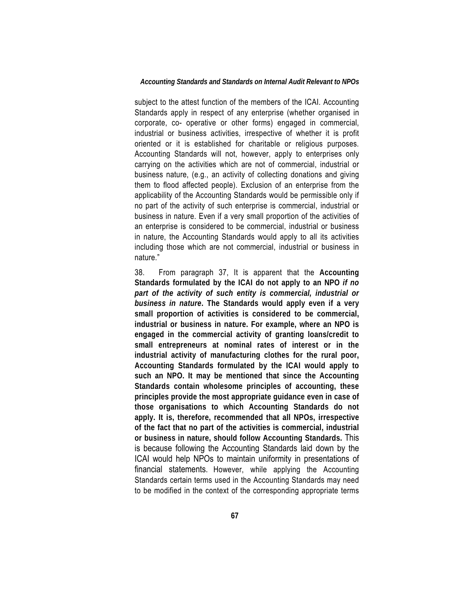#### *Accounting Standards and Standards on Internal Audit Relevant to NPOs*

subject to the attest function of the members of the ICAI. Accounting Standards apply in respect of any enterprise (whether organised in corporate, co- operative or other forms) engaged in commercial, industrial or business activities, irrespective of whether it is profit oriented or it is established for charitable or religious purposes. Accounting Standards will not, however, apply to enterprises only carrying on the activities which are not of commercial, industrial or business nature, (e.g., an activity of collecting donations and giving them to flood affected people). Exclusion of an enterprise from the applicability of the Accounting Standards would be permissible only if no part of the activity of such enterprise is commercial, industrial or business in nature. Even if a very small proportion of the activities of an enterprise is considered to be commercial, industrial or business in nature, the Accounting Standards would apply to all its activities including those which are not commercial, industrial or business in nature."

38. From paragraph 37, It is apparent that the **Accounting Standards formulated by the ICAI do not apply to an NPO** *if no part of the activity of such entity is commercial, industrial or business in nature***. The Standards would apply even if a very small proportion of activities is considered to be commercial, industrial or business in nature. For example, where an NPO is engaged in the commercial activity of granting loans/credit to small entrepreneurs at nominal rates of interest or in the industrial activity of manufacturing clothes for the rural poor, Accounting Standards formulated by the ICAI would apply to such an NPO. It may be mentioned that since the Accounting Standards contain wholesome principles of accounting, these principles provide the most appropriate guidance even in case of those organisations to which Accounting Standards do not apply. It is, therefore, recommended that all NPOs, irrespective of the fact that no part of the activities is commercial, industrial or business in nature, should follow Accounting Standards.** This is because following the Accounting Standards laid down by the ICAI would help NPOs to maintain uniformity in presentations of financial statements. However, while applying the Accounting Standards certain terms used in the Accounting Standards may need to be modified in the context of the corresponding appropriate terms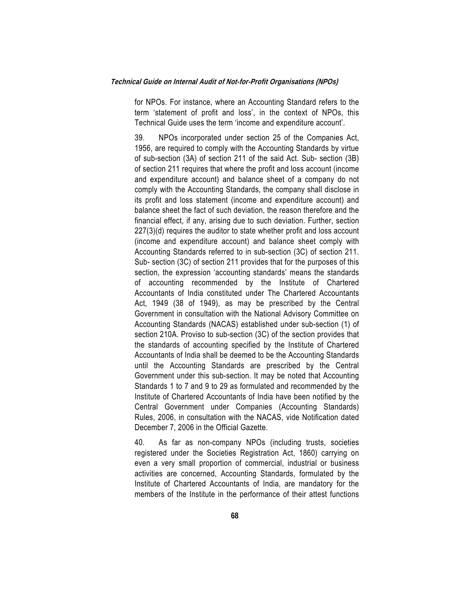for NPOs. For instance, where an Accounting Standard refers to the term 'statement of profit and loss', in the context of NPOs, this Technical Guide uses the term 'income and expenditure account'.

39. NPOs incorporated under section 25 of the Companies Act, 1956, are required to comply with the Accounting Standards by virtue of sub-section (3A) of section 211 of the said Act. Sub- section (3B) of section 211 requires that where the profit and loss account (income and expenditure account) and balance sheet of a company do not comply with the Accounting Standards, the company shall disclose in its profit and loss statement (income and expenditure account) and balance sheet the fact of such deviation, the reason therefore and the financial effect, if any, arising due to such deviation. Further, section 227(3)(d) requires the auditor to state whether profit and loss account (income and expenditure account) and balance sheet comply with Accounting Standards referred to in sub-section (3C) of section 211. Sub- section (3C) of section 211 provides that for the purposes of this section, the expression 'accounting standards' means the standards of accounting recommended by the Institute of Chartered Accountants of India constituted under The Chartered Accountants Act, 1949 (38 of 1949), as may be prescribed by the Central Government in consultation with the National Advisory Committee on Accounting Standards (NACAS) established under sub-section (1) of section 210A. Proviso to sub-section (3C) of the section provides that the standards of accounting specified by the Institute of Chartered Accountants of India shall be deemed to be the Accounting Standards until the Accounting Standards are prescribed by the Central Government under this sub-section. It may be noted that Accounting Standards 1 to 7 and 9 to 29 as formulated and recommended by the Institute of Chartered Accountants of India have been notified by the Central Government under Companies (Accounting Standards) Rules, 2006, in consultation with the NACAS, vide Notification dated December 7, 2006 in the Official Gazette.

40. As far as non-company NPOs (including trusts, societies registered under the Societies Registration Act, 1860) carrying on even a very small proportion of commercial, industrial or business activities are concerned, Accounting Standards, formulated by the Institute of Chartered Accountants of India, are mandatory for the members of the Institute in the performance of their attest functions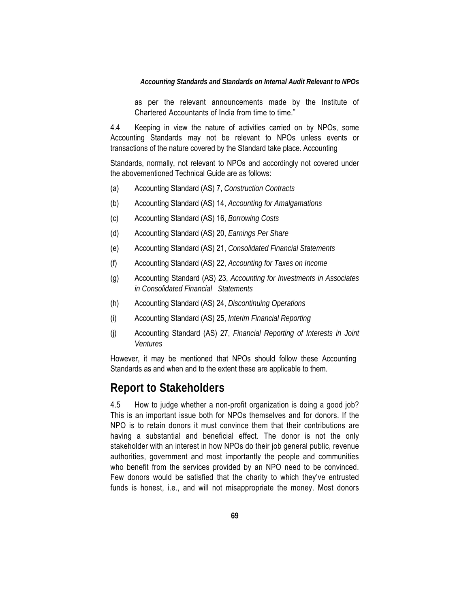#### *Accounting Standards and Standards on Internal Audit Relevant to NPOs*

as per the relevant announcements made by the Institute of Chartered Accountants of India from time to time."

4.4 Keeping in view the nature of activities carried on by NPOs, some Accounting Standards may not be relevant to NPOs unless events or transactions of the nature covered by the Standard take place. Accounting

Standards, normally, not relevant to NPOs and accordingly not covered under the abovementioned Technical Guide are as follows:

- (a) Accounting Standard (AS) 7, *Construction Contracts*
- (b) Accounting Standard (AS) 14, *Accounting for Amalgamations*
- (c) Accounting Standard (AS) 16, *Borrowing Costs*
- (d) Accounting Standard (AS) 20, *Earnings Per Share*
- (e) Accounting Standard (AS) 21, *Consolidated Financial Statements*
- (f) Accounting Standard (AS) 22, *Accounting for Taxes on Income*
- (g) Accounting Standard (AS) 23, *Accounting for Investments in Associates in Consolidated Financial Statements*
- (h) Accounting Standard (AS) 24, *Discontinuing Operations*
- (i) Accounting Standard (AS) 25, *Interim Financial Reporting*
- (j) Accounting Standard (AS) 27, *Financial Reporting of Interests in Joint Ventures*

However, it may be mentioned that NPOs should follow these Accounting Standards as and when and to the extent these are applicable to them.

## **Report to Stakeholders**

4.5 How to judge whether a non-profit organization is doing a good job? This is an important issue both for NPOs themselves and for donors. If the NPO is to retain donors it must convince them that their contributions are having a substantial and beneficial effect. The donor is not the only stakeholder with an interest in how NPOs do their job general public, revenue authorities, government and most importantly the people and communities who benefit from the services provided by an NPO need to be convinced. Few donors would be satisfied that the charity to which they've entrusted funds is honest, i.e., and will not misappropriate the money. Most donors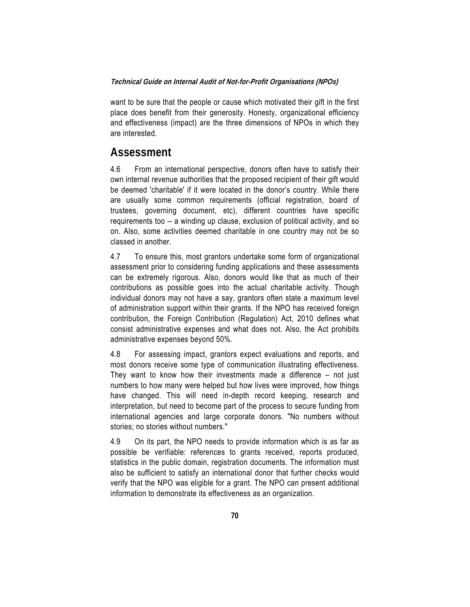want to be sure that the people or cause which motivated their gift in the first place does benefit from their generosity. Honesty, organizational efficiency and effectiveness (impact) are the three dimensions of NPOs in which they are interested.

### **Assessment**

4.6 From an international perspective, donors often have to satisfy their own internal revenue authorities that the proposed recipient of their gift would be deemed 'charitable' if it were located in the donor's country. While there are usually some common requirements (official registration, board of trustees, governing document, etc), different countries have specific requirements too -- a winding up clause, exclusion of political activity, and so on. Also, some activities deemed charitable in one country may not be so classed in another.

4.7 To ensure this, most grantors undertake some form of organizational assessment prior to considering funding applications and these assessments can be extremely rigorous. Also, donors would like that as much of their contributions as possible goes into the actual charitable activity. Though individual donors may not have a say, grantors often state a maximum level of administration support within their grants. If the NPO has received foreign contribution, the Foreign Contribution (Regulation) Act, 2010 defines what consist administrative expenses and what does not. Also, the Act prohibits administrative expenses beyond 50%.

4.8 For assessing impact, grantors expect evaluations and reports, and most donors receive some type of communication illustrating effectiveness. They want to know how their investments made a difference – not just numbers to how many were helped but how lives were improved, how things have changed. This will need in-depth record keeping, research and interpretation, but need to become part of the process to secure funding from international agencies and large corporate donors. "No numbers without stories; no stories without numbers."

4.9 On its part, the NPO needs to provide information which is as far as possible be verifiable: references to grants received, reports produced, statistics in the public domain, registration documents. The information must also be sufficient to satisfy an international donor that further checks would verify that the NPO was eligible for a grant. The NPO can present additional information to demonstrate its effectiveness as an organization.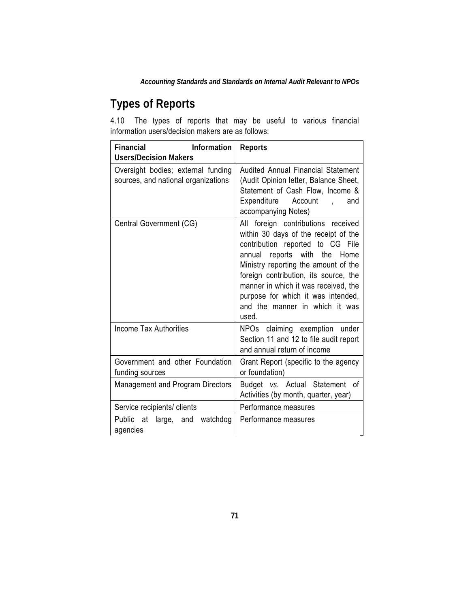*Accounting Standards and Standards on Internal Audit Relevant to NPOs* 

# **Types of Reports**

4.10 The types of reports that may be useful to various financial information users/decision makers are as follows:

| Financial<br>Information<br><b>Users/Decision Makers</b>                  | <b>Reports</b>                                                                                                                                                                                                                                                                                                                                              |  |
|---------------------------------------------------------------------------|-------------------------------------------------------------------------------------------------------------------------------------------------------------------------------------------------------------------------------------------------------------------------------------------------------------------------------------------------------------|--|
| Oversight bodies; external funding<br>sources, and national organizations | Audited Annual Financial Statement<br>(Audit Opinion letter, Balance Sheet,<br>Statement of Cash Flow, Income &<br>Expenditure<br>Account<br>and<br>$\ddot{\phantom{a}}$<br>accompanying Notes)                                                                                                                                                             |  |
| Central Government (CG)                                                   | All foreign contributions received<br>within 30 days of the receipt of the<br>contribution reported to CG File<br>reports with the Home<br>annual<br>Ministry reporting the amount of the<br>foreign contribution, its source, the<br>manner in which it was received, the<br>purpose for which it was intended,<br>and the manner in which it was<br>used. |  |
| <b>Income Tax Authorities</b>                                             | NPOs claiming exemption under<br>Section 11 and 12 to file audit report<br>and annual return of income                                                                                                                                                                                                                                                      |  |
| Government and other Foundation<br>funding sources                        | Grant Report (specific to the agency<br>or foundation)                                                                                                                                                                                                                                                                                                      |  |
| <b>Management and Program Directors</b>                                   | Budget vs. Actual Statement<br>οf<br>Activities (by month, quarter, year)                                                                                                                                                                                                                                                                                   |  |
| Service recipients/ clients                                               | Performance measures                                                                                                                                                                                                                                                                                                                                        |  |
| Public<br>at<br>large,<br>and<br>watchdog<br>agencies                     | Performance measures                                                                                                                                                                                                                                                                                                                                        |  |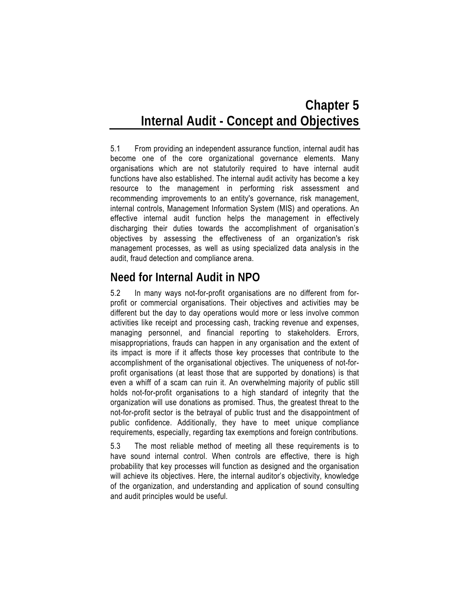# **Chapter 5 Internal Audit - Concept and Objectives**

5.1 From providing an independent assurance function, internal audit has become one of the core organizational governance elements. Many organisations which are not statutorily required to have internal audit functions have also established. The internal audit activity has become a key resource to the management in performing risk assessment and recommending improvements to an entity's governance, risk management, internal controls, Management Information System (MIS) and operations. An effective internal audit function helps the management in effectively discharging their duties towards the accomplishment of organisation's objectives by assessing the effectiveness of an organization's risk management processes, as well as using specialized data analysis in the audit, fraud detection and compliance arena.

## **Need for Internal Audit in NPO**

5.2 In many ways not-for-profit organisations are no different from forprofit or commercial organisations. Their objectives and activities may be different but the day to day operations would more or less involve common activities like receipt and processing cash, tracking revenue and expenses, managing personnel, and financial reporting to stakeholders. Errors, misappropriations, frauds can happen in any organisation and the extent of its impact is more if it affects those key processes that contribute to the accomplishment of the organisational objectives. The uniqueness of not-forprofit organisations (at least those that are supported by donations) is that even a whiff of a scam can ruin it. An overwhelming majority of public still holds not-for-profit organisations to a high standard of integrity that the organization will use donations as promised. Thus, the greatest threat to the not-for-profit sector is the betrayal of public trust and the disappointment of public confidence. Additionally, they have to meet unique compliance requirements, especially, regarding tax exemptions and foreign contributions.

5.3 The most reliable method of meeting all these requirements is to have sound internal control. When controls are effective, there is high probability that key processes will function as designed and the organisation will achieve its objectives. Here, the internal auditor's objectivity, knowledge of the organization, and understanding and application of sound consulting and audit principles would be useful.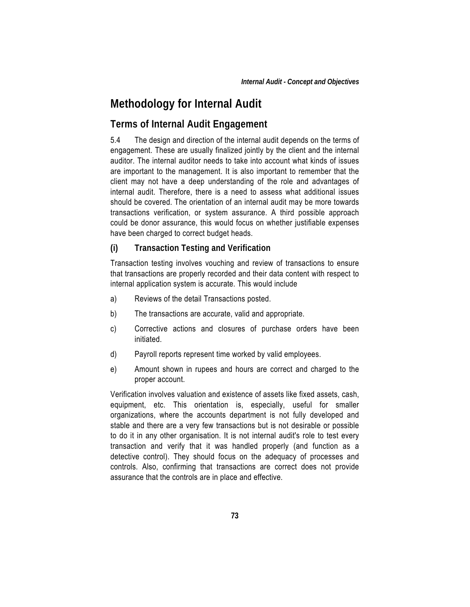## **Methodology for Internal Audit**

### **Terms of Internal Audit Engagement**

5.4 The design and direction of the internal audit depends on the terms of engagement. These are usually finalized jointly by the client and the internal auditor. The internal auditor needs to take into account what kinds of issues are important to the management. It is also important to remember that the client may not have a deep understanding of the role and advantages of internal audit. Therefore, there is a need to assess what additional issues should be covered. The orientation of an internal audit may be more towards transactions verification, or system assurance. A third possible approach could be donor assurance, this would focus on whether justifiable expenses have been charged to correct budget heads.

#### **(i) Transaction Testing and Verification**

Transaction testing involves vouching and review of transactions to ensure that transactions are properly recorded and their data content with respect to internal application system is accurate. This would include

- a) Reviews of the detail Transactions posted.
- b) The transactions are accurate, valid and appropriate.
- c) Corrective actions and closures of purchase orders have been initiated.
- d) Payroll reports represent time worked by valid employees.
- e) Amount shown in rupees and hours are correct and charged to the proper account.

Verification involves valuation and existence of assets like fixed assets, cash, equipment, etc. This orientation is, especially, useful for smaller organizations, where the accounts department is not fully developed and stable and there are a very few transactions but is not desirable or possible to do it in any other organisation. It is not internal audit's role to test every transaction and verify that it was handled properly (and function as a detective control). They should focus on the adequacy of processes and controls. Also, confirming that transactions are correct does not provide assurance that the controls are in place and effective.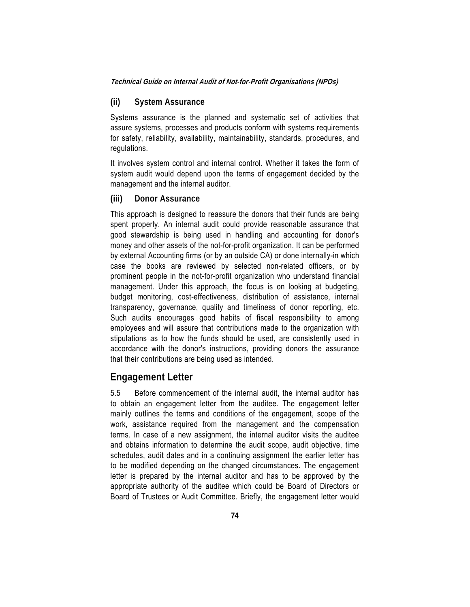#### **(ii) System Assurance**

Systems assurance is the planned and systematic set of activities that assure systems, processes and products conform with systems requirements for safety, reliability, availability, maintainability, standards, procedures, and regulations.

It involves system control and internal control. Whether it takes the form of system audit would depend upon the terms of engagement decided by the management and the internal auditor.

#### **(iii) Donor Assurance**

This approach is designed to reassure the donors that their funds are being spent properly. An internal audit could provide reasonable assurance that good stewardship is being used in handling and accounting for donor's money and other assets of the not-for-profit organization. It can be performed by external Accounting firms (or by an outside CA) or done internally-in which case the books are reviewed by selected non-related officers, or by prominent people in the not-for-profit organization who understand financial management. Under this approach, the focus is on looking at budgeting, budget monitoring, cost-effectiveness, distribution of assistance, internal transparency, governance, quality and timeliness of donor reporting, etc. Such audits encourages good habits of fiscal responsibility to among employees and will assure that contributions made to the organization with stipulations as to how the funds should be used, are consistently used in accordance with the donor's instructions, providing donors the assurance that their contributions are being used as intended.

### **Engagement Letter**

5.5 Before commencement of the internal audit, the internal auditor has to obtain an engagement letter from the auditee. The engagement letter mainly outlines the terms and conditions of the engagement, scope of the work, assistance required from the management and the compensation terms. In case of a new assignment, the internal auditor visits the auditee and obtains information to determine the audit scope, audit objective, time schedules, audit dates and in a continuing assignment the earlier letter has to be modified depending on the changed circumstances. The engagement letter is prepared by the internal auditor and has to be approved by the appropriate authority of the auditee which could be Board of Directors or Board of Trustees or Audit Committee. Briefly, the engagement letter would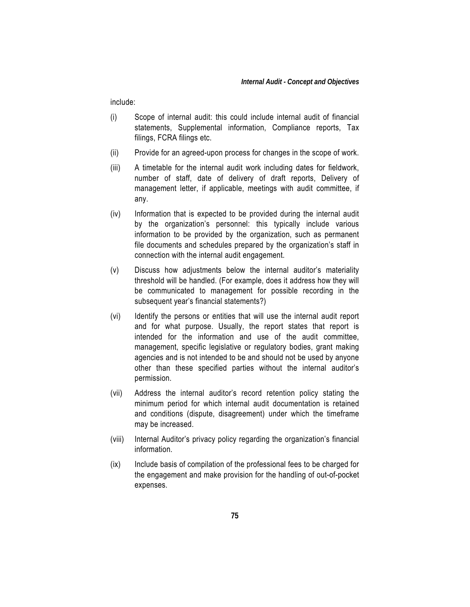include:

- (i) Scope of internal audit: this could include internal audit of financial statements, Supplemental information, Compliance reports, Tax filings, FCRA filings etc.
- (ii) Provide for an agreed-upon process for changes in the scope of work.
- (iii) A timetable for the internal audit work including dates for fieldwork, number of staff, date of delivery of draft reports, Delivery of management letter, if applicable, meetings with audit committee, if any.
- (iv) Information that is expected to be provided during the internal audit by the organization's personnel: this typically include various information to be provided by the organization, such as permanent file documents and schedules prepared by the organization's staff in connection with the internal audit engagement.
- (v) Discuss how adjustments below the internal auditor's materiality threshold will be handled. (For example, does it address how they will be communicated to management for possible recording in the subsequent year's financial statements?)
- (vi) Identify the persons or entities that will use the internal audit report and for what purpose. Usually, the report states that report is intended for the information and use of the audit committee, management, specific legislative or regulatory bodies, grant making agencies and is not intended to be and should not be used by anyone other than these specified parties without the internal auditor's permission.
- (vii) Address the internal auditor's record retention policy stating the minimum period for which internal audit documentation is retained and conditions (dispute, disagreement) under which the timeframe may be increased.
- (viii) Internal Auditor's privacy policy regarding the organization's financial information.
- (ix) Include basis of compilation of the professional fees to be charged for the engagement and make provision for the handling of out-of-pocket expenses.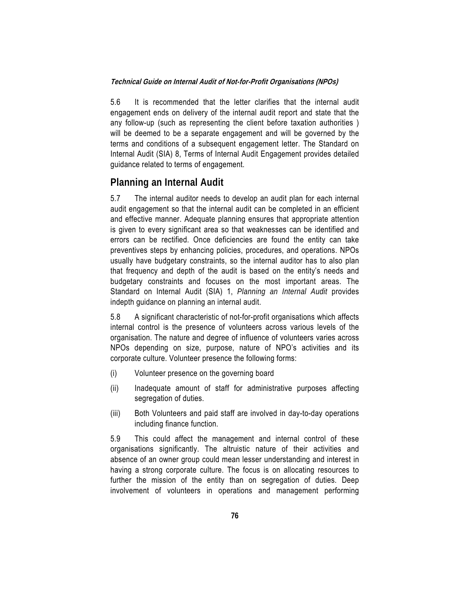5.6 It is recommended that the letter clarifies that the internal audit engagement ends on delivery of the internal audit report and state that the any follow-up (such as representing the client before taxation authorities ) will be deemed to be a separate engagement and will be governed by the terms and conditions of a subsequent engagement letter. The Standard on Internal Audit (SIA) 8, Terms of Internal Audit Engagement provides detailed guidance related to terms of engagement.

### **Planning an Internal Audit**

5.7 The internal auditor needs to develop an audit plan for each internal audit engagement so that the internal audit can be completed in an efficient and effective manner. Adequate planning ensures that appropriate attention is given to every significant area so that weaknesses can be identified and errors can be rectified. Once deficiencies are found the entity can take preventives steps by enhancing policies, procedures, and operations. NPOs usually have budgetary constraints, so the internal auditor has to also plan that frequency and depth of the audit is based on the entity's needs and budgetary constraints and focuses on the most important areas. The Standard on Internal Audit (SIA) 1, *Planning an Internal Audit* provides indepth guidance on planning an internal audit.

5.8 A significant characteristic of not-for-profit organisations which affects internal control is the presence of volunteers across various levels of the organisation. The nature and degree of influence of volunteers varies across NPOs depending on size, purpose, nature of NPO's activities and its corporate culture. Volunteer presence the following forms:

- (i) Volunteer presence on the governing board
- (ii) Inadequate amount of staff for administrative purposes affecting segregation of duties.
- (iii) Both Volunteers and paid staff are involved in day-to-day operations including finance function.

5.9 This could affect the management and internal control of these organisations significantly. The altruistic nature of their activities and absence of an owner group could mean lesser understanding and interest in having a strong corporate culture. The focus is on allocating resources to further the mission of the entity than on segregation of duties. Deep involvement of volunteers in operations and management performing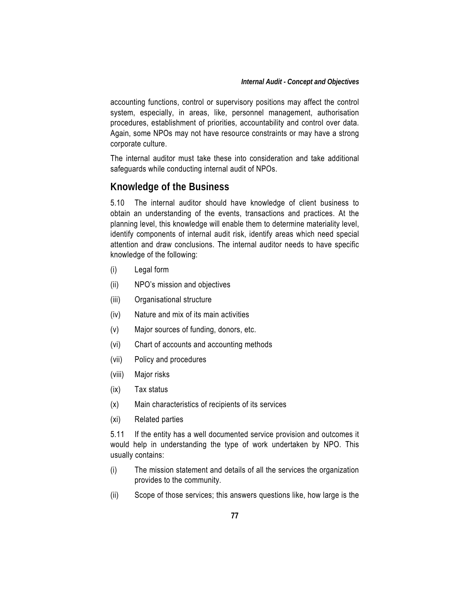accounting functions, control or supervisory positions may affect the control system, especially, in areas, like, personnel management, authorisation procedures, establishment of priorities, accountability and control over data. Again, some NPOs may not have resource constraints or may have a strong corporate culture.

The internal auditor must take these into consideration and take additional safeguards while conducting internal audit of NPOs.

## **Knowledge of the Business**

5.10 The internal auditor should have knowledge of client business to obtain an understanding of the events, transactions and practices. At the planning level, this knowledge will enable them to determine materiality level, identify components of internal audit risk, identify areas which need special attention and draw conclusions. The internal auditor needs to have specific knowledge of the following:

- (i) Legal form
- (ii) NPO's mission and objectives
- (iii) Organisational structure
- (iv) Nature and mix of its main activities
- (v) Major sources of funding, donors, etc.
- (vi) Chart of accounts and accounting methods
- (vii) Policy and procedures
- (viii) Major risks
- (ix) Tax status
- (x) Main characteristics of recipients of its services
- (xi) Related parties

5.11 If the entity has a well documented service provision and outcomes it would help in understanding the type of work undertaken by NPO. This usually contains:

- (i) The mission statement and details of all the services the organization provides to the community.
- (ii) Scope of those services; this answers questions like, how large is the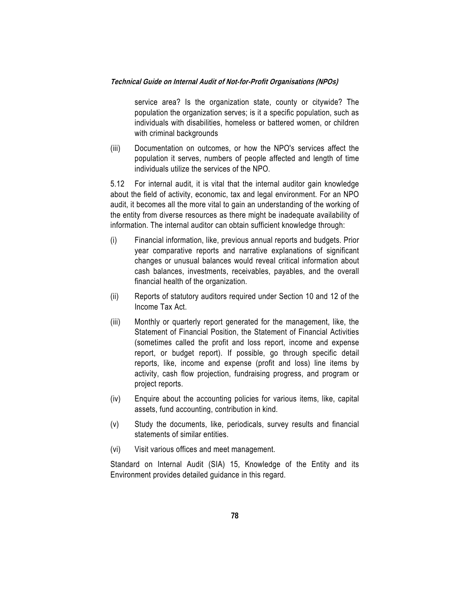service area? Is the organization state, county or citywide? The population the organization serves; is it a specific population, such as individuals with disabilities, homeless or battered women, or children with criminal backgrounds

(iii) Documentation on outcomes, or how the NPO's services affect the population it serves, numbers of people affected and length of time individuals utilize the services of the NPO.

5.12 For internal audit, it is vital that the internal auditor gain knowledge about the field of activity, economic, tax and legal environment. For an NPO audit, it becomes all the more vital to gain an understanding of the working of the entity from diverse resources as there might be inadequate availability of information. The internal auditor can obtain sufficient knowledge through:

- (i) Financial information, like, previous annual reports and budgets. Prior year comparative reports and narrative explanations of significant changes or unusual balances would reveal critical information about cash balances, investments, receivables, payables, and the overall financial health of the organization.
- (ii) Reports of statutory auditors required under Section 10 and 12 of the Income Tax Act.
- (iii) Monthly or quarterly report generated for the management, like, the Statement of Financial Position, the Statement of Financial Activities (sometimes called the profit and loss report, income and expense report, or budget report). If possible, go through specific detail reports, like, income and expense (profit and loss) line items by activity, cash flow projection, fundraising progress, and program or project reports.
- (iv) Enquire about the accounting policies for various items, like, capital assets, fund accounting, contribution in kind.
- (v) Study the documents, like, periodicals, survey results and financial statements of similar entities.
- (vi) Visit various offices and meet management.

Standard on Internal Audit (SIA) 15, Knowledge of the Entity and its Environment provides detailed guidance in this regard.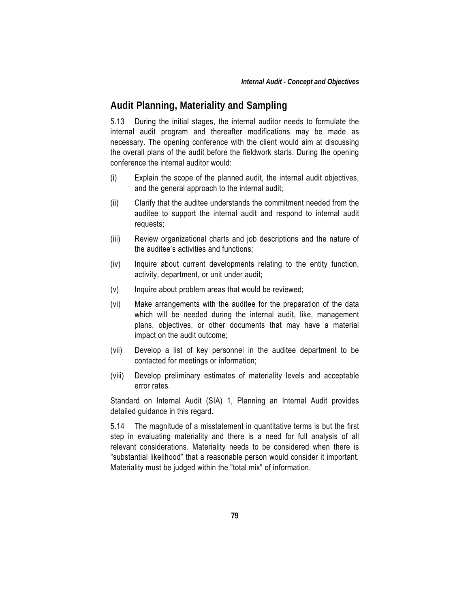### **Audit Planning, Materiality and Sampling**

5.13 During the initial stages, the internal auditor needs to formulate the internal audit program and thereafter modifications may be made as necessary. The opening conference with the client would aim at discussing the overall plans of the audit before the fieldwork starts. During the opening conference the internal auditor would:

- (i) Explain the scope of the planned audit, the internal audit objectives, and the general approach to the internal audit;
- (ii) Clarify that the auditee understands the commitment needed from the auditee to support the internal audit and respond to internal audit requests;
- (iii) Review organizational charts and job descriptions and the nature of the auditee's activities and functions;
- (iv) Inquire about current developments relating to the entity function, activity, department, or unit under audit;
- (v) Inquire about problem areas that would be reviewed;
- (vi) Make arrangements with the auditee for the preparation of the data which will be needed during the internal audit, like, management plans, objectives, or other documents that may have a material impact on the audit outcome;
- (vii) Develop a list of key personnel in the auditee department to be contacted for meetings or information;
- (viii) Develop preliminary estimates of materiality levels and acceptable error rates.

Standard on Internal Audit (SIA) 1, Planning an Internal Audit provides detailed guidance in this regard.

5.14 The magnitude of a misstatement in quantitative terms is but the first step in evaluating materiality and there is a need for full analysis of all relevant considerations. Materiality needs to be considered when there is "substantial likelihood" that a reasonable person would consider it important. Materiality must be judged within the "total mix" of information.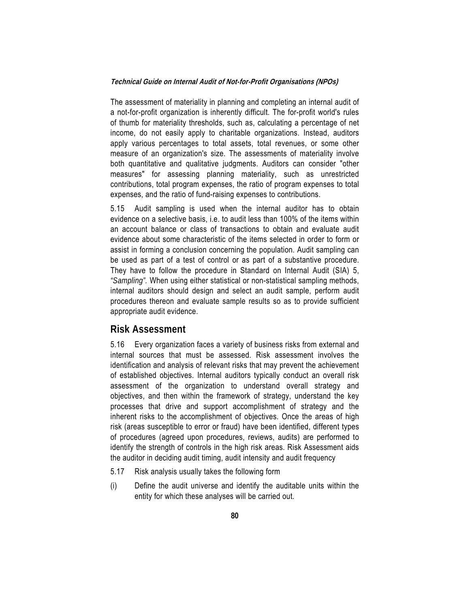The assessment of materiality in planning and completing an internal audit of a not-for-profit organization is inherently difficult. The for-profit world's rules of thumb for materiality thresholds, such as, calculating a percentage of net income, do not easily apply to charitable organizations. Instead, auditors apply various percentages to total assets, total revenues, or some other measure of an organization's size. The assessments of materiality involve both quantitative and qualitative judgments. Auditors can consider "other measures" for assessing planning materiality, such as unrestricted contributions, total program expenses, the ratio of program expenses to total expenses, and the ratio of fund-raising expenses to contributions.

5.15 Audit sampling is used when the internal auditor has to obtain evidence on a selective basis, i.e. to audit less than 100% of the items within an account balance or class of transactions to obtain and evaluate audit evidence about some characteristic of the items selected in order to form or assist in forming a conclusion concerning the population. Audit sampling can be used as part of a test of control or as part of a substantive procedure. They have to follow the procedure in Standard on Internal Audit (SIA) 5, *"Sampling".* When using either statistical or non-statistical sampling methods, internal auditors should design and select an audit sample, perform audit procedures thereon and evaluate sample results so as to provide sufficient appropriate audit evidence.

### **Risk Assessment**

5.16 Every organization faces a variety of business risks from external and internal sources that must be assessed. Risk assessment involves the identification and analysis of relevant risks that may prevent the achievement of established objectives. Internal auditors typically conduct an overall risk assessment of the organization to understand overall strategy and objectives, and then within the framework of strategy, understand the key processes that drive and support accomplishment of strategy and the inherent risks to the accomplishment of objectives. Once the areas of high risk (areas susceptible to error or fraud) have been identified, different types of procedures (agreed upon procedures, reviews, audits) are performed to identify the strength of controls in the high risk areas. Risk Assessment aids the auditor in deciding audit timing, audit intensity and audit frequency

- 5.17 Risk analysis usually takes the following form
- (i) Define the audit universe and identify the auditable units within the entity for which these analyses will be carried out.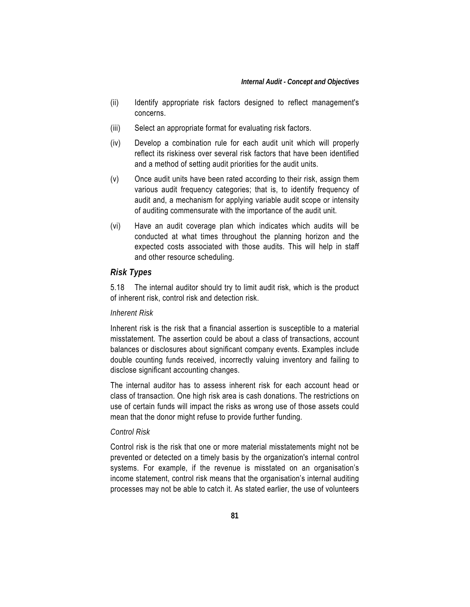- (ii) Identify appropriate risk factors designed to reflect management's concerns.
- (iii) Select an appropriate format for evaluating risk factors.
- (iv) Develop a combination rule for each audit unit which will properly reflect its riskiness over several risk factors that have been identified and a method of setting audit priorities for the audit units.
- (v) Once audit units have been rated according to their risk, assign them various audit frequency categories; that is, to identify frequency of audit and, a mechanism for applying variable audit scope or intensity of auditing commensurate with the importance of the audit unit.
- (vi) Have an audit coverage plan which indicates which audits will be conducted at what times throughout the planning horizon and the expected costs associated with those audits. This will help in staff and other resource scheduling.

#### *Risk Types*

5.18 The internal auditor should try to limit audit risk, which is the product of inherent risk, control risk and detection risk.

#### *Inherent Risk*

Inherent risk is the risk that a financial assertion is susceptible to a material misstatement. The assertion could be about a class of transactions, account balances or disclosures about significant company events. Examples include double counting funds received, incorrectly valuing inventory and failing to disclose significant accounting changes.

The internal auditor has to assess inherent risk for each account head or class of transaction. One high risk area is cash donations. The restrictions on use of certain funds will impact the risks as wrong use of those assets could mean that the donor might refuse to provide further funding.

#### *Control Risk*

Control risk is the risk that one or more material misstatements might not be prevented or detected on a timely basis by the organization's internal control systems. For example, if the revenue is misstated on an organisation's income statement, control risk means that the organisation's internal auditing processes may not be able to catch it. As stated earlier, the use of volunteers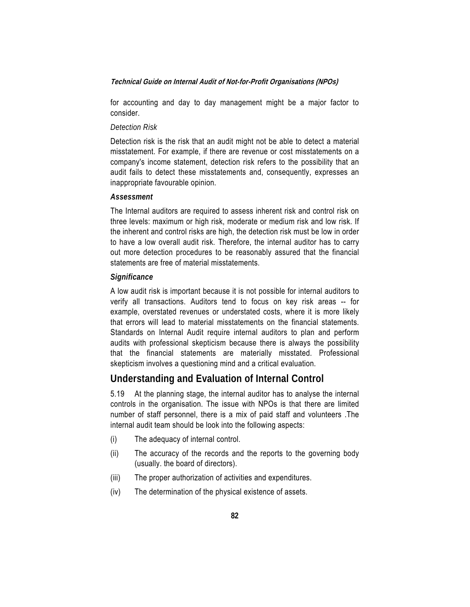for accounting and day to day management might be a major factor to consider.

#### *Detection Risk*

Detection risk is the risk that an audit might not be able to detect a material misstatement. For example, if there are revenue or cost misstatements on a company's income statement, detection risk refers to the possibility that an audit fails to detect these misstatements and, consequently, expresses an inappropriate favourable opinion.

#### *Assessment*

The Internal auditors are required to assess inherent risk and control risk on three levels: maximum or high risk, moderate or medium risk and low risk. If the inherent and control risks are high, the detection risk must be low in order to have a low overall audit risk. Therefore, the internal auditor has to carry out more detection procedures to be reasonably assured that the financial statements are free of material misstatements.

#### *Significance*

A low audit risk is important because it is not possible for internal auditors to verify all transactions. Auditors tend to focus on key risk areas -- for example, overstated revenues or understated costs, where it is more likely that errors will lead to material misstatements on the financial statements. Standards on Internal Audit require internal auditors to plan and perform audits with professional skepticism because there is always the possibility that the financial statements are materially misstated. Professional skepticism involves a questioning mind and a critical evaluation.

### **Understanding and Evaluation of Internal Control**

5.19 At the planning stage, the internal auditor has to analyse the internal controls in the organisation. The issue with NPOs is that there are limited number of staff personnel, there is a mix of paid staff and volunteers .The internal audit team should be look into the following aspects:

- (i) The adequacy of internal control.
- (ii) The accuracy of the records and the reports to the governing body (usually. the board of directors).
- (iii) The proper authorization of activities and expenditures.
- (iv) The determination of the physical existence of assets.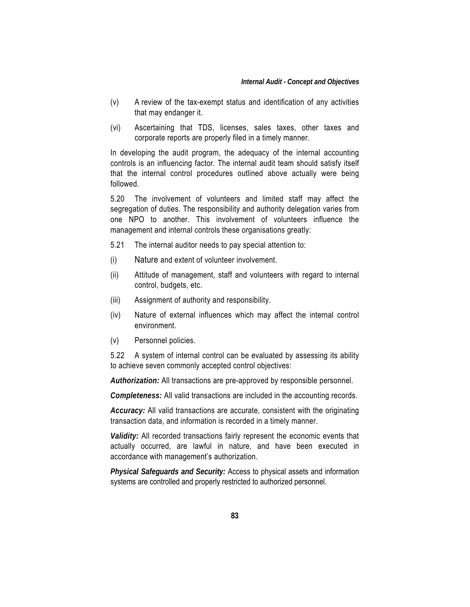- (v) A review of the tax-exempt status and identification of any activities that may endanger it.
- (vi) Ascertaining that TDS, licenses, sales taxes, other taxes and corporate reports are properly filed in a timely manner.

In developing the audit program, the adequacy of the internal accounting controls is an influencing factor. The internal audit team should satisfy itself that the internal control procedures outlined above actually were being followed.

5.20 The involvement of volunteers and limited staff may affect the segregation of duties. The responsibility and authority delegation varies from one NPO to another. This involvement of volunteers influence the management and internal controls these organisations greatly:

- 5.21 The internal auditor needs to pay special attention to:
- (i) Nature and extent of volunteer involvement.
- (ii) Attitude of management, staff and volunteers with regard to internal control, budgets, etc.
- (iii) Assignment of authority and responsibility.
- (iv) Nature of external influences which may affect the internal control environment.
- (v) Personnel policies.

5.22 A system of internal control can be evaluated by assessing its ability to achieve seven commonly accepted control objectives:

*Authorization:* All transactions are pre-approved by responsible personnel.

*Completeness:* All valid transactions are included in the accounting records.

*Accuracy:* All valid transactions are accurate, consistent with the originating transaction data, and information is recorded in a timely manner.

*Validity:* All recorded transactions fairly represent the economic events that actually occurred, are lawful in nature, and have been executed in accordance with management's authorization.

*Physical Safeguards and Security:* Access to physical assets and information systems are controlled and properly restricted to authorized personnel.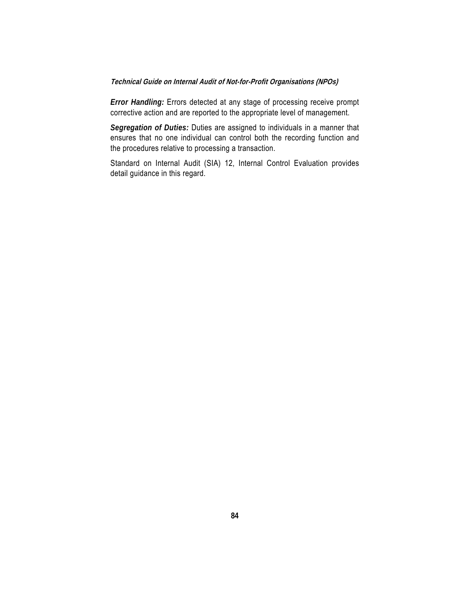*Error Handling:* Errors detected at any stage of processing receive prompt corrective action and are reported to the appropriate level of management.

*Segregation of Duties:* Duties are assigned to individuals in a manner that ensures that no one individual can control both the recording function and the procedures relative to processing a transaction.

Standard on Internal Audit (SIA) 12, Internal Control Evaluation provides detail guidance in this regard.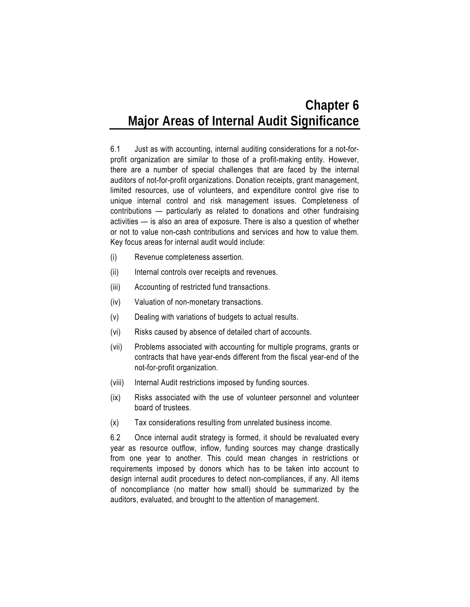# **Chapter 6 Major Areas of Internal Audit Significance**

6.1 Just as with accounting, internal auditing considerations for a not-forprofit organization are similar to those of a profit-making entity. However, there are a number of special challenges that are faced by the internal auditors of not-for-profit organizations. Donation receipts, grant management, limited resources, use of volunteers, and expenditure control give rise to unique internal control and risk management issues. Completeness of contributions — particularly as related to donations and other fundraising activities — is also an area of exposure. There is also a question of whether or not to value non-cash contributions and services and how to value them. Key focus areas for internal audit would include:

- (i) Revenue completeness assertion.
- (ii) Internal controls over receipts and revenues.
- (iii) Accounting of restricted fund transactions.
- (iv) Valuation of non-monetary transactions.
- (v) Dealing with variations of budgets to actual results.
- (vi) Risks caused by absence of detailed chart of accounts.
- (vii) Problems associated with accounting for multiple programs, grants or contracts that have year-ends different from the fiscal year-end of the not-for-profit organization.
- (viii) Internal Audit restrictions imposed by funding sources.
- (ix) Risks associated with the use of volunteer personnel and volunteer board of trustees.
- (x) Tax considerations resulting from unrelated business income.

6.2 Once internal audit strategy is formed, it should be revaluated every year as resource outflow, inflow, funding sources may change drastically from one year to another. This could mean changes in restrictions or requirements imposed by donors which has to be taken into account to design internal audit procedures to detect non-compliances, if any. All items of noncompliance (no matter how small) should be summarized by the auditors, evaluated, and brought to the attention of management.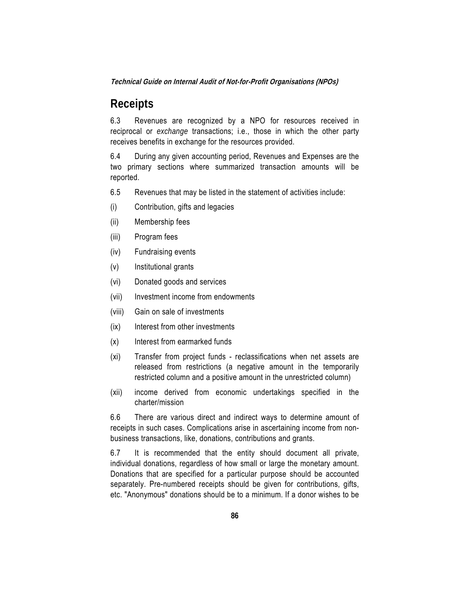## **Receipts**

6.3 Revenues are recognized by a NPO for resources received in reciprocal or *exchange* transactions; i.e., those in which the other party receives benefits in exchange for the resources provided.

6.4 During any given accounting period, Revenues and Expenses are the two primary sections where summarized transaction amounts will be reported.

- 6.5 Revenues that may be listed in the statement of activities include:
- (i) Contribution, gifts and legacies
- (ii) Membership fees
- (iii) Program fees
- (iv) Fundraising events
- (v) Institutional grants
- (vi) Donated goods and services
- (vii) Investment income from endowments
- (viii) Gain on sale of investments
- (ix) Interest from other investments
- (x) Interest from earmarked funds
- (xi) Transfer from project funds reclassifications when net assets are released from restrictions (a negative amount in the temporarily restricted column and a positive amount in the unrestricted column)
- (xii) income derived from economic undertakings specified in the charter/mission

6.6 There are various direct and indirect ways to determine amount of receipts in such cases. Complications arise in ascertaining income from nonbusiness transactions, like, donations, contributions and grants.

6.7 It is recommended that the entity should document all private, individual donations, regardless of how small or large the monetary amount. Donations that are specified for a particular purpose should be accounted separately. Pre-numbered receipts should be given for contributions, gifts, etc. "Anonymous" donations should be to a minimum. If a donor wishes to be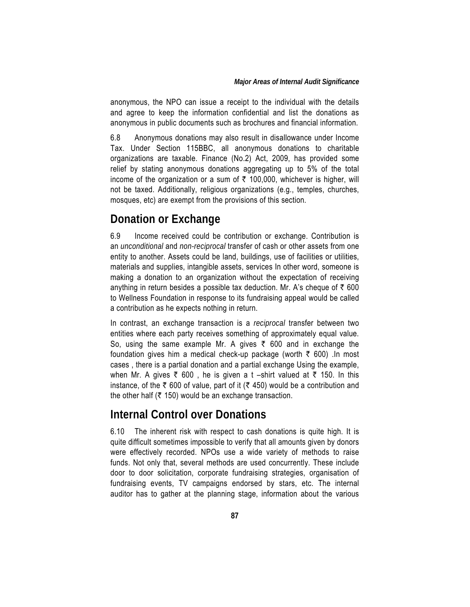#### *Major Areas of Internal Audit Significance*

anonymous, the NPO can issue a receipt to the individual with the details and agree to keep the information confidential and list the donations as anonymous in public documents such as brochures and financial information.

6.8 Anonymous donations may also result in disallowance under Income Tax. Under Section 115BBC, all anonymous donations to charitable organizations are taxable. Finance (No.2) Act, 2009, has provided some relief by stating anonymous donations aggregating up to 5% of the total income of the organization or a sum of  $\bar{\tau}$  100,000, whichever is higher, will not be taxed. Additionally, religious organizations (e.g., temples, churches, mosques, etc) are exempt from the provisions of this section.

## **Donation or Exchange**

6.9 Income received could be contribution or exchange. Contribution is an *unconditional* and *non-reciprocal* transfer of cash or other assets from one entity to another. Assets could be land, buildings, use of facilities or utilities, materials and supplies, intangible assets, services In other word, someone is making a donation to an organization without the expectation of receiving anything in return besides a possible tax deduction. Mr. A's cheque of  $\bar{\tau}$  600 to Wellness Foundation in response to its fundraising appeal would be called a contribution as he expects nothing in return.

In contrast, an exchange transaction is a *reciprocal* transfer between two entities where each party receives something of approximately equal value. So, using the same example Mr. A gives  $\bar{\tau}$  600 and in exchange the foundation gives him a medical check-up package (worth  $\bar{\tau}$  600) .In most cases , there is a partial donation and a partial exchange Using the example, when Mr. A gives  $\overline{\xi}$  600, he is given a t –shirt valued at  $\overline{\xi}$  150. In this instance, of the  $\bar{\tau}$  600 of value, part of it ( $\bar{\tau}$  450) would be a contribution and the other half ( $\bar{\tau}$  150) would be an exchange transaction.

## **Internal Control over Donations**

6.10 The inherent risk with respect to cash donations is quite high. It is quite difficult sometimes impossible to verify that all amounts given by donors were effectively recorded. NPOs use a wide variety of methods to raise funds. Not only that, several methods are used concurrently. These include door to door solicitation, corporate fundraising strategies, organisation of fundraising events, TV campaigns endorsed by stars, etc. The internal auditor has to gather at the planning stage, information about the various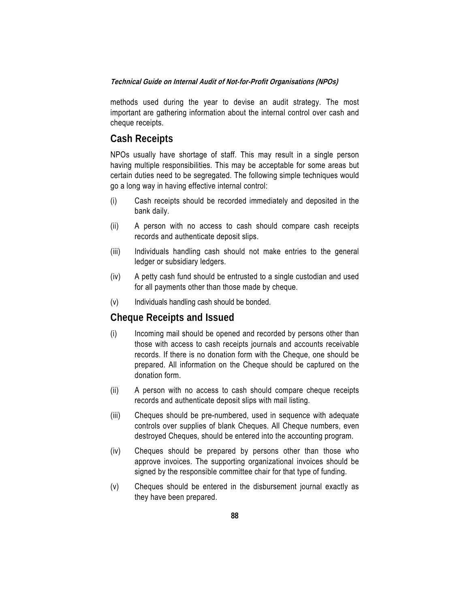methods used during the year to devise an audit strategy. The most important are gathering information about the internal control over cash and cheque receipts.

### **Cash Receipts**

NPOs usually have shortage of staff. This may result in a single person having multiple responsibilities. This may be acceptable for some areas but certain duties need to be segregated. The following simple techniques would go a long way in having effective internal control:

- (i) Cash receipts should be recorded immediately and deposited in the bank daily.
- (ii) A person with no access to cash should compare cash receipts records and authenticate deposit slips.
- (iii) Individuals handling cash should not make entries to the general ledger or subsidiary ledgers.
- (iv) A petty cash fund should be entrusted to a single custodian and used for all payments other than those made by cheque.
- (v) Individuals handling cash should be bonded.

### **Cheque Receipts and Issued**

- (i) Incoming mail should be opened and recorded by persons other than those with access to cash receipts journals and accounts receivable records. If there is no donation form with the Cheque, one should be prepared. All information on the Cheque should be captured on the donation form.
- (ii) A person with no access to cash should compare cheque receipts records and authenticate deposit slips with mail listing.
- (iii) Cheques should be pre-numbered, used in sequence with adequate controls over supplies of blank Cheques. All Cheque numbers, even destroyed Cheques, should be entered into the accounting program.
- (iv) Cheques should be prepared by persons other than those who approve invoices. The supporting organizational invoices should be signed by the responsible committee chair for that type of funding.
- (v) Cheques should be entered in the disbursement journal exactly as they have been prepared.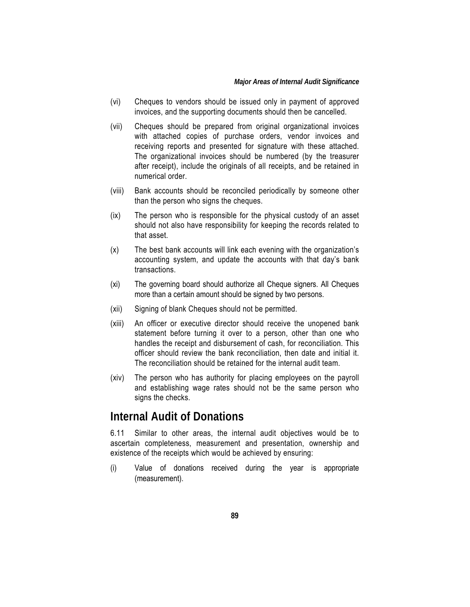- (vi) Cheques to vendors should be issued only in payment of approved invoices, and the supporting documents should then be cancelled.
- (vii) Cheques should be prepared from original organizational invoices with attached copies of purchase orders, vendor invoices and receiving reports and presented for signature with these attached. The organizational invoices should be numbered (by the treasurer after receipt), include the originals of all receipts, and be retained in numerical order.
- (viii) Bank accounts should be reconciled periodically by someone other than the person who signs the cheques.
- (ix) The person who is responsible for the physical custody of an asset should not also have responsibility for keeping the records related to that asset.
- (x) The best bank accounts will link each evening with the organization's accounting system, and update the accounts with that day's bank transactions.
- (xi) The governing board should authorize all Cheque signers. All Cheques more than a certain amount should be signed by two persons.
- (xii) Signing of blank Cheques should not be permitted.
- (xiii) An officer or executive director should receive the unopened bank statement before turning it over to a person, other than one who handles the receipt and disbursement of cash, for reconciliation. This officer should review the bank reconciliation, then date and initial it. The reconciliation should be retained for the internal audit team.
- (xiv) The person who has authority for placing employees on the payroll and establishing wage rates should not be the same person who signs the checks.

## **Internal Audit of Donations**

6.11 Similar to other areas, the internal audit objectives would be to ascertain completeness, measurement and presentation, ownership and existence of the receipts which would be achieved by ensuring:

(i) Value of donations received during the year is appropriate (measurement).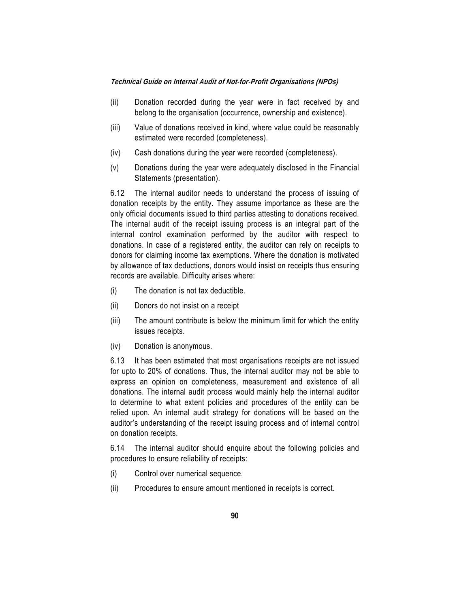- (ii) Donation recorded during the year were in fact received by and belong to the organisation (occurrence, ownership and existence).
- (iii) Value of donations received in kind, where value could be reasonably estimated were recorded (completeness).
- (iv) Cash donations during the year were recorded (completeness).
- (v) Donations during the year were adequately disclosed in the Financial Statements (presentation).

6.12 The internal auditor needs to understand the process of issuing of donation receipts by the entity. They assume importance as these are the only official documents issued to third parties attesting to donations received. The internal audit of the receipt issuing process is an integral part of the internal control examination performed by the auditor with respect to donations. In case of a registered entity, the auditor can rely on receipts to donors for claiming income tax exemptions. Where the donation is motivated by allowance of tax deductions, donors would insist on receipts thus ensuring records are available. Difficulty arises where:

- (i) The donation is not tax deductible.
- (ii) Donors do not insist on a receipt
- (iii) The amount contribute is below the minimum limit for which the entity issues receipts.
- (iv) Donation is anonymous.

6.13 It has been estimated that most organisations receipts are not issued for upto to 20% of donations. Thus, the internal auditor may not be able to express an opinion on completeness, measurement and existence of all donations. The internal audit process would mainly help the internal auditor to determine to what extent policies and procedures of the entity can be relied upon. An internal audit strategy for donations will be based on the auditor's understanding of the receipt issuing process and of internal control on donation receipts.

6.14 The internal auditor should enquire about the following policies and procedures to ensure reliability of receipts:

- (i) Control over numerical sequence.
- (ii) Procedures to ensure amount mentioned in receipts is correct.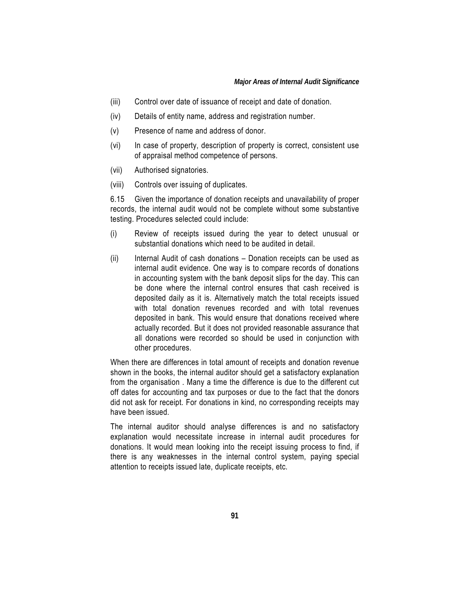- (iii) Control over date of issuance of receipt and date of donation.
- (iv) Details of entity name, address and registration number.
- (v) Presence of name and address of donor.
- (vi) In case of property, description of property is correct, consistent use of appraisal method competence of persons.
- (vii) Authorised signatories.
- (viii) Controls over issuing of duplicates.

6.15 Given the importance of donation receipts and unavailability of proper records, the internal audit would not be complete without some substantive testing. Procedures selected could include:

- (i) Review of receipts issued during the year to detect unusual or substantial donations which need to be audited in detail.
- (ii) Internal Audit of cash donations Donation receipts can be used as internal audit evidence. One way is to compare records of donations in accounting system with the bank deposit slips for the day. This can be done where the internal control ensures that cash received is deposited daily as it is. Alternatively match the total receipts issued with total donation revenues recorded and with total revenues deposited in bank. This would ensure that donations received where actually recorded. But it does not provided reasonable assurance that all donations were recorded so should be used in conjunction with other procedures.

When there are differences in total amount of receipts and donation revenue shown in the books, the internal auditor should get a satisfactory explanation from the organisation . Many a time the difference is due to the different cut off dates for accounting and tax purposes or due to the fact that the donors did not ask for receipt. For donations in kind, no corresponding receipts may have been issued.

The internal auditor should analyse differences is and no satisfactory explanation would necessitate increase in internal audit procedures for donations. It would mean looking into the receipt issuing process to find, if there is any weaknesses in the internal control system, paying special attention to receipts issued late, duplicate receipts, etc.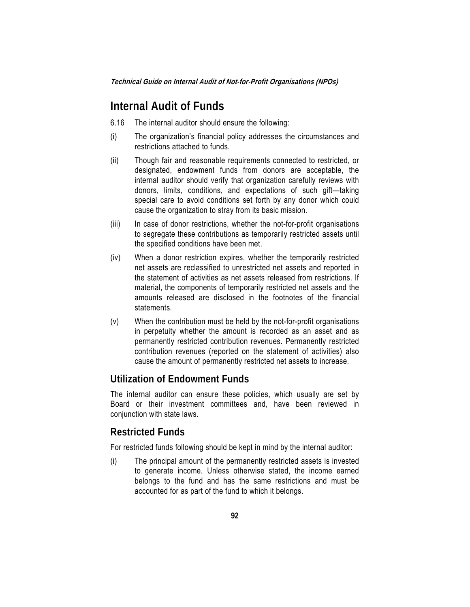## **Internal Audit of Funds**

- 6.16 The internal auditor should ensure the following:
- (i) The organization's financial policy addresses the circumstances and restrictions attached to funds.
- (ii) Though fair and reasonable requirements connected to restricted, or designated, endowment funds from donors are acceptable, the internal auditor should verify that organization carefully reviews with donors, limits, conditions, and expectations of such gift—taking special care to avoid conditions set forth by any donor which could cause the organization to stray from its basic mission.
- (iii) In case of donor restrictions, whether the not-for-profit organisations to segregate these contributions as temporarily restricted assets until the specified conditions have been met.
- (iv) When a donor restriction expires, whether the temporarily restricted net assets are reclassified to unrestricted net assets and reported in the statement of activities as net assets released from restrictions. If material, the components of temporarily restricted net assets and the amounts released are disclosed in the footnotes of the financial statements.
- (v) When the contribution must be held by the not-for-profit organisations in perpetuity whether the amount is recorded as an asset and as permanently restricted contribution revenues. Permanently restricted contribution revenues (reported on the statement of activities) also cause the amount of permanently restricted net assets to increase.

### **Utilization of Endowment Funds**

The internal auditor can ensure these policies, which usually are set by Board or their investment committees and, have been reviewed in conjunction with state laws.

### **Restricted Funds**

For restricted funds following should be kept in mind by the internal auditor:

(i) The principal amount of the permanently restricted assets is invested to generate income. Unless otherwise stated, the income earned belongs to the fund and has the same restrictions and must be accounted for as part of the fund to which it belongs.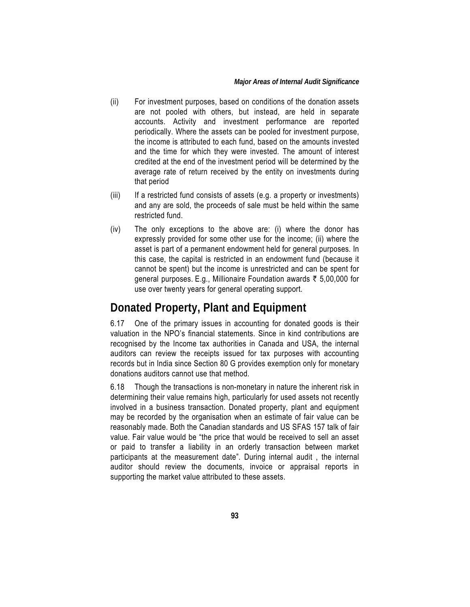- (ii) For investment purposes, based on conditions of the donation assets are not pooled with others, but instead, are held in separate accounts. Activity and investment performance are reported periodically. Where the assets can be pooled for investment purpose, the income is attributed to each fund, based on the amounts invested and the time for which they were invested. The amount of interest credited at the end of the investment period will be determined by the average rate of return received by the entity on investments during that period
- (iii) If a restricted fund consists of assets (e.g. a property or investments) and any are sold, the proceeds of sale must be held within the same restricted fund.
- (iv) The only exceptions to the above are: (i) where the donor has expressly provided for some other use for the income; (ii) where the asset is part of a permanent endowment held for general purposes. In this case, the capital is restricted in an endowment fund (because it cannot be spent) but the income is unrestricted and can be spent for general purposes. E.g., Millionaire Foundation awards  $\bar{\tau}$  5,00,000 for use over twenty years for general operating support.

## **Donated Property, Plant and Equipment**

6.17 One of the primary issues in accounting for donated goods is their valuation in the NPO's financial statements. Since in kind contributions are recognised by the Income tax authorities in Canada and USA, the internal auditors can review the receipts issued for tax purposes with accounting records but in India since Section 80 G provides exemption only for monetary donations auditors cannot use that method.

6.18 Though the transactions is non-monetary in nature the inherent risk in determining their value remains high, particularly for used assets not recently involved in a business transaction. Donated property, plant and equipment may be recorded by the organisation when an estimate of fair value can be reasonably made. Both the Canadian standards and US SFAS 157 talk of fair value. Fair value would be "the price that would be received to sell an asset or paid to transfer a liability in an orderly transaction between market participants at the measurement date". During internal audit , the internal auditor should review the documents, invoice or appraisal reports in supporting the market value attributed to these assets.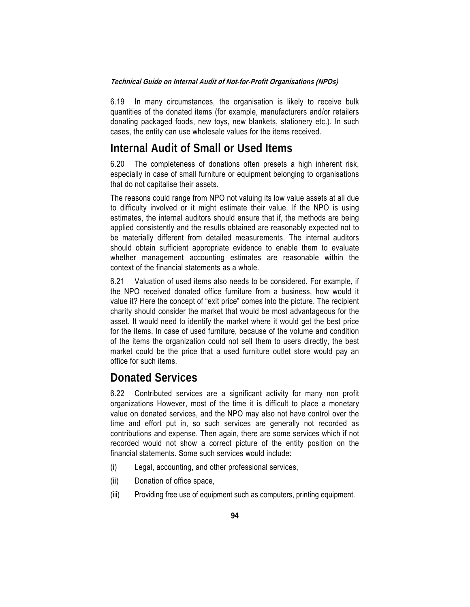6.19 In many circumstances, the organisation is likely to receive bulk quantities of the donated items (for example, manufacturers and/or retailers donating packaged foods, new toys, new blankets, stationery etc.). In such cases, the entity can use wholesale values for the items received.

## **Internal Audit of Small or Used Items**

6.20 The completeness of donations often presets a high inherent risk, especially in case of small furniture or equipment belonging to organisations that do not capitalise their assets.

The reasons could range from NPO not valuing its low value assets at all due to difficulty involved or it might estimate their value. If the NPO is using estimates, the internal auditors should ensure that if, the methods are being applied consistently and the results obtained are reasonably expected not to be materially different from detailed measurements. The internal auditors should obtain sufficient appropriate evidence to enable them to evaluate whether management accounting estimates are reasonable within the context of the financial statements as a whole.

6.21 Valuation of used items also needs to be considered. For example, if the NPO received donated office furniture from a business, how would it value it? Here the concept of "exit price" comes into the picture. The recipient charity should consider the market that would be most advantageous for the asset. It would need to identify the market where it would get the best price for the items. In case of used furniture, because of the volume and condition of the items the organization could not sell them to users directly, the best market could be the price that a used furniture outlet store would pay an office for such items.

## **Donated Services**

6.22 Contributed services are a significant activity for many non profit organizations However, most of the time it is difficult to place a monetary value on donated services, and the NPO may also not have control over the time and effort put in, so such services are generally not recorded as contributions and expense. Then again, there are some services which if not recorded would not show a correct picture of the entity position on the financial statements. Some such services would include:

- (i) Legal, accounting, and other professional services,
- (ii) Donation of office space,
- (iii) Providing free use of equipment such as computers, printing equipment.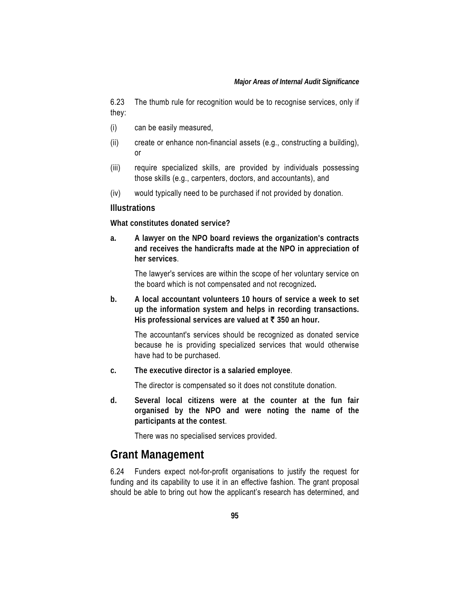6.23 The thumb rule for recognition would be to recognise services, only if they:

- (i) can be easily measured,
- (ii) create or enhance non-financial assets (e.g., constructing a building), or
- (iii) require specialized skills, are provided by individuals possessing those skills (e.g., carpenters, doctors, and accountants), and
- (iv) would typically need to be purchased if not provided by donation.

#### **Illustrations**

**What constitutes donated service?** 

**a. A lawyer on the NPO board reviews the organization's contracts and receives the handicrafts made at the NPO in appreciation of her services**.

 The lawyer's services are within the scope of her voluntary service on the board which is not compensated and not recognized**.** 

**b. A local accountant volunteers 10 hours of service a week to set up the information system and helps in recording transactions. His professional services are valued at** ` **350 an hour.** 

 The accountant's services should be recognized as donated service because he is providing specialized services that would otherwise have had to be purchased.

**c. The executive director is a salaried employee**.

The director is compensated so it does not constitute donation.

**d. Several local citizens were at the counter at the fun fair organised by the NPO and were noting the name of the participants at the contest**.

There was no specialised services provided.

## **Grant Management**

6.24 Funders expect not-for-profit organisations to justify the request for funding and its capability to use it in an effective fashion. The grant proposal should be able to bring out how the applicant's research has determined, and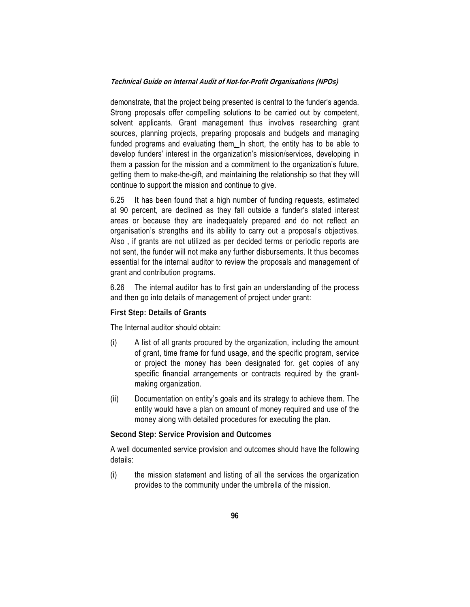demonstrate, that the project being presented is central to the funder's agenda. Strong proposals offer compelling solutions to be carried out by competent, solvent applicants. Grant management thus involves researching grant sources, planning projects, preparing proposals and budgets and managing funded programs and evaluating them. In short, the entity has to be able to develop funders' interest in the organization's mission/services, developing in them a passion for the mission and a commitment to the organization's future, getting them to make-the-gift, and maintaining the relationship so that they will continue to support the mission and continue to give.

6.25 It has been found that a high number of funding requests, estimated at 90 percent, are declined as they fall outside a funder's stated interest areas or because they are inadequately prepared and do not reflect an organisation's strengths and its ability to carry out a proposal's objectives. Also , if grants are not utilized as per decided terms or periodic reports are not sent, the funder will not make any further disbursements. It thus becomes essential for the internal auditor to review the proposals and management of grant and contribution programs.

6.26 The internal auditor has to first gain an understanding of the process and then go into details of management of project under grant:

#### **First Step: Details of Grants**

The Internal auditor should obtain:

- (i) A list of all grants procured by the organization, including the amount of grant, time frame for fund usage, and the specific program, service or project the money has been designated for. get copies of any specific financial arrangements or contracts required by the grantmaking organization.
- (ii) Documentation on entity's goals and its strategy to achieve them. The entity would have a plan on amount of money required and use of the money along with detailed procedures for executing the plan.

#### **Second Step: Service Provision and Outcomes**

A well documented service provision and outcomes should have the following details:

(i) the mission statement and listing of all the services the organization provides to the community under the umbrella of the mission.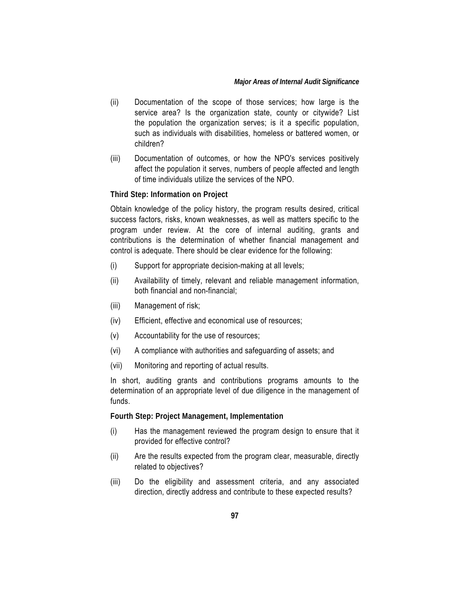#### *Major Areas of Internal Audit Significance*

- (ii) Documentation of the scope of those services; how large is the service area? Is the organization state, county or citywide? List the population the organization serves; is it a specific population, such as individuals with disabilities, homeless or battered women, or children?
- (iii) Documentation of outcomes, or how the NPO's services positively affect the population it serves, numbers of people affected and length of time individuals utilize the services of the NPO.

#### **Third Step: Information on Project**

Obtain knowledge of the policy history, the program results desired, critical success factors, risks, known weaknesses, as well as matters specific to the program under review. At the core of internal auditing, grants and contributions is the determination of whether financial management and control is adequate. There should be clear evidence for the following:

- (i) Support for appropriate decision-making at all levels;
- (ii) Availability of timely, relevant and reliable management information, both financial and non-financial;
- (iii) Management of risk;
- (iv) Efficient, effective and economical use of resources;
- (v) Accountability for the use of resources;
- (vi) A compliance with authorities and safeguarding of assets; and
- (vii) Monitoring and reporting of actual results.

In short, auditing grants and contributions programs amounts to the determination of an appropriate level of due diligence in the management of funds.

**Fourth Step: Project Management, Implementation** 

- (i) Has the management reviewed the program design to ensure that it provided for effective control?
- (ii) Are the results expected from the program clear, measurable, directly related to objectives?
- (iii) Do the eligibility and assessment criteria, and any associated direction, directly address and contribute to these expected results?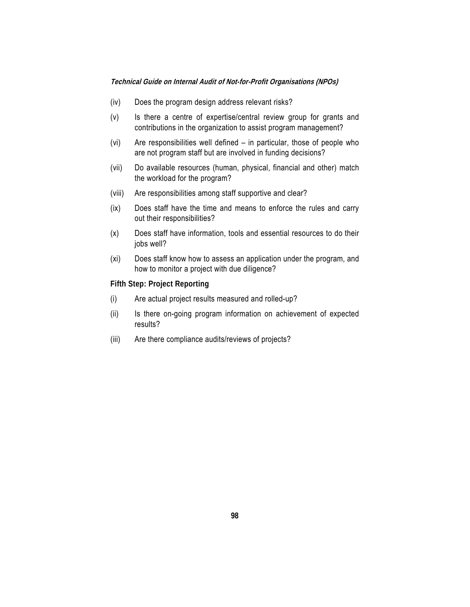#### **Technical Guide on Internal Audit of Not-for-Profit Organisations (NPOs)**

- (iv) Does the program design address relevant risks?
- (v) Is there a centre of expertise/central review group for grants and contributions in the organization to assist program management?
- (vi) Are responsibilities well defined in particular, those of people who are not program staff but are involved in funding decisions?
- (vii) Do available resources (human, physical, financial and other) match the workload for the program?
- (viii) Are responsibilities among staff supportive and clear?
- (ix) Does staff have the time and means to enforce the rules and carry out their responsibilities?
- (x) Does staff have information, tools and essential resources to do their jobs well?
- (xi) Does staff know how to assess an application under the program, and how to monitor a project with due diligence?

**Fifth Step: Project Reporting**

- (i) Are actual project results measured and rolled-up?
- (ii) Is there on-going program information on achievement of expected results?
- (iii) Are there compliance audits/reviews of projects?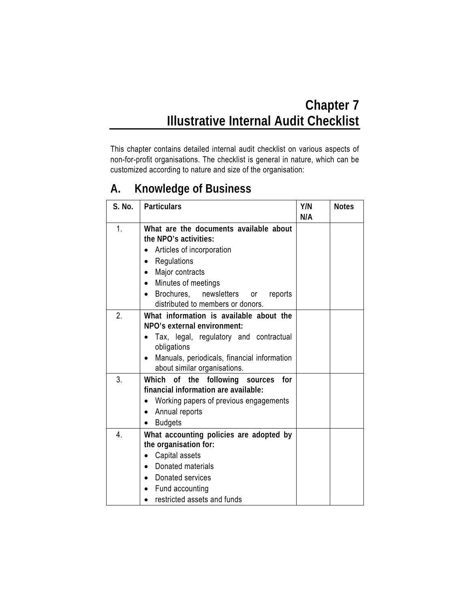### **Chapter 7 Illustrative Internal Audit Checklist**

This chapter contains detailed internal audit checklist on various aspects of non-for-profit organisations. The checklist is general in nature, which can be customized according to nature and size of the organisation:

# **A. Knowledge of Business**

| S. No. | <b>Particulars</b>                             | Y/N | <b>Notes</b> |
|--------|------------------------------------------------|-----|--------------|
|        |                                                | N/A |              |
| 1.     | What are the documents available about         |     |              |
|        | the NPO's activities:                          |     |              |
|        | Articles of incorporation                      |     |              |
|        | Regulations                                    |     |              |
|        | Major contracts<br>$\bullet$                   |     |              |
|        | Minutes of meetings                            |     |              |
|        | Brochures, newsletters<br>reports<br><b>or</b> |     |              |
|        | distributed to members or donors.              |     |              |
| 2.     | What information is available about the        |     |              |
|        | NPO's external environment:                    |     |              |
|        | Tax, legal, regulatory and contractual         |     |              |
|        | obligations                                    |     |              |
|        | Manuals, periodicals, financial information    |     |              |
|        | about similar organisations.                   |     |              |
| 3.     | Which of the following sources<br>for          |     |              |
|        | financial information are available:           |     |              |
|        | Working papers of previous engagements         |     |              |
|        | Annual reports                                 |     |              |
|        | <b>Budgets</b>                                 |     |              |
| 4.     | What accounting policies are adopted by        |     |              |
|        | the organisation for:                          |     |              |
|        | Capital assets                                 |     |              |
|        | Donated materials                              |     |              |
|        | Donated services                               |     |              |
|        | Fund accounting                                |     |              |
|        | restricted assets and funds                    |     |              |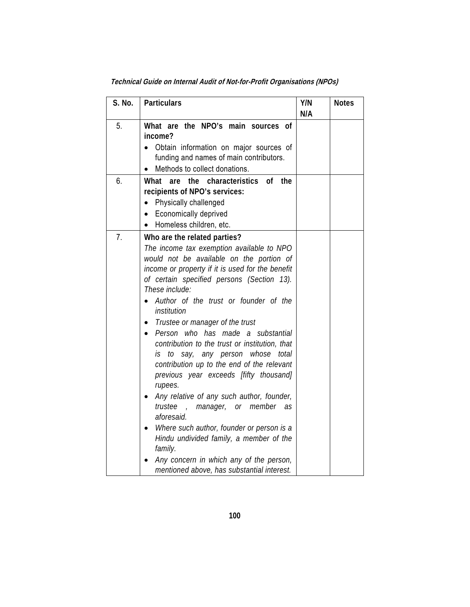| S. No. | Particulars                                                                                                                                                                                                                                                                                                                                                                                                                                                                                                                                                                                                                                                                                                                                                                                                                                                                        | Y/N<br>N/A | <b>Notes</b> |
|--------|------------------------------------------------------------------------------------------------------------------------------------------------------------------------------------------------------------------------------------------------------------------------------------------------------------------------------------------------------------------------------------------------------------------------------------------------------------------------------------------------------------------------------------------------------------------------------------------------------------------------------------------------------------------------------------------------------------------------------------------------------------------------------------------------------------------------------------------------------------------------------------|------------|--------------|
| 5.     | What are the NPO's main sources of<br>income?<br>Obtain information on major sources of<br>funding and names of main contributors.<br>Methods to collect donations.                                                                                                                                                                                                                                                                                                                                                                                                                                                                                                                                                                                                                                                                                                                |            |              |
| 6.     | the<br>What<br>characteristics of<br>the<br>are<br>recipients of NPO's services:<br>Physically challenged<br>$\bullet$<br><b>Economically deprived</b><br>Homeless children, etc.                                                                                                                                                                                                                                                                                                                                                                                                                                                                                                                                                                                                                                                                                                  |            |              |
| 7.     | Who are the related parties?<br>The income tax exemption available to NPO<br>would not be available on the portion of<br>income or property if it is used for the benefit<br>of certain specified persons (Section 13).<br>These include:<br>Author of the trust or founder of the<br>institution<br>Trustee or manager of the trust<br>٠<br>Person who has made a substantial<br>$\bullet$<br>contribution to the trust or institution, that<br>is to say, any person whose total<br>contribution up to the end of the relevant<br>previous year exceeds [fifty thousand]<br>rupees.<br>Any relative of any such author, founder,<br>trustee<br>, manager, or member as<br>aforesaid.<br>Where such author, founder or person is a<br>Hindu undivided family, a member of the<br>family.<br>Any concern in which any of the person,<br>mentioned above, has substantial interest. |            |              |

**Technical Guide on Internal Audit of Not-for-Profit Organisations (NPOs)**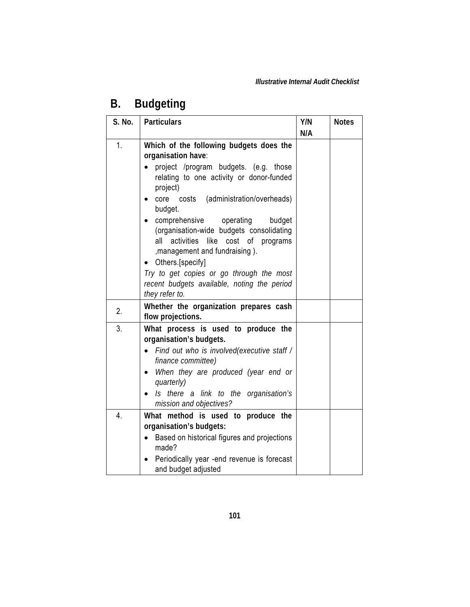## **B. Budgeting**

| S. No. | <b>Particulars</b>                                                                                                                                                                                                                                          | Y/N | <b>Notes</b> |
|--------|-------------------------------------------------------------------------------------------------------------------------------------------------------------------------------------------------------------------------------------------------------------|-----|--------------|
|        |                                                                                                                                                                                                                                                             | N/A |              |
| 1.     | Which of the following budgets does the<br>organisation have:                                                                                                                                                                                               |     |              |
|        | project /program budgets. (e.g. those<br>relating to one activity or donor-funded<br>project)                                                                                                                                                               |     |              |
|        | (administration/overheads)<br>core<br>costs<br>budget.                                                                                                                                                                                                      |     |              |
|        | comprehensive<br>operating<br>budget<br>(organisation-wide budgets consolidating<br>activities<br>like<br>cost of programs<br>all<br>, management and fundraising).                                                                                         |     |              |
|        | Others.[specify]<br>Try to get copies or go through the most<br>recent budgets available, noting the period<br>they refer to.                                                                                                                               |     |              |
| 2.     | Whether the organization prepares cash<br>flow projections.                                                                                                                                                                                                 |     |              |
| 3.     | What process is used to produce the<br>organisation's budgets.<br>Find out who is involved(executive staff /<br>finance committee)<br>When they are produced (year end or<br>quarterly)<br>Is there a link to the organisation's<br>mission and objectives? |     |              |
| 4.     | What method is used to produce the<br>organisation's budgets:<br>Based on historical figures and projections<br>made?<br>Periodically year -end revenue is forecast<br>and budget adjusted                                                                  |     |              |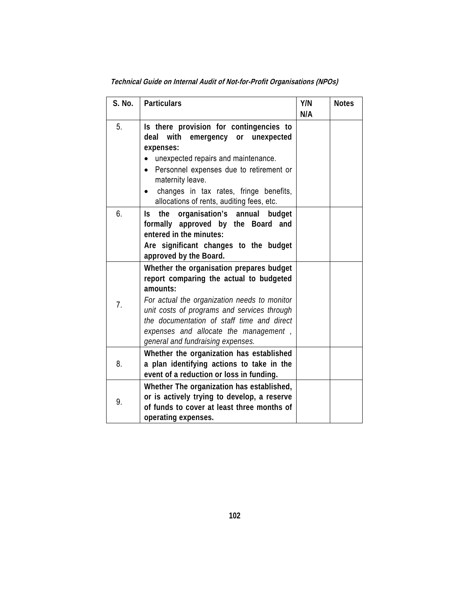| S. No. | <b>Particulars</b>                                                                                                                                                                                                                                                                                                         | Y/N<br>N/A | <b>Notes</b> |
|--------|----------------------------------------------------------------------------------------------------------------------------------------------------------------------------------------------------------------------------------------------------------------------------------------------------------------------------|------------|--------------|
| 5.     | Is there provision for contingencies to<br>with<br>deal<br>emergency<br>or unexpected<br>expenses:<br>unexpected repairs and maintenance.<br>Personnel expenses due to retirement or<br>maternity leave.<br>changes in tax rates, fringe benefits,<br>allocations of rents, auditing fees, etc.                            |            |              |
| 6.     | the<br>organisation's annual budget<br>ls.<br>formally approved by the Board and<br>entered in the minutes:<br>Are significant changes to the budget<br>approved by the Board.                                                                                                                                             |            |              |
| 7.     | Whether the organisation prepares budget<br>report comparing the actual to budgeted<br>amounts:<br>For actual the organization needs to monitor<br>unit costs of programs and services through<br>the documentation of staff time and direct<br>expenses and allocate the management,<br>general and fundraising expenses. |            |              |
| 8.     | Whether the organization has established<br>a plan identifying actions to take in the<br>event of a reduction or loss in funding.                                                                                                                                                                                          |            |              |
| 9.     | Whether The organization has established,<br>or is actively trying to develop, a reserve<br>of funds to cover at least three months of<br>operating expenses.                                                                                                                                                              |            |              |

**Technical Guide on Internal Audit of Not-for-Profit Organisations (NPOs)**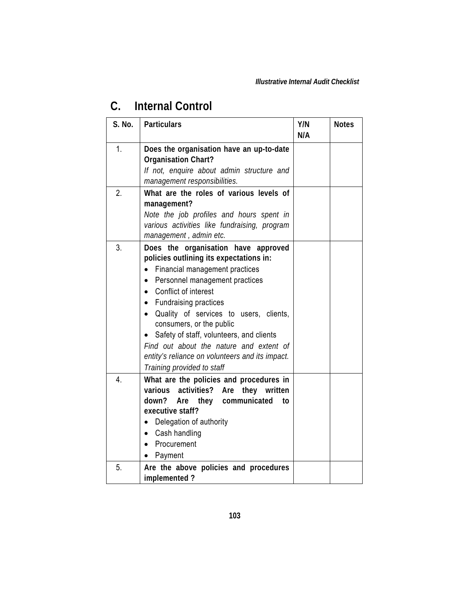### **C. Internal Control**

| S. No. | <b>Particulars</b>                                                                                                                                                                                                                                                                                                                                                                                                                                  | Y/N | <b>Notes</b> |
|--------|-----------------------------------------------------------------------------------------------------------------------------------------------------------------------------------------------------------------------------------------------------------------------------------------------------------------------------------------------------------------------------------------------------------------------------------------------------|-----|--------------|
|        |                                                                                                                                                                                                                                                                                                                                                                                                                                                     | N/A |              |
| 1.     | Does the organisation have an up-to-date<br><b>Organisation Chart?</b>                                                                                                                                                                                                                                                                                                                                                                              |     |              |
|        | If not, enquire about admin structure and<br>management responsibilities.                                                                                                                                                                                                                                                                                                                                                                           |     |              |
| 2.     | What are the roles of various levels of<br>management?<br>Note the job profiles and hours spent in<br>various activities like fundraising, program<br>management, admin etc.                                                                                                                                                                                                                                                                        |     |              |
| 3.     | Does the organisation have approved<br>policies outlining its expectations in:<br>Financial management practices<br>Personnel management practices<br>Conflict of interest<br>• Fundraising practices<br>Quality of services to users, clients,<br>consumers, or the public<br>Safety of staff, volunteers, and clients<br>Find out about the nature and extent of<br>entity's reliance on volunteers and its impact.<br>Training provided to staff |     |              |
| 4.     | What are the policies and procedures in<br>activities? Are they<br>various<br>written<br>down?<br>they communicated<br>Are<br>to<br>executive staff?<br>Delegation of authority<br>Cash handling<br>$\bullet$<br>Procurement<br>Payment                                                                                                                                                                                                             |     |              |
| 5.     | Are the above policies and procedures<br>implemented?                                                                                                                                                                                                                                                                                                                                                                                               |     |              |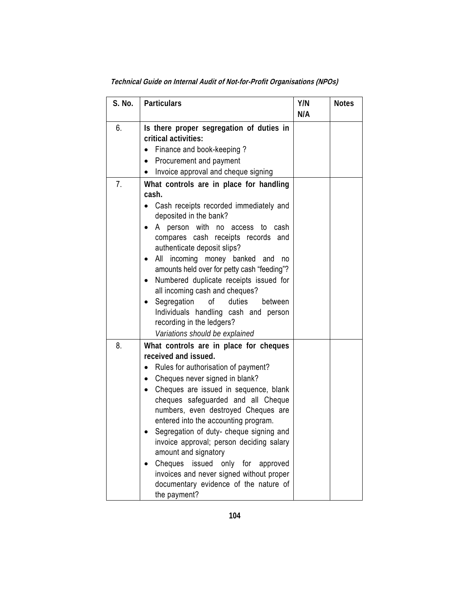| S. No. | <b>Particulars</b>                                                                                                                                                                                                                                                                                                                                                                                                                                                                                                                                                  | Y/N<br>N/A | <b>Notes</b> |
|--------|---------------------------------------------------------------------------------------------------------------------------------------------------------------------------------------------------------------------------------------------------------------------------------------------------------------------------------------------------------------------------------------------------------------------------------------------------------------------------------------------------------------------------------------------------------------------|------------|--------------|
| 6.     | Is there proper segregation of duties in<br>critical activities:<br>Finance and book-keeping?<br>Procurement and payment<br>$\bullet$<br>Invoice approval and cheque signing                                                                                                                                                                                                                                                                                                                                                                                        |            |              |
| 7.     | What controls are in place for handling<br>cash.<br>Cash receipts recorded immediately and<br>deposited in the bank?<br>person with no access<br>cash<br>A<br>to<br>compares cash receipts records and<br>authenticate deposit slips?<br>All incoming money banked and<br>no<br>amounts held over for petty cash "feeding"?<br>Numbered duplicate receipts issued for<br>all incoming cash and cheques?<br>Segregation<br>duties<br>οf<br>between<br>Individuals handling cash and person<br>recording in the ledgers?<br>Variations should be explained            |            |              |
| 8.     | What controls are in place for cheques<br>received and issued.<br>Rules for authorisation of payment?<br>Cheques never signed in blank?<br>Cheques are issued in sequence, blank<br>cheques safeguarded and all Cheque<br>numbers, even destroyed Cheques are<br>entered into the accounting program.<br>Segregation of duty- cheque signing and<br>invoice approval; person deciding salary<br>amount and signatory<br>Cheques<br>issued only for<br>approved<br>invoices and never signed without proper<br>documentary evidence of the nature of<br>the payment? |            |              |

**Technical Guide on Internal Audit of Not-for-Profit Organisations (NPOs)**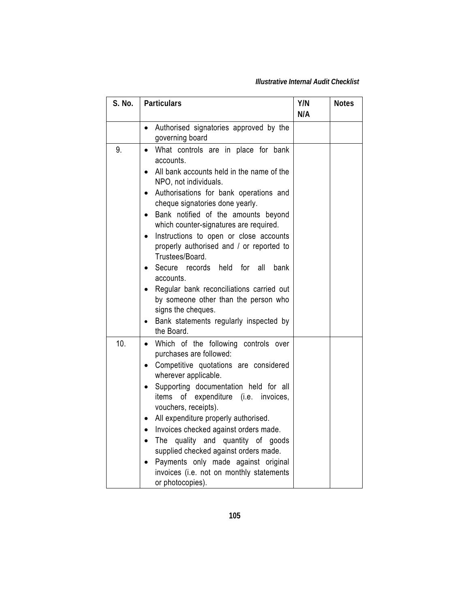*Illustrative Internal Audit Checklist* 

| S. No. | <b>Particulars</b>                                                                                                                                                                                                                                                                                                                                                                                                                                                                                                                                                                                                     | Y/N<br>N/A | <b>Notes</b> |
|--------|------------------------------------------------------------------------------------------------------------------------------------------------------------------------------------------------------------------------------------------------------------------------------------------------------------------------------------------------------------------------------------------------------------------------------------------------------------------------------------------------------------------------------------------------------------------------------------------------------------------------|------------|--------------|
|        | Authorised signatories approved by the<br>governing board                                                                                                                                                                                                                                                                                                                                                                                                                                                                                                                                                              |            |              |
| 9.     | What controls are in place for bank<br>accounts.<br>All bank accounts held in the name of the<br>NPO, not individuals.<br>Authorisations for bank operations and<br>cheque signatories done yearly.<br>Bank notified of the amounts beyond<br>which counter-signatures are required.<br>Instructions to open or close accounts<br>properly authorised and / or reported to<br>Trustees/Board.<br>Secure records held for<br>all<br>bank<br>accounts.<br>Regular bank reconciliations carried out<br>by someone other than the person who<br>signs the cheques.<br>Bank statements regularly inspected by<br>the Board. |            |              |
| 10.    | Which of the following controls over<br>$\bullet$<br>purchases are followed:<br>Competitive quotations are considered<br>wherever applicable.<br>Supporting documentation held for all<br>of expenditure (i.e. invoices,<br>items<br>vouchers, receipts).<br>All expenditure properly authorised.<br>Invoices checked against orders made.<br>quality and quantity of goods<br>The<br>supplied checked against orders made.<br>Payments only made against original<br>invoices (i.e. not on monthly statements<br>or photocopies).                                                                                     |            |              |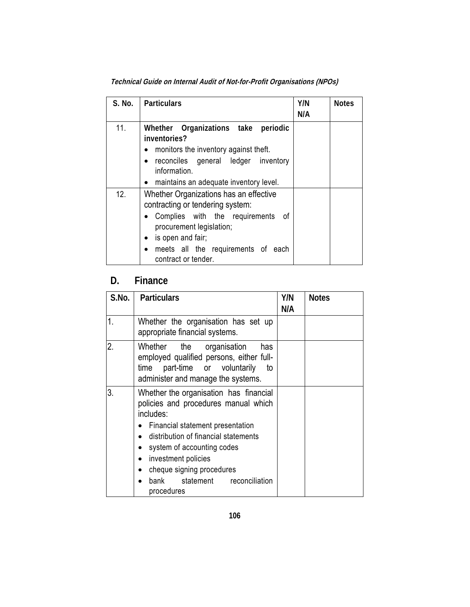| S. No. | <b>Particulars</b>                                                                                                                                                                                                                | Y/N<br>N/A | <b>Notes</b> |
|--------|-----------------------------------------------------------------------------------------------------------------------------------------------------------------------------------------------------------------------------------|------------|--------------|
| 11.    | Whether Organizations take periodic<br>inventories?<br>monitors the inventory against theft.<br>$\bullet$<br>reconciles general ledger inventory<br>$\bullet$<br>information.<br>maintains an adequate inventory level.           |            |              |
| 12.    | Whether Organizations has an effective<br>contracting or tendering system:<br>Complies with the requirements<br>_of<br>procurement legislation;<br>is open and fair;<br>meets all the requirements of each<br>contract or tender. |            |              |

**Technical Guide on Internal Audit of Not-for-Profit Organisations (NPOs)** 

### **D. Finance**

| S.No.            | <b>Particulars</b>                                                                                                                                                                                                                                                                                          | Y/N | <b>Notes</b> |
|------------------|-------------------------------------------------------------------------------------------------------------------------------------------------------------------------------------------------------------------------------------------------------------------------------------------------------------|-----|--------------|
|                  |                                                                                                                                                                                                                                                                                                             | N/A |              |
| 1.               | Whether the organisation has set up<br>appropriate financial systems.                                                                                                                                                                                                                                       |     |              |
| $\overline{2}$ . | Whether the organisation<br>has<br>employed qualified persons, either full-<br>part-time or voluntarily<br>time<br>to<br>administer and manage the systems.                                                                                                                                                 |     |              |
| 3.               | Whether the organisation has financial<br>policies and procedures manual which<br>includes:<br>Financial statement presentation<br>distribution of financial statements<br>system of accounting codes<br>investment policies<br>cheque signing procedures<br>bank statement<br>reconciliation<br>procedures |     |              |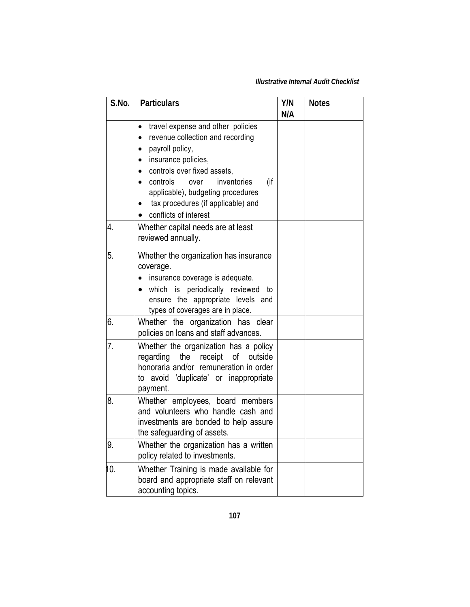#### *Illustrative Internal Audit Checklist*

| S.No. | <b>Particulars</b>                                                                                                                                                                                                                                                                                                                  | Y/N<br>N/A | <b>Notes</b> |
|-------|-------------------------------------------------------------------------------------------------------------------------------------------------------------------------------------------------------------------------------------------------------------------------------------------------------------------------------------|------------|--------------|
|       | travel expense and other policies<br>$\bullet$<br>revenue collection and recording<br>payroll policy,<br>$\bullet$<br>insurance policies,<br>$\bullet$<br>controls over fixed assets,<br>(if<br>controls<br>inventories<br>over<br>applicable), budgeting procedures<br>tax procedures (if applicable) and<br>conflicts of interest |            |              |
| 4.    | Whether capital needs are at least<br>reviewed annually.                                                                                                                                                                                                                                                                            |            |              |
| 5.    | Whether the organization has insurance<br>coverage.<br>insurance coverage is adequate.<br>which is periodically reviewed<br>to<br>ensure the appropriate levels and<br>types of coverages are in place.                                                                                                                             |            |              |
| 6.    | organization has clear<br>Whether the<br>policies on loans and staff advances.                                                                                                                                                                                                                                                      |            |              |
| 7.    | Whether the organization has a policy<br>the<br>receipt<br>of<br>outside<br>regarding<br>honoraria and/or remuneration in order<br>to avoid 'duplicate' or inappropriate<br>payment.                                                                                                                                                |            |              |
| 8.    | Whether employees, board members<br>and volunteers who handle cash and<br>investments are bonded to help assure<br>the safeguarding of assets.                                                                                                                                                                                      |            |              |
| 9.    | Whether the organization has a written<br>policy related to investments.                                                                                                                                                                                                                                                            |            |              |
| 10.   | Whether Training is made available for<br>board and appropriate staff on relevant<br>accounting topics.                                                                                                                                                                                                                             |            |              |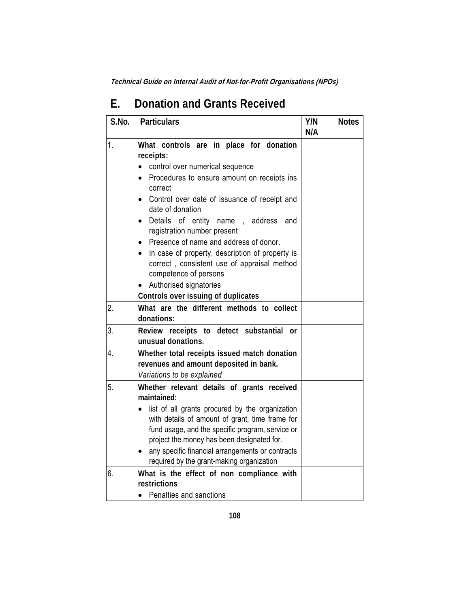| S.No.    | <b>Particulars</b>                                                                                                                                                                                                                                                                                                                                                                                                                                                                                                                   | Y/N<br>N/A | <b>Notes</b> |
|----------|--------------------------------------------------------------------------------------------------------------------------------------------------------------------------------------------------------------------------------------------------------------------------------------------------------------------------------------------------------------------------------------------------------------------------------------------------------------------------------------------------------------------------------------|------------|--------------|
| 1.       | What controls are in place for donation<br>receipts:<br>control over numerical sequence<br>Procedures to ensure amount on receipts ins<br>correct<br>Control over date of issuance of receipt and<br>date of donation<br>Details of entity name, address<br>and<br>registration number present<br>Presence of name and address of donor.<br>In case of property, description of property is<br>correct, consistent use of appraisal method<br>competence of persons<br>Authorised signatories<br>Controls over issuing of duplicates |            |              |
| 2.       | What are the different methods to collect<br>donations:                                                                                                                                                                                                                                                                                                                                                                                                                                                                              |            |              |
| 3.       | Review receipts to detect substantial or<br>unusual donations.                                                                                                                                                                                                                                                                                                                                                                                                                                                                       |            |              |
| 4.       | Whether total receipts issued match donation<br>revenues and amount deposited in bank.<br>Variations to be explained                                                                                                                                                                                                                                                                                                                                                                                                                 |            |              |
| 5.<br>6. | Whether relevant details of grants received<br>maintained:<br>list of all grants procured by the organization<br>with details of amount of grant, time frame for<br>fund usage, and the specific program, service or<br>project the money has been designated for.<br>any specific financial arrangements or contracts<br>required by the grant-making organization<br>What is the effect of non compliance with<br>restrictions                                                                                                     |            |              |
|          | Penalties and sanctions                                                                                                                                                                                                                                                                                                                                                                                                                                                                                                              |            |              |

### **E. Donation and Grants Received**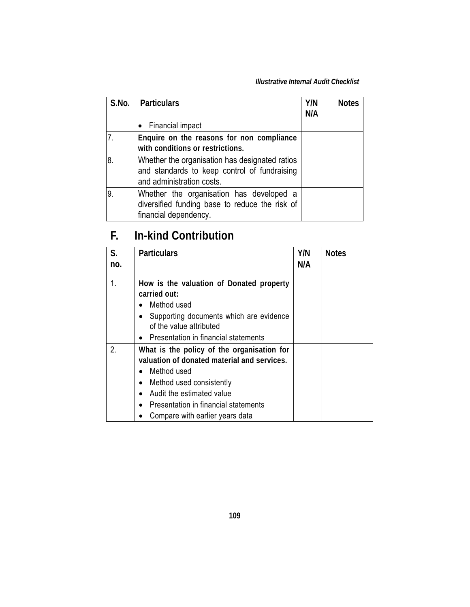#### *Illustrative Internal Audit Checklist*

| S.No. | <b>Particulars</b>                                                                                                          | Y/N<br>N/A | <b>Notes</b> |
|-------|-----------------------------------------------------------------------------------------------------------------------------|------------|--------------|
|       | • Financial impact                                                                                                          |            |              |
| 7.    | Enquire on the reasons for non compliance<br>with conditions or restrictions.                                               |            |              |
| 18    | Whether the organisation has designated ratios<br>and standards to keep control of fundraising<br>and administration costs. |            |              |
| ۱9.   | Whether the organisation has developed a<br>diversified funding base to reduce the risk of<br>financial dependency.         |            |              |

### **F. In-kind Contribution**

| S.<br>no. | <b>Particulars</b>                                                                                                                                                                                                                                        | Y/N<br>N/A | <b>Notes</b> |
|-----------|-----------------------------------------------------------------------------------------------------------------------------------------------------------------------------------------------------------------------------------------------------------|------------|--------------|
|           | How is the valuation of Donated property<br>carried out:<br>Method used<br>Supporting documents which are evidence<br>of the value attributed<br>Presentation in financial statements                                                                     |            |              |
| 2.        | What is the policy of the organisation for<br>valuation of donated material and services.<br>Method used<br>Method used consistently<br>$\bullet$<br>Audit the estimated value<br>Presentation in financial statements<br>Compare with earlier years data |            |              |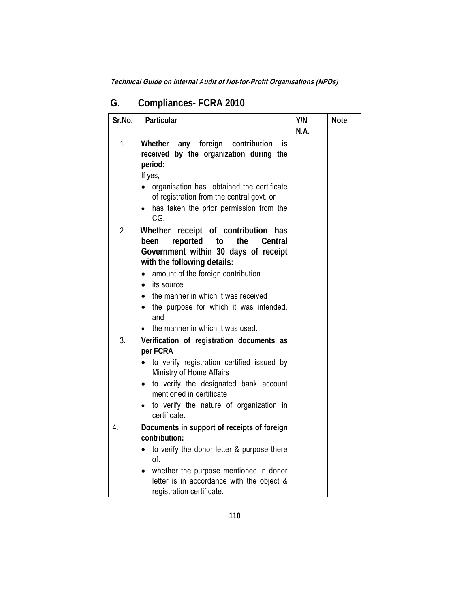| Sr.No. | Particular                                                                                                                                                                                                                                                                                                                                          | Y/N<br>N.A. | <b>Note</b> |
|--------|-----------------------------------------------------------------------------------------------------------------------------------------------------------------------------------------------------------------------------------------------------------------------------------------------------------------------------------------------------|-------------|-------------|
| 1.     | any foreign<br>Whether<br>contribution<br>İS.<br>received by the organization during the<br>period:<br>If yes,<br>organisation has obtained the certificate<br>of registration from the central govt. or                                                                                                                                            |             |             |
|        | has taken the prior permission from the<br>CG.                                                                                                                                                                                                                                                                                                      |             |             |
| 2.     | Whether receipt of contribution has<br>reported<br>been<br>the<br>Central<br>to<br>Government within 30 days of receipt<br>with the following details:<br>amount of the foreign contribution<br>its source<br>$\bullet$<br>the manner in which it was received<br>the purpose for which it was intended,<br>and<br>the manner in which it was used. |             |             |
| 3.     | Verification of registration documents as                                                                                                                                                                                                                                                                                                           |             |             |
|        | per FCRA<br>to verify registration certified issued by<br>Ministry of Home Affairs<br>to verify the designated bank account<br>$\bullet$<br>mentioned in certificate<br>to verify the nature of organization in<br>certificate.                                                                                                                     |             |             |
| 4.     | Documents in support of receipts of foreign<br>contribution:<br>to verify the donor letter & purpose there                                                                                                                                                                                                                                          |             |             |
|        | of.<br>whether the purpose mentioned in donor<br>letter is in accordance with the object &<br>registration certificate.                                                                                                                                                                                                                             |             |             |

### **G. Compliances- FCRA 2010**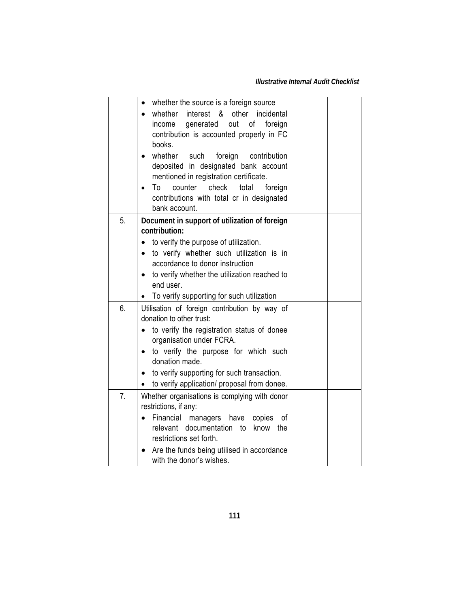|    | whether the source is a foreign source<br>$\bullet$   |  |
|----|-------------------------------------------------------|--|
|    | whether interest & other<br>incidental                |  |
|    | out<br>of<br>generated<br>foreign<br>income           |  |
|    | contribution is accounted properly in FC              |  |
|    | books.                                                |  |
|    | whether<br>such<br>foreign<br>contribution            |  |
|    | deposited in designated bank account                  |  |
|    | mentioned in registration certificate.                |  |
|    | counter<br>check<br>To<br>total<br>foreign            |  |
|    | contributions with total cr in designated             |  |
|    | bank account.                                         |  |
| 5. | Document in support of utilization of foreign         |  |
|    | contribution:                                         |  |
|    | to verify the purpose of utilization.                 |  |
|    | to verify whether such utilization is in<br>$\bullet$ |  |
|    | accordance to donor instruction                       |  |
|    | to verify whether the utilization reached to          |  |
|    | end user.                                             |  |
|    | To verify supporting for such utilization             |  |
| 6. | Utilisation of foreign contribution by way of         |  |
|    | donation to other trust:                              |  |
|    | to verify the registration status of donee            |  |
|    | organisation under FCRA.                              |  |
|    | to verify the purpose for which such                  |  |
|    | donation made.                                        |  |
|    | to verify supporting for such transaction.            |  |
|    | to verify application/ proposal from donee.           |  |
| 7. | Whether organisations is complying with donor         |  |
|    | restrictions, if any:                                 |  |
|    | Financial managers have<br>copies<br>οf<br>$\bullet$  |  |
|    | documentation to<br>relevant<br>know the              |  |
|    | restrictions set forth.                               |  |
|    | Are the funds being utilised in accordance            |  |
|    | with the donor's wishes.                              |  |
|    |                                                       |  |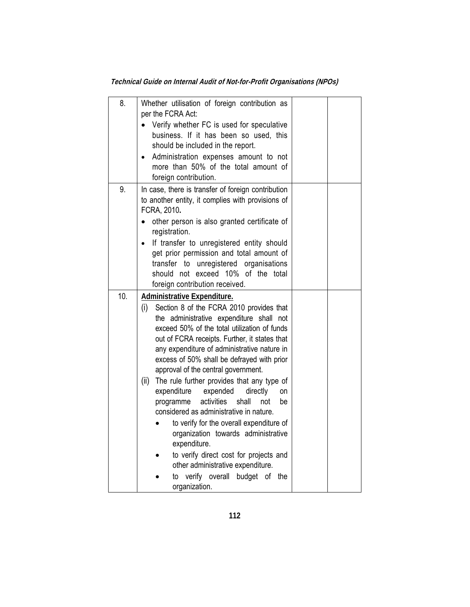| 8.  | Whether utilisation of foreign contribution as<br>per the FCRA Act:<br>Verify whether FC is used for speculative<br>business. If it has been so used, this<br>should be included in the report.<br>Administration expenses amount to not<br>more than 50% of the total amount of<br>foreign contribution.                                                                                                                                                                                                                                                                                                                                                                                                                                                                                                      |  |
|-----|----------------------------------------------------------------------------------------------------------------------------------------------------------------------------------------------------------------------------------------------------------------------------------------------------------------------------------------------------------------------------------------------------------------------------------------------------------------------------------------------------------------------------------------------------------------------------------------------------------------------------------------------------------------------------------------------------------------------------------------------------------------------------------------------------------------|--|
| 9.  | In case, there is transfer of foreign contribution<br>to another entity, it complies with provisions of<br>FCRA, 2010.<br>other person is also granted certificate of<br>registration.<br>If transfer to unregistered entity should<br>get prior permission and total amount of<br>unregistered organisations<br>transfer<br>to<br>should not exceed 10% of the total<br>foreign contribution received.                                                                                                                                                                                                                                                                                                                                                                                                        |  |
| 10. | <b>Administrative Expenditure.</b><br>(i)<br>Section 8 of the FCRA 2010 provides that<br>the administrative expenditure shall not<br>exceed 50% of the total utilization of funds<br>out of FCRA receipts. Further, it states that<br>any expenditure of administrative nature in<br>excess of 50% shall be defrayed with prior<br>approval of the central government.<br>(ii)<br>The rule further provides that any type of<br>expenditure<br>expended<br>directly<br>on<br>activities<br>shall<br>programme<br>not<br>be<br>considered as administrative in nature.<br>to verify for the overall expenditure of<br>organization towards administrative<br>expenditure.<br>to verify direct cost for projects and<br>other administrative expenditure.<br>verify overall budget of the<br>to<br>organization. |  |

**Technical Guide on Internal Audit of Not-for-Profit Organisations (NPOs)**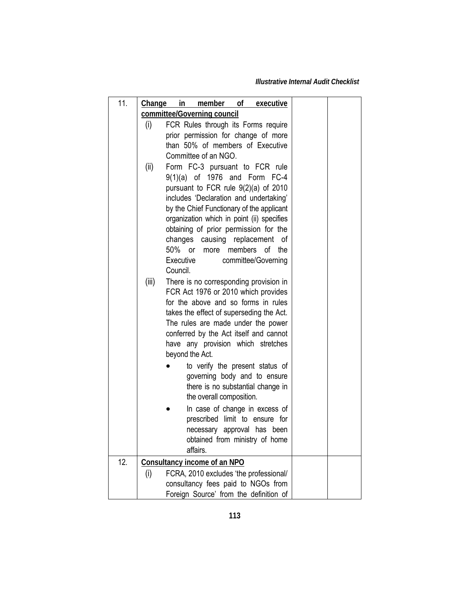*Illustrative Internal Audit Checklist* 

| 11. | Change in member of executive                                                     |  |
|-----|-----------------------------------------------------------------------------------|--|
|     | committee/Governing council                                                       |  |
|     | (i)<br>FCR Rules through its Forms require                                        |  |
|     | prior permission for change of more                                               |  |
|     | than 50% of members of Executive                                                  |  |
|     | Committee of an NGO.                                                              |  |
|     | Form FC-3 pursuant to FCR rule<br>(ii)                                            |  |
|     | 9(1)(a) of 1976 and Form FC-4                                                     |  |
|     | pursuant to FCR rule 9(2)(a) of 2010                                              |  |
|     | includes 'Declaration and undertaking'                                            |  |
|     | by the Chief Functionary of the applicant                                         |  |
|     | organization which in point (ii) specifies                                        |  |
|     | obtaining of prior permission for the                                             |  |
|     | changes<br>causing replacement<br>οf<br>50%<br>members<br>οf<br>or<br>more<br>the |  |
|     | Executive<br>committee/Governing                                                  |  |
|     | Council.                                                                          |  |
|     | (iii)<br>There is no corresponding provision in                                   |  |
|     | FCR Act 1976 or 2010 which provides                                               |  |
|     | for the above and so forms in rules                                               |  |
|     | takes the effect of superseding the Act.                                          |  |
|     | The rules are made under the power                                                |  |
|     | conferred by the Act itself and cannot                                            |  |
|     | have any provision which stretches                                                |  |
|     | beyond the Act.                                                                   |  |
|     | to verify the present status of                                                   |  |
|     | governing body and to ensure                                                      |  |
|     | there is no substantial change in                                                 |  |
|     | the overall composition.                                                          |  |
|     | In case of change in excess of                                                    |  |
|     | prescribed limit to ensure for                                                    |  |
|     | necessary approval has been                                                       |  |
|     | obtained from ministry of home                                                    |  |
|     | affairs.                                                                          |  |
| 12. | <b>Consultancy income of an NPO</b>                                               |  |
|     | (i)<br>FCRA, 2010 excludes 'the professional/                                     |  |
|     | consultancy fees paid to NGOs from                                                |  |
|     | Foreign Source' from the definition of                                            |  |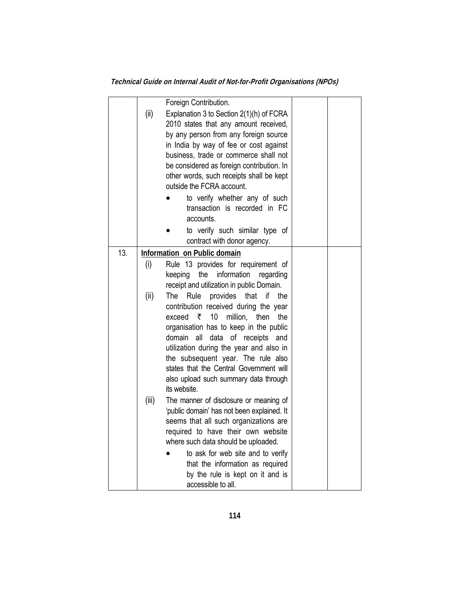**Technical Guide on Internal Audit of Not-for-Profit Organisations (NPOs)** 

|     |       | Foreign Contribution.                                 |  |
|-----|-------|-------------------------------------------------------|--|
|     | (ii)  | Explanation 3 to Section 2(1)(h) of FCRA              |  |
|     |       | 2010 states that any amount received,                 |  |
|     |       | by any person from any foreign source                 |  |
|     |       | in India by way of fee or cost against                |  |
|     |       | business, trade or commerce shall not                 |  |
|     |       | be considered as foreign contribution. In             |  |
|     |       | other words, such receipts shall be kept              |  |
|     |       | outside the FCRA account.                             |  |
|     |       | to verify whether any of such                         |  |
|     |       | transaction is recorded in FC                         |  |
|     |       | accounts.                                             |  |
|     |       | to verify such similar type of                        |  |
|     |       | contract with donor agency.                           |  |
| 13. |       | Information on Public domain                          |  |
|     | (i)   | Rule 13 provides for requirement of                   |  |
|     |       | information<br>the<br>keeping<br>regarding            |  |
|     |       | receipt and utilization in public Domain.             |  |
|     | (ii)  | The<br>Rule<br>provides<br>that<br>if<br>the          |  |
|     |       | contribution received during the year                 |  |
|     |       | 10<br>₹<br>million,<br>exceed<br>then<br>the          |  |
|     |       | organisation has to keep in the public                |  |
|     |       | all<br>data of receipts<br>domain<br>and              |  |
|     |       | utilization during the year and also in               |  |
|     |       | the subsequent year. The rule also                    |  |
|     |       | states that the Central Government will               |  |
|     |       | also upload such summary data through<br>its website. |  |
|     | (iii) | The manner of disclosure or meaning of                |  |
|     |       | 'public domain' has not been explained. It            |  |
|     |       | seems that all such organizations are                 |  |
|     |       | required to have their own website                    |  |
|     |       | where such data should be uploaded.                   |  |
|     |       | to ask for web site and to verify                     |  |
|     |       | that the information as required                      |  |
|     |       | by the rule is kept on it and is                      |  |
|     |       | accessible to all.                                    |  |
|     |       |                                                       |  |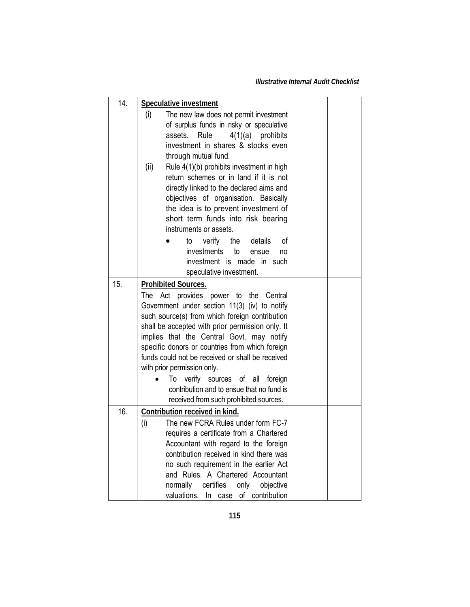| 14. | <b>Speculative investment</b>                                                     |  |
|-----|-----------------------------------------------------------------------------------|--|
|     | (i)<br>The new law does not permit investment                                     |  |
|     | of surplus funds in risky or speculative                                          |  |
|     | Rule<br>$4(1)(a)$ prohibits<br>assets.<br>investment in shares & stocks even      |  |
|     | through mutual fund.                                                              |  |
|     | Rule 4(1)(b) prohibits investment in high<br>(ii)                                 |  |
|     | return schemes or in land if it is not                                            |  |
|     | directly linked to the declared aims and                                          |  |
|     | objectives of organisation. Basically                                             |  |
|     | the idea is to prevent investment of                                              |  |
|     | short term funds into risk bearing                                                |  |
|     | instruments or assets.                                                            |  |
|     | verify<br>the<br>details<br>οf<br>to                                              |  |
|     | investments to<br>ensue<br>no<br>investment is made in such                       |  |
|     | speculative investment.                                                           |  |
| 15. | <b>Prohibited Sources.</b>                                                        |  |
|     | The Act provides power to the Central                                             |  |
|     | Government under section 11(3) (iv) to notify                                     |  |
|     | such source(s) from which foreign contribution                                    |  |
|     | shall be accepted with prior permission only. It                                  |  |
|     | implies that the Central Govt. may notify                                         |  |
|     | specific donors or countries from which foreign                                   |  |
|     | funds could not be received or shall be received<br>with prior permission only.   |  |
|     | verify sources of all<br>To<br>foreign                                            |  |
|     | contribution and to ensue that no fund is                                         |  |
|     | received from such prohibited sources.                                            |  |
| 16. | Contribution received in kind.                                                    |  |
|     | The new FCRA Rules under form FC-7<br>(i)                                         |  |
|     | requires a certificate from a Chartered                                           |  |
|     | Accountant with regard to the foreign                                             |  |
|     | contribution received in kind there was<br>no such requirement in the earlier Act |  |
|     | and Rules. A Chartered Accountant                                                 |  |
|     | normally<br>certifies<br>only<br>objective                                        |  |
|     | valuations.<br>In case of contribution                                            |  |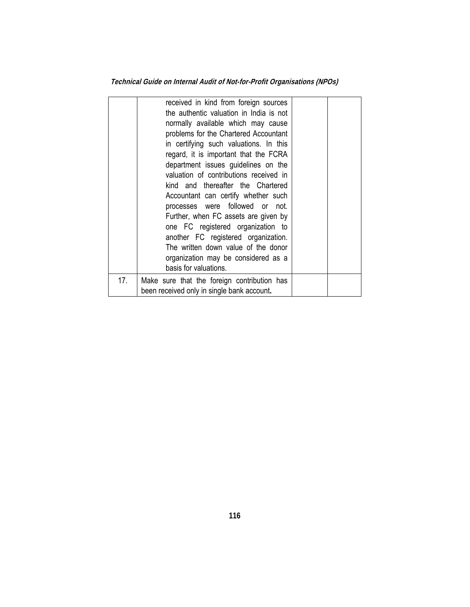**Technical Guide on Internal Audit of Not-for-Profit Organisations (NPOs)** 

|     | received in kind from foreign sources<br>the authentic valuation in India is not<br>normally available which may cause<br>problems for the Chartered Accountant<br>in certifying such valuations. In this<br>regard, it is important that the FCRA<br>department issues guidelines on the<br>valuation of contributions received in<br>kind and thereafter the Chartered<br>Accountant can certify whether such<br>processes were followed or not.<br>Further, when FC assets are given by<br>one FC registered organization to<br>another FC registered organization.<br>The written down value of the donor<br>organization may be considered as a<br>basis for valuations. |  |
|-----|-------------------------------------------------------------------------------------------------------------------------------------------------------------------------------------------------------------------------------------------------------------------------------------------------------------------------------------------------------------------------------------------------------------------------------------------------------------------------------------------------------------------------------------------------------------------------------------------------------------------------------------------------------------------------------|--|
| 17. | Make sure that the foreign contribution has<br>been received only in single bank account.                                                                                                                                                                                                                                                                                                                                                                                                                                                                                                                                                                                     |  |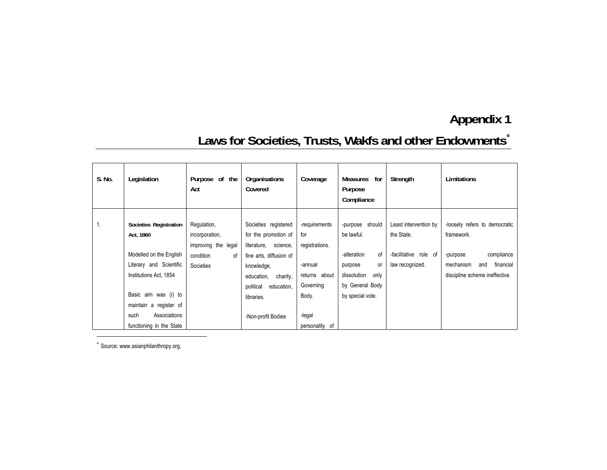# Laws for Societies, Trusts, Wakfs and other Endowments<sup>\*</sup>

| S. No. | Legislation                                                                                                                                                                                                               | Purpose of the<br>Act                                                                | Organisations<br>Covered                                                                                                                                                                               | Coverage                                                                                                             | Measures<br>for<br>Purpose<br>Compliance                                                                                          | Strength                                                                        | Limitations                                                                                                                              |
|--------|---------------------------------------------------------------------------------------------------------------------------------------------------------------------------------------------------------------------------|--------------------------------------------------------------------------------------|--------------------------------------------------------------------------------------------------------------------------------------------------------------------------------------------------------|----------------------------------------------------------------------------------------------------------------------|-----------------------------------------------------------------------------------------------------------------------------------|---------------------------------------------------------------------------------|------------------------------------------------------------------------------------------------------------------------------------------|
| 1.     | Societies Registration<br>Act, 1860<br>Modelled on the English<br>Literary and Scientific<br>Institutions Act, 1854<br>Basic aim was (i) to<br>maintain a register of<br>Associations<br>such<br>functioning in the State | Regulation,<br>incorporation,<br>improving the legal<br>condition<br>οf<br>Societies | Societies registered<br>for the promotion of<br>literature, science,<br>fine arts, diffusion of<br>knowledge,<br>education,<br>charity,<br>political<br>education,<br>libraries.<br>-Non-profit Bodies | -requirements<br>for<br>registrations.<br>-annual<br>returns about<br>Governing<br>Body.<br>-legal<br>personality of | -purpose should<br>be lawful.<br>0f<br>-alteration<br>or<br>purpose<br>dissolution<br>only<br>by General Body<br>by special vote. | Least intervention by<br>the State.<br>-facilitative role of<br>law recognized. | -loosely refers to democratic<br>framework.<br>compliance<br>-purpose<br>financial<br>mechanism<br>and<br>discipline scheme ineffective. |

∗ Source: www.asianphilanthropy.org.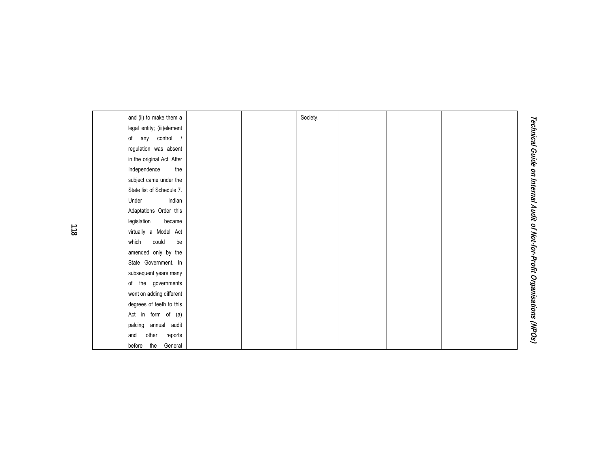| and (ii) to make them a    |  | Society. |  |  |
|----------------------------|--|----------|--|--|
| legal entity; (iii)element |  |          |  |  |
| of any control /           |  |          |  |  |
| regulation was absent      |  |          |  |  |
| in the original Act. After |  |          |  |  |
| the<br>Independence        |  |          |  |  |
| subject came under the     |  |          |  |  |
| State list of Schedule 7.  |  |          |  |  |
| Indian<br>Under            |  |          |  |  |
| Adaptations Order this     |  |          |  |  |
| legislation<br>became      |  |          |  |  |
| virtually a Model Act      |  |          |  |  |
| which<br>could<br>be       |  |          |  |  |
| amended only by the        |  |          |  |  |
| State Government. In       |  |          |  |  |
| subsequent years many      |  |          |  |  |
| of the governments         |  |          |  |  |
| went on adding different   |  |          |  |  |
| degrees of teeth to this   |  |          |  |  |
| Act in form of (a)         |  |          |  |  |
| palcing annual audit       |  |          |  |  |
| other<br>reports<br>and    |  |          |  |  |
| the<br>General<br>before   |  |          |  |  |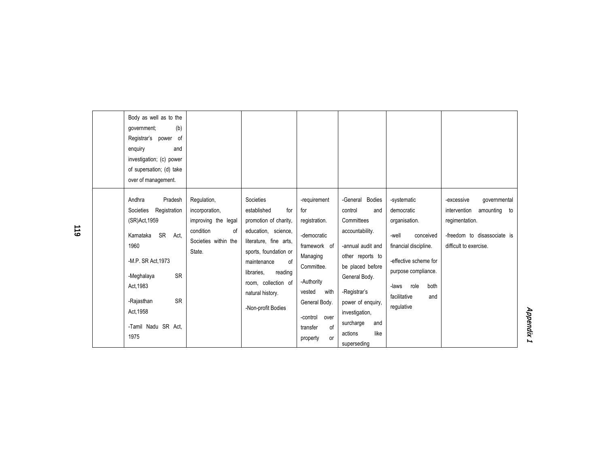| Body as well as to the<br>(b)<br>government;<br>Registrar's power<br>of<br>enquiry<br>and<br>investigation; (c) power<br>of supersation; (d) take<br>over of management.                                        |                                                                                                           |                                                                                                                                                                                                                                                   |                                                                                                                                                                    |                                                                                                                                                                                                                             |                                                                                                                                                                                                         |                                                                                                                                       |
|-----------------------------------------------------------------------------------------------------------------------------------------------------------------------------------------------------------------|-----------------------------------------------------------------------------------------------------------|---------------------------------------------------------------------------------------------------------------------------------------------------------------------------------------------------------------------------------------------------|--------------------------------------------------------------------------------------------------------------------------------------------------------------------|-----------------------------------------------------------------------------------------------------------------------------------------------------------------------------------------------------------------------------|---------------------------------------------------------------------------------------------------------------------------------------------------------------------------------------------------------|---------------------------------------------------------------------------------------------------------------------------------------|
| Andhra<br>Pradesh<br>Societies<br>Registration<br>(SR)Act, 1959<br><b>SR</b><br>Karnataka<br>Act.<br>1960<br>-M.P. SR Act. 1973<br><b>SR</b><br>-Meghalaya<br>Act. 1983<br><b>SR</b><br>-Rajasthan<br>Act, 1958 | Regulation,<br>incorporation,<br>improving the legal<br>condition<br>οf<br>Societies within the<br>State. | Societies<br>established<br>for<br>promotion of charity,<br>education, science,<br>literature, fine arts,<br>sports, foundation or<br>of<br>maintenance<br>libraries,<br>reading<br>room, collection of<br>natural history.<br>-Non-profit Bodies | -requirement<br>for<br>registration.<br>-democratic<br>framework of<br>Managing<br>Committee.<br>-Authority<br>with<br>vested<br>General Body.<br>-control<br>over | -General Bodies<br>control<br>and<br>Committees<br>accountability.<br>-annual audit and<br>other reports to<br>be placed before<br>General Body.<br>-Registrar's<br>power of enquiry,<br>investigation,<br>surcharge<br>and | -systematic<br>democratic<br>organisation.<br>-well<br>conceived<br>financial discipline.<br>-effective scheme for<br>purpose compliance.<br>role<br>both<br>-laws<br>facilitative<br>and<br>regulative | qovernmental<br>-excessive<br>intervention<br>amounting to<br>regimentation.<br>-freedom to disassociate is<br>difficult to exercise. |
| -Tamil Nadu SR Act.<br>1975                                                                                                                                                                                     |                                                                                                           |                                                                                                                                                                                                                                                   | transfer<br>οf<br>property<br>or                                                                                                                                   | like<br>actions<br>superseding                                                                                                                                                                                              |                                                                                                                                                                                                         |                                                                                                                                       |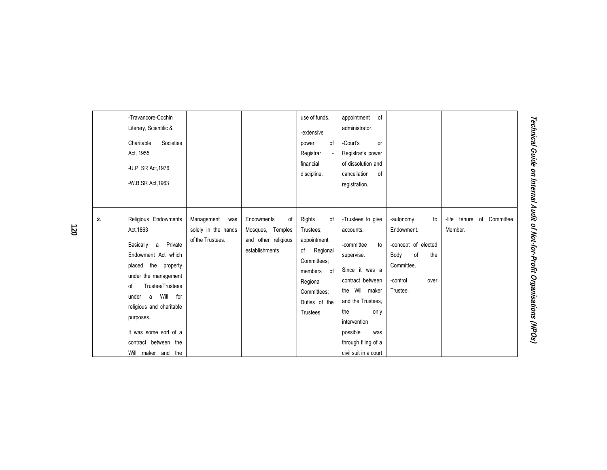| -Travancore-Cochin<br>Literary, Scientific &<br>Charitable<br>Act. 1955<br>-U.P. SR Act, 1976<br>-W.B.SR Act, 1963 | Societies                                                                                                                                                                                                                                   |                                                              |                                                                                | use of funds.<br>-extensive<br>οf<br>power<br>Registrar<br>financial<br>discipline.                                                                 | appointment of<br>administrator.<br>-Court's<br>or<br>Registrar's power<br>of dissolution and<br>cancellation<br>of<br>registration.                                                                                                            |                                                                                                                         |                                               |
|--------------------------------------------------------------------------------------------------------------------|---------------------------------------------------------------------------------------------------------------------------------------------------------------------------------------------------------------------------------------------|--------------------------------------------------------------|--------------------------------------------------------------------------------|-----------------------------------------------------------------------------------------------------------------------------------------------------|-------------------------------------------------------------------------------------------------------------------------------------------------------------------------------------------------------------------------------------------------|-------------------------------------------------------------------------------------------------------------------------|-----------------------------------------------|
| 2.<br>Act. 1863<br>Basically<br>of<br>under<br>a<br>purposes.<br>Will                                              | Religious Endowments<br>Private<br>a<br>Endowment Act which<br>placed the property<br>under the management<br>Trustee/Trustees<br>Will<br>for<br>religious and charitable<br>It was some sort of a<br>contract between the<br>maker and the | Management<br>was<br>solely in the hands<br>of the Trustees. | Endowments<br>of<br>Mosques, Temples<br>and other religious<br>establishments. | Rights<br>οf<br>Trustees;<br>appointment<br>of<br>Regional<br>Committees;<br>members<br>of<br>Regional<br>Committees;<br>Duties of the<br>Trustees. | -Trustees to give<br>accounts.<br>-committee<br>to<br>supervise.<br>Since it was a<br>contract between<br>the Will maker<br>and the Trustees.<br>the<br>only<br>intervention<br>possible<br>was<br>through filing of a<br>civil suit in a court | -autonomy<br>to<br>Endowment.<br>-concept of elected<br>of<br>the<br>Body<br>Committee.<br>-control<br>over<br>Trustee. | -life<br>Committee<br>of<br>tenure<br>Member. |

**Technical Guide on Internal Audit of Not-for-Profit Organisations (NPO** Technical Guide on Internal Audit of Not-for-Profit Organisations (NPOs)

**120**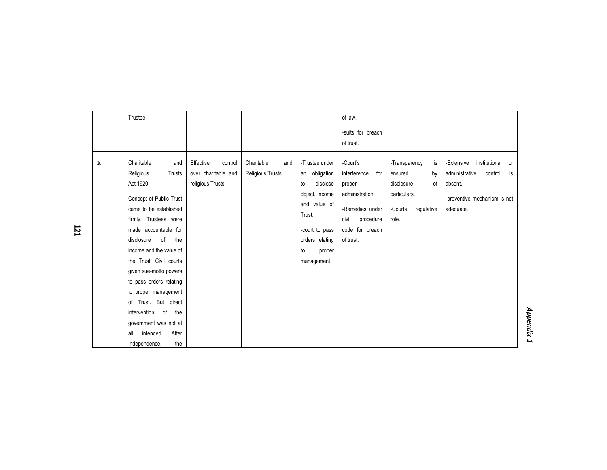| of law.<br>Trustee.<br>-suits for breach<br>of trust.<br>3.<br>Charitable<br>Effective<br>Charitable<br>-Trustee under<br>-Court's<br>-Extensive<br>institutional<br>control<br>-Transparency<br>is<br>and<br>and<br>or<br>over charitable and<br>Religious<br>Religious Trusts.<br>interference<br>Trusts<br>obligation<br>administrative<br>control<br>is<br>for<br>ensured<br>by<br>an<br>Act, 1920<br>religious Trusts.<br>of<br>disclose<br>disclosure<br>absent.<br>to<br>proper<br>administration.<br>particulars.<br>object, income<br>Concept of Public Trust<br>-preventive mechanism is not<br>and value of<br>came to be established<br>-Remedies under<br>-Courts<br>adequate.<br>regulative<br>Trust.<br>firmly. Trustees were<br>civil<br>procedure<br>role.<br>made accountable for<br>code for breach<br>-court to pass<br>of<br>the<br>of trust.<br>disclosure<br>orders relating<br>income and the value of<br>to<br>proper<br>the Trust. Civil courts<br>management.<br>given sue-motto powers<br>to pass orders relating<br>to proper management<br>of Trust. But direct<br>intervention of<br>the<br>government was not at |                           |  |  |  |
|--------------------------------------------------------------------------------------------------------------------------------------------------------------------------------------------------------------------------------------------------------------------------------------------------------------------------------------------------------------------------------------------------------------------------------------------------------------------------------------------------------------------------------------------------------------------------------------------------------------------------------------------------------------------------------------------------------------------------------------------------------------------------------------------------------------------------------------------------------------------------------------------------------------------------------------------------------------------------------------------------------------------------------------------------------------------------------------------------------------------------------------------------|---------------------------|--|--|--|
|                                                                                                                                                                                                                                                                                                                                                                                                                                                                                                                                                                                                                                                                                                                                                                                                                                                                                                                                                                                                                                                                                                                                                  |                           |  |  |  |
| the<br>Independence,                                                                                                                                                                                                                                                                                                                                                                                                                                                                                                                                                                                                                                                                                                                                                                                                                                                                                                                                                                                                                                                                                                                             | After<br>intended.<br>all |  |  |  |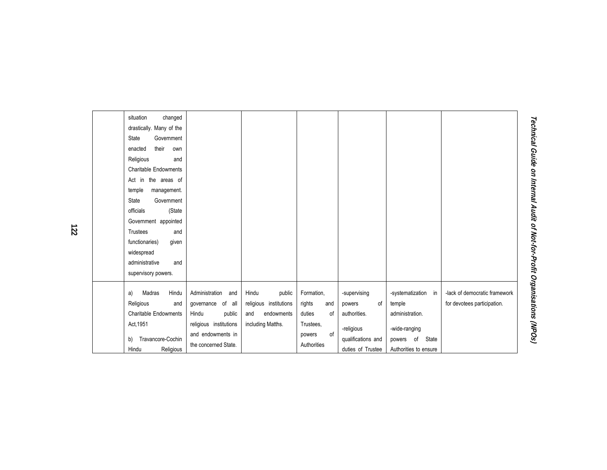| situation<br>changed<br>drastically. Many of the<br>State<br>Government<br>their<br>enacted<br>own<br>Religious<br>and<br><b>Charitable Endowments</b><br>Act in the areas of<br>temple<br>management.<br>State<br>Government<br>(State<br>officials<br>Government appointed<br><b>Trustees</b><br>and<br>functionaries)<br>given<br>widespread<br>administrative<br>and<br>supervisory powers. |                                                                                                                                      |                                                                                     |                                                                                         |                                                                                                       |                                                                                                               |                                                              |
|-------------------------------------------------------------------------------------------------------------------------------------------------------------------------------------------------------------------------------------------------------------------------------------------------------------------------------------------------------------------------------------------------|--------------------------------------------------------------------------------------------------------------------------------------|-------------------------------------------------------------------------------------|-----------------------------------------------------------------------------------------|-------------------------------------------------------------------------------------------------------|---------------------------------------------------------------------------------------------------------------|--------------------------------------------------------------|
| Hindu<br>Madras<br>a)<br>Religious<br>and<br><b>Charitable Endowments</b><br>Act, 1951<br>Travancore-Cochin<br>b)<br>Religious<br>Hindu                                                                                                                                                                                                                                                         | Administration<br>and<br>governance of all<br>Hindu<br>public<br>religious institutions<br>and endowments in<br>the concerned State. | Hindu<br>public<br>religious institutions<br>endowments<br>and<br>including Matths. | Formation.<br>rights<br>and<br>duties<br>of<br>Trustees,<br>of<br>powers<br>Authorities | -supervising<br>of<br>powers<br>authorities.<br>-religious<br>qualifications and<br>duties of Trustee | -systematization in<br>temple<br>administration.<br>-wide-ranging<br>powers of State<br>Authorities to ensure | -lack of democratic framework<br>for devotees participation. |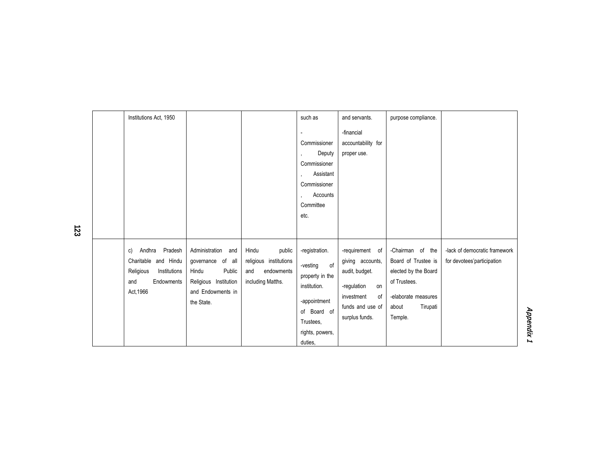| Institutions Act, 1950                                                                                         |                                                                                                                           |                                                                                     | such as                                                                                                                                       | and servants.                                                                                                                        | purpose compliance.                                                                                                                    |                                                              |
|----------------------------------------------------------------------------------------------------------------|---------------------------------------------------------------------------------------------------------------------------|-------------------------------------------------------------------------------------|-----------------------------------------------------------------------------------------------------------------------------------------------|--------------------------------------------------------------------------------------------------------------------------------------|----------------------------------------------------------------------------------------------------------------------------------------|--------------------------------------------------------------|
|                                                                                                                |                                                                                                                           |                                                                                     |                                                                                                                                               | -financial                                                                                                                           |                                                                                                                                        |                                                              |
|                                                                                                                |                                                                                                                           |                                                                                     | Commissioner<br>Deputy<br>Commissioner<br>Assistant<br>$\overline{\phantom{a}}$<br>Commissioner                                               | accountability for<br>proper use.                                                                                                    |                                                                                                                                        |                                                              |
|                                                                                                                |                                                                                                                           |                                                                                     | Accounts<br>Committee                                                                                                                         |                                                                                                                                      |                                                                                                                                        |                                                              |
|                                                                                                                |                                                                                                                           |                                                                                     | etc.                                                                                                                                          |                                                                                                                                      |                                                                                                                                        |                                                              |
| Andhra<br>Pradesh<br>C)<br>Charitable and Hindu<br>Religious<br>Institutions<br>Endowments<br>and<br>Act, 1966 | Administration<br>and<br>governance of all<br>Public<br>Hindu<br>Religious Institution<br>and Endowments in<br>the State. | Hindu<br>public<br>religious institutions<br>endowments<br>and<br>including Matths. | -registration.<br>of<br>-vesting<br>property in the<br>institution.<br>-appointment<br>of Board of<br>Trustees,<br>rights, powers,<br>duties, | -requirement of<br>giving accounts,<br>audit, budget.<br>-regulation<br>on<br>investment<br>οf<br>funds and use of<br>surplus funds. | -Chairman of the<br>Board of Trustee is<br>elected by the Board<br>of Trustees.<br>-elaborate measures<br>Tirupati<br>about<br>Temple. | -lack of democratic framework<br>for devotees' participation |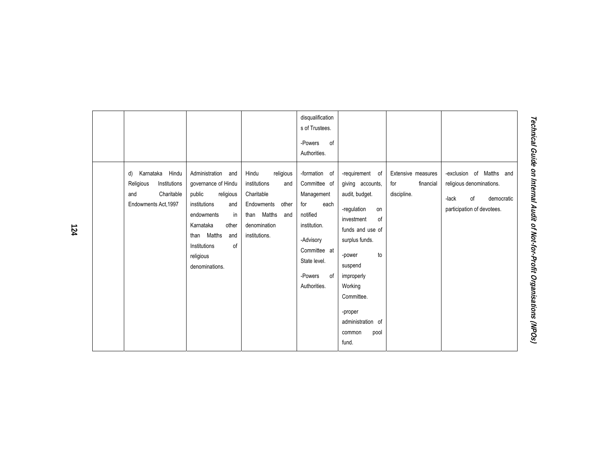| pool<br>common |
|----------------|
|----------------|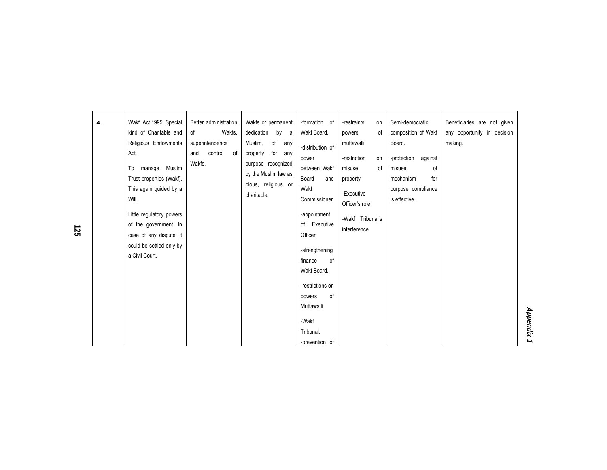| 4. | Wakf Act, 1995 Special<br>kind of Charitable and<br>Religious Endowments<br>Act.<br>manage<br>Muslim<br>To<br>Trust properties (Wakf).<br>This again guided by a<br>Will.<br>Little regulatory powers<br>of the government. In<br>case of any dispute, it<br>could be settled only by<br>a Civil Court. | Better administration<br>Wakfs.<br>of<br>superintendence<br>control<br>and<br>of<br>Wakfs. | Wakfs or permanent<br>dedication by a<br>Muslim,<br>of<br>any<br>for any<br>property<br>purpose recognized<br>by the Muslim law as<br>pious, religious or<br>charitable. | -formation of<br>Wakf Board.<br>-distribution of<br>power<br>between Wakf<br>Board<br>and<br>Wakf<br>Commissioner<br>-appointment<br>of Executive<br>Officer.<br>-strengthening<br>finance<br>0f<br>Wakf Board.<br>-restrictions on<br>0f<br>powers<br>Muttawalli<br>-Wakf<br>Tribunal.<br>-prevention of | -restraints<br>on<br>of<br>powers<br>muttawalli.<br>-restriction<br>on<br>of<br>misuse<br>property<br>-Executive<br>Officer's role.<br>-Wakf Tribunal's<br>interference | Semi-democratic<br>composition of Wakf<br>Board.<br>against<br>-protection<br>of<br>misuse<br>for<br>mechanism<br>purpose compliance<br>is effective. | Beneficiaries are not given<br>any opportunity in decision<br>making. |
|----|---------------------------------------------------------------------------------------------------------------------------------------------------------------------------------------------------------------------------------------------------------------------------------------------------------|--------------------------------------------------------------------------------------------|--------------------------------------------------------------------------------------------------------------------------------------------------------------------------|-----------------------------------------------------------------------------------------------------------------------------------------------------------------------------------------------------------------------------------------------------------------------------------------------------------|-------------------------------------------------------------------------------------------------------------------------------------------------------------------------|-------------------------------------------------------------------------------------------------------------------------------------------------------|-----------------------------------------------------------------------|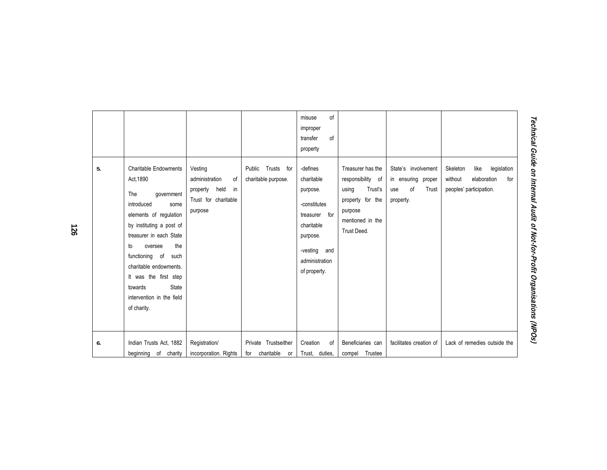| 5. | <b>Charitable Endowments</b><br>Act. 1890<br>The<br>government<br>introduced<br>some<br>elements of regulation<br>by instituting a post of<br>treasurer in each State<br>the<br>oversee<br>to<br>functioning of<br>such<br>charitable endowments. | Vesting<br>administration<br>of<br>held<br>property<br>in<br>Trust for charitable<br>purpose | Trusts for<br>Public<br>charitable purpose. | of<br>misuse<br>improper<br>of<br>transfer<br>property<br>-defines<br>charitable<br>purpose.<br>-constitutes<br>treasurer for<br>charitable<br>purpose.<br>-vesting<br>and<br>administration | Treasurer has the<br>responsibility of<br>Trust's<br>using<br>property for the<br>purpose<br>mentioned in the<br>Trust Deed. | State's involvement<br>in ensuring proper<br>of<br>Trust<br>use<br>property. | legislation<br>Skeleton<br>like<br>elaboration<br>without<br>for<br>peoples' participation. |
|----|---------------------------------------------------------------------------------------------------------------------------------------------------------------------------------------------------------------------------------------------------|----------------------------------------------------------------------------------------------|---------------------------------------------|----------------------------------------------------------------------------------------------------------------------------------------------------------------------------------------------|------------------------------------------------------------------------------------------------------------------------------|------------------------------------------------------------------------------|---------------------------------------------------------------------------------------------|
| 6. | It was the first step<br>State<br>towards<br>intervention in the field<br>of charity.<br>Indian Trusts Act, 1882                                                                                                                                  | Registration/                                                                                | Private Trustseither                        | of property.<br>Creation<br>οf                                                                                                                                                               | Beneficiaries can                                                                                                            | facilitates creation of                                                      | Lack of remedies outside the                                                                |
|    | beginning of charity                                                                                                                                                                                                                              | incorporation. Rights                                                                        | charitable or<br>for                        | Trust, duties,                                                                                                                                                                               | Trustee<br>compel                                                                                                            |                                                                              |                                                                                             |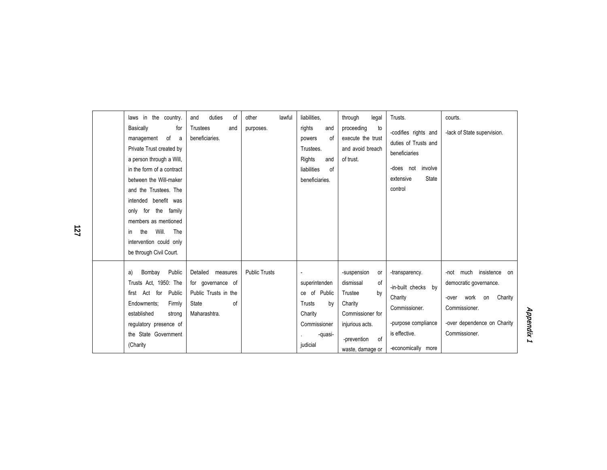| laws in the country.<br>Basically<br>for<br>of<br>management<br>- a<br>Private Trust created by<br>a person through a Will,<br>in the form of a contract<br>between the Will-maker<br>and the Trustees. The<br>intended benefit was<br>only for the family<br>members as mentioned<br>Will.<br>The<br>the<br>in.<br>intervention could only<br>be through Civil Court. | duties<br>and<br>οf<br>Trustees<br>and<br>beneficiaries.                                         | lawful<br>other<br>purposes. | liabilities.<br>rights<br>and<br>0f<br>powers<br>Trustees.<br>Rights<br>and<br>liabilities<br>of<br>beneficiaries. | through<br>legal<br>proceeding<br>to<br>execute the trust<br>and avoid breach<br>of trust.                                                    | Trusts.<br>-codifies rights and<br>duties of Trusts and<br>beneficiaries<br>-does not involve<br>extensive<br><b>State</b><br>control | courts.<br>-lack of State supervision.                                                                                                                  |
|------------------------------------------------------------------------------------------------------------------------------------------------------------------------------------------------------------------------------------------------------------------------------------------------------------------------------------------------------------------------|--------------------------------------------------------------------------------------------------|------------------------------|--------------------------------------------------------------------------------------------------------------------|-----------------------------------------------------------------------------------------------------------------------------------------------|---------------------------------------------------------------------------------------------------------------------------------------|---------------------------------------------------------------------------------------------------------------------------------------------------------|
| Bombay<br>Public<br>a)<br>Trusts Act, 1950: The<br>first Act for<br>Public<br>Endowments;<br>Firmly<br>established<br>strong<br>regulatory presence of<br>the State Government<br>(Charity                                                                                                                                                                             | Detailed<br>measures<br>for governance of<br>Public Trusts in the<br>of<br>State<br>Maharashtra. | <b>Public Trusts</b>         | superintenden<br>ce of Public<br>Trusts<br>by<br>Charity<br>Commissioner<br>-quasi-<br>judicial                    | -suspension<br>or<br>dismissal<br>0f<br>by<br>Trustee<br>Charity<br>Commissioner for<br>injurious acts.<br>-prevention of<br>waste, damage or | -transparency.<br>-in-built checks by<br>Charity<br>Commissioner.<br>-purpose compliance<br>is effective.<br>-economically more       | -not much insistence<br>on<br>democratic governance.<br>work<br>Charity<br>on<br>-over<br>Commissioner.<br>-over dependence on Charity<br>Commissioner. |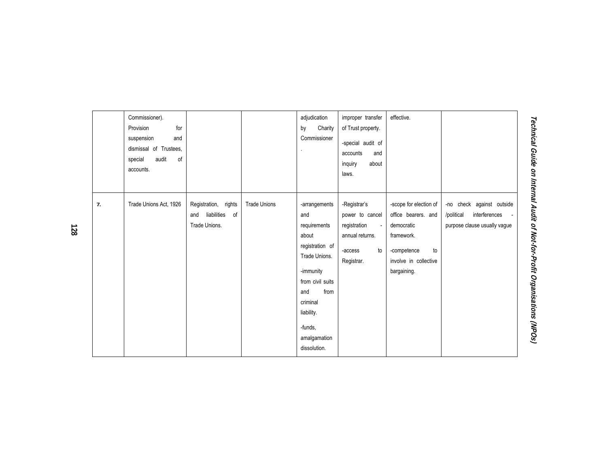|    | Commissioner).<br>Provision<br>for<br>and<br>suspension<br>dismissal of Trustees.<br>audit<br>special<br>of<br>accounts. |                                                                   |                     | adjudication<br>Charity<br>by<br>Commissioner                                                                                                                                                          | improper transfer<br>of Trust property.<br>-special audit of<br>accounts<br>and<br>inquiry<br>about<br>laws.                  | effective.                                                                                                                             |                                                                                          |
|----|--------------------------------------------------------------------------------------------------------------------------|-------------------------------------------------------------------|---------------------|--------------------------------------------------------------------------------------------------------------------------------------------------------------------------------------------------------|-------------------------------------------------------------------------------------------------------------------------------|----------------------------------------------------------------------------------------------------------------------------------------|------------------------------------------------------------------------------------------|
| 7. | Trade Unions Act, 1926                                                                                                   | Registration, rights<br>liabilities<br>of<br>and<br>Trade Unions. | <b>Trade Unions</b> | -arrangements<br>and<br>requirements<br>about<br>registration of<br>Trade Unions.<br>-immunity<br>from civil suits<br>and<br>from<br>criminal<br>liability.<br>-funds.<br>amalgamation<br>dissolution. | -Registrar's<br>power to cancel<br>registration<br>$\overline{\phantom{a}}$<br>annual returns.<br>to<br>-access<br>Registrar. | -scope for election of<br>office bearers. and<br>democratic<br>framework.<br>to<br>-competence<br>involve in collective<br>bargaining. | -no check against outside<br>/political<br>interferences<br>purpose clause usually vague |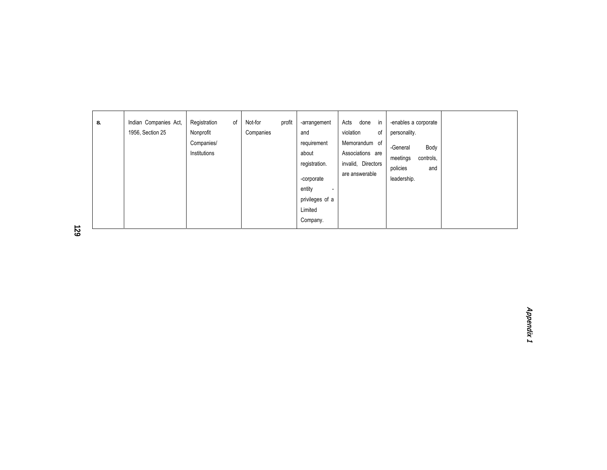| 8. | Indian Companies Act,<br>1956, Section 25 | Registration<br>0f<br>Nonprofit<br>Companies/<br>Institutions | profit<br>Not-for<br>Companies | -arrangement<br>and<br>requirement<br>about<br>registration.<br>-corporate<br>entity<br>$\overline{\phantom{0}}$<br>privileges of a<br>Limited<br>Company. | done<br>in<br>Acts<br>violation<br>of<br>Memorandum of<br>Associations are<br>invalid, Directors<br>are answerable | -enables a corporate<br>personality.<br>Body<br>-General<br>meetings<br>controls,<br>policies<br>and<br>leadership. |  |
|----|-------------------------------------------|---------------------------------------------------------------|--------------------------------|------------------------------------------------------------------------------------------------------------------------------------------------------------|--------------------------------------------------------------------------------------------------------------------|---------------------------------------------------------------------------------------------------------------------|--|

**129**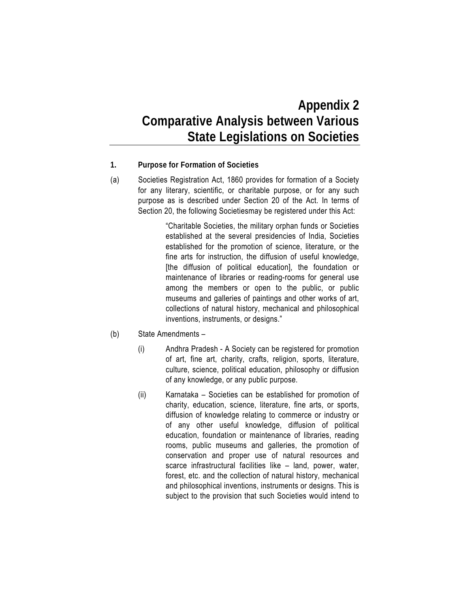### **Appendix 2 Comparative Analysis between Various State Legislations on Societies**

- **1. Purpose for Formation of Societies**
- (a) Societies Registration Act, 1860 provides for formation of a Society for any literary, scientific, or charitable purpose, or for any such purpose as is described under Section 20 of the Act. In terms of Section 20, the following Societiesmay be registered under this Act:

"Charitable Societies, the military orphan funds or Societies established at the several presidencies of India, Societies established for the promotion of science, literature, or the fine arts for instruction, the diffusion of useful knowledge, [the diffusion of political education], the foundation or maintenance of libraries or reading-rooms for general use among the members or open to the public, or public museums and galleries of paintings and other works of art, collections of natural history, mechanical and philosophical inventions, instruments, or designs."

- (b) State Amendments
	- (i) Andhra Pradesh A Society can be registered for promotion of art, fine art, charity, crafts, religion, sports, literature, culture, science, political education, philosophy or diffusion of any knowledge, or any public purpose.
	- (ii) Karnataka Societies can be established for promotion of charity, education, science, literature, fine arts, or sports, diffusion of knowledge relating to commerce or industry or of any other useful knowledge, diffusion of political education, foundation or maintenance of libraries, reading rooms, public museums and galleries, the promotion of conservation and proper use of natural resources and scarce infrastructural facilities like – land, power, water, forest, etc. and the collection of natural history, mechanical and philosophical inventions, instruments or designs. This is subject to the provision that such Societies would intend to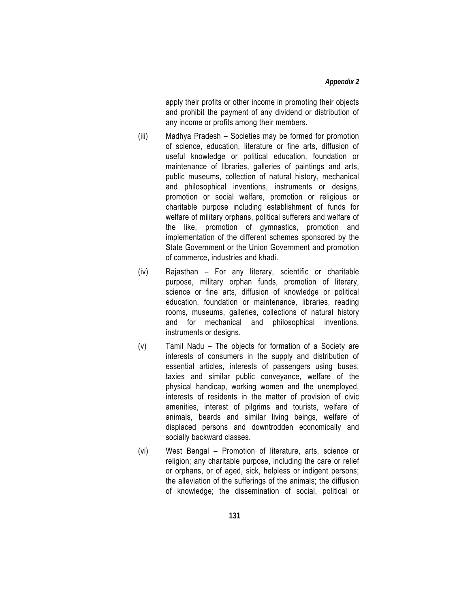apply their profits or other income in promoting their objects and prohibit the payment of any dividend or distribution of any income or profits among their members.

- (iii) Madhya Pradesh Societies may be formed for promotion of science, education, literature or fine arts, diffusion of useful knowledge or political education, foundation or maintenance of libraries, galleries of paintings and arts, public museums, collection of natural history, mechanical and philosophical inventions, instruments or designs, promotion or social welfare, promotion or religious or charitable purpose including establishment of funds for welfare of military orphans, political sufferers and welfare of the like, promotion of gymnastics, promotion and implementation of the different schemes sponsored by the State Government or the Union Government and promotion of commerce, industries and khadi.
- (iv) Rajasthan For any literary, scientific or charitable purpose, military orphan funds, promotion of literary, science or fine arts, diffusion of knowledge or political education, foundation or maintenance, libraries, reading rooms, museums, galleries, collections of natural history and for mechanical and philosophical inventions, instruments or designs.
- (v) Tamil Nadu The objects for formation of a Society are interests of consumers in the supply and distribution of essential articles, interests of passengers using buses, taxies and similar public conveyance, welfare of the physical handicap, working women and the unemployed, interests of residents in the matter of provision of civic amenities, interest of pilgrims and tourists, welfare of animals, beards and similar living beings, welfare of displaced persons and downtrodden economically and socially backward classes.
- (vi) West Bengal Promotion of literature, arts, science or religion; any charitable purpose, including the care or relief or orphans, or of aged, sick, helpless or indigent persons; the alleviation of the sufferings of the animals; the diffusion of knowledge; the dissemination of social, political or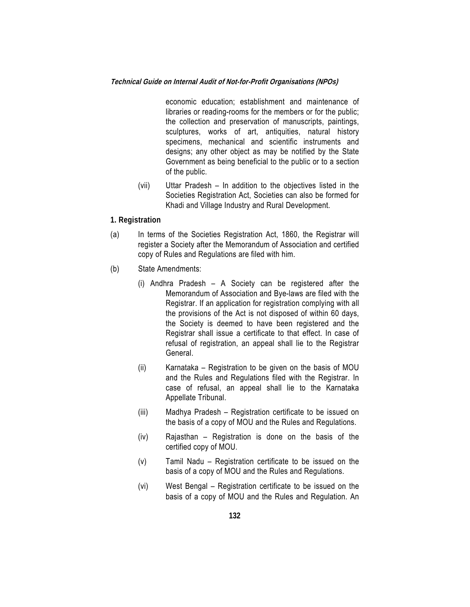#### **Technical Guide on Internal Audit of Not-for-Profit Organisations (NPOs)**

economic education; establishment and maintenance of libraries or reading-rooms for the members or for the public; the collection and preservation of manuscripts, paintings, sculptures, works of art, antiquities, natural history specimens, mechanical and scientific instruments and designs; any other object as may be notified by the State Government as being beneficial to the public or to a section of the public.

(vii) Uttar Pradesh – In addition to the objectives listed in the Societies Registration Act, Societies can also be formed for Khadi and Village Industry and Rural Development.

#### **1. Registration**

- (a) In terms of the Societies Registration Act, 1860, the Registrar will register a Society after the Memorandum of Association and certified copy of Rules and Regulations are filed with him.
- (b) State Amendments:
	- (i) Andhra Pradesh A Society can be registered after the Memorandum of Association and Bye-laws are filed with the Registrar. If an application for registration complying with all the provisions of the Act is not disposed of within 60 days, the Society is deemed to have been registered and the Registrar shall issue a certificate to that effect. In case of refusal of registration, an appeal shall lie to the Registrar General.
	- (ii) Karnataka Registration to be given on the basis of MOU and the Rules and Regulations filed with the Registrar. In case of refusal, an appeal shall lie to the Karnataka Appellate Tribunal.
	- (iii) Madhya Pradesh Registration certificate to be issued on the basis of a copy of MOU and the Rules and Regulations.
	- (iv) Rajasthan Registration is done on the basis of the certified copy of MOU.
	- (v) Tamil Nadu Registration certificate to be issued on the basis of a copy of MOU and the Rules and Regulations.
	- (vi) West Bengal Registration certificate to be issued on the basis of a copy of MOU and the Rules and Regulation. An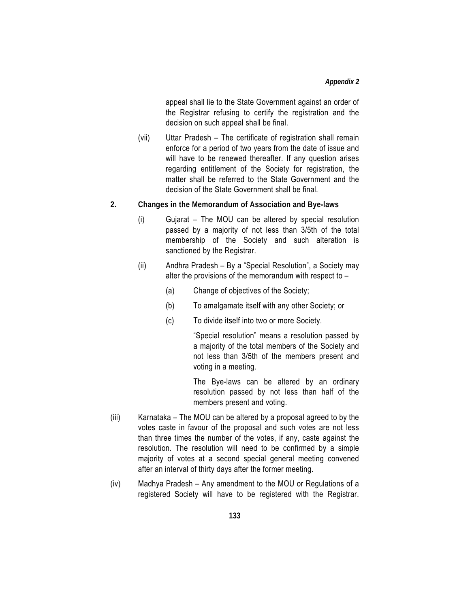appeal shall lie to the State Government against an order of the Registrar refusing to certify the registration and the decision on such appeal shall be final.

- (vii) Uttar Pradesh The certificate of registration shall remain enforce for a period of two years from the date of issue and will have to be renewed thereafter. If any question arises regarding entitlement of the Society for registration, the matter shall be referred to the State Government and the decision of the State Government shall be final.
- **2. Changes in the Memorandum of Association and Bye-laws** 
	- (i) Gujarat The MOU can be altered by special resolution passed by a majority of not less than 3/5th of the total membership of the Society and such alteration is sanctioned by the Registrar.
	- (ii) Andhra Pradesh By a "Special Resolution", a Society may alter the provisions of the memorandum with respect to –
		- (a) Change of objectives of the Society;
		- (b) To amalgamate itself with any other Society; or
		- (c) To divide itself into two or more Society.

"Special resolution" means a resolution passed by a majority of the total members of the Society and not less than 3/5th of the members present and voting in a meeting.

The Bye-laws can be altered by an ordinary resolution passed by not less than half of the members present and voting.

- (iii) Karnataka The MOU can be altered by a proposal agreed to by the votes caste in favour of the proposal and such votes are not less than three times the number of the votes, if any, caste against the resolution. The resolution will need to be confirmed by a simple majority of votes at a second special general meeting convened after an interval of thirty days after the former meeting.
- (iv) Madhya Pradesh Any amendment to the MOU or Regulations of a registered Society will have to be registered with the Registrar.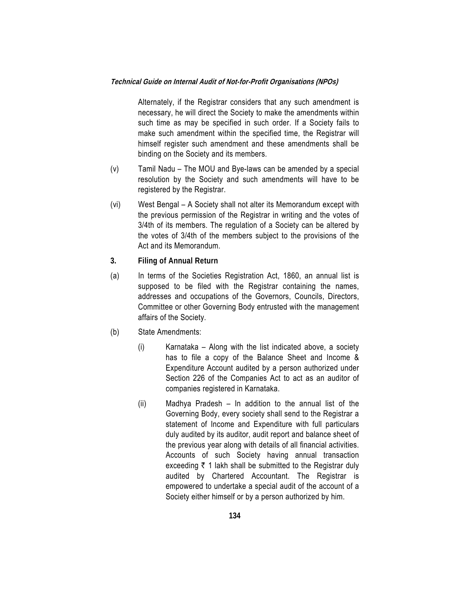Alternately, if the Registrar considers that any such amendment is necessary, he will direct the Society to make the amendments within such time as may be specified in such order. If a Society fails to make such amendment within the specified time, the Registrar will himself register such amendment and these amendments shall be binding on the Society and its members.

- (v) Tamil Nadu The MOU and Bye-laws can be amended by a special resolution by the Society and such amendments will have to be registered by the Registrar.
- (vi) West Bengal A Society shall not alter its Memorandum except with the previous permission of the Registrar in writing and the votes of 3/4th of its members. The regulation of a Society can be altered by the votes of 3/4th of the members subject to the provisions of the Act and its Memorandum.
- **3. Filing of Annual Return**
- (a) In terms of the Societies Registration Act, 1860, an annual list is supposed to be filed with the Registrar containing the names, addresses and occupations of the Governors, Councils, Directors, Committee or other Governing Body entrusted with the management affairs of the Society.
- (b) State Amendments:
	- (i) Karnataka Along with the list indicated above, a society has to file a copy of the Balance Sheet and Income & Expenditure Account audited by a person authorized under Section 226 of the Companies Act to act as an auditor of companies registered in Karnataka.
	- (ii) Madhya Pradesh In addition to the annual list of the Governing Body, every society shall send to the Registrar a statement of Income and Expenditure with full particulars duly audited by its auditor, audit report and balance sheet of the previous year along with details of all financial activities. Accounts of such Society having annual transaction exceeding  $\bar{\tau}$  1 lakh shall be submitted to the Registrar duly audited by Chartered Accountant. The Registrar is empowered to undertake a special audit of the account of a Society either himself or by a person authorized by him.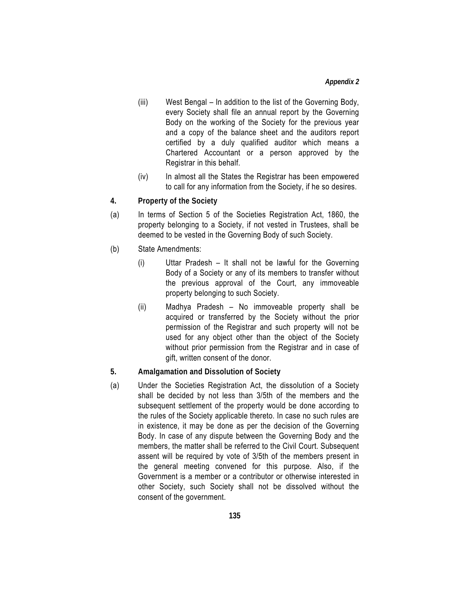- (iii) West Bengal In addition to the list of the Governing Body, every Society shall file an annual report by the Governing Body on the working of the Society for the previous year and a copy of the balance sheet and the auditors report certified by a duly qualified auditor which means a Chartered Accountant or a person approved by the Registrar in this behalf.
- (iv) In almost all the States the Registrar has been empowered to call for any information from the Society, if he so desires.
- **4. Property of the Society**
- (a) In terms of Section 5 of the Societies Registration Act, 1860, the property belonging to a Society, if not vested in Trustees, shall be deemed to be vested in the Governing Body of such Society.
- (b) State Amendments:
	- (i) Uttar Pradesh It shall not be lawful for the Governing Body of a Society or any of its members to transfer without the previous approval of the Court, any immoveable property belonging to such Society.
	- (ii) Madhya Pradesh No immoveable property shall be acquired or transferred by the Society without the prior permission of the Registrar and such property will not be used for any object other than the object of the Society without prior permission from the Registrar and in case of gift, written consent of the donor.
- **5. Amalgamation and Dissolution of Society**
- (a) Under the Societies Registration Act, the dissolution of a Society shall be decided by not less than 3/5th of the members and the subsequent settlement of the property would be done according to the rules of the Society applicable thereto. In case no such rules are in existence, it may be done as per the decision of the Governing Body. In case of any dispute between the Governing Body and the members, the matter shall be referred to the Civil Court. Subsequent assent will be required by vote of 3/5th of the members present in the general meeting convened for this purpose. Also, if the Government is a member or a contributor or otherwise interested in other Society, such Society shall not be dissolved without the consent of the government.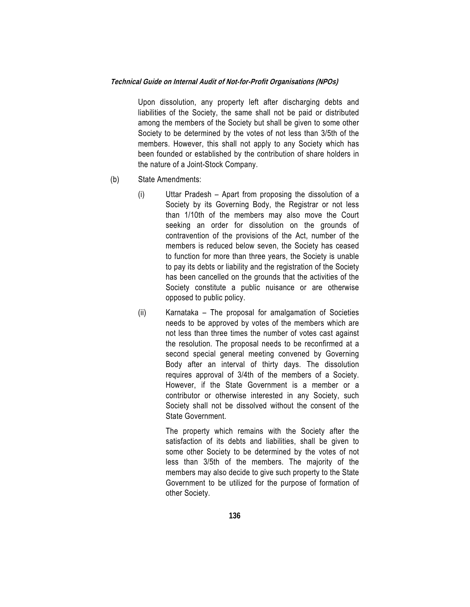Upon dissolution, any property left after discharging debts and liabilities of the Society, the same shall not be paid or distributed among the members of the Society but shall be given to some other Society to be determined by the votes of not less than 3/5th of the members. However, this shall not apply to any Society which has been founded or established by the contribution of share holders in the nature of a Joint-Stock Company.

- (b) State Amendments:
	- (i) Uttar Pradesh Apart from proposing the dissolution of a Society by its Governing Body, the Registrar or not less than 1/10th of the members may also move the Court seeking an order for dissolution on the grounds of contravention of the provisions of the Act, number of the members is reduced below seven, the Society has ceased to function for more than three years, the Society is unable to pay its debts or liability and the registration of the Society has been cancelled on the grounds that the activities of the Society constitute a public nuisance or are otherwise opposed to public policy.
	- (ii) Karnataka The proposal for amalgamation of Societies needs to be approved by votes of the members which are not less than three times the number of votes cast against the resolution. The proposal needs to be reconfirmed at a second special general meeting convened by Governing Body after an interval of thirty days. The dissolution requires approval of 3/4th of the members of a Society. However, if the State Government is a member or a contributor or otherwise interested in any Society, such Society shall not be dissolved without the consent of the State Government.

 The property which remains with the Society after the satisfaction of its debts and liabilities, shall be given to some other Society to be determined by the votes of not less than 3/5th of the members. The majority of the members may also decide to give such property to the State Government to be utilized for the purpose of formation of other Society.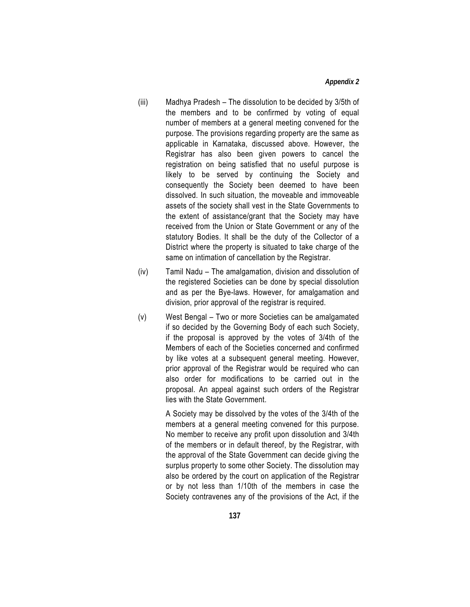#### *Appendix 2*

- (iii) Madhya Pradesh The dissolution to be decided by 3/5th of the members and to be confirmed by voting of equal number of members at a general meeting convened for the purpose. The provisions regarding property are the same as applicable in Karnataka, discussed above. However, the Registrar has also been given powers to cancel the registration on being satisfied that no useful purpose is likely to be served by continuing the Society and consequently the Society been deemed to have been dissolved. In such situation, the moveable and immoveable assets of the society shall vest in the State Governments to the extent of assistance/grant that the Society may have received from the Union or State Government or any of the statutory Bodies. It shall be the duty of the Collector of a District where the property is situated to take charge of the same on intimation of cancellation by the Registrar.
- (iv) Tamil Nadu The amalgamation, division and dissolution of the registered Societies can be done by special dissolution and as per the Bye-laws. However, for amalgamation and division, prior approval of the registrar is required.
- (v) West Bengal Two or more Societies can be amalgamated if so decided by the Governing Body of each such Society, if the proposal is approved by the votes of 3/4th of the Members of each of the Societies concerned and confirmed by like votes at a subsequent general meeting. However, prior approval of the Registrar would be required who can also order for modifications to be carried out in the proposal. An appeal against such orders of the Registrar lies with the State Government.

 A Society may be dissolved by the votes of the 3/4th of the members at a general meeting convened for this purpose. No member to receive any profit upon dissolution and 3/4th of the members or in default thereof, by the Registrar, with the approval of the State Government can decide giving the surplus property to some other Society. The dissolution may also be ordered by the court on application of the Registrar or by not less than 1/10th of the members in case the Society contravenes any of the provisions of the Act, if the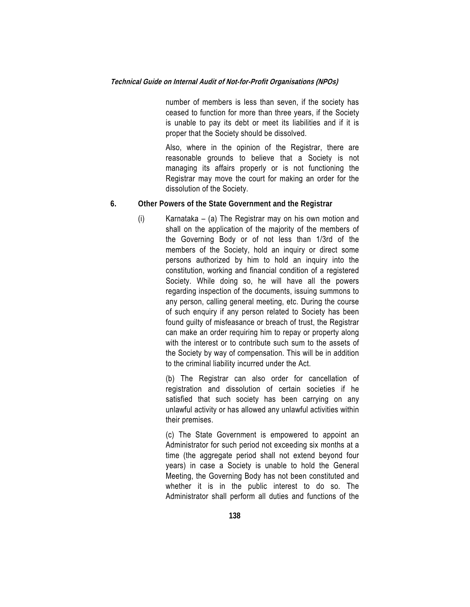number of members is less than seven, if the society has ceased to function for more than three years, if the Society is unable to pay its debt or meet its liabilities and if it is proper that the Society should be dissolved.

 Also, where in the opinion of the Registrar, there are reasonable grounds to believe that a Society is not managing its affairs properly or is not functioning the Registrar may move the court for making an order for the dissolution of the Society.

- **6. Other Powers of the State Government and the Registrar** 
	- (i) Karnataka (a) The Registrar may on his own motion and shall on the application of the majority of the members of the Governing Body or of not less than 1/3rd of the members of the Society, hold an inquiry or direct some persons authorized by him to hold an inquiry into the constitution, working and financial condition of a registered Society. While doing so, he will have all the powers regarding inspection of the documents, issuing summons to any person, calling general meeting, etc. During the course of such enquiry if any person related to Society has been found guilty of misfeasance or breach of trust, the Registrar can make an order requiring him to repay or property along with the interest or to contribute such sum to the assets of the Society by way of compensation. This will be in addition to the criminal liability incurred under the Act.

 (b) The Registrar can also order for cancellation of registration and dissolution of certain societies if he satisfied that such society has been carrying on any unlawful activity or has allowed any unlawful activities within their premises.

 (c) The State Government is empowered to appoint an Administrator for such period not exceeding six months at a time (the aggregate period shall not extend beyond four years) in case a Society is unable to hold the General Meeting, the Governing Body has not been constituted and whether it is in the public interest to do so. The Administrator shall perform all duties and functions of the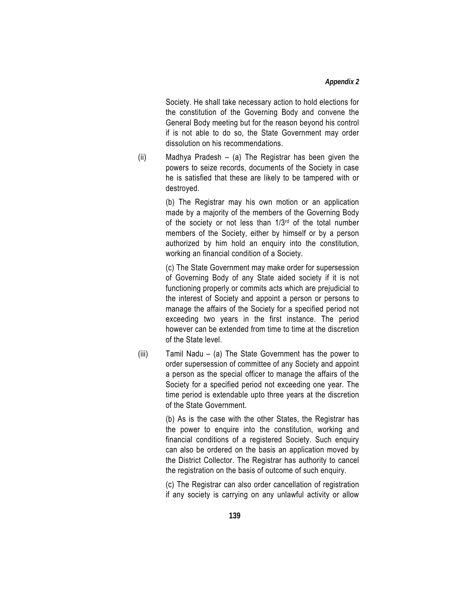Society. He shall take necessary action to hold elections for the constitution of the Governing Body and convene the General Body meeting but for the reason beyond his control if is not able to do so, the State Government may order dissolution on his recommendations.

(ii) Madhya Pradesh – (a) The Registrar has been given the powers to seize records, documents of the Society in case he is satisfied that these are likely to be tampered with or destroyed.

> (b) The Registrar may his own motion or an application made by a majority of the members of the Governing Body of the society or not less than 1/3rd of the total number members of the Society, either by himself or by a person authorized by him hold an enquiry into the constitution, working an financial condition of a Society.

> (c) The State Government may make order for supersession of Governing Body of any State aided society if it is not functioning properly or commits acts which are prejudicial to the interest of Society and appoint a person or persons to manage the affairs of the Society for a specified period not exceeding two years in the first instance. The period however can be extended from time to time at the discretion of the State level.

(iii) Tamil Nadu – (a) The State Government has the power to order supersession of committee of any Society and appoint a person as the special officer to manage the affairs of the Society for a specified period not exceeding one year. The time period is extendable upto three years at the discretion of the State Government.

> (b) As is the case with the other States, the Registrar has the power to enquire into the constitution, working and financial conditions of a registered Society. Such enquiry can also be ordered on the basis an application moved by the District Collector. The Registrar has authority to cancel the registration on the basis of outcome of such enquiry.

> (c) The Registrar can also order cancellation of registration if any society is carrying on any unlawful activity or allow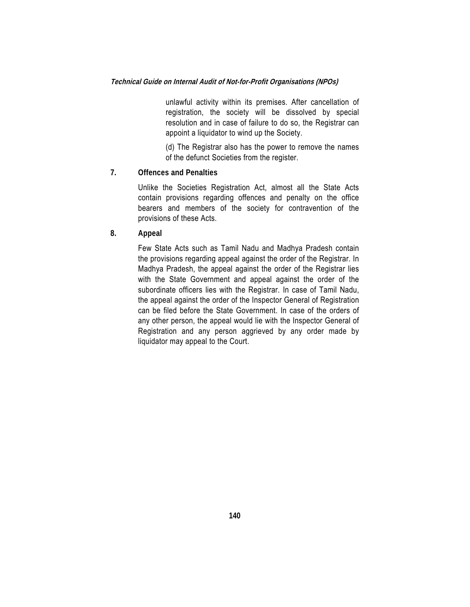unlawful activity within its premises. After cancellation of registration, the society will be dissolved by special resolution and in case of failure to do so, the Registrar can appoint a liquidator to wind up the Society.

 (d) The Registrar also has the power to remove the names of the defunct Societies from the register.

#### **7. Offences and Penalties**

Unlike the Societies Registration Act, almost all the State Acts contain provisions regarding offences and penalty on the office bearers and members of the society for contravention of the provisions of these Acts.

**8. Appeal** 

Few State Acts such as Tamil Nadu and Madhya Pradesh contain the provisions regarding appeal against the order of the Registrar. In Madhya Pradesh, the appeal against the order of the Registrar lies with the State Government and appeal against the order of the subordinate officers lies with the Registrar. In case of Tamil Nadu, the appeal against the order of the Inspector General of Registration can be filed before the State Government. In case of the orders of any other person, the appeal would lie with the Inspector General of Registration and any person aggrieved by any order made by liquidator may appeal to the Court.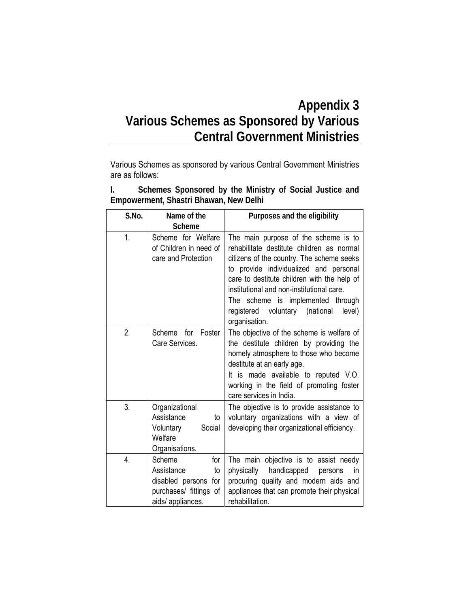## **Appendix 3 Various Schemes as Sponsored by Various Central Government Ministries**

Various Schemes as sponsored by various Central Government Ministries are as follows:

**I. Schemes Sponsored by the Ministry of Social Justice and Empowerment, Shastri Bhawan, New Delhi** 

| S.No. | Name of the<br><b>Scheme</b>                                                                             | Purposes and the eligibility                                                                                                                                                                                                                                                                                                                                              |
|-------|----------------------------------------------------------------------------------------------------------|---------------------------------------------------------------------------------------------------------------------------------------------------------------------------------------------------------------------------------------------------------------------------------------------------------------------------------------------------------------------------|
| 1.    | Scheme for Welfare<br>of Children in need of<br>care and Protection                                      | The main purpose of the scheme is to<br>rehabilitate destitute children as normal<br>citizens of the country. The scheme seeks<br>to provide individualized and personal<br>care to destitute children with the help of<br>institutional and non-institutional care.<br>The scheme is implemented through<br>voluntary (national<br>level)<br>registered<br>organisation. |
| 2.    | Foster<br>Scheme<br>for<br>Care Services.                                                                | The objective of the scheme is welfare of<br>the destitute children by providing the<br>homely atmosphere to those who become<br>destitute at an early age.<br>It is made available to reputed V.O.<br>working in the field of promoting foster<br>care services in India.                                                                                                |
| 3.    | Organizational<br>Assistance<br>to<br>Social<br>Voluntary<br>Welfare<br>Organisations.                   | The objective is to provide assistance to<br>voluntary organizations with a view of<br>developing their organizational efficiency.                                                                                                                                                                                                                                        |
| 4.    | Scheme<br>for<br>Assistance<br>to<br>disabled persons for<br>purchases/ fittings of<br>aids/ appliances. | The main objective is to assist needy<br>physically<br>handicapped<br>persons<br>in.<br>procuring quality and modern aids and<br>appliances that can promote their physical<br>rehabilitation.                                                                                                                                                                            |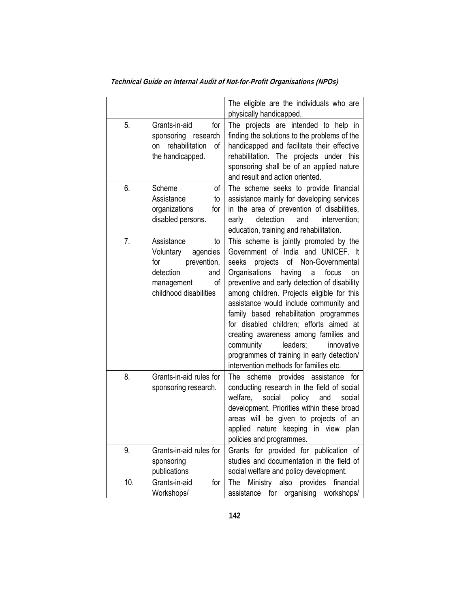|     |                                                                                                                                   | The eligible are the individuals who are<br>physically handicapped.                                                                                                                                                                                                                                                                                                                                                                                                                                                                                                          |
|-----|-----------------------------------------------------------------------------------------------------------------------------------|------------------------------------------------------------------------------------------------------------------------------------------------------------------------------------------------------------------------------------------------------------------------------------------------------------------------------------------------------------------------------------------------------------------------------------------------------------------------------------------------------------------------------------------------------------------------------|
| 5.  | Grants-in-aid<br>for<br>sponsoring research<br>rehabilitation<br>of<br>on<br>the handicapped.                                     | The projects are intended to help in<br>finding the solutions to the problems of the<br>handicapped and facilitate their effective<br>rehabilitation. The projects under this<br>sponsoring shall be of an applied nature<br>and result and action oriented.                                                                                                                                                                                                                                                                                                                 |
| 6.  | of<br>Scheme<br>Assistance<br>to<br>organizations<br>for<br>disabled persons.                                                     | The scheme seeks to provide financial<br>assistance mainly for developing services<br>in the area of prevention of disabilities,<br>detection<br>and<br>early<br>intervention;<br>education, training and rehabilitation.                                                                                                                                                                                                                                                                                                                                                    |
| 7.  | Assistance<br>to<br>Voluntary<br>agencies<br>for<br>prevention,<br>detection<br>and<br>of<br>management<br>childhood disabilities | This scheme is jointly promoted by the<br>Government of India and UNICEF. It<br>of Non-Governmental<br>projects<br>seeks<br>Organisations<br>having<br>focus<br>a<br>on<br>preventive and early detection of disability<br>among children. Projects eligible for this<br>assistance would include community and<br>family based rehabilitation programmes<br>for disabled children; efforts aimed at<br>creating awareness among families and<br>community<br>leaders;<br>innovative<br>programmes of training in early detection/<br>intervention methods for families etc. |
| 8.  | Grants-in-aid rules for<br>sponsoring research.                                                                                   | scheme provides assistance for<br>The<br>conducting research in the field of social<br>welfare,<br>social<br>policy<br>and<br>social<br>development. Priorities within these broad<br>areas will be given to projects of an<br>applied nature keeping in view plan<br>policies and programmes.                                                                                                                                                                                                                                                                               |
| 9.  | Grants-in-aid rules for<br>sponsoring<br>publications                                                                             | Grants for provided for publication of<br>studies and documentation in the field of<br>social welfare and policy development.                                                                                                                                                                                                                                                                                                                                                                                                                                                |
| 10. | Grants-in-aid<br>for<br>Workshops/                                                                                                | Ministry<br>also provides<br>financial<br>The<br>for<br>organising<br>assistance<br>workshops/                                                                                                                                                                                                                                                                                                                                                                                                                                                                               |

**Technical Guide on Internal Audit of Not-for-Profit Organisations (NPOs)**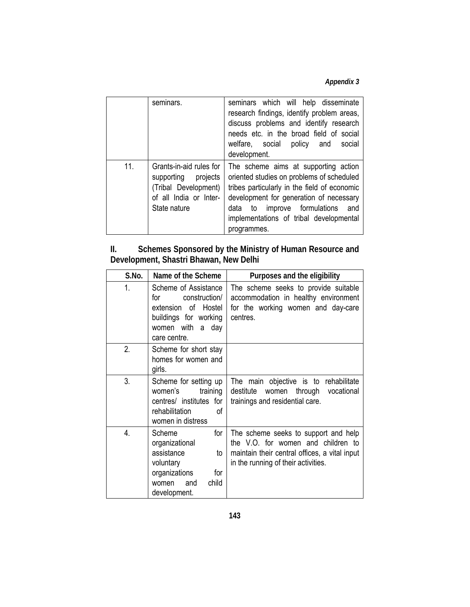*Appendix 3* 

|     | seminars.                                                                                                        | seminars which will help disseminate<br>research findings, identify problem areas,<br>discuss problems and identify research<br>needs etc. in the broad field of social<br>welfare, social policy and<br>social<br>development.                                                  |
|-----|------------------------------------------------------------------------------------------------------------------|----------------------------------------------------------------------------------------------------------------------------------------------------------------------------------------------------------------------------------------------------------------------------------|
| 11. | Grants-in-aid rules for<br>supporting projects<br>(Tribal Development)<br>of all India or Inter-<br>State nature | The scheme aims at supporting action<br>oriented studies on problems of scheduled<br>tribes particularly in the field of economic<br>development for generation of necessary<br>to improve formulations<br>and<br>data<br>implementations of tribal developmental<br>programmes. |

#### **II. Schemes Sponsored by the Ministry of Human Resource and Development, Shastri Bhawan, New Delhi**

| S.No. | Name of the Scheme                                                                                                                | Purposes and the eligibility                                                                                                                                       |
|-------|-----------------------------------------------------------------------------------------------------------------------------------|--------------------------------------------------------------------------------------------------------------------------------------------------------------------|
| 1.    | Scheme of Assistance<br>construction/<br>for<br>extension of Hostel<br>buildings for working<br>women with a day<br>care centre.  | The scheme seeks to provide suitable<br>accommodation in healthy environment<br>for the working women and day-care<br>centres.                                     |
| 2.    | Scheme for short stay<br>homes for women and<br>girls.                                                                            |                                                                                                                                                                    |
| 3.    | Scheme for setting up<br>women's<br>training<br>centres/ institutes for<br>rehabilitation<br>Ωf<br>women in distress              | The main objective is to rehabilitate<br>destitute<br>women<br>through<br>vocational<br>trainings and residential care.                                            |
| 4.    | Scheme<br>for<br>organizational<br>assistance<br>to<br>voluntary<br>organizations<br>for<br>child<br>and<br>women<br>development. | The scheme seeks to support and help<br>the V.O. for women and children to<br>maintain their central offices, a vital input<br>in the running of their activities. |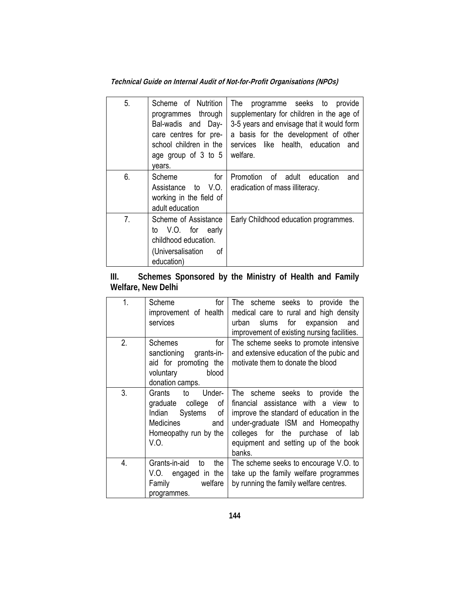**Technical Guide on Internal Audit of Not-for-Profit Organisations (NPOs)** 

| 5.             | Scheme of Nutrition<br>programmes through<br>Bal-wadis and Day-<br>care centres for pre-<br>school children in the<br>age group of 3 to 5<br>years. | programme seeks to provide<br>The<br>supplementary for children in the age of<br>3-5 years and envisage that it would form<br>a basis for the development of other<br>services like health, education and<br>welfare. |
|----------------|-----------------------------------------------------------------------------------------------------------------------------------------------------|-----------------------------------------------------------------------------------------------------------------------------------------------------------------------------------------------------------------------|
| 6.             | for<br>Scheme<br>Assistance to V.O.<br>working in the field of<br>adult education                                                                   | Promotion of adult<br>education<br>and<br>eradication of mass illiteracy.                                                                                                                                             |
| 7 <sub>1</sub> | Scheme of Assistance<br>to V.O. for early<br>childhood education.<br>(Universalisation<br>of<br>education)                                          | Early Childhood education programmes.                                                                                                                                                                                 |

**III. Schemes Sponsored by the Ministry of Health and Family Welfare, New Delhi** 

| 1.               | for<br>Scheme<br>improvement of health<br>services                                                                                  | The scheme seeks to provide the<br>medical care to rural and high density<br>expansion<br>slums for<br>urban<br>and<br>improvement of existing nursing facilities.                                                                            |
|------------------|-------------------------------------------------------------------------------------------------------------------------------------|-----------------------------------------------------------------------------------------------------------------------------------------------------------------------------------------------------------------------------------------------|
| 2.               | <b>Schemes</b><br>for<br>sanctioning<br>grants-in-<br>aid for promoting the<br>voluntary<br>blood<br>donation camps.                | The scheme seeks to promote intensive<br>and extensive education of the pubic and<br>motivate them to donate the blood                                                                                                                        |
| 3.               | Grants<br>to<br>Under-<br>graduate<br>college<br>οf<br>Systems<br>of<br>Indian<br>Medicines<br>and<br>Homeopathy run by the<br>V.O. | The scheme seeks to provide the<br>financial assistance with a view to<br>improve the standard of education in the<br>under-graduate ISM and Homeopathy<br>colleges for the purchase of lab<br>equipment and setting up of the book<br>banks. |
| $\overline{4}$ . | Grants-in-aid<br>the<br>to<br>engaged in the<br>V.O.<br>Family<br>welfare<br>programmes.                                            | The scheme seeks to encourage V.O. to<br>take up the family welfare programmes<br>by running the family welfare centres.                                                                                                                      |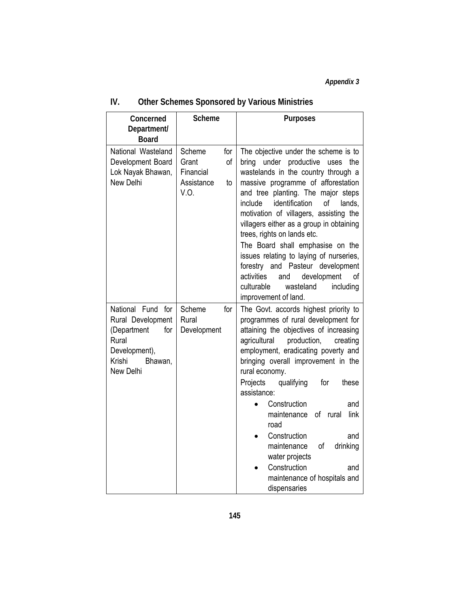| Concerned<br>Department/<br><b>Board</b>                                                                                 | <b>Scheme</b>                                                         | <b>Purposes</b>                                                                                                                                                                                                                                                                                                                                                                                                                                                                                                                                                                                    |
|--------------------------------------------------------------------------------------------------------------------------|-----------------------------------------------------------------------|----------------------------------------------------------------------------------------------------------------------------------------------------------------------------------------------------------------------------------------------------------------------------------------------------------------------------------------------------------------------------------------------------------------------------------------------------------------------------------------------------------------------------------------------------------------------------------------------------|
| National Wasteland<br>Development Board<br>Lok Nayak Bhawan,<br>New Delhi                                                | Scheme<br>for<br>of<br>Grant<br>Financial<br>Assistance<br>to<br>V.O. | The objective under the scheme is to<br>under productive<br>bring<br>the<br>uses<br>wastelands in the country through a<br>massive programme of afforestation<br>and tree planting. The major steps<br>identification<br>of<br>include<br>lands,<br>motivation of villagers, assisting the<br>villagers either as a group in obtaining<br>trees, rights on lands etc.<br>The Board shall emphasise on the<br>issues relating to laying of nurseries,<br>forestry and Pasteur development<br>activities<br>development<br>and<br>οf<br>culturable<br>wasteland<br>including<br>improvement of land. |
| National Fund for<br>Rural Development<br>(Department<br>for<br>Rural<br>Development),<br>Krishi<br>Bhawan,<br>New Delhi | for<br>Scheme<br>Rural<br>Development                                 | The Govt. accords highest priority to<br>programmes of rural development for<br>attaining the objectives of increasing<br>agricultural<br>production,<br>creating<br>employment, eradicating poverty and<br>bringing overall improvement in the<br>rural economy.<br>Projects<br>qualifying<br>for<br>these<br>assistance:<br>Construction<br>and<br>$\bullet$<br>link<br>maintenance<br>of<br>rural<br>road<br>Construction<br>and<br>maintenance<br>of<br>drinking<br>water projects<br>Construction<br>and<br>maintenance of hospitals and<br>dispensaries                                      |

### **IV. Other Schemes Sponsored by Various Ministries**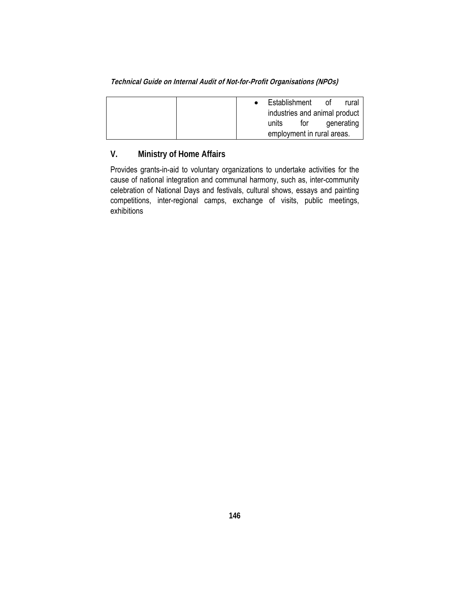| Technical Guide on Internal Audit of Not-for-Profit Organisations (NPOs) |  |  |
|--------------------------------------------------------------------------|--|--|
|                                                                          |  |  |

|  | Establishment                 |     | nt.        | rural |
|--|-------------------------------|-----|------------|-------|
|  | industries and animal product |     |            |       |
|  | units                         | tor | generating |       |
|  | employment in rural areas.    |     |            |       |

### **V. Ministry of Home Affairs**

Provides grants-in-aid to voluntary organizations to undertake activities for the cause of national integration and communal harmony, such as, inter-community celebration of National Days and festivals, cultural shows, essays and painting competitions, inter-regional camps, exchange of visits, public meetings, exhibitions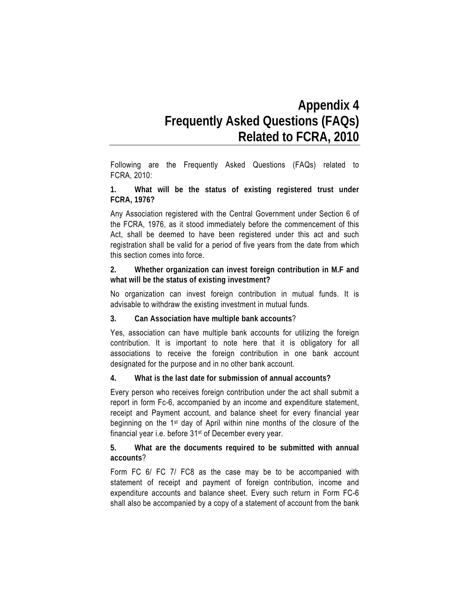## **Appendix 4 Frequently Asked Questions (FAQs) Related to FCRA, 2010**

Following are the Frequently Asked Questions (FAQs) related to FCRA, 2010:

**1. What will be the status of existing registered trust under FCRA, 1976?** 

Any Association registered with the Central Government under Section 6 of the FCRA, 1976, as it stood immediately before the commencement of this Act, shall be deemed to have been registered under this act and such registration shall be valid for a period of five years from the date from which this section comes into force.

**2. Whether organization can invest foreign contribution in M.F and what will be the status of existing investment?** 

No organization can invest foreign contribution in mutual funds. It is advisable to withdraw the existing investment in mutual funds.

#### **3. Can Association have multiple bank accounts**?

Yes, association can have multiple bank accounts for utilizing the foreign contribution. It is important to note here that it is obligatory for all associations to receive the foreign contribution in one bank account designated for the purpose and in no other bank account.

**4. What is the last date for submission of annual accounts?** 

Every person who receives foreign contribution under the act shall submit a report in form Fc-6, accompanied by an income and expenditure statement, receipt and Payment account, and balance sheet for every financial year beginning on the 1st day of April within nine months of the closure of the financial year i.e. before 31<sup>st</sup> of December every year.

**5. What are the documents required to be submitted with annual accounts**?

Form FC 6/ FC 7/ FC8 as the case may be to be accompanied with statement of receipt and payment of foreign contribution, income and expenditure accounts and balance sheet. Every such return in Form FC-6 shall also be accompanied by a copy of a statement of account from the bank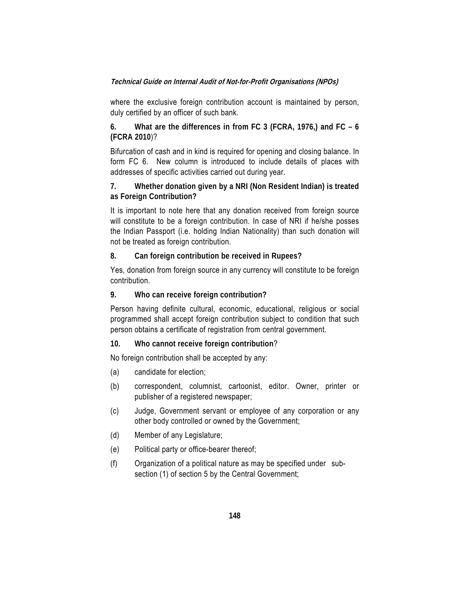where the exclusive foreign contribution account is maintained by person, duly certified by an officer of such bank.

**6. What are the differences in from FC 3 (FCRA, 1976,) and FC – 6 (FCRA 2010**)?

Bifurcation of cash and in kind is required for opening and closing balance. In form FC 6. New column is introduced to include details of places with addresses of specific activities carried out during year.

**7. Whether donation given by a NRI (Non Resident Indian) is treated as Foreign Contribution?** 

It is important to note here that any donation received from foreign source will constitute to be a foreign contribution. In case of NRI if he/she posses the Indian Passport (i.e. holding Indian Nationality) than such donation will not be treated as foreign contribution.

#### **8. Can foreign contribution be received in Rupees?**

Yes, donation from foreign source in any currency will constitute to be foreign contribution.

#### **9. Who can receive foreign contribution?**

Person having definite cultural, economic, educational, religious or social programmed shall accept foreign contribution subject to condition that such person obtains a certificate of registration from central government.

#### **10. Who cannot receive foreign contribution**?

No foreign contribution shall be accepted by any:

- (a) candidate for election;
- (b) correspondent, columnist, cartoonist, editor. Owner, printer or publisher of a registered newspaper;
- (c) Judge, Government servant or employee of any corporation or any other body controlled or owned by the Government;
- (d) Member of any Legislature;
- (e) Political party or office-bearer thereof;
- (f) Organization of a political nature as may be specified under subsection (1) of section 5 by the Central Government;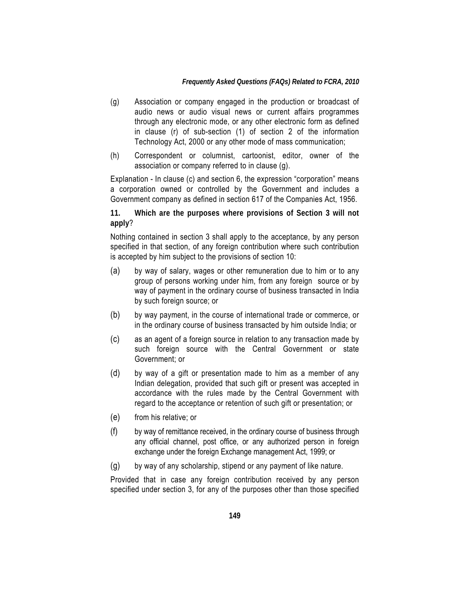#### *Frequently Asked Questions (FAQs) Related to FCRA, 2010*

- (g) Association or company engaged in the production or broadcast of audio news or audio visual news or current affairs programmes through any electronic mode, or any other electronic form as defined in clause (r) of sub-section (1) of section 2 of the information Technology Act, 2000 or any other mode of mass communication;
- (h) Correspondent or columnist, cartoonist, editor, owner of the association or company referred to in clause (g).

Explanation - In clause (c) and section 6, the expression "corporation" means a corporation owned or controlled by the Government and includes a Government company as defined in section 617 of the Companies Act, 1956.

**11. Which are the purposes where provisions of Section 3 will not apply**?

Nothing contained in section 3 shall apply to the acceptance, by any person specified in that section, of any foreign contribution where such contribution is accepted by him subject to the provisions of section 10:

- (a) by way of salary, wages or other remuneration due to him or to any group of persons working under him, from any foreign source or by way of payment in the ordinary course of business transacted in India by such foreign source; or
- (b) by way payment, in the course of international trade or commerce, or in the ordinary course of business transacted by him outside India; or
- (c) as an agent of a foreign source in relation to any transaction made by such foreign source with the Central Government or state Government; or
- (d) by way of a gift or presentation made to him as a member of any Indian delegation, provided that such gift or present was accepted in accordance with the rules made by the Central Government with regard to the acceptance or retention of such gift or presentation; or
- (e) from his relative; or
- (f) by way of remittance received, in the ordinary course of business through any official channel, post office, or any authorized person in foreign exchange under the foreign Exchange management Act, 1999; or
- (g) by way of any scholarship, stipend or any payment of like nature.

Provided that in case any foreign contribution received by any person specified under section 3, for any of the purposes other than those specified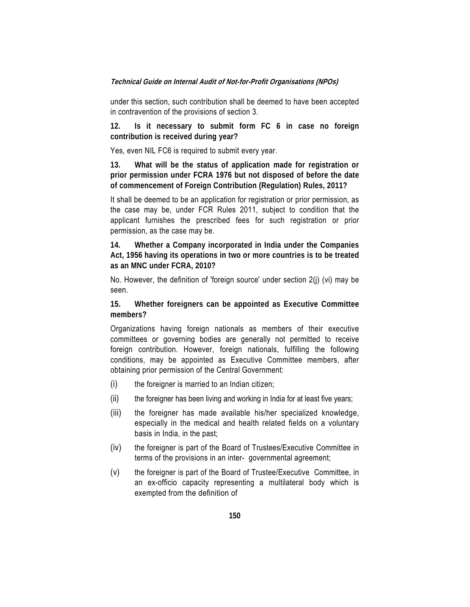under this section, such contribution shall be deemed to have been accepted in contravention of the provisions of section 3.

**12. Is it necessary to submit form FC 6 in case no foreign contribution is received during year?** 

Yes, even NIL FC6 is required to submit every year.

**13. What will be the status of application made for registration or prior permission under FCRA 1976 but not disposed of before the date of commencement of Foreign Contribution (Regulation) Rules, 2011?** 

It shall be deemed to be an application for registration or prior permission, as the case may be, under FCR Rules 2011, subject to condition that the applicant furnishes the prescribed fees for such registration or prior permission, as the case may be.

**14. Whether a Company incorporated in India under the Companies Act, 1956 having its operations in two or more countries is to be treated as an MNC under FCRA, 2010?** 

No. However, the definition of 'foreign source' under section 2(j) (vi) may be seen.

**15. Whether foreigners can be appointed as Executive Committee members?** 

Organizations having foreign nationals as members of their executive committees or governing bodies are generally not permitted to receive foreign contribution. However, foreign nationals, fulfilling the following conditions, may be appointed as Executive Committee members, after obtaining prior permission of the Central Government:

- (i) the foreigner is married to an Indian citizen;
- $(i)$  the foreigner has been living and working in India for at least five years;
- (iii) the foreigner has made available his/her specialized knowledge, especially in the medical and health related fields on a voluntary basis in India, in the past;
- (iv) the foreigner is part of the Board of Trustees/Executive Committee in terms of the provisions in an inter- governmental agreement;
- (v) the foreigner is part of the Board of Trustee/Executive Committee, in an ex-officio capacity representing a multilateral body which is exempted from the definition of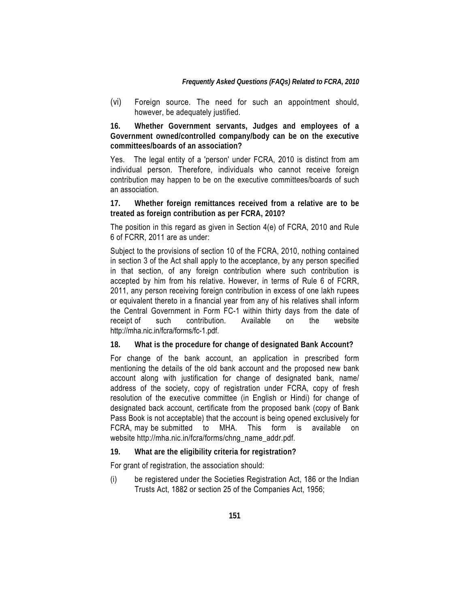(vi) Foreign source. The need for such an appointment should, however, be adequately justified.

**16. Whether Government servants, Judges and employees of a Government owned/controlled company/body can be on the executive committees/boards of an association?** 

Yes. The legal entity of a 'person' under FCRA, 2010 is distinct from am individual person. Therefore, individuals who cannot receive foreign contribution may happen to be on the executive committees/boards of such an association.

**17. Whether foreign remittances received from a relative are to be treated as foreign contribution as per FCRA, 2010?** 

The position in this regard as given in Section 4(e) of FCRA, 2010 and Rule 6 of FCRR, 2011 are as under:

Subject to the provisions of section 10 of the FCRA, 2010, nothing contained in section 3 of the Act shall apply to the acceptance, by any person specified in that section, of any foreign contribution where such contribution is accepted by him from his relative. However, in terms of Rule 6 of FCRR, 2011, any person receiving foreign contribution in excess of one lakh rupees or equivalent thereto in a financial year from any of his relatives shall inform the Central Government in Form FC-1 within thirty days from the date of receipt of such contribution. Available on the website http://mha.nic.in/fcra/forms/fc-1.pdf.

**18. What is the procedure for change of designated Bank Account?** 

For change of the bank account, an application in prescribed form mentioning the details of the old bank account and the proposed new bank account along with justification for change of designated bank, name/ address of the society, copy of registration under FCRA, copy of fresh resolution of the executive committee (in English or Hindi) for change of designated back account, certificate from the proposed bank (copy of Bank Pass Book is not acceptable) that the account is being opened exclusively for FCRA, may be submitted to MHA. This form is available on website http://mha.nic.in/fcra/forms/chng\_name\_addr.pdf.

**19. What are the eligibility criteria for registration?** 

For grant of registration, the association should:

(i) be registered under the Societies Registration Act, 186 or the Indian Trusts Act, 1882 or section 25 of the Companies Act, 1956;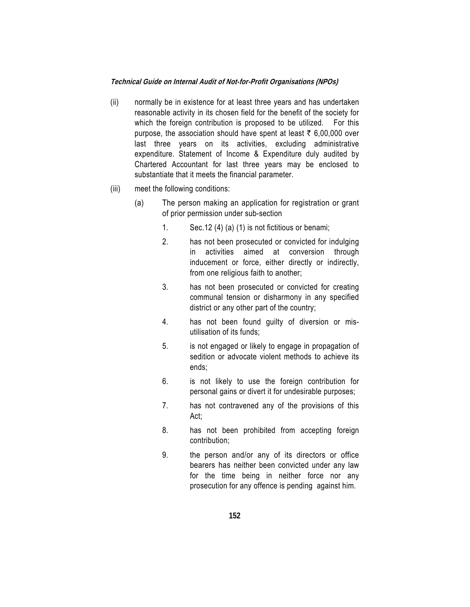- (ii) normally be in existence for at least three years and has undertaken reasonable activity in its chosen field for the benefit of the society for which the foreign contribution is proposed to be utilized. For this purpose, the association should have spent at least  $\bar{\tau}$  6,00,000 over last three years on its activities, excluding administrative expenditure. Statement of Income & Expenditure duly audited by Chartered Accountant for last three years may be enclosed to substantiate that it meets the financial parameter.
- (iii) meet the following conditions:
	- (a) The person making an application for registration or grant of prior permission under sub-section
		- 1. Sec.12 (4) (a) (1) is not fictitious or benami;
		- 2. has not been prosecuted or convicted for indulging in activities aimed at conversion through inducement or force, either directly or indirectly, from one religious faith to another;
		- 3. has not been prosecuted or convicted for creating communal tension or disharmony in any specified district or any other part of the country;
		- 4. has not been found guilty of diversion or misutilisation of its funds;
		- 5. is not engaged or likely to engage in propagation of sedition or advocate violent methods to achieve its ends;
		- 6. is not likely to use the foreign contribution for personal gains or divert it for undesirable purposes;
		- 7. has not contravened any of the provisions of this Act;
		- 8. has not been prohibited from accepting foreign contribution;
		- 9. the person and/or any of its directors or office bearers has neither been convicted under any law for the time being in neither force nor any prosecution for any offence is pending against him.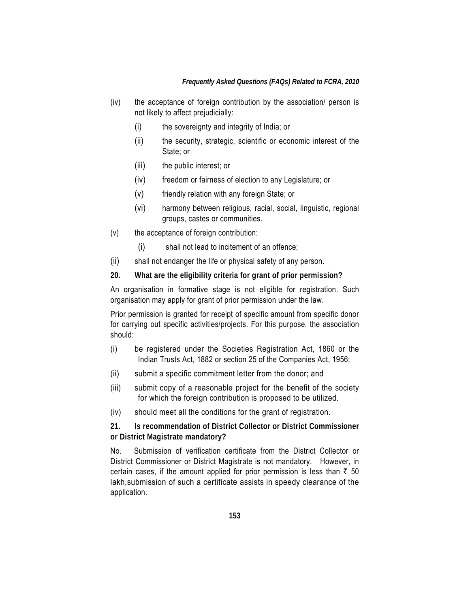#### *Frequently Asked Questions (FAQs) Related to FCRA, 2010*

- (iv) the acceptance of foreign contribution by the association/ person is not likely to affect prejudicially:
	- (i) the sovereignty and integrity of India; or
	- (ii) the security, strategic, scientific or economic interest of the State; or
	- (iii) the public interest; or
	- (iv) freedom or fairness of election to any Legislature; or
	- (v) friendly relation with any foreign State; or
	- (vi) harmony between religious, racial, social, linguistic, regional groups, castes or communities.
- (v) the acceptance of foreign contribution:
	- (i) shall not lead to incitement of an offence;
- (ii) shall not endanger the life or physical safety of any person.
- **20. What are the eligibility criteria for grant of prior permission?**

An organisation in formative stage is not eligible for registration. Such organisation may apply for grant of prior permission under the law.

Prior permission is granted for receipt of specific amount from specific donor for carrying out specific activities/projects. For this purpose, the association should:

- (i) be registered under the Societies Registration Act, 1860 or the Indian Trusts Act, 1882 or section 25 of the Companies Act, 1956;
- (ii) submit a specific commitment letter from the donor; and
- (iii) submit copy of a reasonable project for the benefit of the society for which the foreign contribution is proposed to be utilized.
- (iv) should meet all the conditions for the grant of registration.

**21. Is recommendation of District Collector or District Commissioner or District Magistrate mandatory?** 

No. Submission of verification certificate from the District Collector or District Commissioner or District Magistrate is not mandatory. However, in certain cases, if the amount applied for prior permission is less than  $\bar{\tau}$  50 lakh,submission of such a certificate assists in speedy clearance of the application.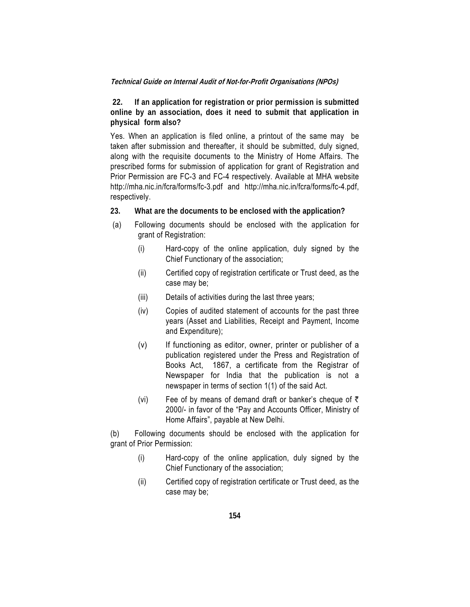**22. If an application for registration or prior permission is submitted online by an association, does it need to submit that application in physical form also?**

Yes. When an application is filed online, a printout of the same may be taken after submission and thereafter, it should be submitted, duly signed, along with the requisite documents to the Ministry of Home Affairs. The prescribed forms for submission of application for grant of Registration and Prior Permission are FC-3 and FC-4 respectively. Available at MHA website http://mha.nic.in/fcra/forms/fc-3.pdf and http://mha.nic.in/fcra/forms/fc-4.pdf, respectively.

- **23. What are the documents to be enclosed with the application?**
- (a) Following documents should be enclosed with the application for grant of Registration:
	- (i) Hard-copy of the online application, duly signed by the Chief Functionary of the association;
	- (ii) Certified copy of registration certificate or Trust deed, as the case may be;
	- (iii) Details of activities during the last three years;
	- (iv) Copies of audited statement of accounts for the past three years (Asset and Liabilities, Receipt and Payment, Income and Expenditure);
	- (v) If functioning as editor, owner, printer or publisher of a publication registered under the Press and Registration of Books Act, 1867, a certificate from the Registrar of Newspaper for India that the publication is not a newspaper in terms of section 1(1) of the said Act.
	- (vi) Fee of by means of demand draft or banker's cheque of  $\bar{\tau}$ 2000/- in favor of the "Pay and Accounts Officer, Ministry of Home Affairs", payable at New Delhi.

(b) Following documents should be enclosed with the application for grant of Prior Permission:

- (i) Hard-copy of the online application, duly signed by the Chief Functionary of the association;
- (ii) Certified copy of registration certificate or Trust deed, as the case may be;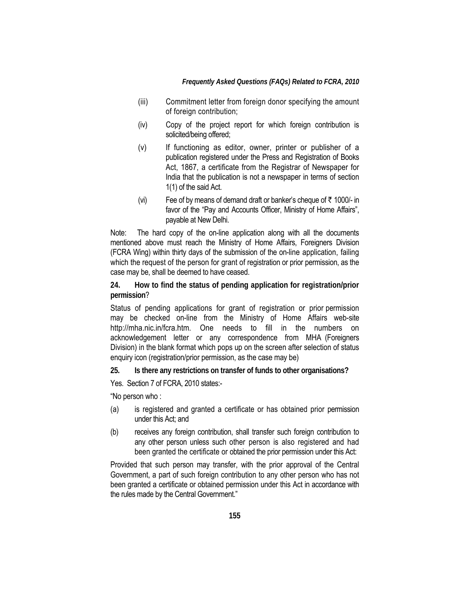- (iii) Commitment letter from foreign donor specifying the amount of foreign contribution;
- (iv) Copy of the project report for which foreign contribution is solicited/being offered;
- (v) If functioning as editor, owner, printer or publisher of a publication registered under the Press and Registration of Books Act, 1867, a certificate from the Registrar of Newspaper for India that the publication is not a newspaper in terms of section 1(1) of the said Act.
- (vi) Fee of by means of demand draft or banker's cheque of  $\bar{\tau}$  1000/- in favor of the "Pay and Accounts Officer, Ministry of Home Affairs", payable at New Delhi.

Note: The hard copy of the on-line application along with all the documents mentioned above must reach the Ministry of Home Affairs, Foreigners Division (FCRA Wing) within thirty days of the submission of the on-line application, failing which the request of the person for grant of registration or prior permission, as the case may be, shall be deemed to have ceased.

**24. How to find the status of pending application for registration/prior permission**?

Status of pending applications for grant of registration or prior permission may be checked on-line from the Ministry of Home Affairs web-site http://mha.nic.in/fcra.htm. One needs to fill in the numbers on acknowledgement letter or any correspondence from MHA (Foreigners Division) in the blank format which pops up on the screen after selection of status enquiry icon (registration/prior permission, as the case may be)

**25. Is there any restrictions on transfer of funds to other organisations?** 

Yes. Section 7 of FCRA, 2010 states:-

"No person who :

- (a) is registered and granted a certificate or has obtained prior permission under this Act; and
- (b) receives any foreign contribution, shall transfer such foreign contribution to any other person unless such other person is also registered and had been granted the certificate or obtained the prior permission under this Act:

Provided that such person may transfer, with the prior approval of the Central Government, a part of such foreign contribution to any other person who has not been granted a certificate or obtained permission under this Act in accordance with the rules made by the Central Government."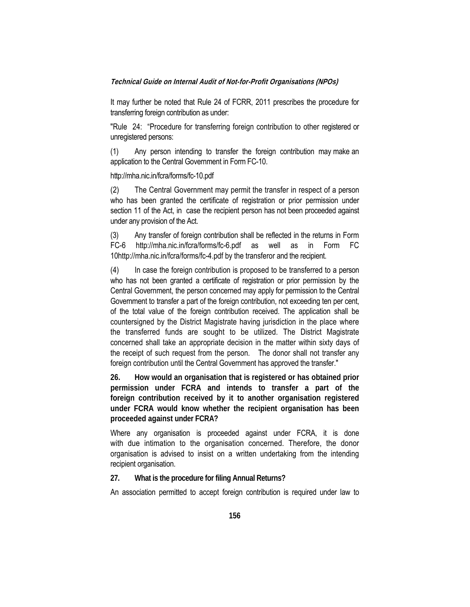It may further be noted that Rule 24 of FCRR, 2011 prescribes the procedure for transferring foreign contribution as under:

"Rule 24: "Procedure for transferring foreign contribution to other registered or unregistered persons:

(1) Any person intending to transfer the foreign contribution may make an application to the Central Government in Form FC-10.

http://mha.nic.in/fcra/forms/fc-10.pdf

(2) The Central Government may permit the transfer in respect of a person who has been granted the certificate of registration or prior permission under section 11 of the Act, in case the recipient person has not been proceeded against under any provision of the Act.

(3) Any transfer of foreign contribution shall be reflected in the returns in Form FC-6 http://mha.nic.in/fcra/forms/fc-6.pdf as well as in Form FC 10http://mha.nic.in/fcra/forms/fc-4.pdf by the transferor and the recipient.

(4) In case the foreign contribution is proposed to be transferred to a person who has not been granted a certificate of registration or prior permission by the Central Government, the person concerned may apply for permission to the Central Government to transfer a part of the foreign contribution, not exceeding ten per cent, of the total value of the foreign contribution received. The application shall be countersigned by the District Magistrate having jurisdiction in the place where the transferred funds are sought to be utilized. The District Magistrate concerned shall take an appropriate decision in the matter within sixty days of the receipt of such request from the person. The donor shall not transfer any foreign contribution until the Central Government has approved the transfer."

**26. How would an organisation that is registered or has obtained prior permission under FCRA and intends to transfer a part of the foreign contribution received by it to another organisation registered under FCRA would know whether the recipient organisation has been proceeded against under FCRA?** 

Where any organisation is proceeded against under FCRA, it is done with due intimation to the organisation concerned. Therefore, the donor organisation is advised to insist on a written undertaking from the intending recipient organisation.

#### **27. What is the procedure for filing Annual Returns?**

An association permitted to accept foreign contribution is required under law to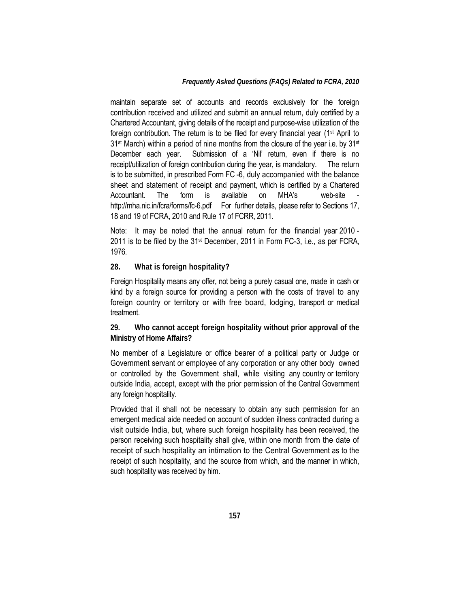#### *Frequently Asked Questions (FAQs) Related to FCRA, 2010*

maintain separate set of accounts and records exclusively for the foreign contribution received and utilized and submit an annual return, duly certified by a Chartered Accountant, giving details of the receipt and purpose-wise utilization of the foreign contribution. The return is to be filed for every financial year (1st April to 31st March) within a period of nine months from the closure of the year i.e. by 31st December each year. Submission of a 'Nil' return, even if there is no receipt/utilization of foreign contribution during the year, is mandatory. The return is to be submitted, in prescribed Form FC -6, duly accompanied with the balance sheet and statement of receipt and payment, which is certified by a Chartered Accountant. The form is available on MHA's web-site http://mha.nic.in/fcra/forms/fc-6.pdf For further details, please refer to Sections 17, 18 and 19 of FCRA, 2010 and Rule 17 of FCRR, 2011.

Note: It may be noted that the annual return for the financial year 2010 - 2011 is to be filed by the 31st December, 2011 in Form FC-3, i.e., as per FCRA, 1976.

#### **28. What is foreign hospitality?**

Foreign Hospitality means any offer, not being a purely casual one, made in cash or kind by a foreign source for providing a person with the costs of travel to any foreign country or territory or with free board, lodging, transport or medical treatment.

**29. Who cannot accept foreign hospitality without prior approval of the Ministry of Home Affairs?** 

No member of a Legislature or office bearer of a political party or Judge or Government servant or employee of any corporation or any other body owned or controlled by the Government shall, while visiting any country or territory outside India, accept, except with the prior permission of the Central Government any foreign hospitality.

Provided that it shall not be necessary to obtain any such permission for an emergent medical aide needed on account of sudden illness contracted during a visit outside India, but, where such foreign hospitality has been received, the person receiving such hospitality shall give, within one month from the date of receipt of such hospitality an intimation to the Central Government as to the receipt of such hospitality, and the source from which, and the manner in which, such hospitality was received by him.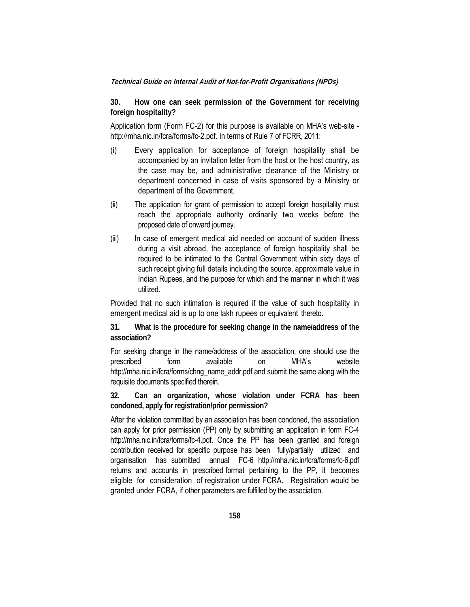**30. How one can seek permission of the Government for receiving foreign hospitality?** 

Application form (Form FC-2) for this purpose is available on MHA's web-site http://mha.nic.in/fcra/forms/fc-2.pdf. In terms of Rule 7 of FCRR, 2011:

- (i) Every application for acceptance of foreign hospitality shall be accompanied by an invitation letter from the host or the host country, as the case may be, and administrative clearance of the Ministry or department concerned in case of visits sponsored by a Ministry or department of the Government.
- (ii) The application for grant of permission to accept foreign hospitality must reach the appropriate authority ordinarily two weeks before the proposed date of onward journey.
- (iii) In case of emergent medical aid needed on account of sudden illness during a visit abroad, the acceptance of foreign hospitality shall be required to be intimated to the Central Government within sixty days of such receipt giving full details including the source, approximate value in Indian Rupees, and the purpose for which and the manner in which it was utilized.

Provided that no such intimation is required if the value of such hospitality in emergent medical aid is up to one lakh rupees or equivalent thereto.

**31. What is the procedure for seeking change in the name/address of the association?** 

For seeking change in the name/address of the association, one should use the prescribed form available on MHA's website http://mha.nic.in/fcra/forms/chng\_name\_addr.pdf and submit the same along with the requisite documents specified therein.

**32. Can an organization, whose violation under FCRA has been condoned, apply for registration/prior permission?** 

After the violation committed by an association has been condoned, the association can apply for prior permission (PP) only by submitting an application in form FC-4 http://mha.nic.in/fcra/forms/fc-4.pdf. Once the PP has been granted and foreign contribution received for specific purpose has been fully/partially utilized and organisation has submitted annual FC-6 http://mha.nic.in/fcra/forms/fc-6.pdf returns and accounts in prescribed format pertaining to the PP, it becomes eligible for consideration of registration under FCRA. Registration would be granted under FCRA, if other parameters are fulfilled by the association.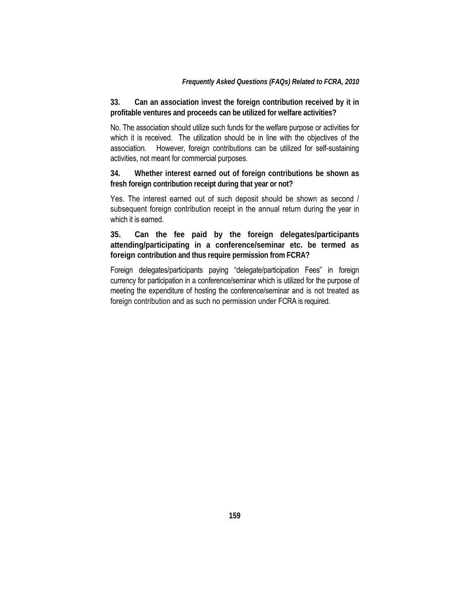**33. Can an association invest the foreign contribution received by it in profitable ventures and proceeds can be utilized for welfare activities?** 

No. The association should utilize such funds for the welfare purpose or activities for which it is received. The utilization should be in line with the objectives of the association. However, foreign contributions can be utilized for self-sustaining activities, not meant for commercial purposes.

**34. Whether interest earned out of foreign contributions be shown as fresh foreign contribution receipt during that year or not?** 

Yes. The interest earned out of such deposit should be shown as second / subsequent foreign contribution receipt in the annual return during the year in which it is earned.

**35. Can the fee paid by the foreign delegates/participants attending/participating in a conference/seminar etc. be termed as foreign contribution and thus require permission from FCRA?** 

Foreign delegates/participants paying "delegate/participation Fees" in foreign currency for participation in a conference/seminar which is utilized for the purpose of meeting the expenditure of hosting the conference/seminar and is not treated as foreign contribution and as such no permission under FCRA is required.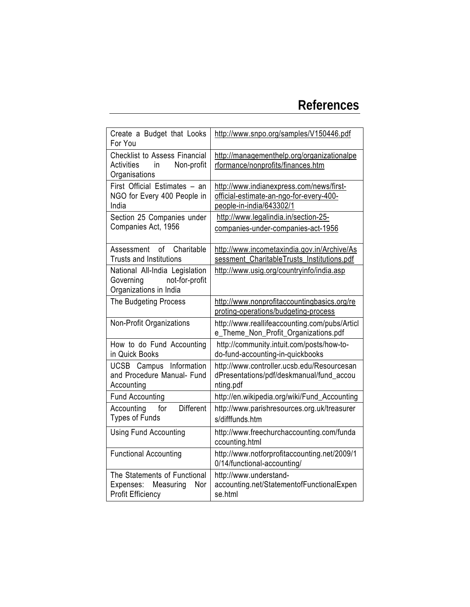# **References**

| Create a Budget that Looks<br>For You                                                          | http://www.snpo.org/samples/V150446.pdf                                                                         |
|------------------------------------------------------------------------------------------------|-----------------------------------------------------------------------------------------------------------------|
| <b>Checklist to Assess Financial</b><br><b>Activities</b><br>Non-profit<br>in<br>Organisations | http://managementhelp.org/organizationalpe<br>rformance/nonprofits/finances.htm                                 |
| First Official Estimates - an<br>NGO for Every 400 People in<br>India                          | http://www.indianexpress.com/news/first-<br>official-estimate-an-ngo-for-every-400-<br>people-in-india/643302/1 |
| Section 25 Companies under<br>Companies Act, 1956                                              | http://www.legalindia.in/section-25-<br>companies-under-companies-act-1956                                      |
| Charitable<br>of<br>Assessment<br><b>Trusts and Institutions</b>                               | http://www.incometaxindia.gov.in/Archive/As<br>sessment_CharitableTrusts_Institutions.pdf                       |
| National All-India Legislation<br>Governing<br>not-for-profit<br>Organizations in India        | http://www.usig.org/countryinfo/india.asp                                                                       |
| The Budgeting Process                                                                          | http://www.nonprofitaccountingbasics.org/re<br>proting-operations/budgeting-process                             |
| Non-Profit Organizations                                                                       | http://www.reallifeaccounting.com/pubs/Articl<br>e_Theme_Non_Profit_Organizations.pdf                           |
| How to do Fund Accounting<br>in Quick Books                                                    | http://community.intuit.com/posts/how-to-<br>do-fund-accounting-in-quickbooks                                   |
| <b>UCSB</b> Campus Information<br>and Procedure Manual- Fund<br>Accounting                     | http://www.controller.ucsb.edu/Resourcesan<br>dPresentations/pdf/deskmanual/fund_accou<br>nting.pdf             |
| <b>Fund Accounting</b>                                                                         | http://en.wikipedia.org/wiki/Fund_Accounting                                                                    |
| <b>Different</b><br>Accounting<br>for<br><b>Types of Funds</b>                                 | http://www.parishresources.org.uk/treasurer<br>s/difffunds.htm                                                  |
| <b>Using Fund Accounting</b>                                                                   | http://www.freechurchaccounting.com/funda<br>ccounting.html                                                     |
| <b>Functional Accounting</b>                                                                   | http://www.notforprofitaccounting.net/2009/1<br>0/14/functional-accounting/                                     |
| The Statements of Functional<br>Measuring<br>Nor<br>Expenses:<br><b>Profit Efficiency</b>      | http://www.understand-<br>accounting.net/StatementofFunctionalExpen<br>se.html                                  |